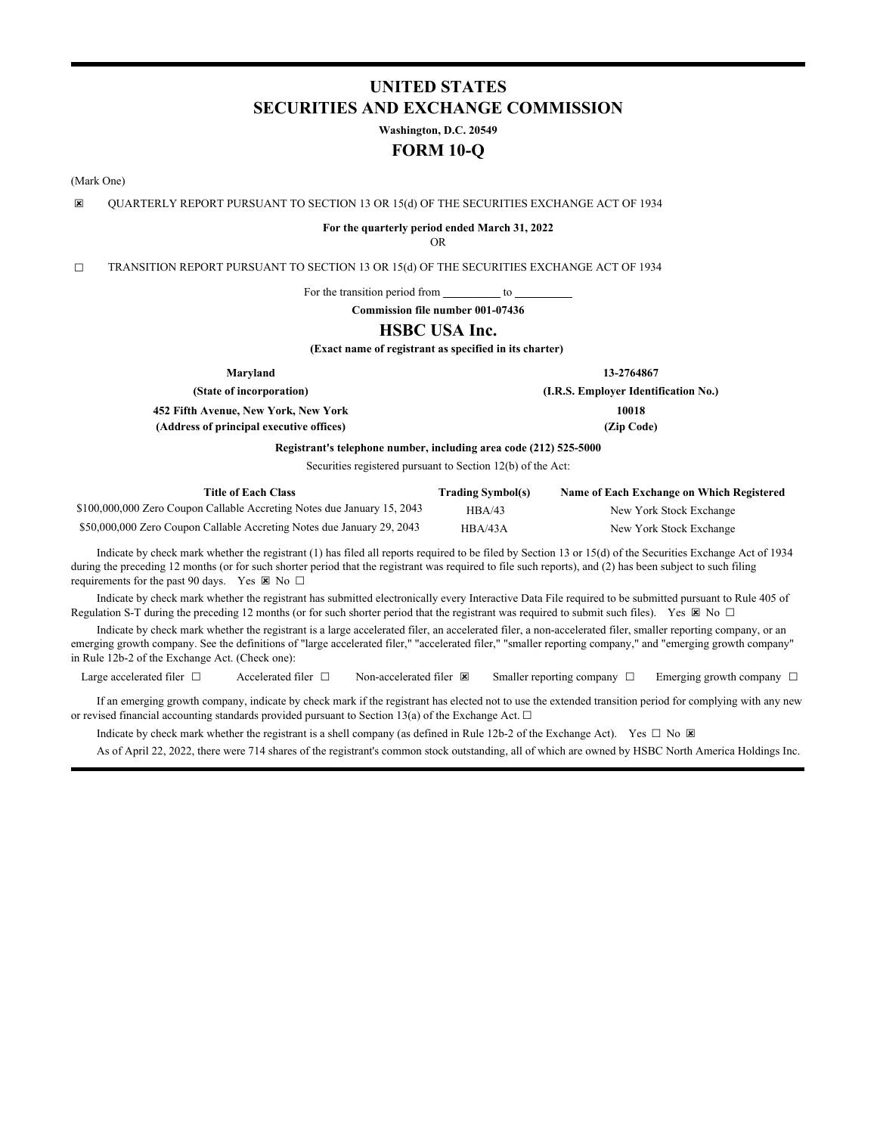# **UNITED STATES SECURITIES AND EXCHANGE COMMISSION**

**Washington, D.C. 20549**

# **FORM 10-Q**

(Mark One)

☒ QUARTERLY REPORT PURSUANT TO SECTION 13 OR 15(d) OF THE SECURITIES EXCHANGE ACT OF 1934

**For the quarterly period ended March 31, 2022** OR

☐ TRANSITION REPORT PURSUANT TO SECTION 13 OR 15(d) OF THE SECURITIES EXCHANGE ACT OF 1934

For the transition period from \_\_\_\_\_\_\_\_\_\_ to

**Commission file number 001-07436**

### **HSBC USA Inc.**

**(Exact name of registrant as specified in its charter)**

| Maryland                                                          | 13-2764867                           |
|-------------------------------------------------------------------|--------------------------------------|
| (State of incorporation)                                          | (I.R.S. Employer Identification No.) |
| 452 Fifth Avenue, New York, New York                              | 10018                                |
| (Address of principal executive offices)                          | (Zip Code)                           |
| Registrant's telephone number, including area code (212) 525-5000 |                                      |
| Securities registered pursuant to Section 12(b) of the Act:       |                                      |
|                                                                   |                                      |

| <b>Title of Each Class</b>                                              | <b>Trading Symbol(s)</b> | Name of Each Exchange on Which Registered |
|-------------------------------------------------------------------------|--------------------------|-------------------------------------------|
| \$100,000,000 Zero Coupon Callable Accreting Notes due January 15, 2043 | HBA/43                   | New York Stock Exchange                   |
| \$50,000,000 Zero Coupon Callable Accreting Notes due January 29, 2043  | HBA/43A                  | New York Stock Exchange                   |

Indicate by check mark whether the registrant (1) has filed all reports required to be filed by Section 13 or 15(d) of the Securities Exchange Act of 1934 during the preceding 12 months (or for such shorter period that the registrant was required to file such reports), and (2) has been subject to such filing requirements for the past 90 days. Yes  $\boxtimes$  No  $\Box$ 

Indicate by check mark whether the registrant has submitted electronically every Interactive Data File required to be submitted pursuant to Rule 405 of Regulation S-T during the preceding 12 months (or for such shorter period that the registrant was required to submit such files). Yes  $\boxtimes$  No  $\Box$ 

Indicate by check mark whether the registrant is a large accelerated filer, an accelerated filer, a non-accelerated filer, smaller reporting company, or an emerging growth company. See the definitions of "large accelerated filer," "accelerated filer," "smaller reporting company," and "emerging growth company" in Rule 12b-2 of the Exchange Act. (Check one):

Large accelerated filer □ Accelerated filer □ Non-accelerated filer ⊠ Smaller reporting company □ Emerging growth company □

If an emerging growth company, indicate by check mark if the registrant has elected not to use the extended transition period for complying with any new or revised financial accounting standards provided pursuant to Section 13(a) of the Exchange Act. □

Indicate by check mark whether the registrant is a shell company (as defined in Rule 12b-2 of the Exchange Act). Yes  $\Box$  No  $\Box$ 

As of April 22, 2022, there were 714 shares of the registrant's common stock outstanding, all of which are owned by HSBC North America Holdings Inc.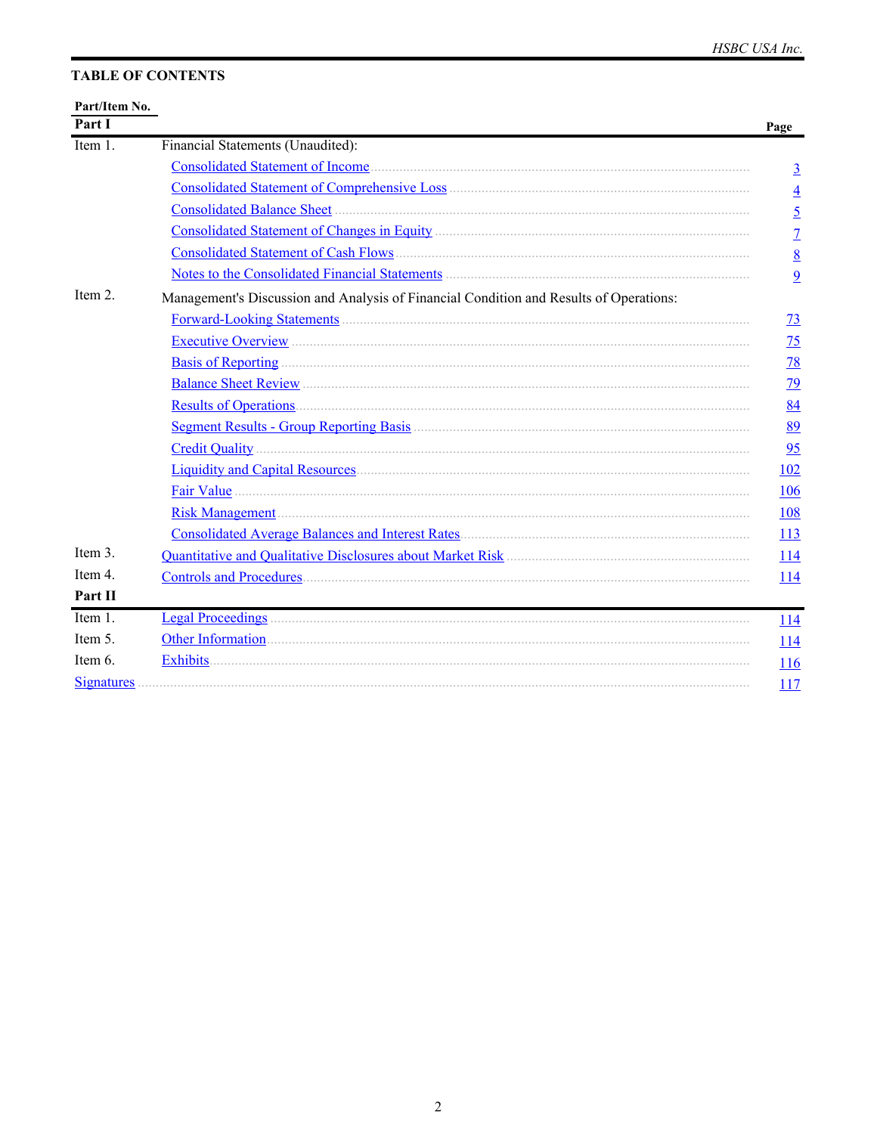## **TABLE OF CONTENTS**

| Part/Item No.     |                                                                                        |                 |
|-------------------|----------------------------------------------------------------------------------------|-----------------|
| Part I            |                                                                                        | Page            |
| Item 1.           | Financial Statements (Unaudited):                                                      |                 |
|                   |                                                                                        | $\overline{3}$  |
|                   |                                                                                        | $\overline{4}$  |
|                   | <b>Consolidated Balance Sheet</b>                                                      | $\overline{5}$  |
|                   |                                                                                        | $\overline{1}$  |
|                   |                                                                                        | 8               |
|                   |                                                                                        | $\overline{9}$  |
| Item 2.           | Management's Discussion and Analysis of Financial Condition and Results of Operations: |                 |
|                   |                                                                                        | 73              |
|                   |                                                                                        | 75              |
|                   |                                                                                        | 78              |
|                   |                                                                                        | $\overline{29}$ |
|                   |                                                                                        | 84              |
|                   |                                                                                        | 89              |
|                   |                                                                                        | 95              |
|                   |                                                                                        | 102             |
|                   |                                                                                        | <b>106</b>      |
|                   |                                                                                        | <b>108</b>      |
|                   |                                                                                        | <u>113</u>      |
| Item 3.           |                                                                                        | <b>114</b>      |
| Item 4.           |                                                                                        | <b>114</b>      |
| Part II           |                                                                                        |                 |
| Item 1.           |                                                                                        | <b>114</b>      |
| Item 5.           |                                                                                        | <u>114</u>      |
| Item 6.           |                                                                                        | 116             |
| <b>Signatures</b> |                                                                                        | <b>117</b>      |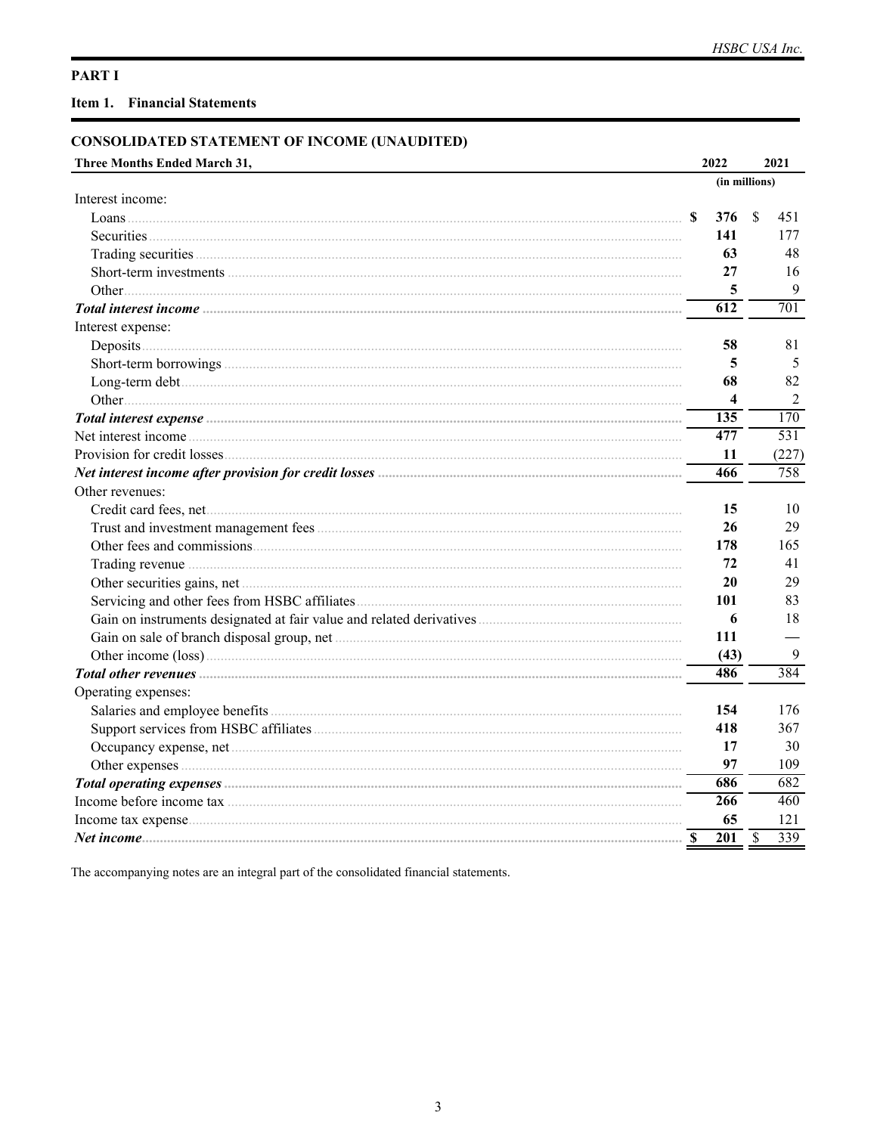# <span id="page-2-0"></span>**PART I**

### Item 1. Financial Statements

# **CONSOLIDATED STATEMENT OF INCOME (UNAUDITED)**

| Three Months Ended March 31,                                                                                            |             | 2022                    |                          | 2021             |
|-------------------------------------------------------------------------------------------------------------------------|-------------|-------------------------|--------------------------|------------------|
|                                                                                                                         |             | (in millions)           |                          |                  |
| Interest income:                                                                                                        |             |                         |                          |                  |
|                                                                                                                         | $\mathbf S$ | 376                     | $\mathcal{S}$            | 451              |
|                                                                                                                         |             | 141                     |                          | 177              |
|                                                                                                                         |             | 63                      |                          | 48               |
|                                                                                                                         |             | 27                      |                          | 16               |
|                                                                                                                         |             | 5                       |                          | 9                |
|                                                                                                                         |             | 612                     |                          | 701              |
| Interest expense:                                                                                                       |             |                         |                          |                  |
|                                                                                                                         |             | 58                      |                          | 81               |
|                                                                                                                         |             | 5                       |                          | 5                |
|                                                                                                                         |             | 68                      |                          | 82               |
|                                                                                                                         |             | $\overline{\mathbf{4}}$ |                          | $\overline{2}$   |
| Total interest expense <i>manufacture contained a contained in the set also are set as a contained interest expense</i> |             | 135                     |                          | 170              |
|                                                                                                                         |             | 477                     |                          | 531              |
|                                                                                                                         |             | -11                     |                          | (227)            |
|                                                                                                                         |             | 466                     |                          | 758              |
| Other revenues:                                                                                                         |             |                         |                          |                  |
|                                                                                                                         |             | 15                      |                          | 10               |
|                                                                                                                         |             | 26                      |                          | 29               |
|                                                                                                                         |             | 178                     |                          | 165              |
|                                                                                                                         |             | 72                      |                          | 41               |
|                                                                                                                         |             | 20                      |                          | 29               |
|                                                                                                                         |             | 101                     |                          | 83               |
|                                                                                                                         |             | 6                       |                          | 18               |
| Gain on sale of branch disposal group, net manufactured and solution on sale of branch disposal group, net              |             | 111                     |                          |                  |
|                                                                                                                         |             | (43)                    |                          | 9                |
|                                                                                                                         |             | 486                     |                          | 384              |
| Operating expenses:                                                                                                     |             |                         |                          |                  |
|                                                                                                                         |             | 154                     |                          | 176              |
|                                                                                                                         |             | 418                     |                          | 367              |
|                                                                                                                         |             | 17                      |                          | 30               |
|                                                                                                                         |             | 97                      |                          | 109              |
|                                                                                                                         |             | 686                     |                          | $\overline{682}$ |
|                                                                                                                         |             | 266                     |                          | 460              |
|                                                                                                                         |             | 65                      |                          | 121              |
|                                                                                                                         |             | 201                     | $\overline{\mathcal{S}}$ | 339              |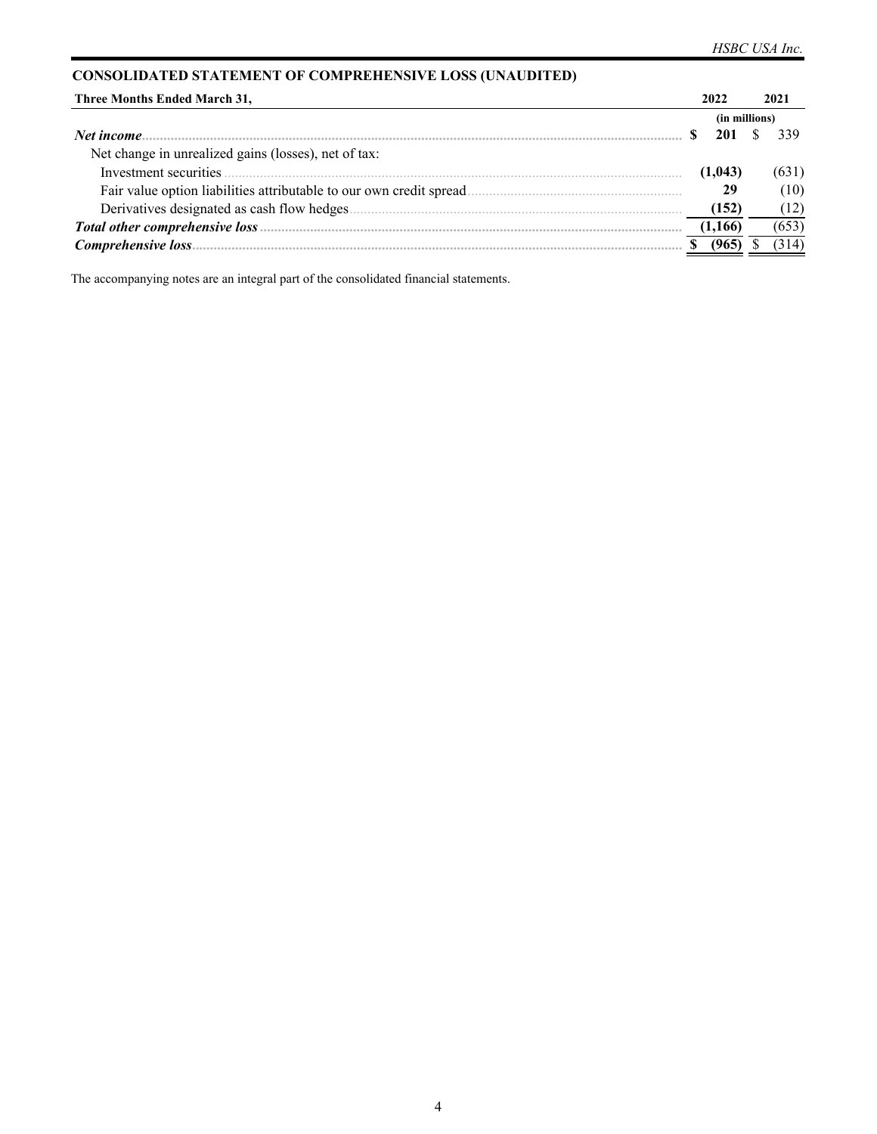# <span id="page-3-0"></span>**CONSOLIDATED STATEMENT OF COMPREHENSIVE LOSS (UNAUDITED)**

| Three Months Ended March 31,                         | 2022          | 2021  |
|------------------------------------------------------|---------------|-------|
|                                                      | (in millions) |       |
|                                                      | 201           | 339   |
| Net change in unrealized gains (losses), net of tax: |               |       |
|                                                      | (1,043)       | (631) |
|                                                      |               | (10)  |
| Derivatives designated as cash flow hedges.          | (152)         | (12)  |
|                                                      | (1,166)       | (653) |
|                                                      | (965)         | (314) |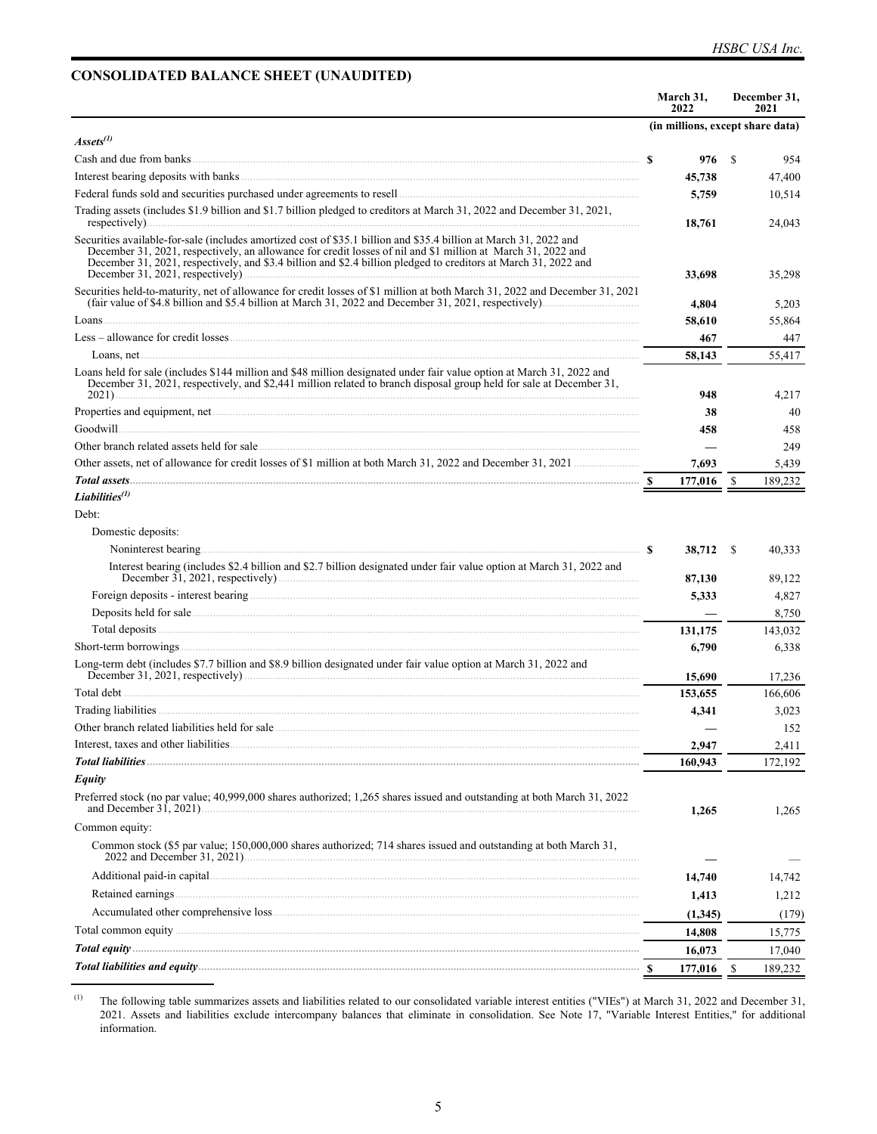### <span id="page-4-0"></span>**CONSOLIDATED BALANCE SHEET (UNAUDITED)**

|                                                                                                                                                                                                                                                                                                                                                      | March 31,<br>2022 | December 31,<br>2021             |
|------------------------------------------------------------------------------------------------------------------------------------------------------------------------------------------------------------------------------------------------------------------------------------------------------------------------------------------------------|-------------------|----------------------------------|
|                                                                                                                                                                                                                                                                                                                                                      |                   | (in millions, except share data) |
| $Assets^{(1)}$                                                                                                                                                                                                                                                                                                                                       |                   |                                  |
|                                                                                                                                                                                                                                                                                                                                                      | 976               | <sup>\$</sup><br>954             |
|                                                                                                                                                                                                                                                                                                                                                      | 45,738            | 47,400                           |
|                                                                                                                                                                                                                                                                                                                                                      | 5,759             | 10,514                           |
| Trading assets (includes \$1.9 billion and \$1.7 billion pledged to creditors at March 31, 2022 and December 31, 2021,                                                                                                                                                                                                                               | 18,761            | 24,043                           |
| Securities available-for-sale (includes amortized cost of \$35.1 billion and \$35.4 billion at March 31, 2022 and<br>December 31, 2021, respectively, an allowance for credit losses of nil and \$1 million at March 31, 2022 and<br>December 31, 2021, respectively, and \$3.4 billion and \$2.4 billion pledged to creditors at March 31, 2022 and | 33,698            | 35,298                           |
| Securities held-to-maturity, net of allowance for credit losses of \$1 million at both March 31, 2022 and December 31, 2021                                                                                                                                                                                                                          | 4,804             | 5,203                            |
|                                                                                                                                                                                                                                                                                                                                                      | 58,610            | 55,864                           |
|                                                                                                                                                                                                                                                                                                                                                      | 467               | 447                              |
|                                                                                                                                                                                                                                                                                                                                                      | 58.143            | 55,417                           |
| Loans held for sale (includes \$144 million and \$48 million designated under fair value option at March 31, 2022 and<br>December 31, 2021, respectively, and \$2,441 million related to branch disposal group held for sale at December 31,                                                                                                         | 948               | 4,217                            |
|                                                                                                                                                                                                                                                                                                                                                      | 38                | 40                               |
|                                                                                                                                                                                                                                                                                                                                                      | 458               | 458                              |
|                                                                                                                                                                                                                                                                                                                                                      |                   | 249                              |
|                                                                                                                                                                                                                                                                                                                                                      | 7,693             | 5,439                            |
|                                                                                                                                                                                                                                                                                                                                                      | 177,016 \$        | 189,232                          |
| $Liabilities^{(1)}$                                                                                                                                                                                                                                                                                                                                  |                   |                                  |
| Debt:                                                                                                                                                                                                                                                                                                                                                |                   |                                  |
| Domestic deposits:                                                                                                                                                                                                                                                                                                                                   |                   |                                  |
|                                                                                                                                                                                                                                                                                                                                                      | 38,712            | -S<br>40,333                     |
| Interest bearing (includes \$2.4 billion and \$2.7 billion designated under fair value option at March 31, 2022 and                                                                                                                                                                                                                                  | 87,130            | 89,122                           |
|                                                                                                                                                                                                                                                                                                                                                      | 5,333             | 4,827                            |
|                                                                                                                                                                                                                                                                                                                                                      |                   | 8,750                            |
|                                                                                                                                                                                                                                                                                                                                                      | 131,175           | 143,032                          |
|                                                                                                                                                                                                                                                                                                                                                      | 6,790             | 6,338                            |
| Long-term debt (includes \$7.7 billion and \$8.9 billion designated under fair value option at March 31, 2022 and                                                                                                                                                                                                                                    | 15,690            | 17,236                           |
|                                                                                                                                                                                                                                                                                                                                                      | 153,655           | 166,606                          |
|                                                                                                                                                                                                                                                                                                                                                      | 4,341             | 3,023                            |
|                                                                                                                                                                                                                                                                                                                                                      |                   | 152                              |
|                                                                                                                                                                                                                                                                                                                                                      | 2,947             | 2,411                            |
|                                                                                                                                                                                                                                                                                                                                                      | 160,943           | 172,192                          |
| Equity                                                                                                                                                                                                                                                                                                                                               |                   |                                  |
| Preferred stock (no par value; 40,999,000 shares authorized; 1,265 shares issued and outstanding at both March 31, 2022                                                                                                                                                                                                                              | 1,265             | 1,265                            |
| Common equity:                                                                                                                                                                                                                                                                                                                                       |                   |                                  |
| Common stock (\$5 par value; 150,000,000 shares authorized; 714 shares issued and outstanding at both March 31,                                                                                                                                                                                                                                      |                   |                                  |
|                                                                                                                                                                                                                                                                                                                                                      |                   |                                  |
|                                                                                                                                                                                                                                                                                                                                                      | 14,740            | 14,742                           |
| Retained earnings                                                                                                                                                                                                                                                                                                                                    | 1,413             | 1,212                            |
|                                                                                                                                                                                                                                                                                                                                                      | (1, 345)          | (179)                            |
|                                                                                                                                                                                                                                                                                                                                                      | 14,808            | 15,775                           |
| Total equity manufactured and the contract of the contract of the contract of the contract of the contract of the contract of the contract of the contract of the contract of the contract of the contract of the contract of                                                                                                                        | 16,073            | 17,040                           |
|                                                                                                                                                                                                                                                                                                                                                      | 177,016           | \$<br>189,232                    |

(1) The following table summarizes assets and liabilities related to our consolidated variable interest entities ("VIEs") at March 31, 2022 and December 31, 2021. Assets and liabilities exclude intercompany balances that eliminate in consolidation. See Note 17, "Variable Interest Entities," for additional information.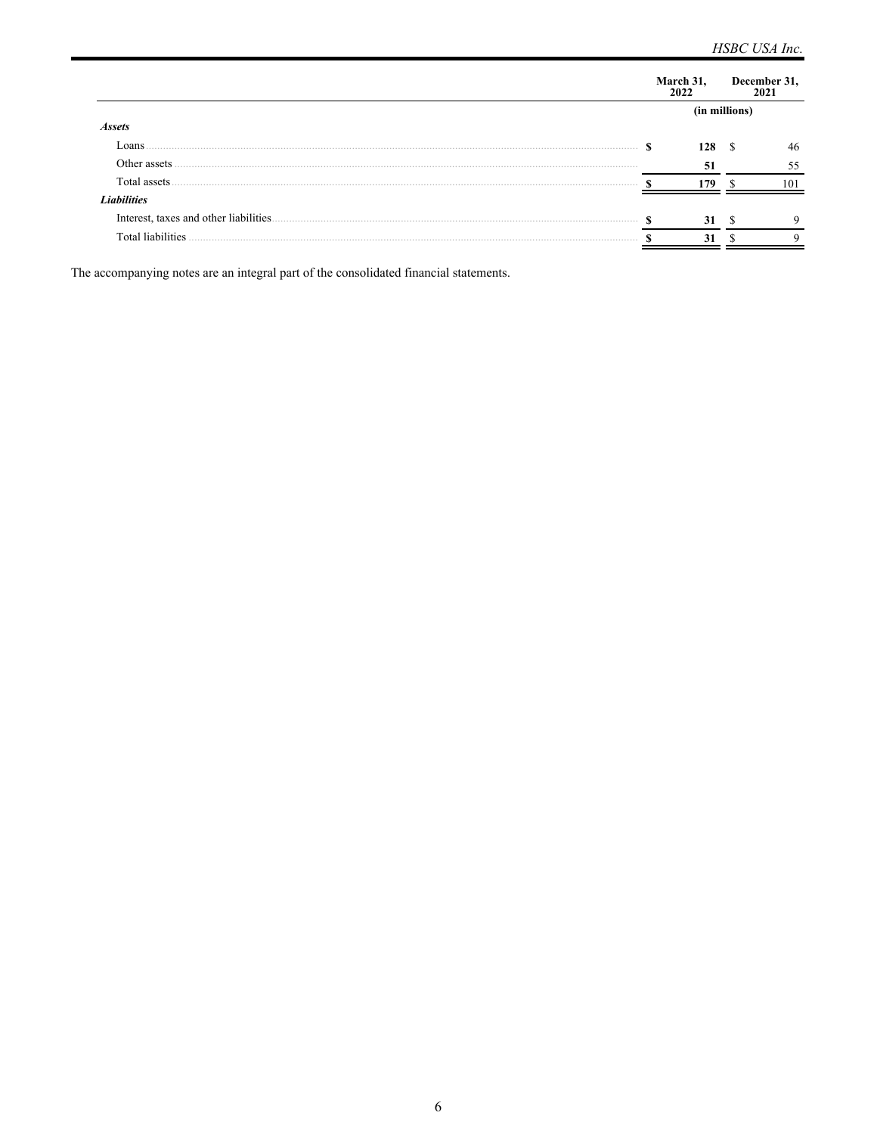|                   | March 31,<br>2022 | December 31, |     |
|-------------------|-------------------|--------------|-----|
|                   |                   |              |     |
|                   |                   |              |     |
| oans              |                   |              | 46  |
| Other assets      |                   |              | 55  |
| Total assets      |                   |              | 101 |
|                   |                   |              |     |
|                   |                   |              |     |
| Total liabilities |                   |              |     |
|                   |                   |              |     |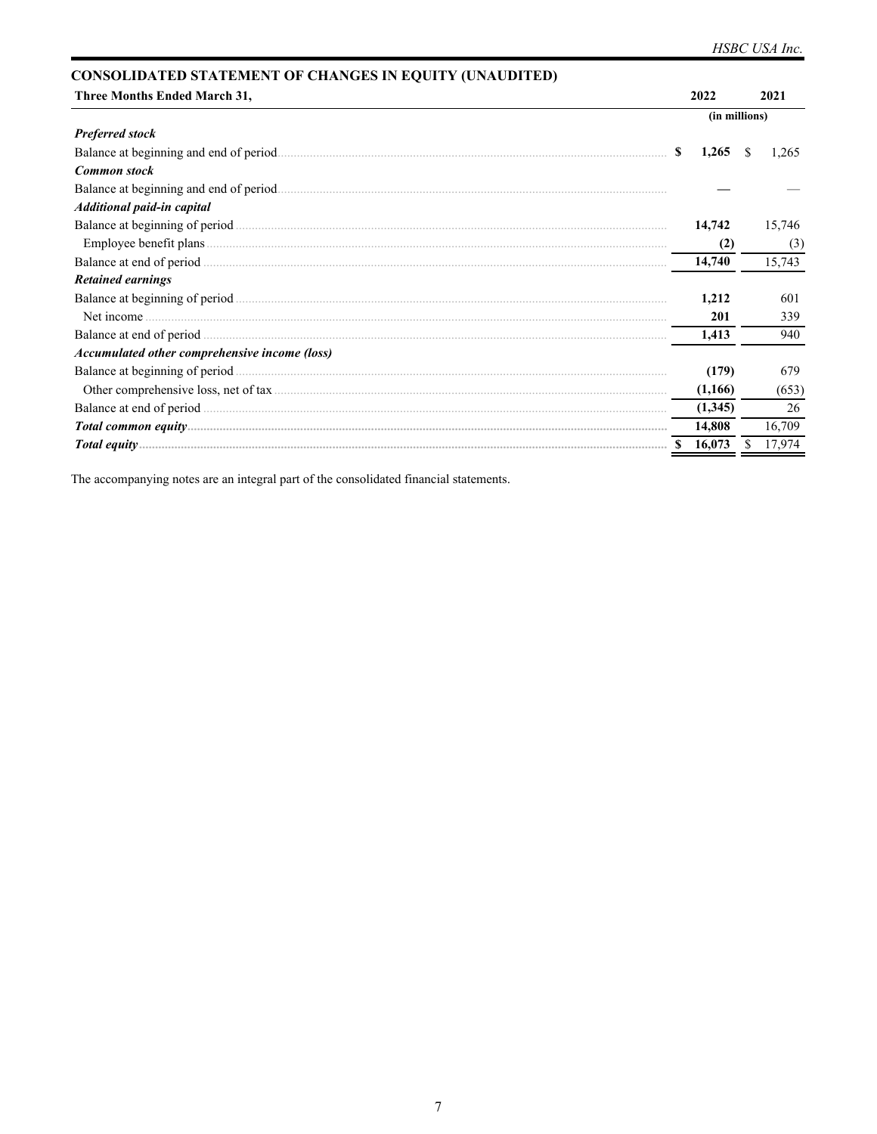<span id="page-6-0"></span>

| <b>CONSOLIDATED STATEMENT OF CHANGES IN EQUITY (UNAUDITED)</b> |            |               |        |
|----------------------------------------------------------------|------------|---------------|--------|
| Three Months Ended March 31,                                   | 2022       |               | 2021   |
|                                                                |            | (in millions) |        |
| <b>Preferred stock</b>                                         |            |               |        |
|                                                                | S<br>1,265 | \$.           | 1.265  |
| <b>Common stock</b>                                            |            |               |        |
|                                                                |            |               |        |
| Additional paid-in capital                                     |            |               |        |
|                                                                | 14,742     |               | 15,746 |
|                                                                | (2)        |               | (3)    |
|                                                                | 14,740     |               | 15,743 |
| <b>Retained earnings</b>                                       |            |               |        |
|                                                                | 1,212      |               | 601    |
|                                                                | 201        |               | 339    |
|                                                                | 1,413      |               | 940    |
| Accumulated other comprehensive income (loss)                  |            |               |        |
|                                                                | (179)      |               | 679    |
|                                                                | (1,166)    |               | (653)  |
|                                                                | (1, 345)   |               | 26     |
|                                                                | 14,808     |               | 16,709 |
|                                                                | 16,073     | <sup>S</sup>  | 17,974 |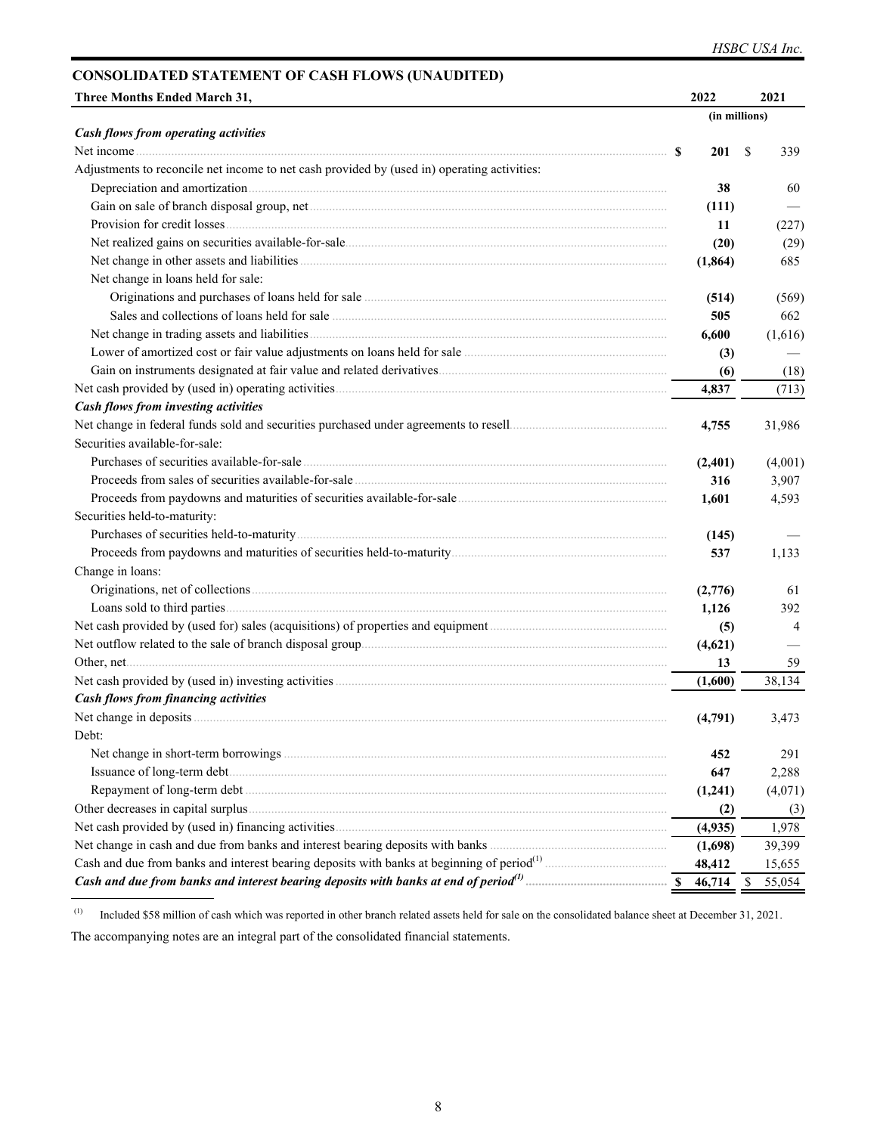# <span id="page-7-0"></span>**CONSOLIDATED STATEMENT OF CASH FLOWS (UNAUDITED) Three Months Ended March 31, 2022 2021 (in millions)** *Cash flows from operating activities* Net income..................................................................................................................................................................... **\$ 201** \$ 339 Adjustments to reconcile net income to net cash provided by (used in) operating activities: Depreciation and amortization.................................................................................................................................. **38** 60 Gain on sale of branch disposal group, net............................................................................................................... **(111)** — Provision for credit losses......................................................................................................................................... **11** (227) Net realized gains on securities available-for-sale.................................................................................................... **(20)** (29) Net change in other assets and liabilities.................................................................................................................. **(1,864)** 685 Net change in loans held for sale: Originations and purchases of loans held for sale .............................................................................................. **(514)** (569) Sales and collections of loans held for sale ........................................................................................................ **505** 662 Net change in trading assets and liabilities............................................................................................................... **6,600** (1,616) Lower of amortized cost or fair value adjustments on loans held for sale ............................................................... **(3)** — Gain on instruments designated at fair value and related derivatives....................................................................... **(6)** (18) Net cash provided by (used in) operating activities....................................................................................................... **4,837** (713) *Cash flows from investing activities* Net change in federal funds sold and securities purchased under agreements to resell................................................. **4,755** 31,986 Securities available-for-sale: Purchases of securities available-for-sale ................................................................................................................. **(2,401)** (4,001) Proceeds from sales of securities available-for-sale ................................................................................................. **316** 3,907 Proceeds from paydowns and maturities of securities available-for-sale................................................................. **1,601** 4,593 Securities held-to-maturity: Purchases of securities held-to-maturity................................................................................................................... **(145)** — Proceeds from paydowns and maturities of securities held-to-maturity................................................................... **537** 1,133 Change in loans: Originations, net of collections................................................................................................................................. **(2,776)** 61 Loans sold to third parties......................................................................................................................................... **1,126** 392 Net cash provided by (used for) sales (acquisitions) of properties and equipment ....................................................... **(5)** 4 Net outflow related to the sale of branch disposal group............................................................................................... **(4,621)** — Other, net........................................................................................................................................................................ **13** 59 Net cash provided by (used in) investing activities....................................................................................................... **(1,600)** 38,134 *Cash flows from financing activities* Net change in deposits................................................................................................................................................... **(4,791)** 3,473 Debt: Net change in short-term borrowings ....................................................................................................................... **452** 291 Issuance of long-term debt........................................................................................................................................ **647** 2,288 Repayment of long-term debt ................................................................................................................................... **(1,241)** (4,071) Other decreases in capital surplus.................................................................................................................................. **(2)** (3) Net cash provided by (used in) financing activities....................................................................................................... **(4,935)** 1,978 Net change in cash and due from banks and interest bearing deposits with banks ....................................................... **(1,698)** 39,399 Cash and due from banks and interest bearing deposits with banks at beginning of period<sup>(1)</sup> ...................................... **48,412** 15,655 *Cash and due from banks and interest bearing deposits with banks at end of period(1)* **............................................ \$ 46,714** \$ 55,054

(1) Included \$58 million of cash which was reported in other branch related assets held for sale on the consolidated balance sheet at December 31, 2021.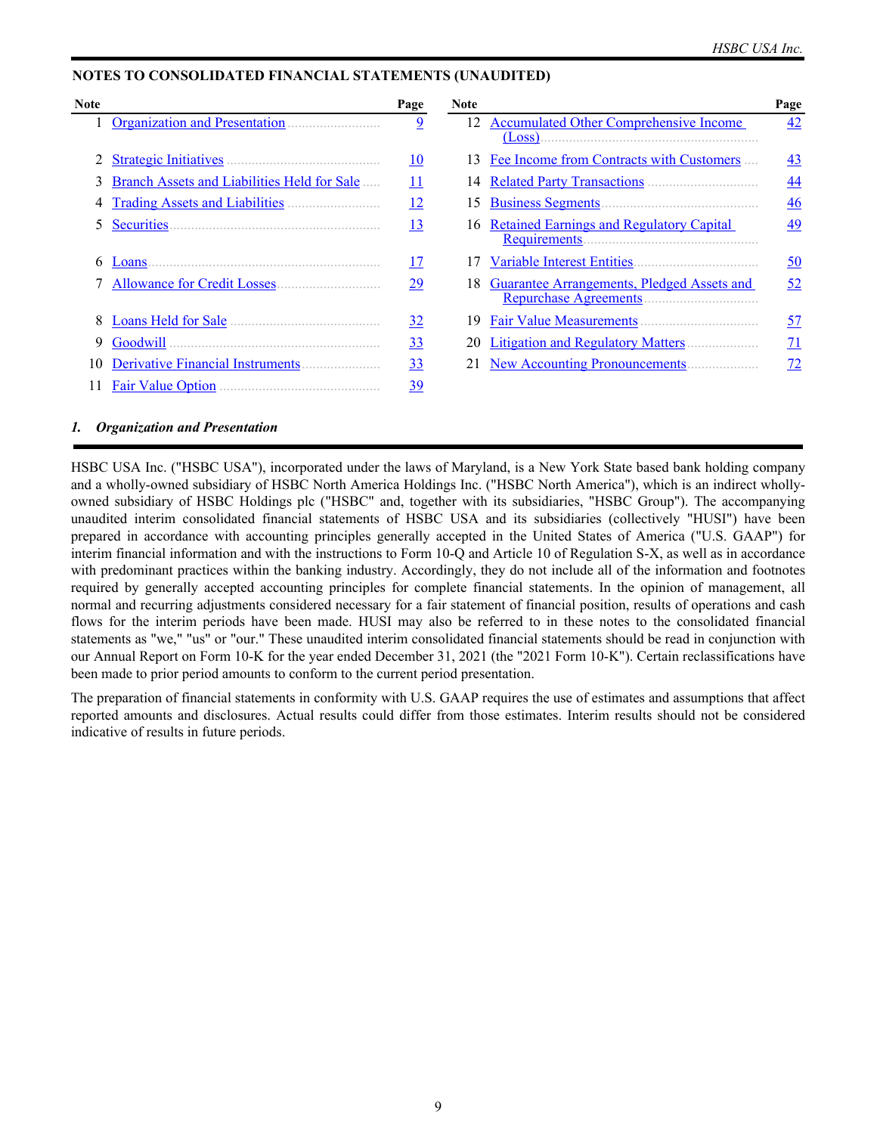### <span id="page-8-0"></span>**NOTES TO CONSOLIDATED FINANCIAL STATEMENTS (UNAUDITED)**

| <b>Note</b> |                                                    | Page           | <b>Note</b>                                                                      | Page |
|-------------|----------------------------------------------------|----------------|----------------------------------------------------------------------------------|------|
|             | <b>Organization and Presentation</b>               | $\overline{9}$ | <b>Accumulated Other Comprehensive Income</b><br>12<br>(Loss)                    | 42   |
|             | Strategic Initiatives                              | 10             | Fee Income from Contracts with Customers<br>13                                   | 43   |
|             | <b>Branch Assets and Liabilities Held for Sale</b> | 11             | <b>Related Party Transactions</b><br>14                                          | 44   |
|             | Trading Assets and Liabilities                     | 12             | Business Segments<br>15                                                          | 46   |
|             | <b>Securities</b>                                  | 13             | <b>Retained Earnings and Regulatory Capital</b><br>Requirements                  | 49   |
| h           |                                                    | 17             |                                                                                  | 50   |
|             | <b>Allowance for Credit Losses</b>                 | 29             | <b>Guarantee Arrangements, Pledged Assets and</b><br>18<br>Repurchase Agreements | 52   |
| 8           | Loans Held for Sale                                | 32             | <b>Fair Value Measurements</b><br>19                                             | 57   |
| 9           |                                                    | 33             | Litigation and Regulatory Matters<br>20                                          | 71   |
| 10          |                                                    | 33             | <b>New Accounting Pronouncements</b><br>21                                       | 72   |
|             | Fair Value Option                                  | <u>39</u>      |                                                                                  |      |

#### *1. Organization and Presentation*

HSBC USA Inc. ("HSBC USA"), incorporated under the laws of Maryland, is a New York State based bank holding company and a wholly-owned subsidiary of HSBC North America Holdings Inc. ("HSBC North America"), which is an indirect whollyowned subsidiary of HSBC Holdings plc ("HSBC" and, together with its subsidiaries, "HSBC Group"). The accompanying unaudited interim consolidated financial statements of HSBC USA and its subsidiaries (collectively "HUSI") have been prepared in accordance with accounting principles generally accepted in the United States of America ("U.S. GAAP") for interim financial information and with the instructions to Form 10-Q and Article 10 of Regulation S-X, as well as in accordance with predominant practices within the banking industry. Accordingly, they do not include all of the information and footnotes required by generally accepted accounting principles for complete financial statements. In the opinion of management, all normal and recurring adjustments considered necessary for a fair statement of financial position, results of operations and cash flows for the interim periods have been made. HUSI may also be referred to in these notes to the consolidated financial statements as "we," "us" or "our." These unaudited interim consolidated financial statements should be read in conjunction with our Annual Report on Form 10-K for the year ended December 31, 2021 (the "2021 Form 10-K"). Certain reclassifications have been made to prior period amounts to conform to the current period presentation.

The preparation of financial statements in conformity with U.S. GAAP requires the use of estimates and assumptions that affect reported amounts and disclosures. Actual results could differ from those estimates. Interim results should not be considered indicative of results in future periods.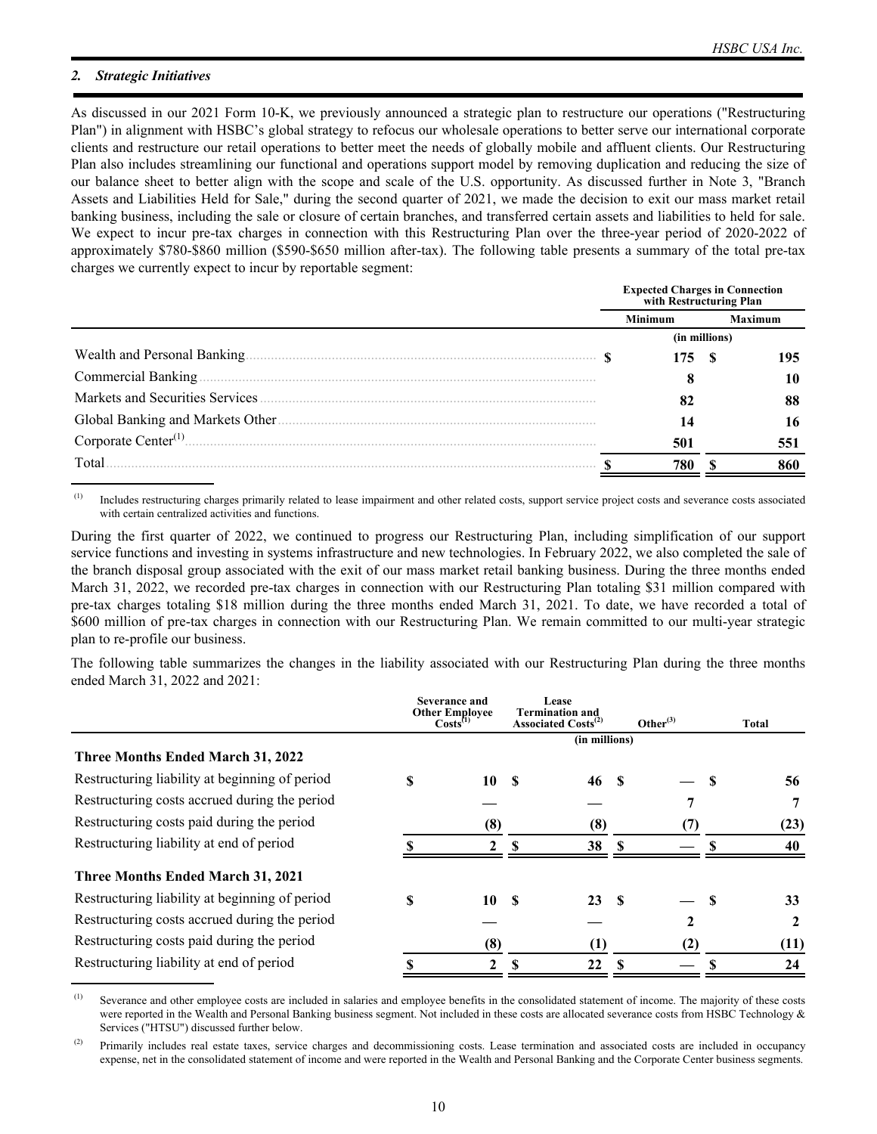#### <span id="page-9-0"></span>*2. Strategic Initiatives*

As discussed in our 2021 Form 10-K, we previously announced a strategic plan to restructure our operations ("Restructuring Plan") in alignment with HSBC's global strategy to refocus our wholesale operations to better serve our international corporate clients and restructure our retail operations to better meet the needs of globally mobile and affluent clients. Our Restructuring Plan also includes streamlining our functional and operations support model by removing duplication and reducing the size of our balance sheet to better align with the scope and scale of the U.S. opportunity. As discussed further in Note 3, "Branch Assets and Liabilities Held for Sale," during the second quarter of 2021, we made the decision to exit our mass market retail banking business, including the sale or closure of certain branches, and transferred certain assets and liabilities to held for sale. We expect to incur pre-tax charges in connection with this Restructuring Plan over the three-year period of 2020-2022 of approximately \$780-\$860 million (\$590-\$650 million after-tax). The following table presents a summary of the total pre-tax charges we currently expect to incur by reportable segment:

|                                 |                | <b>Expected Charges in Connection<br/>with Restructuring Plan</b> |
|---------------------------------|----------------|-------------------------------------------------------------------|
|                                 | <b>Minimum</b> | <b>Maximum</b>                                                    |
|                                 |                | (in millions)                                                     |
| Wealth and Personal Banking     | $175 -$        | 195                                                               |
| Commercial Banking.             |                | 10                                                                |
| Markets and Securities Services |                | 88                                                                |
|                                 | 14             | 16                                                                |
|                                 | 501            | 551                                                               |
| Total                           | 780            | 860                                                               |

(1) Includes restructuring charges primarily related to lease impairment and other related costs, support service project costs and severance costs associated with certain centralized activities and functions.

During the first quarter of 2022, we continued to progress our Restructuring Plan, including simplification of our support service functions and investing in systems infrastructure and new technologies. In February 2022, we also completed the sale of the branch disposal group associated with the exit of our mass market retail banking business. During the three months ended March 31, 2022, we recorded pre-tax charges in connection with our Restructuring Plan totaling \$31 million compared with pre-tax charges totaling \$18 million during the three months ended March 31, 2021. To date, we have recorded a total of \$600 million of pre-tax charges in connection with our Restructuring Plan. We remain committed to our multi-year strategic plan to re-profile our business.

The following table summarizes the changes in the liability associated with our Restructuring Plan during the three months ended March 31, 2022 and 2021:

|                                                |    | Severance and<br><b>Other Employee</b><br>$Costs^{(1)}$ |              | Lease<br><b>Termination and</b><br><b>Associated Costs</b> <sup>(2)</sup> |      | Other <sup>(3)</sup> |   | Total |
|------------------------------------------------|----|---------------------------------------------------------|--------------|---------------------------------------------------------------------------|------|----------------------|---|-------|
|                                                |    |                                                         |              | (in millions)                                                             |      |                      |   |       |
| Three Months Ended March 31, 2022              |    |                                                         |              |                                                                           |      |                      |   |       |
| Restructuring liability at beginning of period | S  | 10                                                      | $\mathbf{s}$ | 46                                                                        |      |                      |   | 56    |
| Restructuring costs accrued during the period  |    |                                                         |              |                                                                           |      |                      |   |       |
| Restructuring costs paid during the period     |    | (8)                                                     |              | (8)                                                                       |      | (7)                  |   | (23)  |
| Restructuring liability at end of period       |    | 2                                                       | S            | 38                                                                        |      |                      |   | 40    |
| <b>Three Months Ended March 31, 2021</b>       |    |                                                         |              |                                                                           |      |                      |   |       |
| Restructuring liability at beginning of period | \$ | 10                                                      | -8           | 23                                                                        | - \$ |                      | S | 33    |
| Restructuring costs accrued during the period  |    |                                                         |              |                                                                           |      | 2                    |   |       |
| Restructuring costs paid during the period     |    | (8)                                                     |              | $\left(1\right)$                                                          |      | (2)                  |   | (11)  |
| Restructuring liability at end of period       |    |                                                         |              | 22                                                                        |      |                      |   | 24    |

<sup>&</sup>lt;sup>(1)</sup> Severance and other employee costs are included in salaries and employee benefits in the consolidated statement of income. The majority of these costs were reported in the Wealth and Personal Banking business segment. Not included in these costs are allocated severance costs from HSBC Technology & Services ("HTSU") discussed further below.

<sup>&</sup>lt;sup>(2)</sup> Primarily includes real estate taxes, service charges and decommissioning costs. Lease termination and associated costs are included in occupancy expense, net in the consolidated statement of income and were reported in the Wealth and Personal Banking and the Corporate Center business segments.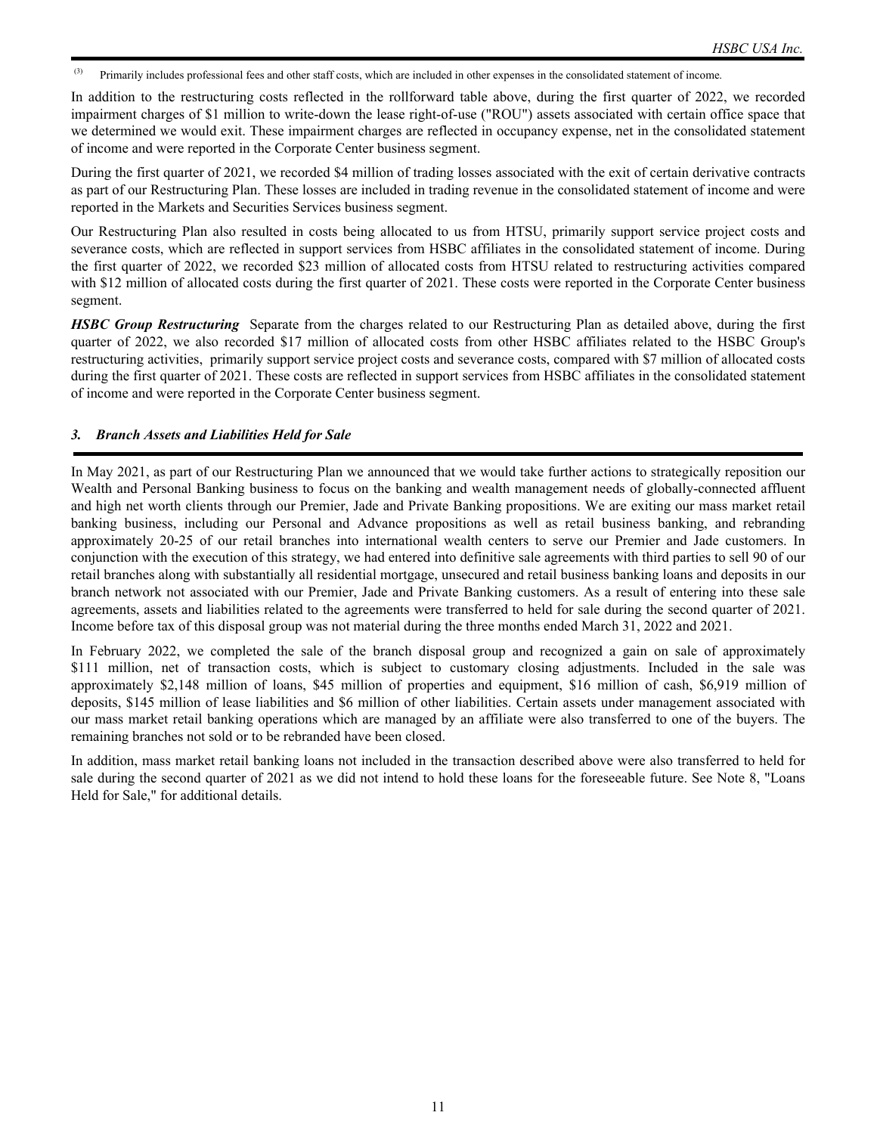<span id="page-10-0"></span><sup>(3)</sup> Primarily includes professional fees and other staff costs, which are included in other expenses in the consolidated statement of income.

In addition to the restructuring costs reflected in the rollforward table above, during the first quarter of 2022, we recorded impairment charges of \$1 million to write-down the lease right-of-use ("ROU") assets associated with certain office space that we determined we would exit. These impairment charges are reflected in occupancy expense, net in the consolidated statement of income and were reported in the Corporate Center business segment.

During the first quarter of 2021, we recorded \$4 million of trading losses associated with the exit of certain derivative contracts as part of our Restructuring Plan. These losses are included in trading revenue in the consolidated statement of income and were reported in the Markets and Securities Services business segment.

Our Restructuring Plan also resulted in costs being allocated to us from HTSU, primarily support service project costs and severance costs, which are reflected in support services from HSBC affiliates in the consolidated statement of income. During the first quarter of 2022, we recorded \$23 million of allocated costs from HTSU related to restructuring activities compared with \$12 million of allocated costs during the first quarter of 2021. These costs were reported in the Corporate Center business segment.

*HSBC Group Restructuring* Separate from the charges related to our Restructuring Plan as detailed above, during the first quarter of 2022, we also recorded \$17 million of allocated costs from other HSBC affiliates related to the HSBC Group's restructuring activities, primarily support service project costs and severance costs, compared with \$7 million of allocated costs during the first quarter of 2021. These costs are reflected in support services from HSBC affiliates in the consolidated statement of income and were reported in the Corporate Center business segment.

#### *3. Branch Assets and Liabilities Held for Sale*

In May 2021, as part of our Restructuring Plan we announced that we would take further actions to strategically reposition our Wealth and Personal Banking business to focus on the banking and wealth management needs of globally-connected affluent and high net worth clients through our Premier, Jade and Private Banking propositions. We are exiting our mass market retail banking business, including our Personal and Advance propositions as well as retail business banking, and rebranding approximately 20-25 of our retail branches into international wealth centers to serve our Premier and Jade customers. In conjunction with the execution of this strategy, we had entered into definitive sale agreements with third parties to sell 90 of our retail branches along with substantially all residential mortgage, unsecured and retail business banking loans and deposits in our branch network not associated with our Premier, Jade and Private Banking customers. As a result of entering into these sale agreements, assets and liabilities related to the agreements were transferred to held for sale during the second quarter of 2021. Income before tax of this disposal group was not material during the three months ended March 31, 2022 and 2021.

In February 2022, we completed the sale of the branch disposal group and recognized a gain on sale of approximately \$111 million, net of transaction costs, which is subject to customary closing adjustments. Included in the sale was approximately \$2,148 million of loans, \$45 million of properties and equipment, \$16 million of cash, \$6,919 million of deposits, \$145 million of lease liabilities and \$6 million of other liabilities. Certain assets under management associated with our mass market retail banking operations which are managed by an affiliate were also transferred to one of the buyers. The remaining branches not sold or to be rebranded have been closed.

In addition, mass market retail banking loans not included in the transaction described above were also transferred to held for sale during the second quarter of 2021 as we did not intend to hold these loans for the foreseeable future. See Note 8, "Loans Held for Sale," for additional details.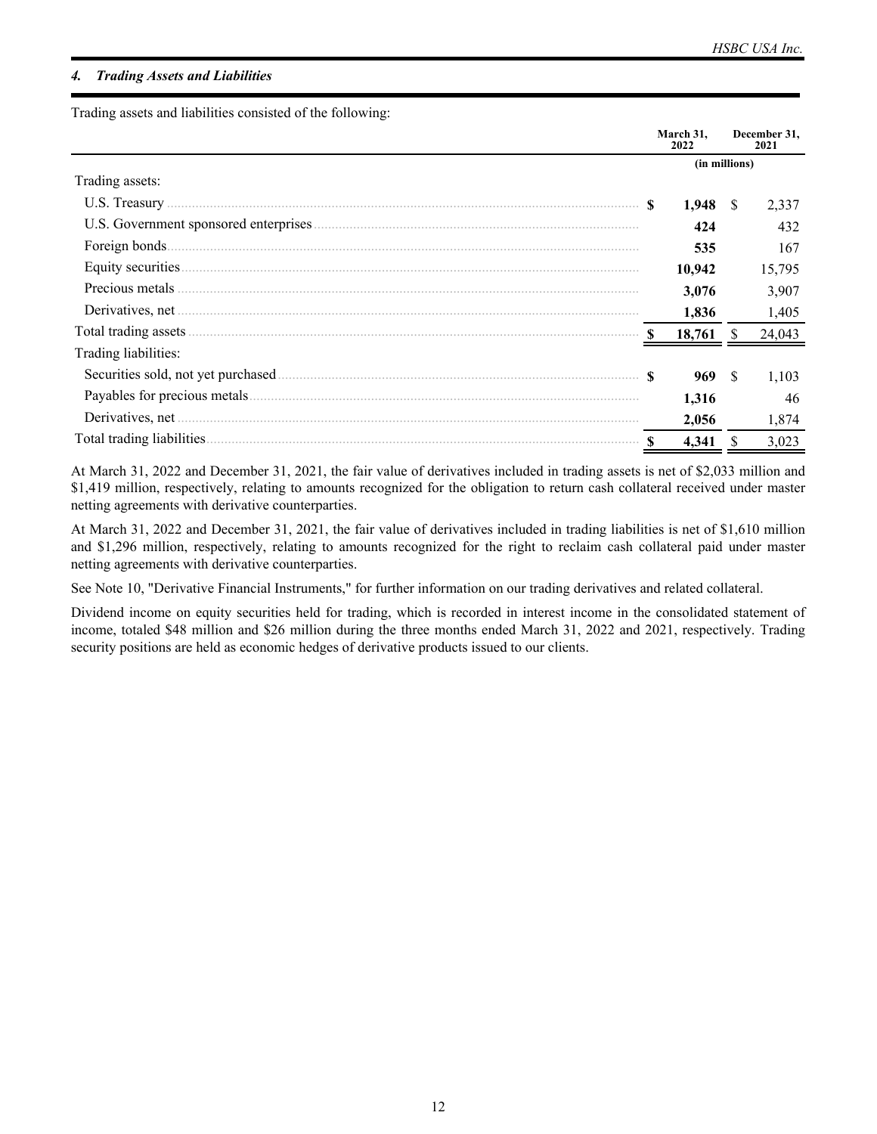#### <span id="page-11-0"></span>*4. Trading Assets and Liabilities*

Trading assets and liabilities consisted of the following:

|                      |    | March 31,<br>2022 |          | December 31,<br>2021 |
|----------------------|----|-------------------|----------|----------------------|
|                      |    | (in millions)     |          |                      |
| Trading assets:      |    |                   |          |                      |
| U.S. Treasury        | -S | 1,948             | S        | 2,337                |
|                      |    | 424               |          | 432                  |
|                      |    | 535               |          | 167                  |
|                      |    | 10,942            |          | 15,795               |
|                      |    | 3,076             |          | 3,907                |
|                      |    | 1,836             |          | 1,405                |
|                      | S  | 18,761            |          | 24,043               |
| Trading liabilities: |    |                   |          |                      |
|                      |    | 969               | <b>S</b> | 1,103                |
|                      |    | 1,316             |          | 46                   |
|                      |    | 2,056             |          | 1,874                |
|                      |    | 4.341             |          | 3,023                |

At March 31, 2022 and December 31, 2021, the fair value of derivatives included in trading assets is net of \$2,033 million and \$1,419 million, respectively, relating to amounts recognized for the obligation to return cash collateral received under master netting agreements with derivative counterparties.

At March 31, 2022 and December 31, 2021, the fair value of derivatives included in trading liabilities is net of \$1,610 million and \$1,296 million, respectively, relating to amounts recognized for the right to reclaim cash collateral paid under master netting agreements with derivative counterparties.

See Note 10, "Derivative Financial Instruments," for further information on our trading derivatives and related collateral.

Dividend income on equity securities held for trading, which is recorded in interest income in the consolidated statement of income, totaled \$48 million and \$26 million during the three months ended March 31, 2022 and 2021, respectively. Trading security positions are held as economic hedges of derivative products issued to our clients.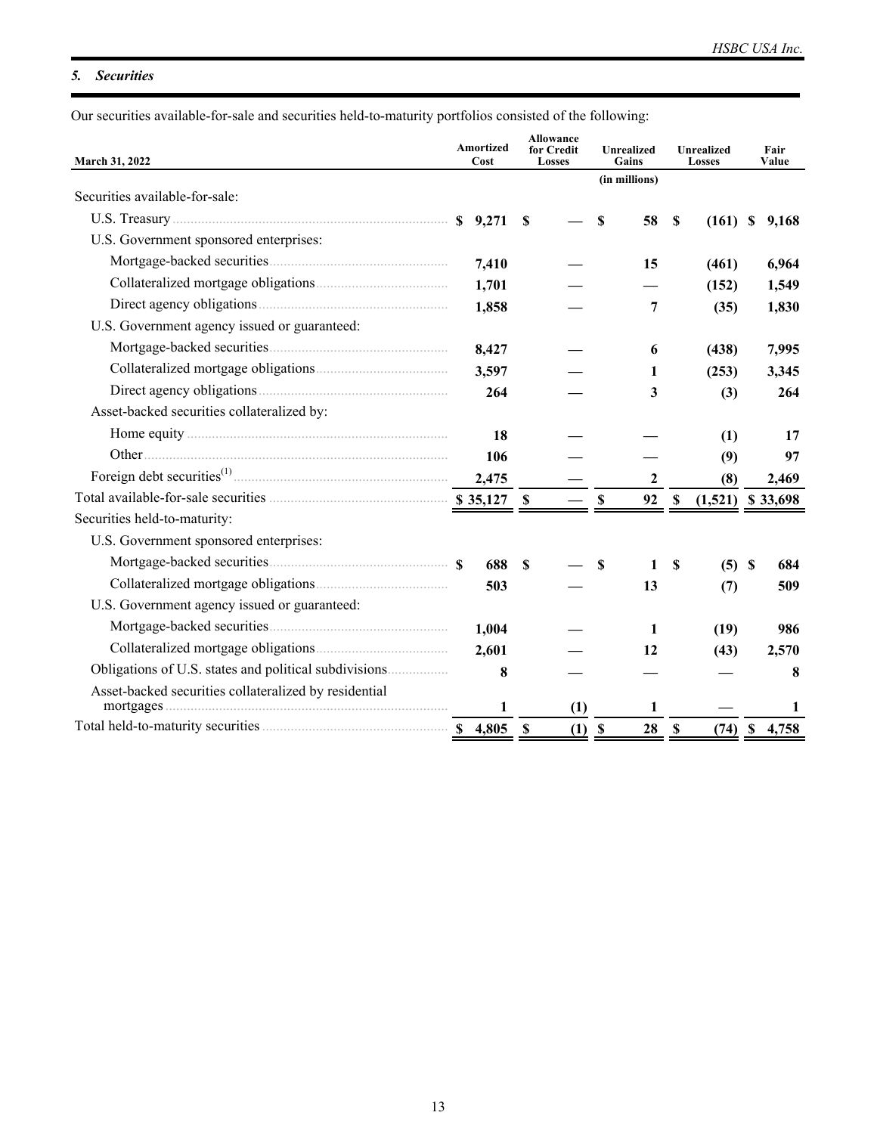### <span id="page-12-0"></span>*5. Securities*

Our securities available-for-sale and securities held-to-maturity portfolios consisted of the following:

| March 31, 2022                                        | Amortized<br>Cost | <b>Allowance</b><br>for Credit<br><b>Losses</b> |          | <b>Unrealized</b><br>Gains |                  | Unrealized<br><b>Losses</b> |                     | Fair<br>Value   |
|-------------------------------------------------------|-------------------|-------------------------------------------------|----------|----------------------------|------------------|-----------------------------|---------------------|-----------------|
|                                                       |                   |                                                 |          |                            | (in millions)    |                             |                     |                 |
| Securities available-for-sale:                        |                   |                                                 |          |                            |                  |                             |                     |                 |
|                                                       |                   | -S                                              |          | S                          | 58               | $\boldsymbol{\mathsf{s}}$   | $(161)$ \$          | 9,168           |
| U.S. Government sponsored enterprises:                |                   |                                                 |          |                            |                  |                             |                     |                 |
|                                                       | 7,410             |                                                 |          |                            | 15               |                             | (461)               | 6,964           |
|                                                       | 1,701             |                                                 |          |                            |                  |                             | (152)               | 1,549           |
|                                                       | 1,858             |                                                 |          |                            | 7                |                             | (35)                | 1,830           |
| U.S. Government agency issued or guaranteed:          |                   |                                                 |          |                            |                  |                             |                     |                 |
|                                                       | 8.427             |                                                 |          |                            | 6                |                             | (438)               | 7,995           |
|                                                       | 3,597             |                                                 |          |                            | 1                |                             | (253)               | 3,345           |
|                                                       | 264               |                                                 |          |                            | 3                |                             | (3)                 | 264             |
| Asset-backed securities collateralized by:            |                   |                                                 |          |                            |                  |                             |                     |                 |
|                                                       | 18                |                                                 |          |                            |                  |                             | (1)                 | 17              |
|                                                       | 106               |                                                 |          |                            |                  |                             | (9)                 | 97              |
|                                                       | 2,475             |                                                 |          |                            | $\boldsymbol{2}$ |                             | (8)                 | 2,469           |
|                                                       |                   |                                                 |          | \$                         | 92               | $\mathbf{\$}$               | $(1,521)$ \$ 33,698 |                 |
| Securities held-to-maturity:                          |                   |                                                 |          |                            |                  |                             |                     |                 |
| U.S. Government sponsored enterprises:                |                   |                                                 |          |                            |                  |                             |                     |                 |
|                                                       | 688               | $\mathbf{s}$                                    |          | S                          | 1                | <b>S</b>                    | $(5)$ \$            | 684             |
|                                                       | 503               |                                                 |          |                            | 13               |                             | (7)                 | 509             |
| U.S. Government agency issued or guaranteed:          |                   |                                                 |          |                            |                  |                             |                     |                 |
|                                                       | 1,004             |                                                 |          |                            | $\mathbf{1}$     |                             | (19)                | 986             |
|                                                       | 2,601             |                                                 |          |                            | 12               |                             | (43)                | 2,570           |
|                                                       | 8                 |                                                 |          |                            |                  |                             |                     | 8               |
| Asset-backed securities collateralized by residential | 1                 |                                                 | (1)      |                            | 1                |                             |                     | 1               |
|                                                       |                   | $\mathbf s$                                     | $(1)$ \$ |                            | 28               | $\mathbf S$                 |                     | $(74)$ \$ 4,758 |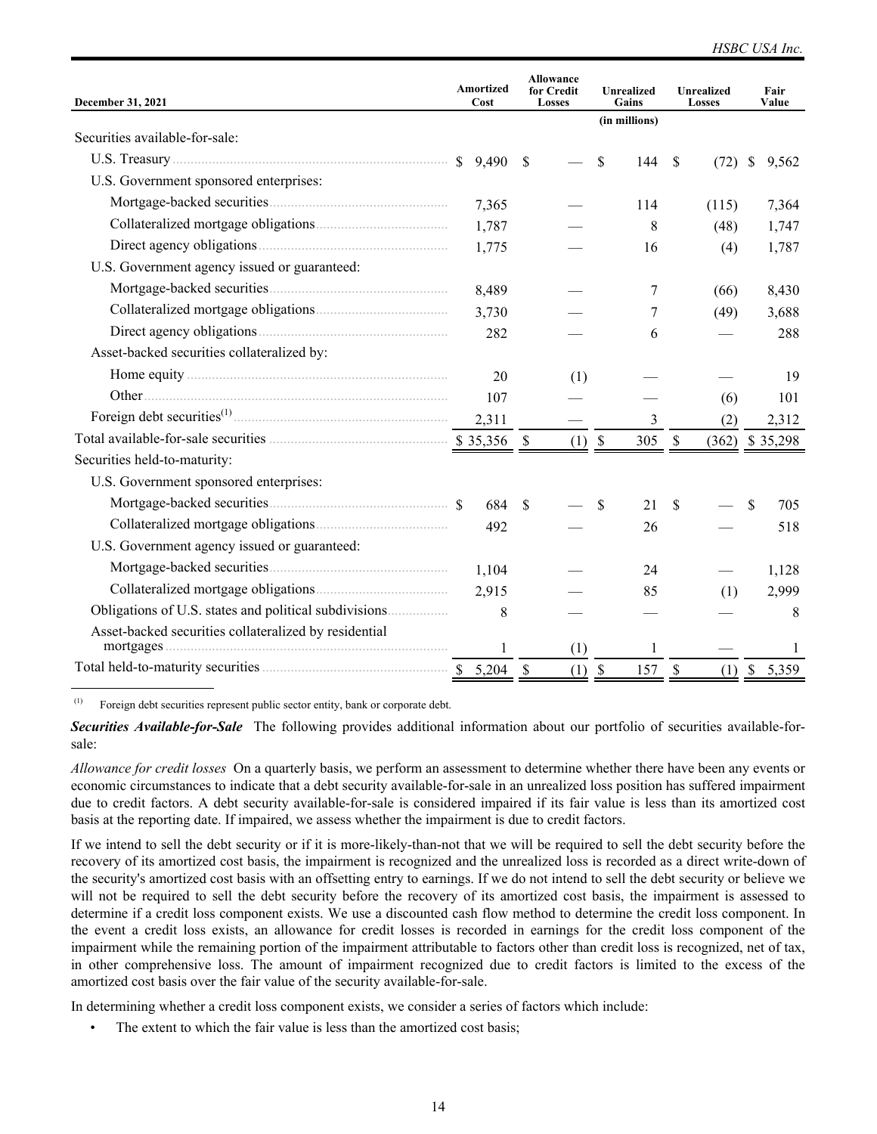| (in millions)<br>Securities available-for-sale:<br>S<br>S<br>144<br>$\mathbb{S}$<br><sup>S</sup><br>(72)<br>9,562<br>U.S. Government sponsored enterprises:<br>7,365<br>114<br>7,364<br>(115)<br>1,787<br>8<br>(48)<br>1,747<br>1,775<br>16<br>1,787<br>(4)<br>U.S. Government agency issued or guaranteed:<br>8,489<br>8,430<br>7<br>(66)<br>3,730<br>7<br>(49)<br>3,688<br>282<br>288<br>6<br>Asset-backed securities collateralized by:<br>20<br>19<br>(1)<br>107<br>(6)<br>101<br>2,311<br>$\overline{3}$<br>2,312<br>(2)<br>305<br>$(1)$ \$<br>$\mathcal{S}$<br>$(362)$ \$ 35,298<br><sup>\$</sup><br>U.S. Government sponsored enterprises:<br>$\mathcal{S}$<br>\$<br>684<br>\$.<br>S<br>21<br>705<br>492<br>26<br>518<br>U.S. Government agency issued or guaranteed:<br>1,104<br>24<br>1,128<br>2,915<br>85<br>2,999<br>(1)<br>8<br>8<br>Asset-backed securities collateralized by residential<br>mortgages<br>$\mathbf{1}$<br>(1)<br>1<br>-1<br>$\mathcal{S}$<br>$(1)$ \$<br>157<br>$\mathbb{S}$<br>$(1)$ \$ 5,359 | December 31, 2021            |  | <b>Amortized</b><br>Cost | <b>Allowance</b><br>for Credit<br>Losses |  | Unrealized<br>Gains |  | Unrealized<br><b>Losses</b> | Fair<br>Value |
|-----------------------------------------------------------------------------------------------------------------------------------------------------------------------------------------------------------------------------------------------------------------------------------------------------------------------------------------------------------------------------------------------------------------------------------------------------------------------------------------------------------------------------------------------------------------------------------------------------------------------------------------------------------------------------------------------------------------------------------------------------------------------------------------------------------------------------------------------------------------------------------------------------------------------------------------------------------------------------------------------------------------------------|------------------------------|--|--------------------------|------------------------------------------|--|---------------------|--|-----------------------------|---------------|
|                                                                                                                                                                                                                                                                                                                                                                                                                                                                                                                                                                                                                                                                                                                                                                                                                                                                                                                                                                                                                             |                              |  |                          |                                          |  |                     |  |                             |               |
|                                                                                                                                                                                                                                                                                                                                                                                                                                                                                                                                                                                                                                                                                                                                                                                                                                                                                                                                                                                                                             |                              |  |                          |                                          |  |                     |  |                             |               |
|                                                                                                                                                                                                                                                                                                                                                                                                                                                                                                                                                                                                                                                                                                                                                                                                                                                                                                                                                                                                                             |                              |  |                          |                                          |  |                     |  |                             |               |
|                                                                                                                                                                                                                                                                                                                                                                                                                                                                                                                                                                                                                                                                                                                                                                                                                                                                                                                                                                                                                             |                              |  |                          |                                          |  |                     |  |                             |               |
|                                                                                                                                                                                                                                                                                                                                                                                                                                                                                                                                                                                                                                                                                                                                                                                                                                                                                                                                                                                                                             |                              |  |                          |                                          |  |                     |  |                             |               |
|                                                                                                                                                                                                                                                                                                                                                                                                                                                                                                                                                                                                                                                                                                                                                                                                                                                                                                                                                                                                                             |                              |  |                          |                                          |  |                     |  |                             |               |
|                                                                                                                                                                                                                                                                                                                                                                                                                                                                                                                                                                                                                                                                                                                                                                                                                                                                                                                                                                                                                             |                              |  |                          |                                          |  |                     |  |                             |               |
|                                                                                                                                                                                                                                                                                                                                                                                                                                                                                                                                                                                                                                                                                                                                                                                                                                                                                                                                                                                                                             |                              |  |                          |                                          |  |                     |  |                             |               |
|                                                                                                                                                                                                                                                                                                                                                                                                                                                                                                                                                                                                                                                                                                                                                                                                                                                                                                                                                                                                                             |                              |  |                          |                                          |  |                     |  |                             |               |
|                                                                                                                                                                                                                                                                                                                                                                                                                                                                                                                                                                                                                                                                                                                                                                                                                                                                                                                                                                                                                             |                              |  |                          |                                          |  |                     |  |                             |               |
|                                                                                                                                                                                                                                                                                                                                                                                                                                                                                                                                                                                                                                                                                                                                                                                                                                                                                                                                                                                                                             |                              |  |                          |                                          |  |                     |  |                             |               |
|                                                                                                                                                                                                                                                                                                                                                                                                                                                                                                                                                                                                                                                                                                                                                                                                                                                                                                                                                                                                                             |                              |  |                          |                                          |  |                     |  |                             |               |
|                                                                                                                                                                                                                                                                                                                                                                                                                                                                                                                                                                                                                                                                                                                                                                                                                                                                                                                                                                                                                             |                              |  |                          |                                          |  |                     |  |                             |               |
|                                                                                                                                                                                                                                                                                                                                                                                                                                                                                                                                                                                                                                                                                                                                                                                                                                                                                                                                                                                                                             |                              |  |                          |                                          |  |                     |  |                             |               |
|                                                                                                                                                                                                                                                                                                                                                                                                                                                                                                                                                                                                                                                                                                                                                                                                                                                                                                                                                                                                                             |                              |  |                          |                                          |  |                     |  |                             |               |
|                                                                                                                                                                                                                                                                                                                                                                                                                                                                                                                                                                                                                                                                                                                                                                                                                                                                                                                                                                                                                             |                              |  |                          |                                          |  |                     |  |                             |               |
|                                                                                                                                                                                                                                                                                                                                                                                                                                                                                                                                                                                                                                                                                                                                                                                                                                                                                                                                                                                                                             | Securities held-to-maturity: |  |                          |                                          |  |                     |  |                             |               |
|                                                                                                                                                                                                                                                                                                                                                                                                                                                                                                                                                                                                                                                                                                                                                                                                                                                                                                                                                                                                                             |                              |  |                          |                                          |  |                     |  |                             |               |
|                                                                                                                                                                                                                                                                                                                                                                                                                                                                                                                                                                                                                                                                                                                                                                                                                                                                                                                                                                                                                             |                              |  |                          |                                          |  |                     |  |                             |               |
|                                                                                                                                                                                                                                                                                                                                                                                                                                                                                                                                                                                                                                                                                                                                                                                                                                                                                                                                                                                                                             |                              |  |                          |                                          |  |                     |  |                             |               |
|                                                                                                                                                                                                                                                                                                                                                                                                                                                                                                                                                                                                                                                                                                                                                                                                                                                                                                                                                                                                                             |                              |  |                          |                                          |  |                     |  |                             |               |
|                                                                                                                                                                                                                                                                                                                                                                                                                                                                                                                                                                                                                                                                                                                                                                                                                                                                                                                                                                                                                             |                              |  |                          |                                          |  |                     |  |                             |               |
|                                                                                                                                                                                                                                                                                                                                                                                                                                                                                                                                                                                                                                                                                                                                                                                                                                                                                                                                                                                                                             |                              |  |                          |                                          |  |                     |  |                             |               |
|                                                                                                                                                                                                                                                                                                                                                                                                                                                                                                                                                                                                                                                                                                                                                                                                                                                                                                                                                                                                                             |                              |  |                          |                                          |  |                     |  |                             |               |
|                                                                                                                                                                                                                                                                                                                                                                                                                                                                                                                                                                                                                                                                                                                                                                                                                                                                                                                                                                                                                             |                              |  |                          |                                          |  |                     |  |                             |               |
|                                                                                                                                                                                                                                                                                                                                                                                                                                                                                                                                                                                                                                                                                                                                                                                                                                                                                                                                                                                                                             |                              |  |                          |                                          |  |                     |  |                             |               |

(1) Foreign debt securities represent public sector entity, bank or corporate debt.

*Securities Available-for-Sale* The following provides additional information about our portfolio of securities available-forsale:

*Allowance for credit losses* On a quarterly basis, we perform an assessment to determine whether there have been any events or economic circumstances to indicate that a debt security available-for-sale in an unrealized loss position has suffered impairment due to credit factors. A debt security available-for-sale is considered impaired if its fair value is less than its amortized cost basis at the reporting date. If impaired, we assess whether the impairment is due to credit factors.

If we intend to sell the debt security or if it is more-likely-than-not that we will be required to sell the debt security before the recovery of its amortized cost basis, the impairment is recognized and the unrealized loss is recorded as a direct write-down of the security's amortized cost basis with an offsetting entry to earnings. If we do not intend to sell the debt security or believe we will not be required to sell the debt security before the recovery of its amortized cost basis, the impairment is assessed to determine if a credit loss component exists. We use a discounted cash flow method to determine the credit loss component. In the event a credit loss exists, an allowance for credit losses is recorded in earnings for the credit loss component of the impairment while the remaining portion of the impairment attributable to factors other than credit loss is recognized, net of tax, in other comprehensive loss. The amount of impairment recognized due to credit factors is limited to the excess of the amortized cost basis over the fair value of the security available-for-sale.

In determining whether a credit loss component exists, we consider a series of factors which include:

The extent to which the fair value is less than the amortized cost basis;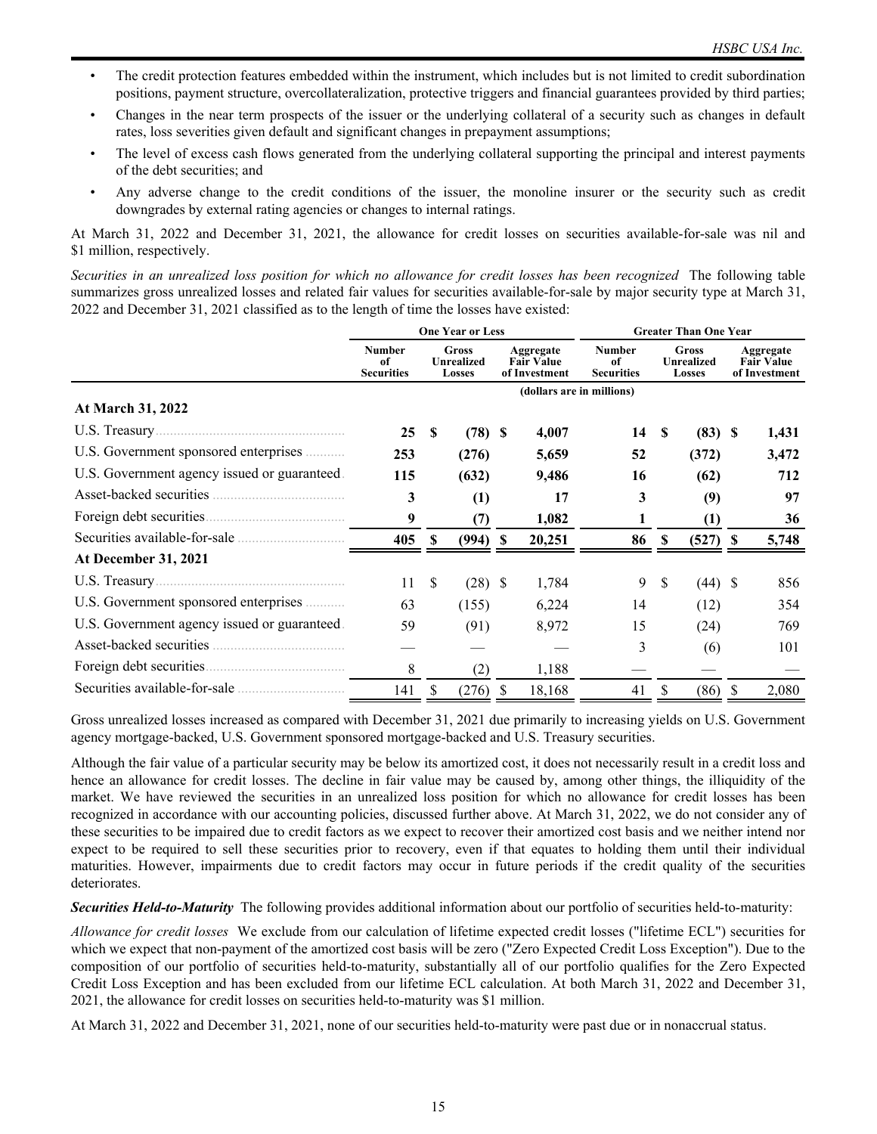- The credit protection features embedded within the instrument, which includes but is not limited to credit subordination positions, payment structure, overcollateralization, protective triggers and financial guarantees provided by third parties;
- Changes in the near term prospects of the issuer or the underlying collateral of a security such as changes in default rates, loss severities given default and significant changes in prepayment assumptions;
- The level of excess cash flows generated from the underlying collateral supporting the principal and interest payments of the debt securities; and
- Any adverse change to the credit conditions of the issuer, the monoline insurer or the security such as credit downgrades by external rating agencies or changes to internal ratings.

At March 31, 2022 and December 31, 2021, the allowance for credit losses on securities available-for-sale was nil and \$1 million, respectively.

*Securities in an unrealized loss position for which no allowance for credit losses has been recognized* The following table summarizes gross unrealized losses and related fair values for securities available-for-sale by major security type at March 31, 2022 and December 31, 2021 classified as to the length of time the losses have existed:

|                                              |                                          |     | <b>One Year or Less</b>              |                                                 |                           | <b>Greater Than One Year</b>             |                                             |           |    |                                                 |  |  |
|----------------------------------------------|------------------------------------------|-----|--------------------------------------|-------------------------------------------------|---------------------------|------------------------------------------|---------------------------------------------|-----------|----|-------------------------------------------------|--|--|
|                                              | <b>Number</b><br>of<br><b>Securities</b> |     | <b>Gross</b><br>Unrealized<br>Losses | Aggregate<br><b>Fair Value</b><br>of Investment |                           | <b>Number</b><br>of<br><b>Securities</b> | <b>Gross</b><br><b>Unrealized</b><br>Losses |           |    | Aggregate<br><b>Fair Value</b><br>of Investment |  |  |
|                                              |                                          |     |                                      |                                                 | (dollars are in millions) |                                          |                                             |           |    |                                                 |  |  |
| At March 31, 2022                            |                                          |     |                                      |                                                 |                           |                                          |                                             |           |    |                                                 |  |  |
|                                              | 25                                       | -S  | $(78)$ \$                            |                                                 | 4,007                     | 14                                       | $\mathbf{s}$                                | $(83)$ \$ |    | 1,431                                           |  |  |
| U.S. Government sponsored enterprises        | 253                                      |     | (276)                                |                                                 | 5,659                     | 52                                       |                                             | (372)     |    | 3,472                                           |  |  |
| U.S. Government agency issued or guaranteed. | 115                                      |     | (632)                                |                                                 | 9,486                     | 16                                       |                                             | (62)      |    | 712                                             |  |  |
|                                              | 3                                        |     | (1)                                  |                                                 | 17                        | 3                                        |                                             | (9)       |    | 97                                              |  |  |
|                                              | 9                                        |     | (7)                                  |                                                 | 1,082                     | 1                                        |                                             | (1)       |    | 36                                              |  |  |
|                                              | 405                                      | S   | (994)                                | S                                               | 20,251                    | 86                                       | S                                           | (527)     | -S | 5,748                                           |  |  |
| <b>At December 31, 2021</b>                  |                                          |     |                                      |                                                 |                           |                                          |                                             |           |    |                                                 |  |  |
|                                              | 11                                       | \$. | $(28)$ \$                            |                                                 | 1,784                     | 9                                        | S                                           | $(44)$ \$ |    | 856                                             |  |  |
| U.S. Government sponsored enterprises        | 63                                       |     | (155)                                |                                                 | 6,224                     | 14                                       |                                             | (12)      |    | 354                                             |  |  |
| U.S. Government agency issued or guaranteed. | 59                                       |     | (91)                                 |                                                 | 8,972                     | 15                                       |                                             | (24)      |    | 769                                             |  |  |
| Asset-backed securities                      |                                          |     |                                      |                                                 |                           | 3                                        |                                             | (6)       |    | 101                                             |  |  |
|                                              | 8                                        |     | (2)                                  |                                                 | 1,188                     |                                          |                                             |           |    |                                                 |  |  |
|                                              | 141                                      |     | (276)                                | S                                               | 18,168                    | 41                                       | \$.                                         | (86)      | S  | 2,080                                           |  |  |

Gross unrealized losses increased as compared with December 31, 2021 due primarily to increasing yields on U.S. Government agency mortgage-backed, U.S. Government sponsored mortgage-backed and U.S. Treasury securities.

Although the fair value of a particular security may be below its amortized cost, it does not necessarily result in a credit loss and hence an allowance for credit losses. The decline in fair value may be caused by, among other things, the illiquidity of the market. We have reviewed the securities in an unrealized loss position for which no allowance for credit losses has been recognized in accordance with our accounting policies, discussed further above. At March 31, 2022, we do not consider any of these securities to be impaired due to credit factors as we expect to recover their amortized cost basis and we neither intend nor expect to be required to sell these securities prior to recovery, even if that equates to holding them until their individual maturities. However, impairments due to credit factors may occur in future periods if the credit quality of the securities deteriorates.

*Securities Held-to-Maturity* The following provides additional information about our portfolio of securities held-to-maturity:

*Allowance for credit losses* We exclude from our calculation of lifetime expected credit losses ("lifetime ECL") securities for which we expect that non-payment of the amortized cost basis will be zero ("Zero Expected Credit Loss Exception"). Due to the composition of our portfolio of securities held-to-maturity, substantially all of our portfolio qualifies for the Zero Expected Credit Loss Exception and has been excluded from our lifetime ECL calculation. At both March 31, 2022 and December 31, 2021, the allowance for credit losses on securities held-to-maturity was \$1 million.

At March 31, 2022 and December 31, 2021, none of our securities held-to-maturity were past due or in nonaccrual status.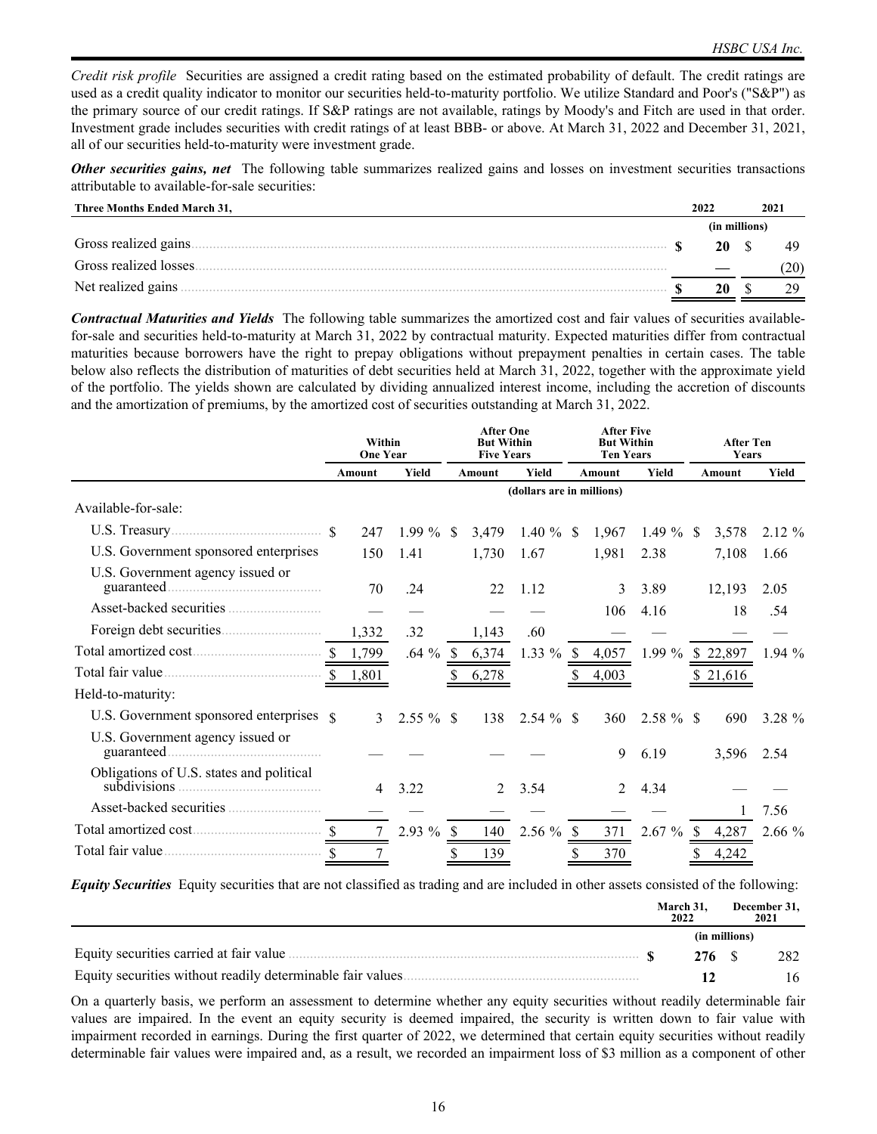*Credit risk profile* Securities are assigned a credit rating based on the estimated probability of default. The credit ratings are used as a credit quality indicator to monitor our securities held-to-maturity portfolio. We utilize Standard and Poor's ("S&P") as the primary source of our credit ratings. If S&P ratings are not available, ratings by Moody's and Fitch are used in that order. Investment grade includes securities with credit ratings of at least BBB- or above. At March 31, 2022 and December 31, 2021, all of our securities held-to-maturity were investment grade.

*Other securities gains, net* The following table summarizes realized gains and losses on investment securities transactions attributable to available-for-sale securities:

| Three Months Ended March 31, | 2022          |  | 2021      |
|------------------------------|---------------|--|-----------|
|                              | (in millions) |  |           |
| Gross realized gains.        | 20            |  |           |
| Gross realized losses.       |               |  | <b>20</b> |
| Net realized gains.          | 20            |  |           |

*Contractual Maturities and Yields* The following table summarizes the amortized cost and fair values of securities availablefor-sale and securities held-to-maturity at March 31, 2022 by contractual maturity. Expected maturities differ from contractual maturities because borrowers have the right to prepay obligations without prepayment penalties in certain cases. The table below also reflects the distribution of maturities of debt securities held at March 31, 2022, together with the approximate yield of the portfolio. The yields shown are calculated by dividing annualized interest income, including the accretion of discounts and the amortization of premiums, by the amortized cost of securities outstanding at March 31, 2022.

|                                             |        | Within<br><b>One Year</b> |  |              | <b>After One</b><br><b>But Within</b><br><b>Five Years</b> |                           | <b>After Five</b><br><b>But Within</b><br><b>Ten Years</b> |        |              |  | <b>After Ten</b><br>Years |           |  |
|---------------------------------------------|--------|---------------------------|--|--------------|------------------------------------------------------------|---------------------------|------------------------------------------------------------|--------|--------------|--|---------------------------|-----------|--|
|                                             | Amount | Yield                     |  |              | Amount                                                     | Yield                     |                                                            | Amount | Yield        |  | Amount                    | Yield     |  |
|                                             |        |                           |  |              |                                                            | (dollars are in millions) |                                                            |        |              |  |                           |           |  |
| Available-for-sale:                         |        |                           |  |              |                                                            |                           |                                                            |        |              |  |                           |           |  |
|                                             | 247    | $1.99\%$ \$               |  |              | 3,479                                                      | $1.40 \%$ \$              |                                                            | 1,967  | 1.49 $\%$ \$ |  | 3,578                     | $2.12\%$  |  |
| U.S. Government sponsored enterprises       | 150    | 1.41                      |  |              | 1,730                                                      | 1.67                      |                                                            | 1,981  | 2.38         |  | 7,108                     | 1.66      |  |
| U.S. Government agency issued or            | 70     | .24                       |  |              | 22                                                         | 1.12                      |                                                            | 3      | 3.89         |  | 12,193                    | 2.05      |  |
|                                             |        |                           |  |              |                                                            |                           |                                                            | 106    | 4.16         |  | 18                        | .54       |  |
|                                             | 1,332  | .32                       |  |              | 1,143                                                      | .60                       |                                                            |        |              |  |                           |           |  |
| Total amortized cost                        | 1,799  | .64 $%$                   |  | <sup>S</sup> | 6,374                                                      | $1.33\%$                  | <sup>S</sup>                                               | 4,057  |              |  | 1.99 % \$ 22,897          | $1.94\%$  |  |
|                                             |        |                           |  |              | 6,278                                                      |                           |                                                            | 4,003  |              |  | \$21,616                  |           |  |
| Held-to-maturity:                           |        |                           |  |              |                                                            |                           |                                                            |        |              |  |                           |           |  |
| U.S. Government sponsored enterprises \, \, | 3      | $2.55 \%$ \$              |  |              | 138                                                        | $2.54\%$ \$               |                                                            | 360    | $2.58 \%$ \$ |  | 690                       | $3.28 \%$ |  |
| U.S. Government agency issued or            |        |                           |  |              |                                                            |                           |                                                            | 9      | 6.19         |  | 3,596                     | 2.54      |  |
| Obligations of U.S. states and political    | 4      | 3.22                      |  |              | 2                                                          | 3.54                      |                                                            | 2.     | 4.34         |  |                           |           |  |
|                                             |        |                           |  |              |                                                            |                           |                                                            |        |              |  |                           | 7.56      |  |
|                                             |        | 2.93 %                    |  | \$           | 140                                                        | 2.56 %                    | \$                                                         | 371    | 2.67%        |  | 4,287                     | $2.66\%$  |  |
|                                             |        |                           |  |              | 139                                                        |                           |                                                            | 370    |              |  | 4,242                     |           |  |

*Equity Securities* Equity securities that are not classified as trading and are included in other assets consisted of the following:

|                                                             | March 31,<br>2022 | December 31,<br>2021 |
|-------------------------------------------------------------|-------------------|----------------------|
|                                                             |                   | (in millions)        |
|                                                             | 276S              | 282                  |
| Equity securities without readily determinable fair values. |                   | 16                   |

On a quarterly basis, we perform an assessment to determine whether any equity securities without readily determinable fair values are impaired. In the event an equity security is deemed impaired, the security is written down to fair value with impairment recorded in earnings. During the first quarter of 2022, we determined that certain equity securities without readily determinable fair values were impaired and, as a result, we recorded an impairment loss of \$3 million as a component of other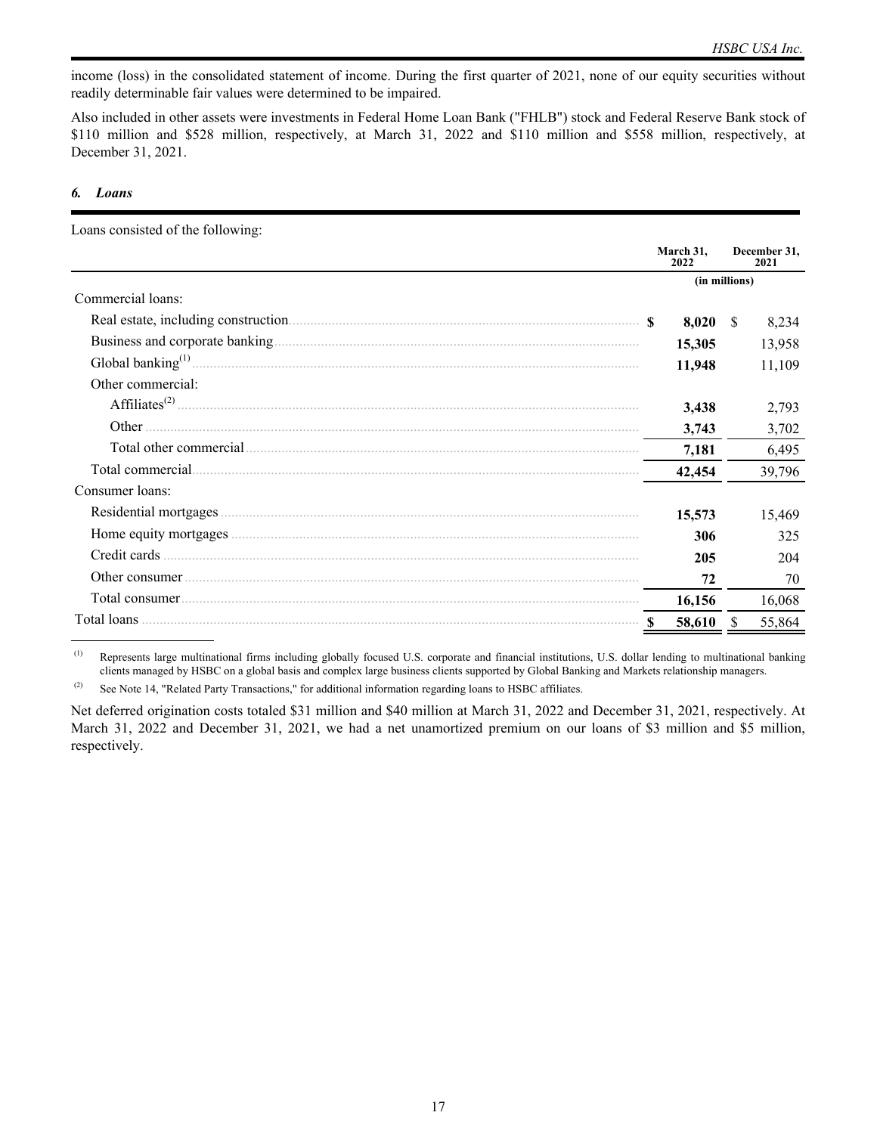<span id="page-16-0"></span>income (loss) in the consolidated statement of income. During the first quarter of 2021, none of our equity securities without readily determinable fair values were determined to be impaired.

Also included in other assets were investments in Federal Home Loan Bank ("FHLB") stock and Federal Reserve Bank stock of \$110 million and \$528 million, respectively, at March 31, 2022 and \$110 million and \$558 million, respectively, at December 31, 2021.

#### *6. Loans*

Loans consisted of the following:

|                   | March 31,<br>2022 | December 31,<br>2021  |
|-------------------|-------------------|-----------------------|
|                   |                   | (in millions)         |
| Commercial loans: |                   |                       |
|                   | 8,020             | <sup>S</sup><br>8,234 |
|                   | 15,305            | 13,958                |
|                   | 11,948            | 11,109                |
| Other commercial: |                   |                       |
|                   | 3,438             | 2,793                 |
| Other.            | 3,743             | 3,702                 |
|                   | 7,181             | 6,495                 |
|                   | 42,454            | 39,796                |
| Consumer loans:   |                   |                       |
|                   | 15,573            | 15,469                |
|                   | 306               | 325                   |
|                   | 205               | 204                   |
|                   | 72                | 70                    |
|                   | 16,156            | 16,068                |
|                   | 58,610            | 55,864<br>S           |

(1) Represents large multinational firms including globally focused U.S. corporate and financial institutions, U.S. dollar lending to multinational banking clients managed by HSBC on a global basis and complex large business clients supported by Global Banking and Markets relationship managers.

(2) See Note 14, "Related Party Transactions," for additional information regarding loans to HSBC affiliates.

Net deferred origination costs totaled \$31 million and \$40 million at March 31, 2022 and December 31, 2021, respectively. At March 31, 2022 and December 31, 2021, we had a net unamortized premium on our loans of \$3 million and \$5 million, respectively.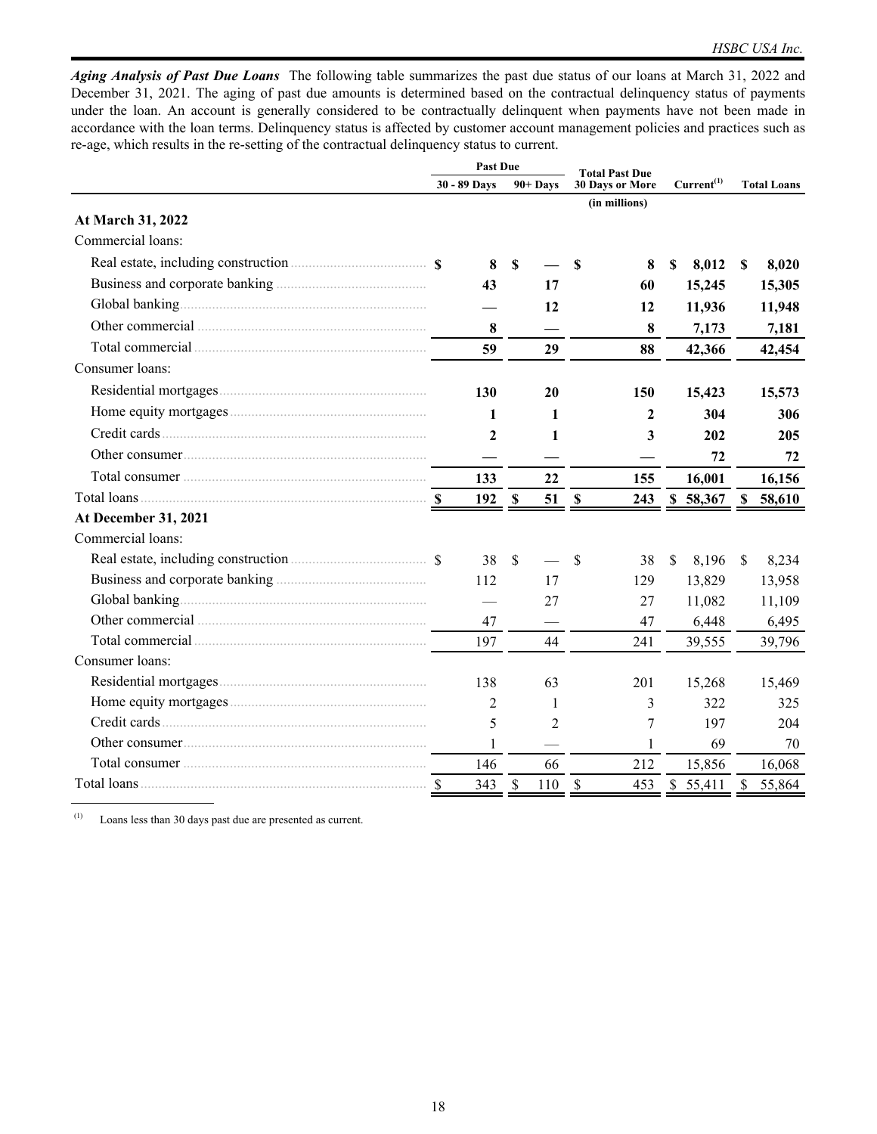*Aging Analysis of Past Due Loans* The following table summarizes the past due status of our loans at March 31, 2022 and December 31, 2021. The aging of past due amounts is determined based on the contractual delinquency status of payments under the loan. An account is generally considered to be contractually delinquent when payments have not been made in accordance with the loan terms. Delinquency status is affected by customer account management policies and practices such as re-age, which results in the re-setting of the contractual delinquency status to current.

|                                 | <b>Past Due</b> |                           |            |             | <b>Total Past Due</b>  |                        |    |                    |
|---------------------------------|-----------------|---------------------------|------------|-------------|------------------------|------------------------|----|--------------------|
|                                 | 30 - 89 Days    |                           | $90+$ Days |             | <b>30 Days or More</b> | Current <sup>(1)</sup> |    | <b>Total Loans</b> |
|                                 |                 |                           |            |             | (in millions)          |                        |    |                    |
| At March 31, 2022               |                 |                           |            |             |                        |                        |    |                    |
| Commercial loans:               |                 |                           |            |             |                        |                        |    |                    |
|                                 | 8               | $\mathbf{s}$              |            | \$.         | 8                      | $\mathbf{s}$<br>8,012  | S  | 8.020              |
| Business and corporate banking. | 43              |                           | 17         |             | 60                     | 15,245                 |    | 15,305             |
| Global banking.                 |                 |                           | 12         |             | 12                     | 11,936                 |    | 11,948             |
|                                 | 8               |                           |            |             | 8                      | 7,173                  |    | 7,181              |
|                                 | 59              |                           | 29         |             | 88                     | 42,366                 |    | 42,454             |
| Consumer loans:                 |                 |                           |            |             |                        |                        |    |                    |
|                                 | 130             |                           | 20         |             | 150                    | 15,423                 |    | 15,573             |
|                                 | 1               |                           | 1          |             | $\mathbf{2}$           | 304                    |    | 306                |
|                                 | $\mathbf{2}$    |                           | 1          |             | 3                      | 202                    |    | 205                |
| Other consumer                  |                 |                           |            |             |                        | 72                     |    | 72                 |
|                                 | 133             |                           | 22         |             | 155                    | 16,001                 |    | 16,156             |
| Total loans                     | 192             | $\boldsymbol{\mathsf{S}}$ | 51         | $\mathbf S$ | 243                    | \$58,367               | \$ | 58,610             |
| At December 31, 2021            |                 |                           |            |             |                        |                        |    |                    |
| Commercial loans:               |                 |                           |            |             |                        |                        |    |                    |
|                                 | 38              | -\$                       |            | S           | 38                     | 8,196<br><sup>\$</sup> | S  | 8,234              |
|                                 | 112             |                           | 17         |             | 129                    | 13,829                 |    | 13,958             |
|                                 |                 |                           | 27         |             | 27                     | 11,082                 |    | 11,109             |
|                                 | 47              |                           |            |             | 47                     | 6,448                  |    | 6,495              |
|                                 | 197             |                           | 44         |             | 241                    | 39,555                 |    | 39,796             |
| Consumer loans:                 |                 |                           |            |             |                        |                        |    |                    |
|                                 | 138             |                           | 63         |             | 201                    | 15,268                 |    | 15,469             |
|                                 | 2               |                           | 1          |             | 3                      | 322                    |    | 325                |
|                                 | 5               |                           | 2          |             | 7                      | 197                    |    | 204                |
|                                 | 1               |                           |            |             | $\mathbf{1}$           | 69                     |    | 70                 |
|                                 | 146             |                           | 66         |             | 212                    | 15,856                 |    | 16,068             |
|                                 | 343             | $\mathcal{S}$             | 110        | \$          | 453                    | \$55,411               | \$ | 55,864             |

(1) Loans less than 30 days past due are presented as current.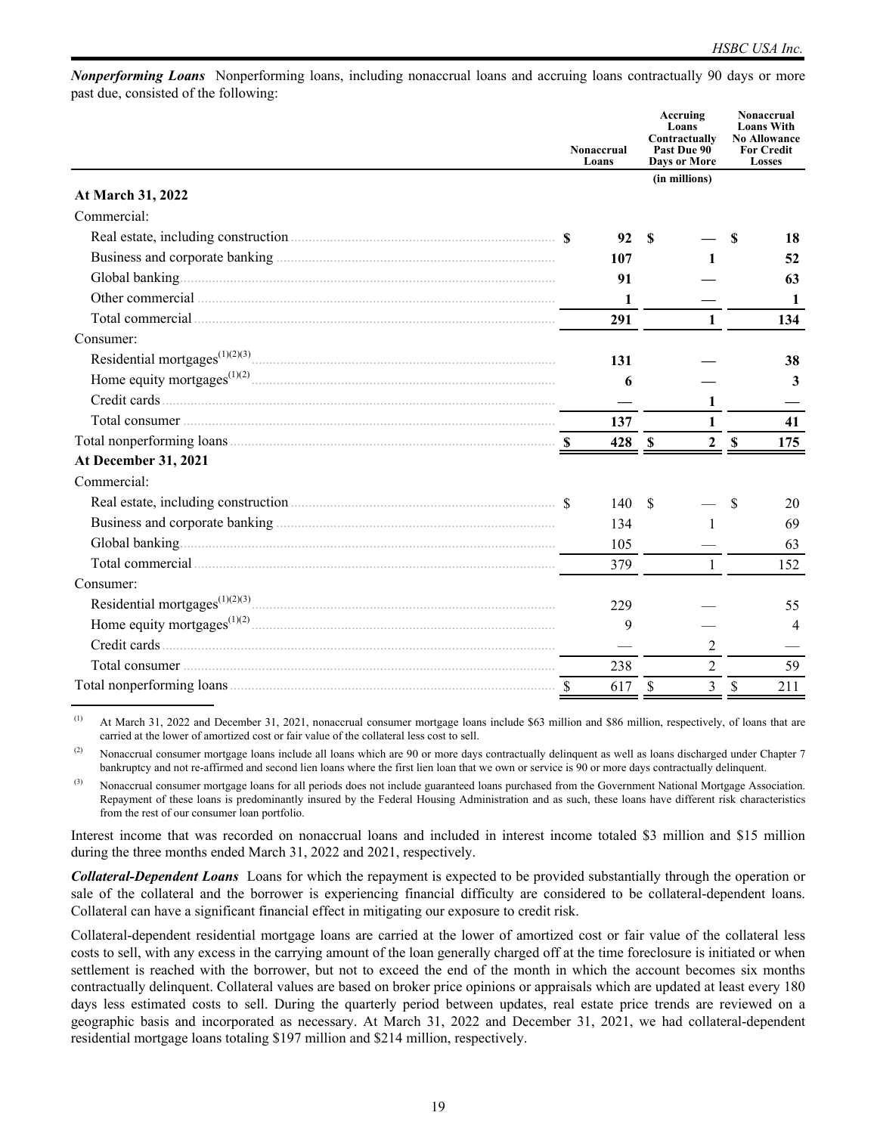*Nonperforming Loans* Nonperforming loans, including nonaccrual loans and accruing loans contractually 90 days or more past due, consisted of the following:

|                                                                                                                                                                                                                                     | <b>Nonaccrual</b><br>Loans |               | Accruing<br>Loans<br>Contractually<br>Past Due 90<br><b>Days or More</b><br>(in millions) |                           | Nonaccrual<br><b>Loans With</b><br><b>No Allowance</b><br><b>For Credit</b><br>Losses |
|-------------------------------------------------------------------------------------------------------------------------------------------------------------------------------------------------------------------------------------|----------------------------|---------------|-------------------------------------------------------------------------------------------|---------------------------|---------------------------------------------------------------------------------------|
| At March 31, 2022                                                                                                                                                                                                                   |                            |               |                                                                                           |                           |                                                                                       |
| Commercial:                                                                                                                                                                                                                         |                            |               |                                                                                           |                           |                                                                                       |
|                                                                                                                                                                                                                                     | 92                         | $\mathbf{s}$  |                                                                                           | \$.                       | 18                                                                                    |
|                                                                                                                                                                                                                                     | 107                        |               | 1                                                                                         |                           | 52                                                                                    |
|                                                                                                                                                                                                                                     | 91                         |               |                                                                                           |                           | 63                                                                                    |
|                                                                                                                                                                                                                                     | $\mathbf{1}$               |               |                                                                                           |                           | 1                                                                                     |
| Total commercial <i>machinesis</i> and the commercial commercial commercial commercial commercial contract to the contract of the contract of the contract of the contract of the contract of the contract of the contract of the c | 291                        |               | $\mathbf{1}$                                                                              |                           | 134                                                                                   |
| Consumer:                                                                                                                                                                                                                           |                            |               |                                                                                           |                           |                                                                                       |
|                                                                                                                                                                                                                                     | 131                        |               |                                                                                           |                           | 38                                                                                    |
|                                                                                                                                                                                                                                     | 6                          |               |                                                                                           |                           | 3                                                                                     |
|                                                                                                                                                                                                                                     |                            |               | 1                                                                                         |                           |                                                                                       |
|                                                                                                                                                                                                                                     | 137                        |               | 1                                                                                         |                           | 41                                                                                    |
|                                                                                                                                                                                                                                     | 428                        | -S            | $\overline{2}$                                                                            | $\mathbf{s}$              | 175                                                                                   |
| At December 31, 2021                                                                                                                                                                                                                |                            |               |                                                                                           |                           |                                                                                       |
| Commercial:                                                                                                                                                                                                                         |                            |               |                                                                                           |                           |                                                                                       |
|                                                                                                                                                                                                                                     | 140                        | -S            |                                                                                           | -\$                       | 20                                                                                    |
|                                                                                                                                                                                                                                     | 134                        |               | 1                                                                                         |                           | 69                                                                                    |
|                                                                                                                                                                                                                                     | 105                        |               |                                                                                           |                           | 63                                                                                    |
|                                                                                                                                                                                                                                     | 379                        |               | $\mathbf{1}$                                                                              |                           | 152                                                                                   |
| Consumer:                                                                                                                                                                                                                           |                            |               |                                                                                           |                           |                                                                                       |
|                                                                                                                                                                                                                                     | 229                        |               |                                                                                           |                           | 55                                                                                    |
|                                                                                                                                                                                                                                     | 9                          |               |                                                                                           |                           | $\overline{4}$                                                                        |
|                                                                                                                                                                                                                                     |                            |               | $\overline{2}$                                                                            |                           |                                                                                       |
|                                                                                                                                                                                                                                     | 238                        |               | $\overline{2}$                                                                            |                           | 59                                                                                    |
|                                                                                                                                                                                                                                     | 617                        | $\mathcal{S}$ | 3                                                                                         | $\boldsymbol{\mathsf{S}}$ | 211                                                                                   |

(1) At March 31, 2022 and December 31, 2021, nonaccrual consumer mortgage loans include \$63 million and \$86 million, respectively, of loans that are carried at the lower of amortized cost or fair value of the collateral less cost to sell.

<sup>(2)</sup> Nonaccrual consumer mortgage loans include all loans which are 90 or more days contractually delinquent as well as loans discharged under Chapter 7 bankruptcy and not re-affirmed and second lien loans where the first lien loan that we own or service is 90 or more days contractually delinquent.

<sup>(3)</sup> Nonaccrual consumer mortgage loans for all periods does not include guaranteed loans purchased from the Government National Mortgage Association. Repayment of these loans is predominantly insured by the Federal Housing Administration and as such, these loans have different risk characteristics from the rest of our consumer loan portfolio.

Interest income that was recorded on nonaccrual loans and included in interest income totaled \$3 million and \$15 million during the three months ended March 31, 2022 and 2021, respectively.

*Collateral-Dependent Loans* Loans for which the repayment is expected to be provided substantially through the operation or sale of the collateral and the borrower is experiencing financial difficulty are considered to be collateral-dependent loans. Collateral can have a significant financial effect in mitigating our exposure to credit risk.

Collateral-dependent residential mortgage loans are carried at the lower of amortized cost or fair value of the collateral less costs to sell, with any excess in the carrying amount of the loan generally charged off at the time foreclosure is initiated or when settlement is reached with the borrower, but not to exceed the end of the month in which the account becomes six months contractually delinquent. Collateral values are based on broker price opinions or appraisals which are updated at least every 180 days less estimated costs to sell. During the quarterly period between updates, real estate price trends are reviewed on a geographic basis and incorporated as necessary. At March 31, 2022 and December 31, 2021, we had collateral-dependent residential mortgage loans totaling \$197 million and \$214 million, respectively.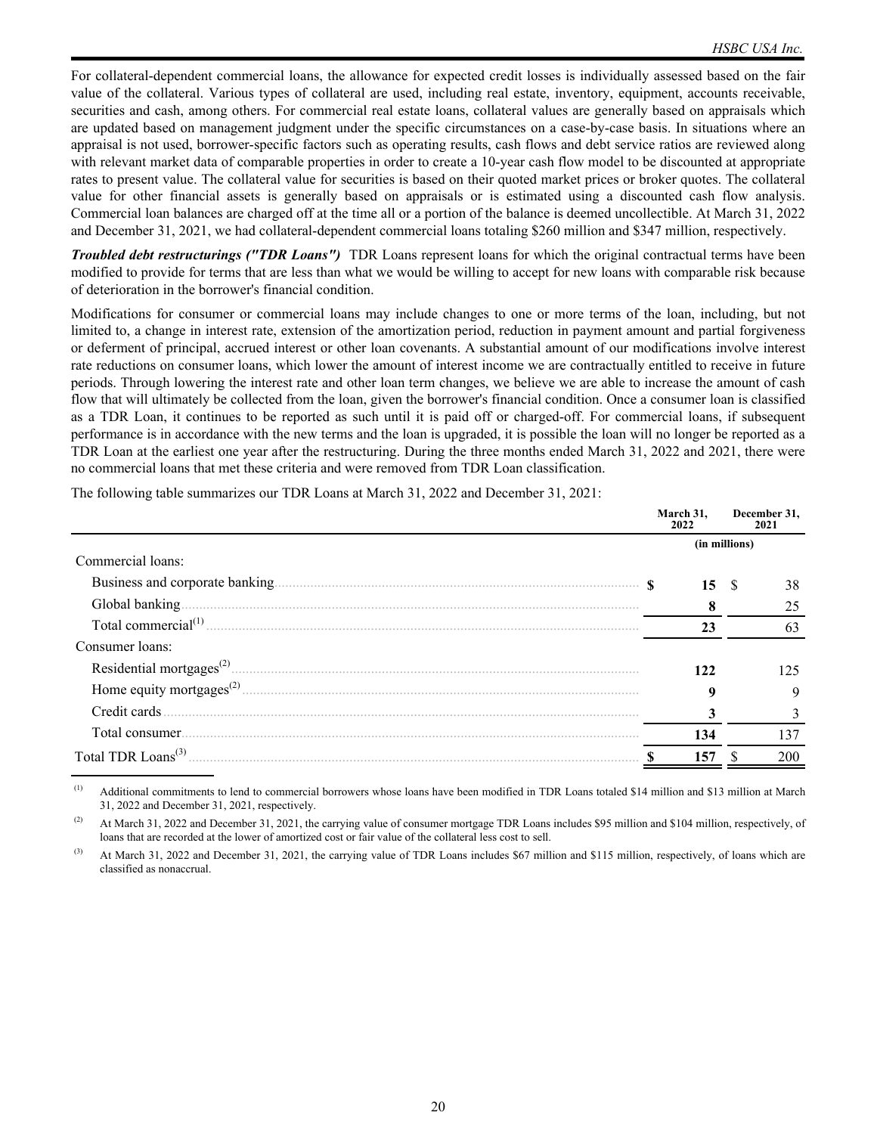For collateral-dependent commercial loans, the allowance for expected credit losses is individually assessed based on the fair value of the collateral. Various types of collateral are used, including real estate, inventory, equipment, accounts receivable, securities and cash, among others. For commercial real estate loans, collateral values are generally based on appraisals which are updated based on management judgment under the specific circumstances on a case-by-case basis. In situations where an appraisal is not used, borrower-specific factors such as operating results, cash flows and debt service ratios are reviewed along with relevant market data of comparable properties in order to create a 10-year cash flow model to be discounted at appropriate rates to present value. The collateral value for securities is based on their quoted market prices or broker quotes. The collateral value for other financial assets is generally based on appraisals or is estimated using a discounted cash flow analysis. Commercial loan balances are charged off at the time all or a portion of the balance is deemed uncollectible. At March 31, 2022 and December 31, 2021, we had collateral-dependent commercial loans totaling \$260 million and \$347 million, respectively.

*Troubled debt restructurings ("TDR Loans")* TDR Loans represent loans for which the original contractual terms have been modified to provide for terms that are less than what we would be willing to accept for new loans with comparable risk because of deterioration in the borrower's financial condition.

Modifications for consumer or commercial loans may include changes to one or more terms of the loan, including, but not limited to, a change in interest rate, extension of the amortization period, reduction in payment amount and partial forgiveness or deferment of principal, accrued interest or other loan covenants. A substantial amount of our modifications involve interest rate reductions on consumer loans, which lower the amount of interest income we are contractually entitled to receive in future periods. Through lowering the interest rate and other loan term changes, we believe we are able to increase the amount of cash flow that will ultimately be collected from the loan, given the borrower's financial condition. Once a consumer loan is classified as a TDR Loan, it continues to be reported as such until it is paid off or charged-off. For commercial loans, if subsequent performance is in accordance with the new terms and the loan is upgraded, it is possible the loan will no longer be reported as a TDR Loan at the earliest one year after the restructuring. During the three months ended March 31, 2022 and 2021, there were no commercial loans that met these criteria and were removed from TDR Loan classification.

The following table summarizes our TDR Loans at March 31, 2022 and December 31, 2021:

|                                             | March 31,<br>2022 | December 31,<br>2021 |
|---------------------------------------------|-------------------|----------------------|
|                                             | (in millions)     |                      |
| Commercial loans:                           |                   |                      |
|                                             | 15                | 38<br>S              |
|                                             | 8                 | 25                   |
|                                             | 23                | 63                   |
| Consumer loans:                             |                   |                      |
|                                             | 122               | 125                  |
|                                             |                   | 9                    |
|                                             |                   |                      |
| Total consumer.                             | 134               | 137                  |
| Total TDR Loans <sup><math>(3)</math></sup> |                   | 200                  |

<sup>(1)</sup> Additional commitments to lend to commercial borrowers whose loans have been modified in TDR Loans totaled \$14 million and \$13 million at March 31, 2022 and December 31, 2021, respectively.

(2) At March 31, 2022 and December 31, 2021, the carrying value of consumer mortgage TDR Loans includes \$95 million and \$104 million, respectively, of loans that are recorded at the lower of amortized cost or fair value of the collateral less cost to sell.

 $^{(3)}$  At March 31, 2022 and December 31, 2021, the carrying value of TDR Loans includes \$67 million and \$115 million, respectively, of loans which are classified as nonaccrual.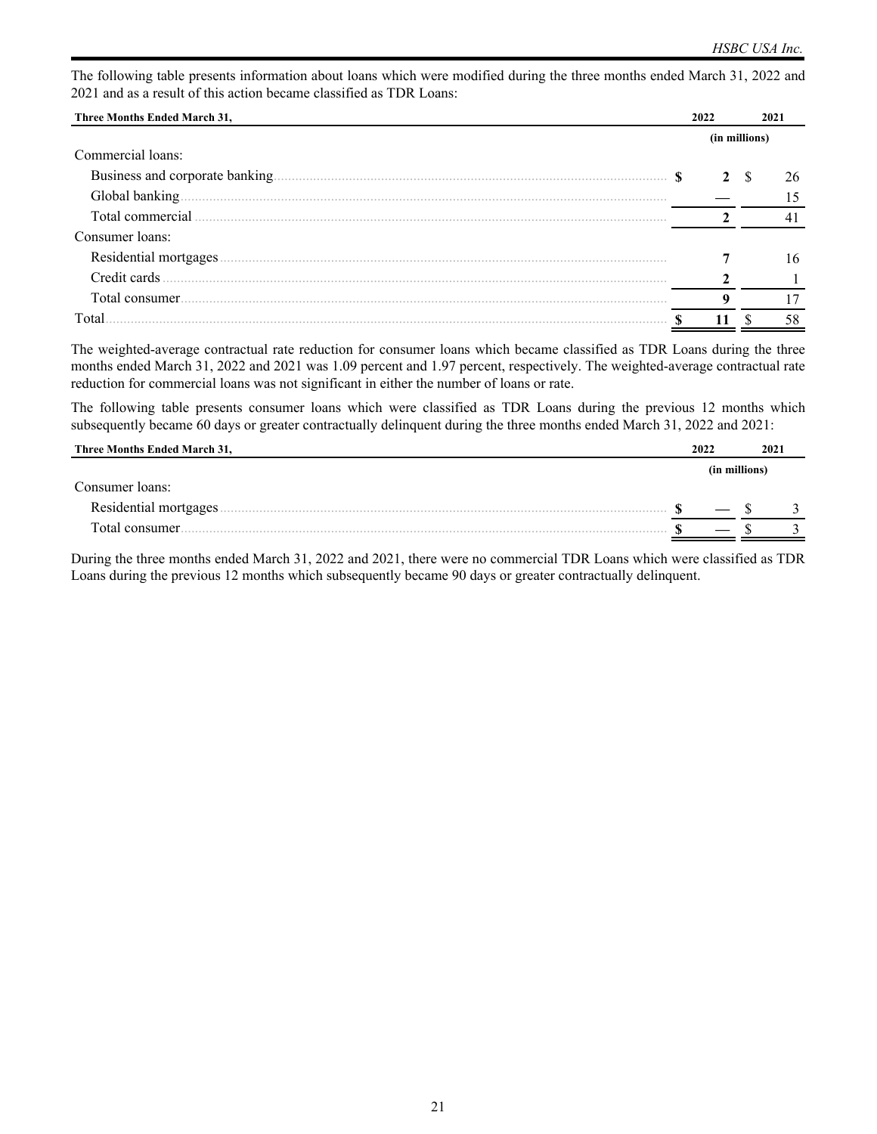The following table presents information about loans which were modified during the three months ended March 31, 2022 and 2021 and as a result of this action became classified as TDR Loans:

| Three Months Ended March 31, | 2022 |               |    |
|------------------------------|------|---------------|----|
|                              |      | (in millions) |    |
| Commercial loans:            |      |               |    |
|                              |      |               | 26 |
| Global banking.              |      |               |    |
| Total commercial             |      |               |    |
| Consumer loans:              |      |               |    |
| Residential mortgages.       |      |               | 16 |
| Credit cards                 |      |               |    |
| Total consumer.              |      |               |    |
| Total                        |      |               | 58 |

The weighted-average contractual rate reduction for consumer loans which became classified as TDR Loans during the three months ended March 31, 2022 and 2021 was 1.09 percent and 1.97 percent, respectively. The weighted-average contractual rate reduction for commercial loans was not significant in either the number of loans or rate.

The following table presents consumer loans which were classified as TDR Loans during the previous 12 months which subsequently became 60 days or greater contractually delinquent during the three months ended March 31, 2022 and 2021:

| Three Months Ended March 31, | 2022          | 2021 |  |
|------------------------------|---------------|------|--|
|                              | (in millions) |      |  |
| Consumer loans:              |               |      |  |
| Residential mortgages.       |               |      |  |
| Total consumer.              |               |      |  |

During the three months ended March 31, 2022 and 2021, there were no commercial TDR Loans which were classified as TDR Loans during the previous 12 months which subsequently became 90 days or greater contractually delinquent.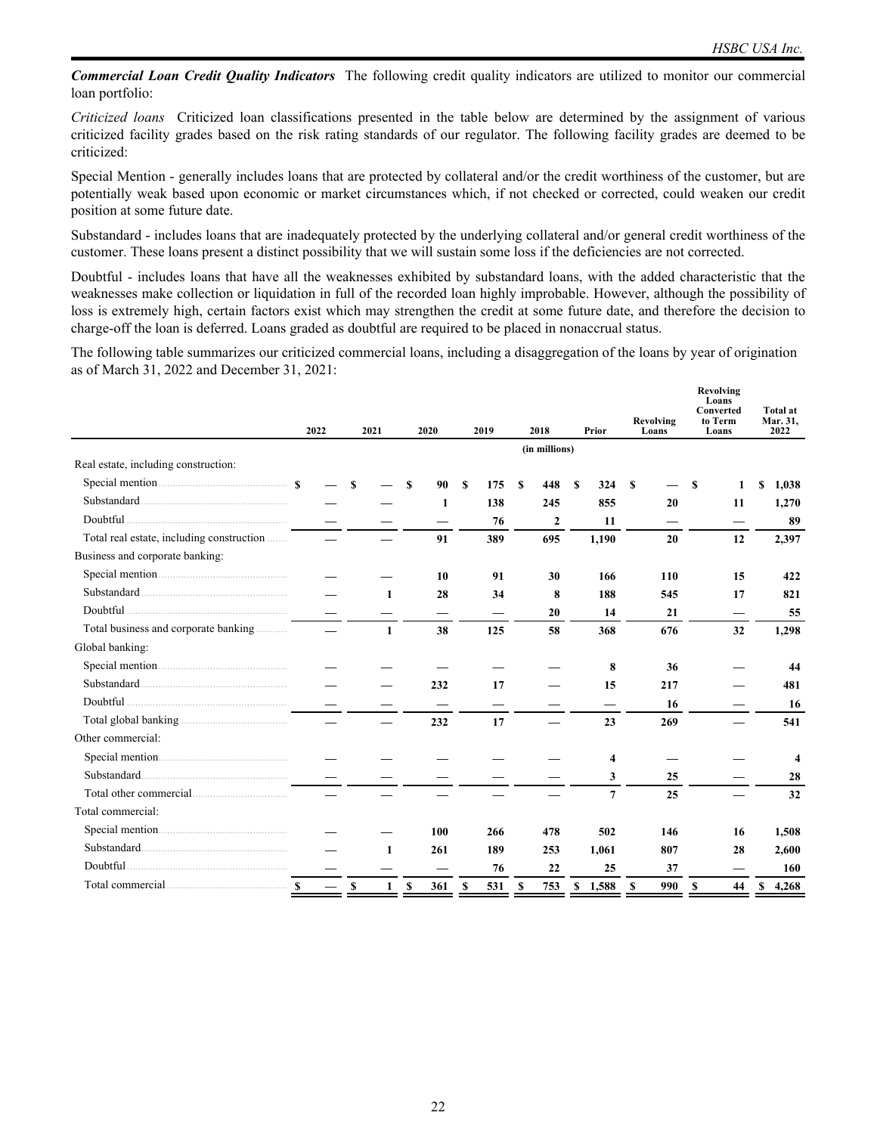*Commercial Loan Credit Quality Indicators* The following credit quality indicators are utilized to monitor our commercial loan portfolio:

*Criticized loans* Criticized loan classifications presented in the table below are determined by the assignment of various criticized facility grades based on the risk rating standards of our regulator. The following facility grades are deemed to be criticized:

Special Mention - generally includes loans that are protected by collateral and/or the credit worthiness of the customer, but are potentially weak based upon economic or market circumstances which, if not checked or corrected, could weaken our credit position at some future date.

Substandard - includes loans that are inadequately protected by the underlying collateral and/or general credit worthiness of the customer. These loans present a distinct possibility that we will sustain some loss if the deficiencies are not corrected.

Doubtful - includes loans that have all the weaknesses exhibited by substandard loans, with the added characteristic that the weaknesses make collection or liquidation in full of the recorded loan highly improbable. However, although the possibility of loss is extremely high, certain factors exist which may strengthen the credit at some future date, and therefore the decision to charge-off the loan is deferred. Loans graded as doubtful are required to be placed in nonaccrual status.

The following table summarizes our criticized commercial loans, including a disaggregation of the loans by year of origination as of March 31, 2022 and December 31, 2021:

|                                           | 2022            | 2021 |              | 2020 |     | 2019      |              | 2018          |   | Prior          |               | <b>Revolving</b><br>Loans |          | <b>Revolving</b><br>Loans<br>Converted<br>to Term<br>Loans | <b>Total at</b><br>Mar. 31.<br>2022 |
|-------------------------------------------|-----------------|------|--------------|------|-----|-----------|--------------|---------------|---|----------------|---------------|---------------------------|----------|------------------------------------------------------------|-------------------------------------|
|                                           |                 |      |              |      |     |           |              | (in millions) |   |                |               |                           |          |                                                            |                                     |
| Real estate, including construction:      |                 |      |              |      |     |           |              |               |   |                |               |                           |          |                                                            |                                     |
|                                           |                 | S    |              | S    | 90  | \$<br>175 | S            | 448           | S | 324            | S             |                           | S        | 1                                                          | \$<br>1,038                         |
|                                           |                 |      |              |      | 1   | 138       |              | 245           |   | 855            |               | 20                        |          | 11                                                         | 1,270                               |
|                                           |                 |      |              |      |     | 76        |              | $\mathbf{2}$  |   | 11             |               |                           |          |                                                            | 89                                  |
| Total real estate, including construction |                 |      |              |      | 91  | 389       |              | 695           |   | 1,190          |               | 20                        |          | 12                                                         | 2,397                               |
| Business and corporate banking:           |                 |      |              |      |     |           |              |               |   |                |               |                           |          |                                                            |                                     |
|                                           |                 |      |              |      | 10  | 91        |              | 30            |   | 166            |               | 110                       |          | 15                                                         | 422                                 |
|                                           |                 |      | $\mathbf{1}$ |      | 28  | 34        |              | 8             |   | 188            |               | 545                       |          | 17                                                         | 821                                 |
|                                           |                 |      |              |      |     |           |              | 20            |   | 14             |               | 21                        |          |                                                            | 55                                  |
| Total business and corporate banking      |                 |      | $\mathbf{1}$ |      | 38  | 125       |              | 58            |   | 368            |               | 676                       |          | 32                                                         | 1,298                               |
| Global banking:                           |                 |      |              |      |     |           |              |               |   |                |               |                           |          |                                                            |                                     |
|                                           |                 |      |              |      |     |           |              |               |   | 8              |               | 36                        |          |                                                            | 44                                  |
| Substandard                               |                 |      |              |      | 232 | 17        |              |               |   | 15             |               | 217                       |          |                                                            | 481                                 |
|                                           |                 |      |              |      |     |           |              |               |   |                |               | 16                        |          |                                                            | 16                                  |
|                                           |                 |      |              |      | 232 | 17        |              |               |   | 23             |               | 269                       |          |                                                            | 541                                 |
| Other commercial:                         |                 |      |              |      |     |           |              |               |   |                |               |                           |          |                                                            |                                     |
|                                           |                 |      |              |      |     |           |              |               |   | 4              |               |                           |          |                                                            | 4                                   |
| Substandard                               |                 |      |              |      |     |           |              |               |   | 3              |               | 25                        |          |                                                            | 28                                  |
|                                           |                 |      |              |      |     |           |              |               |   | $\overline{7}$ |               | 25                        |          |                                                            | 32                                  |
| Total commercial:                         |                 |      |              |      |     |           |              |               |   |                |               |                           |          |                                                            |                                     |
|                                           |                 |      |              |      | 100 | 266       |              | 478           |   | 502            |               | 146                       |          | 16                                                         | 1,508                               |
| Substandard.                              |                 |      | $\mathbf{1}$ |      | 261 | 189       |              | 253           |   | 1,061          |               | 807                       |          | 28                                                         | 2,600                               |
| Doubtful.                                 |                 |      |              |      |     | 76        |              | 22            |   | 25             |               | 37                        |          |                                                            | 160                                 |
|                                           | $\qquad \qquad$ | \$   | $\mathbf{1}$ | \$   | 361 | \$<br>531 | $\mathbf{s}$ | 753           |   | \$1,588        | <sup>\$</sup> | 990                       | <b>S</b> | 44                                                         | \$4,268                             |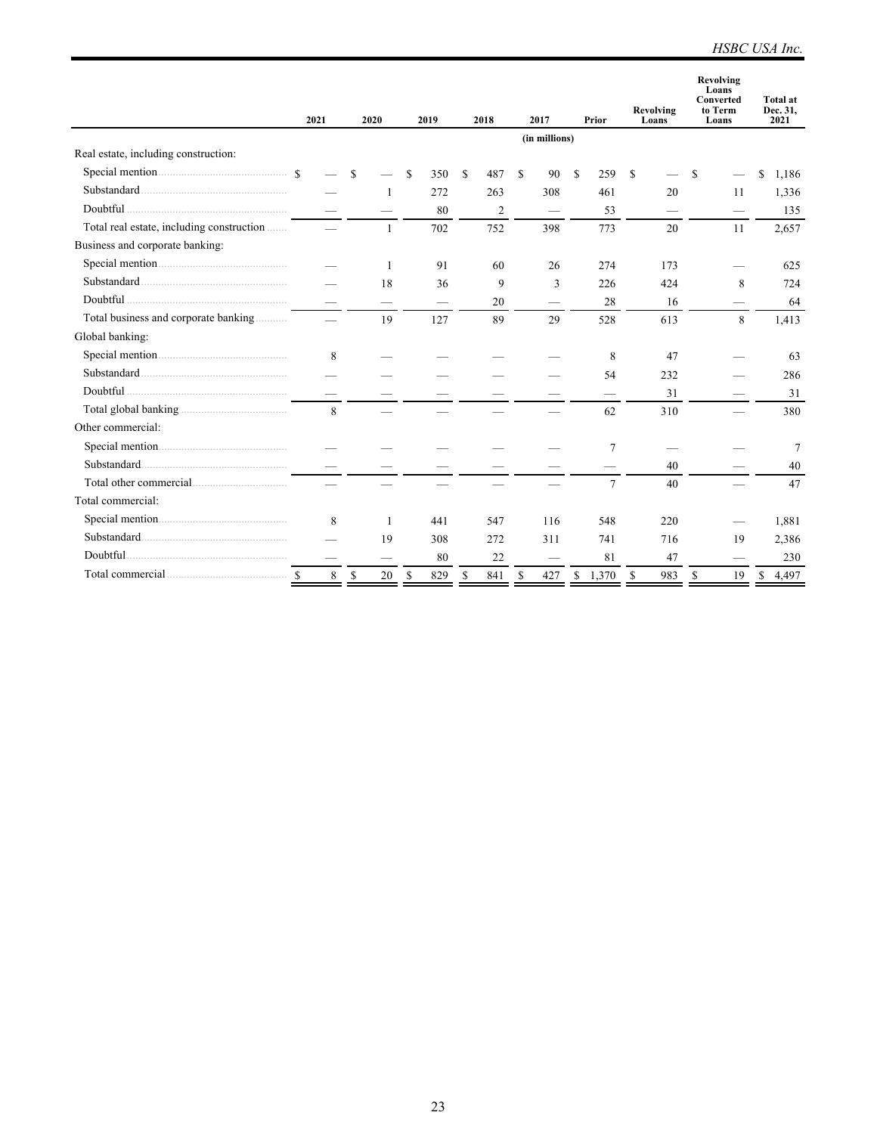|                                           | 2021                     | 2020         |                          |             | 2019                     |              | 2018 |   | 2017          |              | Prior          |               | Revolving<br>Loans |             | <b>Revolving</b><br>Loans<br>Converted<br>to Term<br>Loans | <b>Total at</b><br>Dec. 31,<br>2021 |
|-------------------------------------------|--------------------------|--------------|--------------------------|-------------|--------------------------|--------------|------|---|---------------|--------------|----------------|---------------|--------------------|-------------|------------------------------------------------------------|-------------------------------------|
|                                           |                          |              |                          |             |                          |              |      |   | (in millions) |              |                |               |                    |             |                                                            |                                     |
| Real estate, including construction:      |                          |              |                          |             |                          |              |      |   |               |              |                |               |                    |             |                                                            |                                     |
|                                           |                          | S            |                          | S           | 350                      | \$           | 487  | S | 90            | S            | 259            | -S            |                    | \$.         |                                                            | \$<br>1,186                         |
|                                           |                          |              | -1                       |             | 272                      |              | 263  |   | 308           |              | 461            |               | 20                 |             | 11                                                         | 1,336                               |
| Doubtful                                  |                          |              |                          |             | 80                       |              | 2    |   |               |              | 53             |               |                    |             |                                                            | 135                                 |
| Total real estate, including construction |                          |              | 1                        |             | 702                      |              | 752  |   | 398           |              | 773            |               | 20                 |             | 11                                                         | 2,657                               |
| Business and corporate banking:           |                          |              |                          |             |                          |              |      |   |               |              |                |               |                    |             |                                                            |                                     |
|                                           |                          |              | 1                        |             | 91                       |              | 60   |   | 26            |              | 274            |               | 173                |             |                                                            | 625                                 |
|                                           |                          |              | 18                       |             | 36                       |              | 9    |   | 3             |              | 226            |               | 424                |             | 8                                                          | 724                                 |
|                                           |                          |              | $\overline{\phantom{0}}$ |             | $\overline{\phantom{0}}$ |              | 20   |   |               |              | 28             |               | 16                 |             |                                                            | 64                                  |
| Total business and corporate banking      |                          |              | 19                       |             | 127                      |              | 89   |   | 29            |              | 528            |               | 613                |             | 8                                                          | 1,413                               |
| Global banking:                           |                          |              |                          |             |                          |              |      |   |               |              |                |               |                    |             |                                                            |                                     |
|                                           | 8                        |              |                          |             |                          |              |      |   |               |              | 8              |               | 47                 |             |                                                            | 63                                  |
|                                           |                          |              |                          |             |                          |              |      |   |               |              | 54             |               | 232                |             |                                                            | 286                                 |
|                                           | $\overline{\phantom{a}}$ |              |                          |             |                          |              |      |   |               |              |                |               | 31                 |             |                                                            | 31                                  |
|                                           | 8                        |              |                          |             |                          |              |      |   |               |              | 62             |               | 310                |             |                                                            | 380                                 |
| Other commercial:                         |                          |              |                          |             |                          |              |      |   |               |              |                |               |                    |             |                                                            |                                     |
|                                           |                          |              |                          |             |                          |              |      |   |               |              | 7              |               |                    |             |                                                            | 7                                   |
| Substandard                               |                          |              |                          |             |                          |              |      |   |               |              |                |               | 40                 |             |                                                            | 40                                  |
|                                           |                          |              |                          |             |                          |              |      |   |               |              | $\overline{7}$ |               | 40                 |             |                                                            | 47                                  |
| Total commercial:                         |                          |              |                          |             |                          |              |      |   |               |              |                |               |                    |             |                                                            |                                     |
|                                           | 8                        |              | 1                        |             | 441                      |              | 547  |   | 116           |              | 548            |               | 220                |             |                                                            | 1,881                               |
| Substandard                               |                          |              | 19                       |             | 308                      |              | 272  |   | 311           |              | 741            |               | 716                |             | 19                                                         | 2,386                               |
| Doubtful.                                 |                          |              |                          |             | 80                       |              | 22   |   |               |              | 81             |               | 47                 |             |                                                            | 230                                 |
|                                           | 8                        | $\mathbb{S}$ | 20                       | $\mathbf S$ | 829                      | $\mathbb{S}$ | 841  | S | 427           | $\mathbb{S}$ | 1.370          | <sup>\$</sup> | 983                | $\mathbf S$ | 19                                                         | \$<br>4,497                         |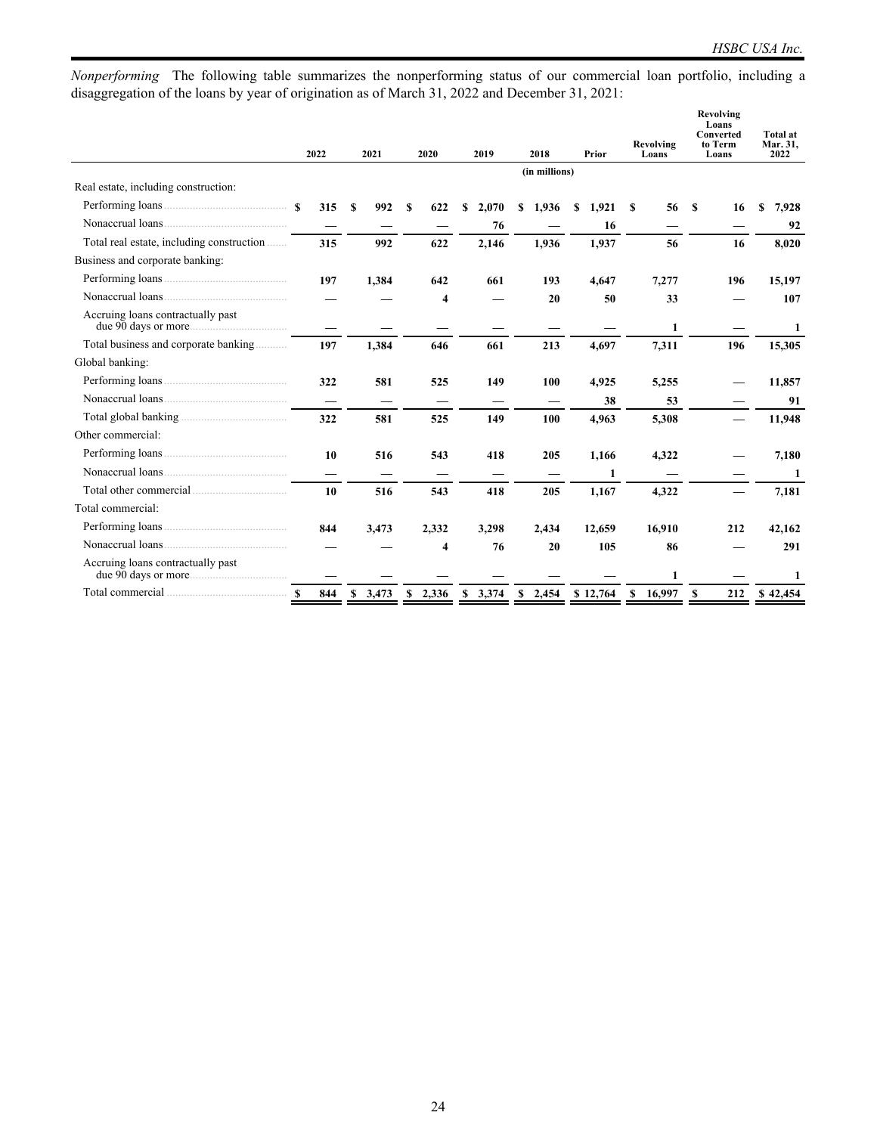*Nonperforming* The following table summarizes the nonperforming status of our commercial loan portfolio, including a disaggregation of the loans by year of origination as of March 31, 2022 and December 31, 2021:

|                                           | 2022                     | 2021                     | 2020              | 2019       | 2018               | Prior       | Revolving<br>Loans | Revolving<br>Loans<br>Converted<br>to Term<br>Loans | <b>Total at</b><br>Mar. 31,<br>2022 |
|-------------------------------------------|--------------------------|--------------------------|-------------------|------------|--------------------|-------------|--------------------|-----------------------------------------------------|-------------------------------------|
|                                           |                          |                          |                   |            | (in millions)      |             |                    |                                                     |                                     |
| Real estate, including construction:      |                          |                          |                   |            |                    |             |                    |                                                     |                                     |
|                                           | 315                      | S<br>992                 | S<br>622          | S<br>2,070 | 1,936<br>S         | 1,921<br>\$ | 56<br>S            | S<br>16                                             | S<br>7,928                          |
|                                           |                          |                          |                   | 76         |                    | 16          |                    |                                                     | 92                                  |
| Total real estate, including construction | 315                      | 992                      | 622               | 2,146      | 1,936              | 1,937       | 56                 | 16                                                  | 8,020                               |
| Business and corporate banking:           |                          |                          |                   |            |                    |             |                    |                                                     |                                     |
|                                           | 197                      | 1,384                    | 642               | 661        | 193                | 4,647       | 7,277              | 196                                                 | 15,197                              |
|                                           |                          |                          | 4                 |            | 20                 | 50          | 33                 |                                                     | 107                                 |
| Accruing loans contractually past         | $\overline{\phantom{0}}$ |                          |                   |            |                    |             | 1                  |                                                     | 1                                   |
| Total business and corporate banking      | 197                      | 1,384                    | 646               | 661        | 213                | 4,697       | 7,311              | 196                                                 | 15,305                              |
| Global banking:                           |                          |                          |                   |            |                    |             |                    |                                                     |                                     |
|                                           | 322                      | 581                      | 525               | 149        | 100                | 4.925       | 5,255              |                                                     | 11,857                              |
| Nonaccrual loans                          | $\overline{\phantom{0}}$ | $\overline{\phantom{m}}$ | $\hspace{0.05cm}$ |            |                    | 38          | 53                 |                                                     | 91                                  |
|                                           | 322                      | 581                      | 525               | 149        | 100                | 4,963       | 5,308              |                                                     | 11,948                              |
| Other commercial:                         |                          |                          |                   |            |                    |             |                    |                                                     |                                     |
|                                           | 10                       | 516                      | 543               | 418        | 205                | 1,166       | 4,322              |                                                     | 7,180                               |
|                                           | —                        |                          |                   |            |                    | 1           |                    |                                                     | 1                                   |
|                                           | 10                       | 516                      | 543               | 418        | 205                | 1,167       | 4,322              |                                                     | 7,181                               |
| Total commercial:                         |                          |                          |                   |            |                    |             |                    |                                                     |                                     |
|                                           | 844                      | 3,473                    | 2,332             | 3,298      | 2,434              | 12,659      | 16,910             | 212                                                 | 42,162                              |
|                                           |                          |                          | 4                 | 76         | 20                 | 105         | 86                 |                                                     | 291                                 |
| Accruing loans contractually past         |                          |                          |                   |            |                    |             | $\mathbf{1}$       |                                                     | 1.                                  |
| -S                                        | 844                      | \$3,473                  | \$2,336           | \$3,374    | $$2,454$ $$12,764$ |             | \$16,997           | -S                                                  | 212 \$42,454                        |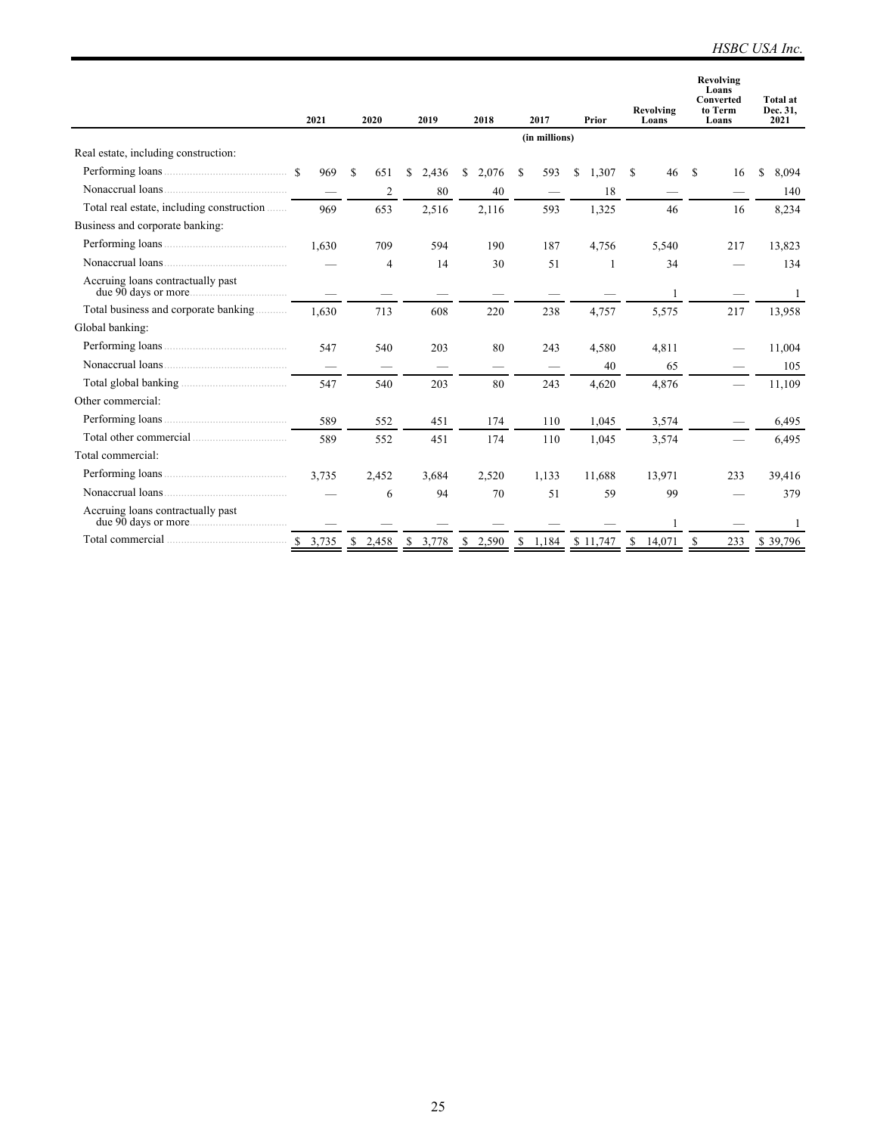|                                           | 2021                     | 2020           | 2019        | 2018        | 2017          | Prior       | Revolving<br>Loans | <b>Revolving</b><br>Loans<br>Converted<br>to Term<br>Loans | <b>Total at</b><br>Dec. 31,<br>2021 |
|-------------------------------------------|--------------------------|----------------|-------------|-------------|---------------|-------------|--------------------|------------------------------------------------------------|-------------------------------------|
|                                           |                          |                |             |             | (in millions) |             |                    |                                                            |                                     |
| Real estate, including construction:      |                          |                |             |             |               |             |                    |                                                            |                                     |
|                                           | \$<br>969                | \$<br>651      | \$<br>2,436 | \$<br>2,076 | \$<br>593     | \$<br>1,307 | \$<br>46           | \$<br>16                                                   | \$<br>8,094                         |
|                                           | $\overline{\phantom{0}}$ | 2              | 80          | 40          |               | 18          |                    |                                                            | 140                                 |
| Total real estate, including construction | 969                      | 653            | 2,516       | 2,116       | 593           | 1,325       | 46                 | 16                                                         | 8,234                               |
| Business and corporate banking:           |                          |                |             |             |               |             |                    |                                                            |                                     |
|                                           | 1.630                    | 709            | 594         | 190         | 187           | 4,756       | 5,540              | 217                                                        | 13,823                              |
|                                           |                          | $\overline{4}$ | 14          | 30          | 51            | 1           | 34                 |                                                            | 134                                 |
| Accruing loans contractually past         |                          |                |             |             |               |             | 1                  |                                                            |                                     |
| Total business and corporate banking      | 1,630                    | 713            | 608         | 220         | 238           | 4,757       | 5,575              | 217                                                        | 13,958                              |
| Global banking:                           |                          |                |             |             |               |             |                    |                                                            |                                     |
|                                           | 547                      | 540            | 203         | 80          | 243           | 4,580       | 4,811              |                                                            | 11,004                              |
|                                           |                          |                |             |             |               | 40          | 65                 |                                                            | 105                                 |
|                                           | 547                      | 540            | 203         | 80          | 243           | 4,620       | 4,876              |                                                            | 11,109                              |
| Other commercial:                         |                          |                |             |             |               |             |                    |                                                            |                                     |
| Performing loans.                         | 589                      | 552            | 451         | 174         | 110           | 1,045       | 3,574              |                                                            | 6,495                               |
|                                           | 589                      | 552            | 451         | 174         | 110           | 1,045       | 3,574              |                                                            | 6,495                               |
| Total commercial:                         |                          |                |             |             |               |             |                    |                                                            |                                     |
|                                           | 3,735                    | 2,452          | 3,684       | 2,520       | 1,133         | 11,688      | 13,971             | 233                                                        | 39,416                              |
|                                           |                          | 6              | 94          | 70          | 51            | 59          | 99                 |                                                            | 379                                 |
| Accruing loans contractually past         |                          |                |             |             |               |             |                    |                                                            |                                     |
|                                           |                          | \$<br>2,458    | \$<br>3,778 | \$<br>2,590 | \$1,184       | \$11,747    | \$<br>14,071       | \$<br>233                                                  | \$39,796                            |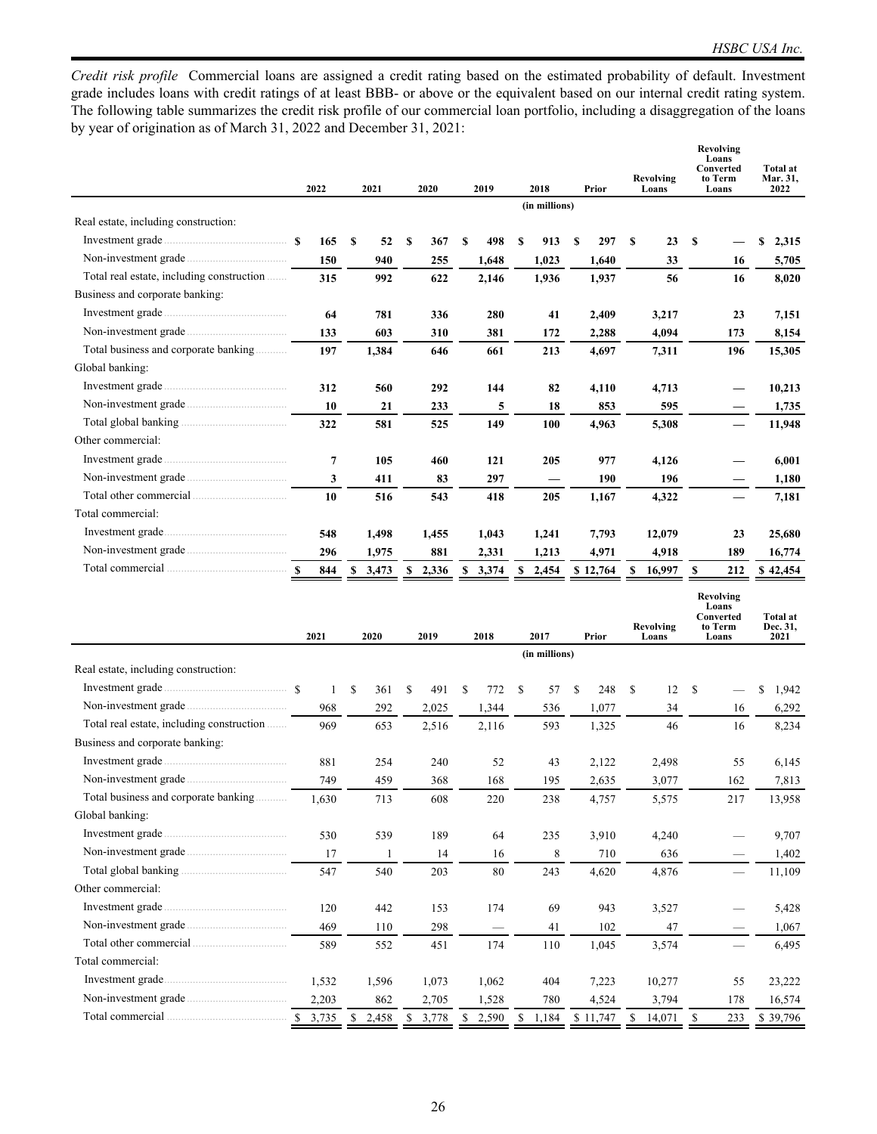*Credit risk profile* Commercial loans are assigned a credit rating based on the estimated probability of default. Investment grade includes loans with credit ratings of at least BBB- or above or the equivalent based on our internal credit rating system. The following table summarizes the credit risk profile of our commercial loan portfolio, including a disaggregation of the loans by year of origination as of March 31, 2022 and December 31, 2021:

|                                           | 2022           | 2021        | 2020        | 2019        | 2018          | Prior     | <b>Revolving</b><br>Loans | <b>Revolving</b><br>Loans<br>Converted<br>to Term<br>Loans | Total at<br>Mar. 31,<br>2022        |
|-------------------------------------------|----------------|-------------|-------------|-------------|---------------|-----------|---------------------------|------------------------------------------------------------|-------------------------------------|
|                                           |                |             |             |             | (in millions) |           |                           |                                                            |                                     |
| Real estate, including construction:      |                |             |             |             |               |           |                           |                                                            |                                     |
|                                           | -S<br>165      | S<br>52     | \$<br>367   | \$<br>498   | \$<br>913     | \$<br>297 | S<br>23                   | \$                                                         | 2,315<br>S                          |
|                                           | 150            | 940         | 255         | 1,648       | 1,023         | 1,640     | 33                        | 16                                                         | 5,705                               |
| Total real estate, including construction | 315            | 992         | 622         | 2,146       | 1,936         | 1,937     | 56                        | 16                                                         | 8,020                               |
| Business and corporate banking:           |                |             |             |             |               |           |                           |                                                            |                                     |
|                                           | 64             | 781         | 336         | 280         | 41            | 2,409     | 3,217                     | 23                                                         | 7,151                               |
|                                           | 133            | 603         | 310         | 381         | 172           | 2,288     | 4,094                     | 173                                                        | 8,154                               |
| Total business and corporate banking      | 197            | 1,384       | 646         | 661         | 213           | 4,697     | 7,311                     | 196                                                        | 15,305                              |
| Global banking:                           |                |             |             |             |               |           |                           |                                                            |                                     |
|                                           | 312            | 560         | 292         | 144         | 82            | 4,110     | 4,713                     |                                                            | 10,213                              |
|                                           | 10             | 21          | 233         | 5           | 18            | 853       | 595                       |                                                            | 1,735                               |
|                                           | 322            | 581         | 525         | 149         | 100           | 4,963     | 5,308                     |                                                            | 11,948                              |
| Other commercial:                         |                |             |             |             |               |           |                           |                                                            |                                     |
| Investment grade                          | $\overline{7}$ | 105         | 460         | 121         | 205           | 977       | 4,126                     |                                                            | 6,001                               |
|                                           | 3              | 411         | 83          | 297         |               | 190       | 196                       |                                                            | 1,180                               |
|                                           | 10             | 516         | 543         | 418         | 205           | 1,167     | 4,322                     |                                                            | 7,181                               |
| Total commercial:                         |                |             |             |             |               |           |                           |                                                            |                                     |
|                                           | 548            | 1,498       | 1,455       | 1,043       | 1,241         | 7,793     | 12,079                    | 23                                                         | 25,680                              |
|                                           | 296            | 1,975       | 881         | 2,331       | 1,213         | 4,971     | 4,918                     | 189                                                        | 16,774                              |
|                                           |                |             |             |             |               |           |                           |                                                            |                                     |
|                                           | 844<br>-S      | \$<br>3,473 | \$<br>2,336 | \$<br>3,374 | \$<br>2,454   | \$12,764  | \$<br>16,997              | \$<br>212                                                  | \$42,454                            |
|                                           | 2021           | 2020        | 2019        | 2018        | 2017          | Prior     | <b>Revolving</b><br>Loans | <b>Revolving</b><br>Loans<br>Converted<br>to Term<br>Loans | <b>Total at</b><br>Dec. 31,<br>2021 |
|                                           |                |             |             |             | (in millions) |           |                           |                                                            |                                     |
| Real estate, including construction:      |                |             |             |             |               |           |                           |                                                            |                                     |
|                                           | 1              | \$<br>361   | \$<br>491   | \$<br>772   | \$<br>57      | \$<br>248 | \$<br>12                  | \$                                                         | \$<br>1,942                         |
|                                           | 968            | 292         | 2,025       | 1,344       | 536           | 1,077     | 34                        | 16                                                         | 6,292                               |
| Total real estate, including construction | 969            | 653         | 2,516       | 2,116       | 593           | 1,325     | 46                        | 16                                                         | 8,234                               |
| Business and corporate banking:           |                |             |             |             |               |           |                           |                                                            |                                     |
|                                           | 881            | 254         | 240         | 52          | 43            | 2,122     | 2,498                     | 55                                                         | 6,145                               |
| Non-investment grade                      | 749            | 459         | 368         | 168         | 195           | 2,635     | 3,077                     | 162                                                        | 7,813                               |
| Total business and corporate banking      | 1,630          | 713         | 608         | 220         | 238           | 4,757     | 5,575                     | 217                                                        | 13,958                              |
| Global banking:                           |                |             |             |             |               |           |                           |                                                            |                                     |
| Investment grade.                         | 530            | 539         | 189         | 64          | 235           | 3,910     | 4,240                     |                                                            | 9,707                               |
|                                           | 17             | 1           | 14          | 16          | 8             | 710       | 636                       | $\overbrace{\qquad \qquad }^{}$                            | 1,402                               |
| Total global banking.                     | 547            | 540         | 203         | 80          | 243           | 4,620     | 4,876                     | $\overline{\phantom{0}}$                                   | 11,109                              |
| Other commercial:                         |                |             |             |             |               |           |                           |                                                            |                                     |
| Investment grade                          | 120            | 442         | 153         | 174         | 69            | 943       | 3,527                     |                                                            | 5,428                               |
|                                           | 469            | 110         | 298         |             | 41            | 102       | 47                        |                                                            | 1,067                               |
|                                           | 589            | 552         | 451         | 174         | 110           | 1,045     | 3,574                     |                                                            | 6,495                               |
| Total commercial:                         |                |             |             |             |               |           |                           |                                                            |                                     |
| Investment grade.                         | 1,532          | 1,596       | 1,073       | 1,062       | 404           | 7,223     | 10,277                    | 55                                                         | 23,222                              |
|                                           | 2,203          | 862         | 2,705       | 1,528       | 780           | 4,524     | 3,794                     | 178                                                        | 16,574                              |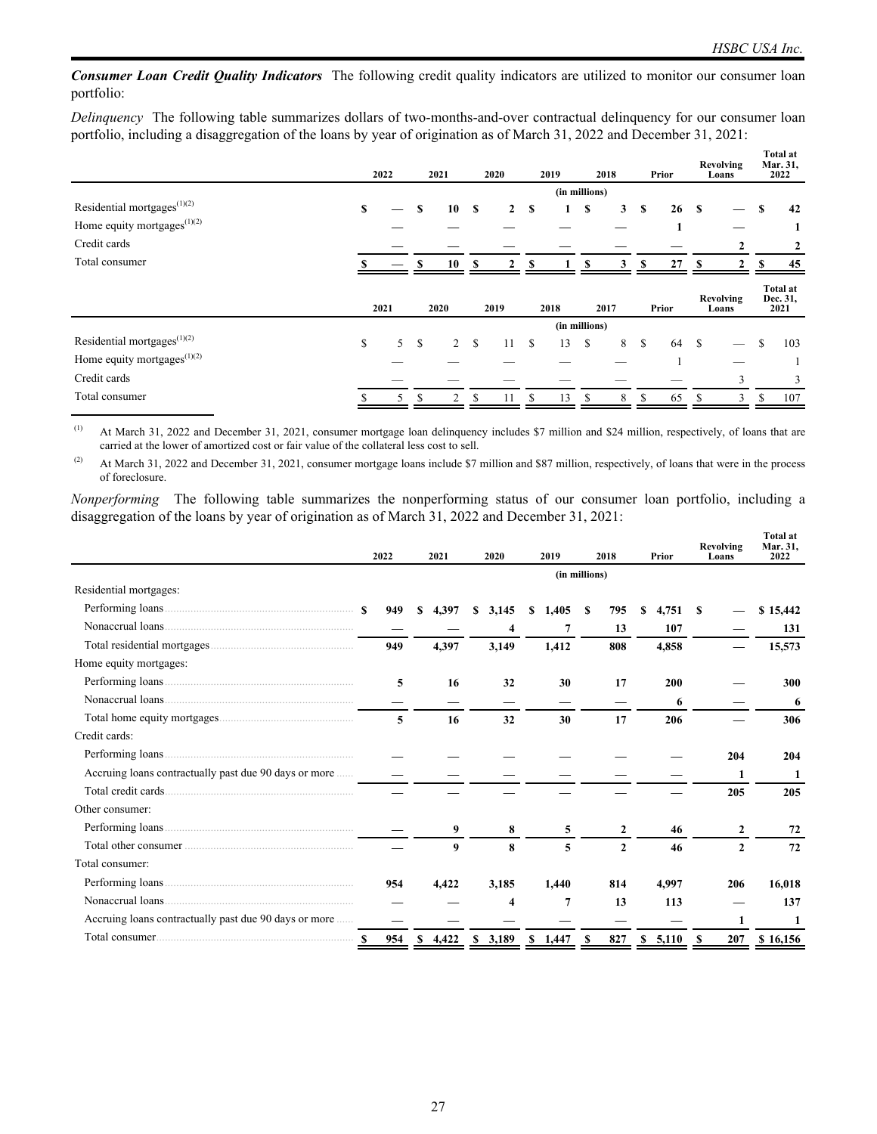*Consumer Loan Credit Quality Indicators* The following credit quality indicators are utilized to monitor our consumer loan portfolio:

*Delinquency* The following table summarizes dollars of two-months-and-over contractual delinquency for our consumer loan portfolio, including a disaggregation of the loans by year of origination as of March 31, 2022 and December 31, 2021:

|                                         |    | 2022 |               | 2021           |               | 2020         |               | 2019 |               | 2018         |               | Prior |            | <b>Revolving</b><br>Loans |     | <b>Total at</b><br>Mar. 31,<br>2022 |
|-----------------------------------------|----|------|---------------|----------------|---------------|--------------|---------------|------|---------------|--------------|---------------|-------|------------|---------------------------|-----|-------------------------------------|
|                                         |    |      |               |                |               |              |               |      | (in millions) |              |               |       |            |                           |     |                                     |
| Residential mortgages <sup>(1)(2)</sup> | S  |      | S             | 10             | <b>S</b>      | $\mathbf{2}$ | S             | 1    | S             | $\mathbf{3}$ | <sup>\$</sup> | 26    | <b>S</b>   |                           | \$  | 42                                  |
| Home equity mortgages <sup>(1)(2)</sup> |    |      |               |                |               |              |               |      |               |              |               | 1     |            |                           |     | 1                                   |
| Credit cards                            |    |      |               |                |               |              |               |      |               |              |               |       |            | 2                         |     | 2                                   |
| Total consumer                          |    |      |               | 10             |               |              |               |      |               | 3            | \$            | 27    |            | ኅ                         |     | 45                                  |
|                                         |    | 2021 |               | 2020           |               | 2019         |               | 2018 |               | 2017         |               | Prior |            | <b>Revolving</b><br>Loans |     | <b>Total at</b><br>Dec. 31,<br>2021 |
|                                         |    |      |               |                |               |              |               |      | (in millions) |              |               |       |            |                           |     |                                     |
| Residential mortgages <sup>(1)(2)</sup> | \$ | 5    | <sup>\$</sup> | $\overline{2}$ | <sup>\$</sup> | 11           | <sup>\$</sup> | 13   | -S            | 8            | <sup>\$</sup> | 64    | $^{\circ}$ |                           | \$. | 103                                 |
|                                         |    |      |               |                |               |              |               |      |               |              |               |       |            |                           |     |                                     |
| Home equity mortgages $(1)(2)$          |    |      |               |                |               |              |               |      |               |              |               |       |            |                           |     |                                     |
| Credit cards                            |    |      |               |                |               |              |               |      |               |              |               |       |            | 3                         |     | 3                                   |

(1) At March 31, 2022 and December 31, 2021, consumer mortgage loan delinquency includes \$7 million and \$24 million, respectively, of loans that are carried at the lower of amortized cost or fair value of the collateral less cost to sell.

<sup>(2)</sup> At March 31, 2022 and December 31, 2021, consumer mortgage loans include \$7 million and \$87 million, respectively, of loans that were in the process of foreclosure.

*Nonperforming* The following table summarizes the nonperforming status of our consumer loan portfolio, including a disaggregation of the loans by year of origination as of March 31, 2022 and December 31, 2021:

|                                                       | 2022                |   | 2021    |   | 2020    |   | 2019    |               | 2018         |   | Prior      |     | <b>Revolving</b><br>Loans | <b>Total at</b><br>Mar. 31,<br>2022 |
|-------------------------------------------------------|---------------------|---|---------|---|---------|---|---------|---------------|--------------|---|------------|-----|---------------------------|-------------------------------------|
|                                                       |                     |   |         |   |         |   |         | (in millions) |              |   |            |     |                           |                                     |
| Residential mortgages:                                |                     |   |         |   |         |   |         |               |              |   |            |     |                           |                                     |
|                                                       | $\mathbf{s}$<br>949 | S | 4,397   | S | 3,145   | S | 1.405   | S             | 795          | S | 4.751      | SS. |                           | \$15,442                            |
|                                                       |                     |   |         |   | 4       |   | 7       |               | 13           |   | 107        |     |                           | 131                                 |
|                                                       | 949                 |   | 4,397   |   | 3,149   |   | 1,412   |               | 808          |   | 4,858      |     |                           | 15,573                              |
| Home equity mortgages:                                |                     |   |         |   |         |   |         |               |              |   |            |     |                           |                                     |
|                                                       | 5                   |   | 16      |   | 32      |   | 30      |               | 17           |   | <b>200</b> |     |                           | <b>300</b>                          |
|                                                       |                     |   |         |   |         |   |         |               |              |   | 6          |     |                           | 6                                   |
|                                                       | 5                   |   | 16      |   | 32      |   | 30      |               | 17           |   | 206        |     |                           | 306                                 |
| Credit cards:                                         |                     |   |         |   |         |   |         |               |              |   |            |     |                           |                                     |
|                                                       |                     |   |         |   |         |   |         |               |              |   |            |     | 204                       | 204                                 |
| Accruing loans contractually past due 90 days or more |                     |   |         |   |         |   |         |               |              |   |            |     | 1                         | -1                                  |
|                                                       |                     |   |         |   |         |   |         |               |              |   |            |     | 205                       | 205                                 |
| Other consumer:                                       |                     |   |         |   |         |   |         |               |              |   |            |     |                           |                                     |
|                                                       |                     |   | 9       |   | 8       |   | 5       |               | $\mathbf{2}$ |   | 46         |     | $\mathbf{2}$              | 72                                  |
|                                                       |                     |   | 9       |   | 8       |   | 5       |               | $\mathbf{2}$ |   | 46         |     | $\mathbf{2}$              | 72                                  |
| Total consumer:                                       |                     |   |         |   |         |   |         |               |              |   |            |     |                           |                                     |
|                                                       | 954                 |   | 4,422   |   | 3,185   |   | 1,440   |               | 814          |   | 4,997      |     | 206                       | 16,018                              |
|                                                       |                     |   |         |   |         |   | 7       |               | 13           |   | 113        |     |                           | 137                                 |
| Accruing loans contractually past due 90 days or more |                     |   |         |   |         |   |         |               |              |   |            |     | 1                         | -1                                  |
|                                                       | 954<br>S            |   | \$4,422 |   | \$3,189 |   | \$1,447 | \$            | 827          |   | \$5,110    | S   | 207                       | \$16,156                            |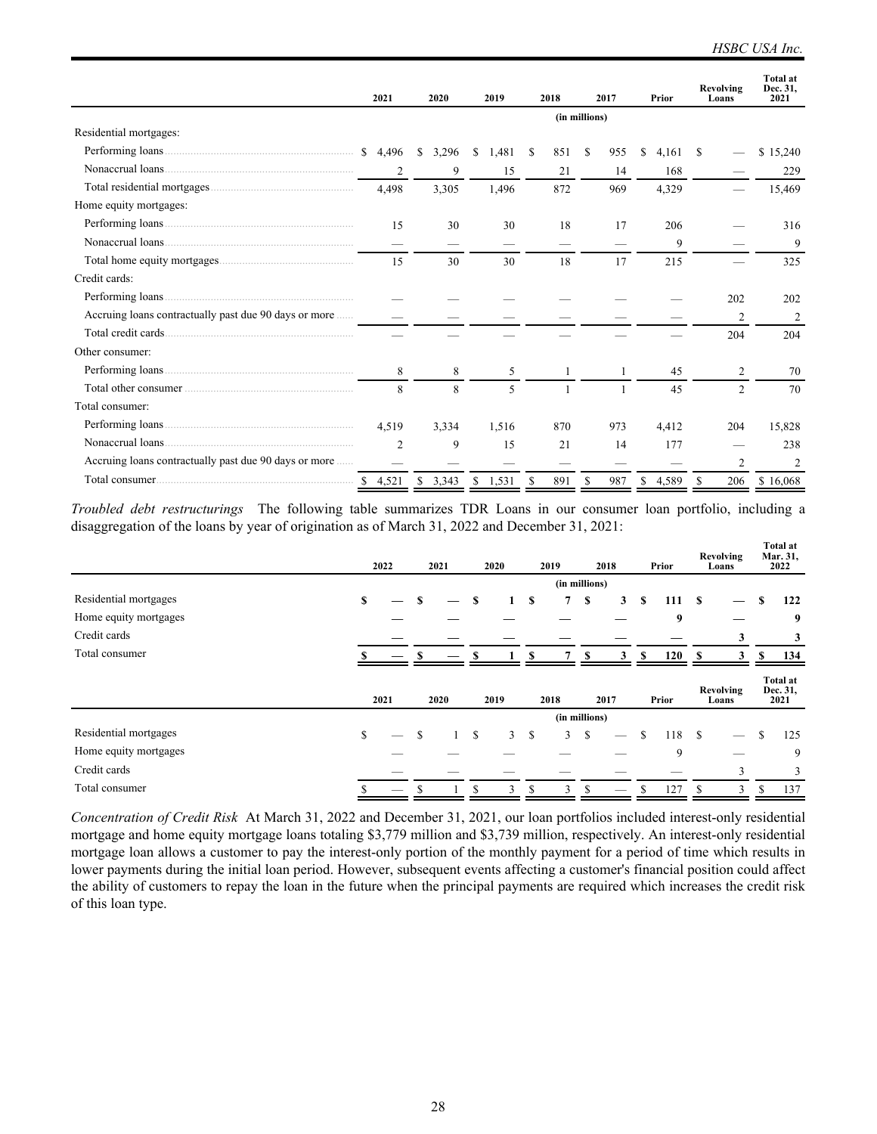*HSBC USA Inc.*

|                                                       | 2021           | 2020         | 2019       | 2018     | 2017          | Prior      | Revolving<br>Loans | <b>Total at</b><br>Dec. 31,<br>2021 |
|-------------------------------------------------------|----------------|--------------|------------|----------|---------------|------------|--------------------|-------------------------------------|
|                                                       |                |              |            |          | (in millions) |            |                    |                                     |
| Residential mortgages:                                |                |              |            |          |               |            |                    |                                     |
|                                                       | 4,496          | \$<br>3,296  | 1,481<br>S | 851<br>S | 955<br>S      | S<br>4,161 | S                  | \$15,240                            |
|                                                       | $\overline{2}$ | 9            | 15         | 21       | 14            | 168        |                    | 229                                 |
|                                                       | 4,498          | 3,305        | 1,496      | 872      | 969           | 4,329      |                    | 15,469                              |
| Home equity mortgages:                                |                |              |            |          |               |            |                    |                                     |
|                                                       | 15             | 30           | 30         | 18       | 17            | 206        |                    | 316                                 |
|                                                       |                |              |            |          |               | 9          |                    | 9                                   |
|                                                       | 15             | 30           | 30         | 18       | 17            | 215        |                    | 325                                 |
| Credit cards:                                         |                |              |            |          |               |            |                    |                                     |
|                                                       |                |              |            |          |               |            | 202                | 202                                 |
| Accruing loans contractually past due 90 days or more |                |              |            |          |               |            | 2                  | $\overline{c}$                      |
| Total credit cards                                    |                |              |            |          |               |            | 204                | 204                                 |
| Other consumer:                                       |                |              |            |          |               |            |                    |                                     |
|                                                       | 8              | 8            | 5          |          |               | 45         | 2                  | 70                                  |
|                                                       | 8              | $\mathbf{8}$ | 5          |          |               | 45         | $\mathfrak{D}$     | 70                                  |
| Total consumer:                                       |                |              |            |          |               |            |                    |                                     |
|                                                       | 4,519          | 3,334        | 1,516      | 870      | 973           | 4,412      | 204                | 15,828                              |
| Nonaccrual loans                                      | $\overline{2}$ | 9            | 15         | 21       | 14            | 177        |                    | 238                                 |
| Accruing loans contractually past due 90 days or more |                |              |            |          |               |            | 2                  | $\overline{c}$                      |
|                                                       | 4,521          | 3,343<br>\$  | 1,531      | 891      | 987           | 4,589      | 206                | \$16,068                            |
|                                                       |                |              |            |          |               |            |                    |                                     |

*Troubled debt restructurings* The following table summarizes TDR Loans in our consumer loan portfolio, including a disaggregation of the loans by year of origination as of March 31, 2022 and December 31, 2021:

|                       | 2022 |   | 2021 |   | 2020         |   | 2019          |               | 2018 |    | Prior |    | Revolving<br>Loans |    | Total at<br>Mar. 31,<br>2022 |
|-----------------------|------|---|------|---|--------------|---|---------------|---------------|------|----|-------|----|--------------------|----|------------------------------|
|                       |      |   |      |   |              |   | (in millions) |               |      |    |       |    |                    |    |                              |
| Residential mortgages | \$   |   |      | S | 1            | S | $7^{\circ}$   | S             | 3    | S  | 111   | -S |                    | S  | 122                          |
| Home equity mortgages |      |   |      |   |              |   |               |               |      |    | 9     |    |                    |    | 9                            |
| Credit cards          |      |   |      |   |              |   |               |               |      |    |       |    | 3                  |    | 3                            |
| Total consumer        |      |   |      |   |              |   |               | \$            | 3    | \$ | 120   |    | 3                  | \$ | 134                          |
|                       |      |   |      |   |              |   |               |               |      |    |       |    |                    |    |                              |
|                       | 2021 |   | 2020 |   | 2019         |   | 2018          |               | 2017 |    | Prior |    | Revolving<br>Loans |    | Total at<br>Dec. 31,<br>2021 |
|                       |      |   |      |   |              |   | (in millions) |               |      |    |       |    |                    |    |                              |
| Residential mortgages | \$   | S |      | S | $\mathbf{3}$ | S | 3             | <sup>\$</sup> |      | S  | 118   | S  |                    | S  | 125                          |
| Home equity mortgages |      |   |      |   |              |   |               |               |      |    | 9     |    |                    |    | 9                            |
| Credit cards          |      |   |      |   |              |   |               |               |      |    |       |    | 3                  |    | 3                            |

*Concentration of Credit Risk* At March 31, 2022 and December 31, 2021, our loan portfolios included interest-only residential mortgage and home equity mortgage loans totaling \$3,779 million and \$3,739 million, respectively. An interest-only residential mortgage loan allows a customer to pay the interest-only portion of the monthly payment for a period of time which results in lower payments during the initial loan period. However, subsequent events affecting a customer's financial position could affect the ability of customers to repay the loan in the future when the principal payments are required which increases the credit risk of this loan type.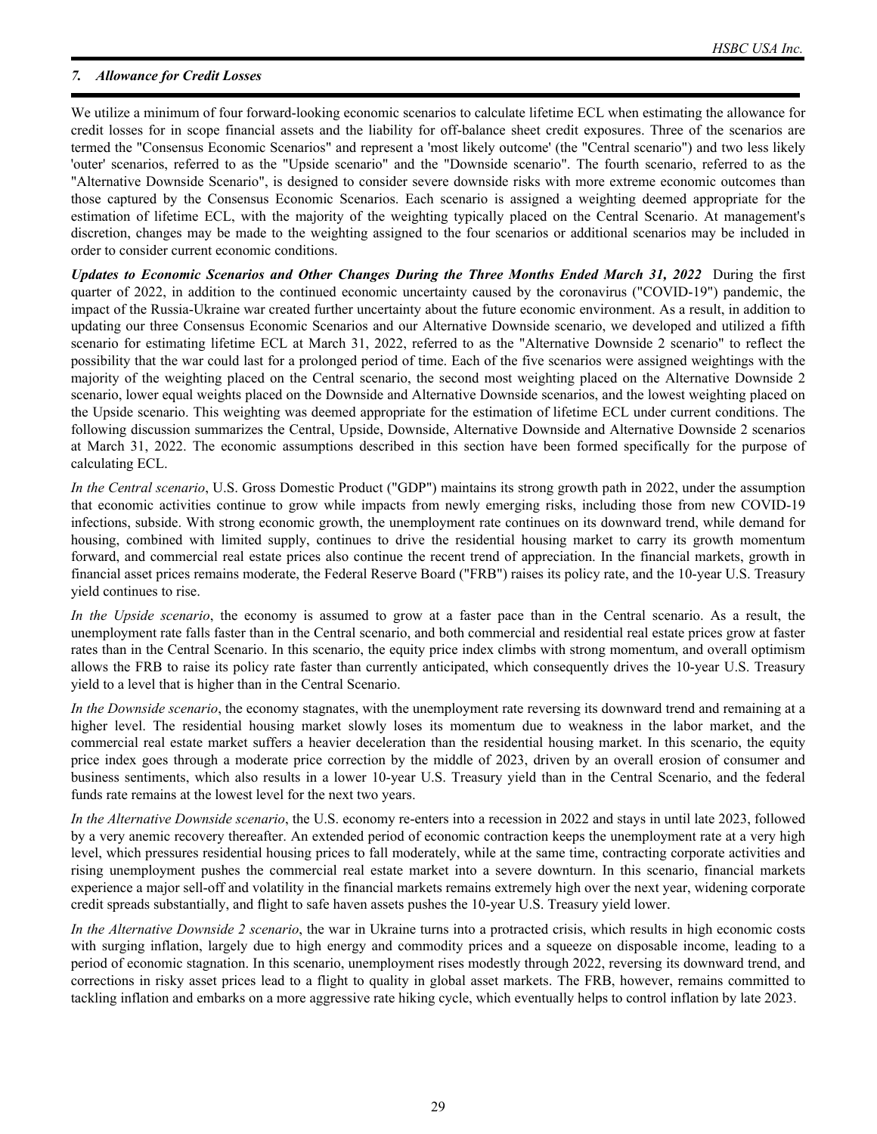#### <span id="page-28-0"></span>*7. Allowance for Credit Losses*

We utilize a minimum of four forward-looking economic scenarios to calculate lifetime ECL when estimating the allowance for credit losses for in scope financial assets and the liability for off-balance sheet credit exposures. Three of the scenarios are termed the "Consensus Economic Scenarios" and represent a 'most likely outcome' (the "Central scenario") and two less likely 'outer' scenarios, referred to as the "Upside scenario" and the "Downside scenario". The fourth scenario, referred to as the "Alternative Downside Scenario", is designed to consider severe downside risks with more extreme economic outcomes than those captured by the Consensus Economic Scenarios. Each scenario is assigned a weighting deemed appropriate for the estimation of lifetime ECL, with the majority of the weighting typically placed on the Central Scenario. At management's discretion, changes may be made to the weighting assigned to the four scenarios or additional scenarios may be included in order to consider current economic conditions.

*Updates to Economic Scenarios and Other Changes During the Three Months Ended March 31, 2022* During the first quarter of 2022, in addition to the continued economic uncertainty caused by the coronavirus ("COVID-19") pandemic, the impact of the Russia-Ukraine war created further uncertainty about the future economic environment. As a result, in addition to updating our three Consensus Economic Scenarios and our Alternative Downside scenario, we developed and utilized a fifth scenario for estimating lifetime ECL at March 31, 2022, referred to as the "Alternative Downside 2 scenario" to reflect the possibility that the war could last for a prolonged period of time. Each of the five scenarios were assigned weightings with the majority of the weighting placed on the Central scenario, the second most weighting placed on the Alternative Downside 2 scenario, lower equal weights placed on the Downside and Alternative Downside scenarios, and the lowest weighting placed on the Upside scenario. This weighting was deemed appropriate for the estimation of lifetime ECL under current conditions. The following discussion summarizes the Central, Upside, Downside, Alternative Downside and Alternative Downside 2 scenarios at March 31, 2022. The economic assumptions described in this section have been formed specifically for the purpose of calculating ECL.

*In the Central scenario*, U.S. Gross Domestic Product ("GDP") maintains its strong growth path in 2022, under the assumption that economic activities continue to grow while impacts from newly emerging risks, including those from new COVID-19 infections, subside. With strong economic growth, the unemployment rate continues on its downward trend, while demand for housing, combined with limited supply, continues to drive the residential housing market to carry its growth momentum forward, and commercial real estate prices also continue the recent trend of appreciation. In the financial markets, growth in financial asset prices remains moderate, the Federal Reserve Board ("FRB") raises its policy rate, and the 10-year U.S. Treasury yield continues to rise.

*In the Upside scenario*, the economy is assumed to grow at a faster pace than in the Central scenario. As a result, the unemployment rate falls faster than in the Central scenario, and both commercial and residential real estate prices grow at faster rates than in the Central Scenario. In this scenario, the equity price index climbs with strong momentum, and overall optimism allows the FRB to raise its policy rate faster than currently anticipated, which consequently drives the 10-year U.S. Treasury yield to a level that is higher than in the Central Scenario.

*In the Downside scenario*, the economy stagnates, with the unemployment rate reversing its downward trend and remaining at a higher level. The residential housing market slowly loses its momentum due to weakness in the labor market, and the commercial real estate market suffers a heavier deceleration than the residential housing market. In this scenario, the equity price index goes through a moderate price correction by the middle of 2023, driven by an overall erosion of consumer and business sentiments, which also results in a lower 10-year U.S. Treasury yield than in the Central Scenario, and the federal funds rate remains at the lowest level for the next two years.

*In the Alternative Downside scenario*, the U.S. economy re-enters into a recession in 2022 and stays in until late 2023, followed by a very anemic recovery thereafter. An extended period of economic contraction keeps the unemployment rate at a very high level, which pressures residential housing prices to fall moderately, while at the same time, contracting corporate activities and rising unemployment pushes the commercial real estate market into a severe downturn. In this scenario, financial markets experience a major sell-off and volatility in the financial markets remains extremely high over the next year, widening corporate credit spreads substantially, and flight to safe haven assets pushes the 10-year U.S. Treasury yield lower.

*In the Alternative Downside 2 scenario*, the war in Ukraine turns into a protracted crisis, which results in high economic costs with surging inflation, largely due to high energy and commodity prices and a squeeze on disposable income, leading to a period of economic stagnation. In this scenario, unemployment rises modestly through 2022, reversing its downward trend, and corrections in risky asset prices lead to a flight to quality in global asset markets. The FRB, however, remains committed to tackling inflation and embarks on a more aggressive rate hiking cycle, which eventually helps to control inflation by late 2023.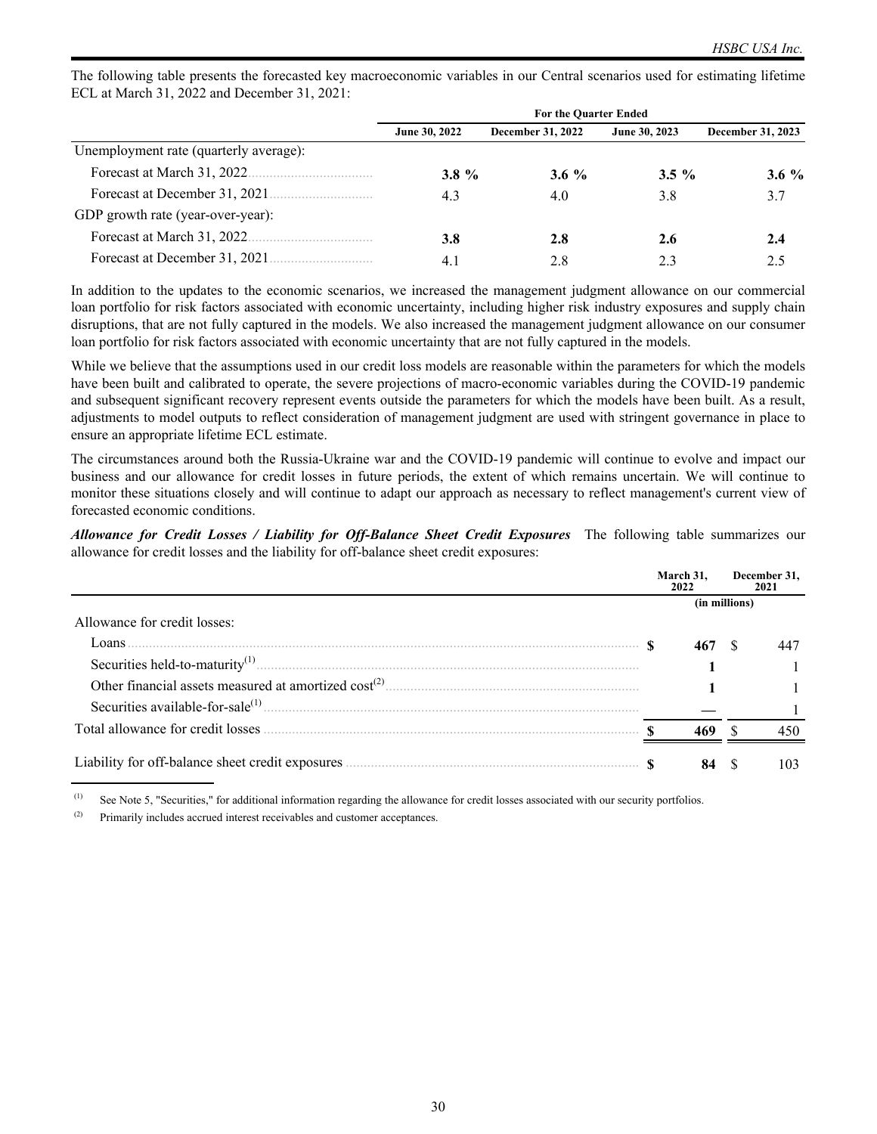|                                        |               | <b>For the Quarter Ended</b> |               |                   |
|----------------------------------------|---------------|------------------------------|---------------|-------------------|
|                                        | June 30, 2022 | December 31, 2022            | June 30, 2023 | December 31, 2023 |
| Unemployment rate (quarterly average): |               |                              |               |                   |
| Forecast at March 31, 2022.            | 3.8 $%$       | 3.6 $\%$                     | $3.5 \%$      | $3.6\%$           |
| Forecast at December 31, 2021          | 4.3           | 4.0                          | 3.8           | 3.7               |
| GDP growth rate (year-over-year):      |               |                              |               |                   |
| Forecast at March 31, 2022.            | 3.8           | 2.8                          | 2.6           | 2.4               |
| Forecast at December 31, 2021          | 4.1           | 2.8                          | 2.3           | 2.5               |

The following table presents the forecasted key macroeconomic variables in our Central scenarios used for estimating lifetime ECL at March 31, 2022 and December 31, 2021:

In addition to the updates to the economic scenarios, we increased the management judgment allowance on our commercial loan portfolio for risk factors associated with economic uncertainty, including higher risk industry exposures and supply chain disruptions, that are not fully captured in the models. We also increased the management judgment allowance on our consumer loan portfolio for risk factors associated with economic uncertainty that are not fully captured in the models.

While we believe that the assumptions used in our credit loss models are reasonable within the parameters for which the models have been built and calibrated to operate, the severe projections of macro-economic variables during the COVID-19 pandemic and subsequent significant recovery represent events outside the parameters for which the models have been built. As a result, adjustments to model outputs to reflect consideration of management judgment are used with stringent governance in place to ensure an appropriate lifetime ECL estimate.

The circumstances around both the Russia-Ukraine war and the COVID-19 pandemic will continue to evolve and impact our business and our allowance for credit losses in future periods, the extent of which remains uncertain. We will continue to monitor these situations closely and will continue to adapt our approach as necessary to reflect management's current view of forecasted economic conditions.

*Allowance for Credit Losses / Liability for Off-Balance Sheet Credit Exposures* The following table summarizes our allowance for credit losses and the liability for off-balance sheet credit exposures:

|                              | March 31,<br>2022 |     |               | December 31,<br>2021 |
|------------------------------|-------------------|-----|---------------|----------------------|
|                              |                   |     | (in millions) |                      |
| Allowance for credit losses: |                   |     |               |                      |
| Loans.                       |                   | 467 |               | 447                  |
|                              |                   |     |               |                      |
|                              |                   |     |               |                      |
|                              |                   |     |               |                      |
|                              |                   |     |               | 450                  |
|                              |                   |     |               | 103                  |

<sup>(1)</sup> See Note 5, "Securities," for additional information regarding the allowance for credit losses associated with our security portfolios.

<sup>(2)</sup> Primarily includes accrued interest receivables and customer acceptances.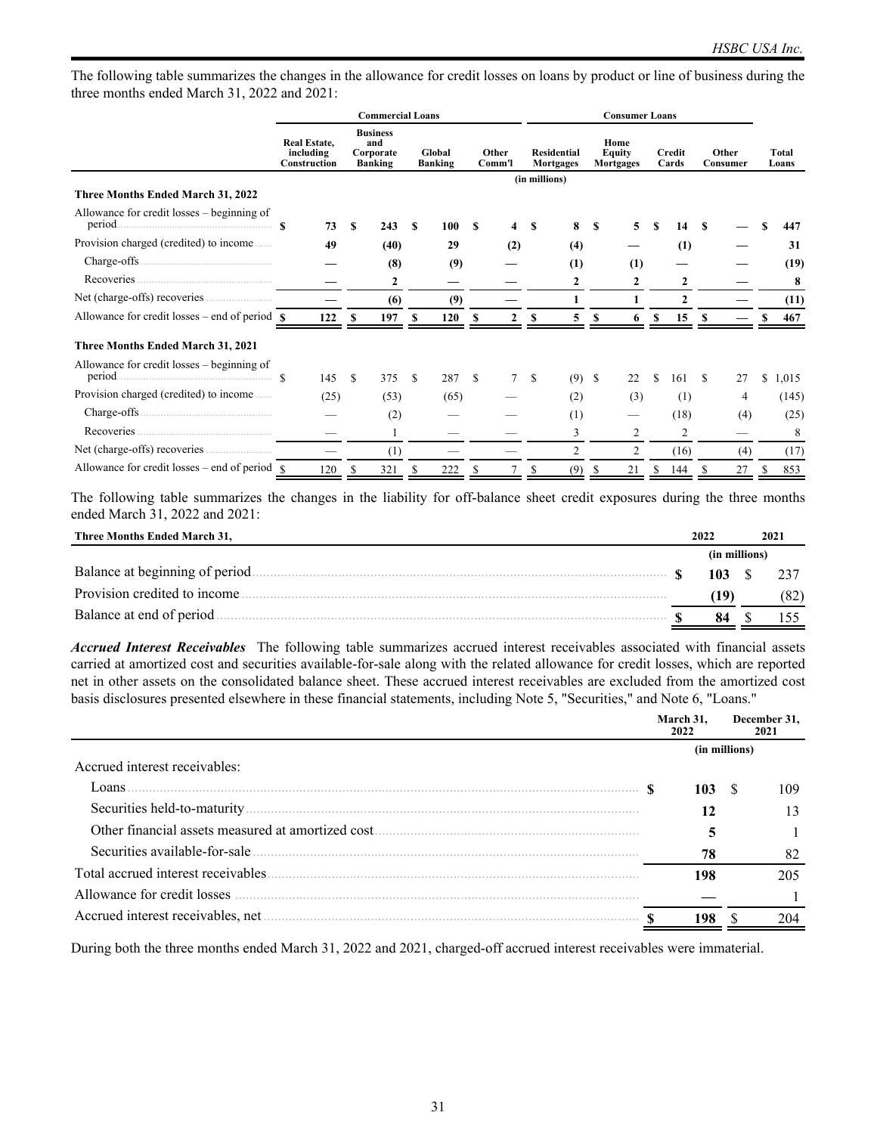The following table summarizes the changes in the allowance for credit losses on loans by product or line of business during the three months ended March 31, 2022 and 2021:

|                                                                     |    |                                                  |     | <b>Commercial Loans</b>                               |     |                          |     |                 |               |                                 |    | <b>Consumer Loans</b>              |    |                 |    |                   |    |                |
|---------------------------------------------------------------------|----|--------------------------------------------------|-----|-------------------------------------------------------|-----|--------------------------|-----|-----------------|---------------|---------------------------------|----|------------------------------------|----|-----------------|----|-------------------|----|----------------|
|                                                                     |    | <b>Real Estate.</b><br>including<br>Construction |     | <b>Business</b><br>and<br>Corporate<br><b>Banking</b> |     | Global<br><b>Banking</b> |     | Other<br>Comm'l | (in millions) | <b>Residential</b><br>Mortgages |    | Home<br><b>Equity</b><br>Mortgages |    | Credit<br>Cards |    | Other<br>Consumer |    | Total<br>Loans |
| Three Months Ended March 31, 2022                                   |    |                                                  |     |                                                       |     |                          |     |                 |               |                                 |    |                                    |    |                 |    |                   |    |                |
| Allowance for credit losses – beginning of<br>$period$ $\mathbb{S}$ |    | 73                                               | -S  | 243                                                   | S   | 100                      | S   | 4               | -S            | 8                               | S  | 5                                  | S  | 14              | £. |                   |    | 447            |
| Provision charged (credited) to income                              |    | 49                                               |     | (40)                                                  |     | 29                       |     | (2)             |               | (4)                             |    |                                    |    | (1)             |    |                   |    | 31             |
| Charge-offs                                                         |    |                                                  |     | (8)                                                   |     | (9)                      |     |                 |               | (1)                             |    | (1)                                |    |                 |    |                   |    | (19)           |
| Recoveries.                                                         |    |                                                  |     | 2                                                     |     |                          |     |                 |               | 2                               |    | 2                                  |    | 2               |    |                   |    | 8              |
|                                                                     |    |                                                  |     | (6)                                                   |     | (9)                      |     |                 |               |                                 |    |                                    |    | $\mathbf{2}$    |    |                   |    | (11)           |
| Allowance for credit losses – end of period $\,$                    |    | 122                                              | S   | 197                                                   | S   | 120                      | S   | 2               | S             | 5                               | S  | 6                                  | S  | 15              | S  |                   |    | 467            |
| Three Months Ended March 31, 2021                                   |    |                                                  |     |                                                       |     |                          |     |                 |               |                                 |    |                                    |    |                 |    |                   |    |                |
| Allowance for credit losses – beginning of                          | -S | 145                                              | \$. | 375                                                   | \$. | 287                      | \$. | 7               | -S            | (9)                             | -S | 22                                 | S  | 161             | -S | 27                | \$ | 1,015          |
| Provision charged (credited) to income                              |    | (25)                                             |     | (53)                                                  |     | (65)                     |     |                 |               | (2)                             |    | (3)                                |    | (1)             |    | $\overline{4}$    |    | (145)          |
| Charge-offs                                                         |    |                                                  |     | (2)                                                   |     |                          |     |                 |               | (1)                             |    |                                    |    | (18)            |    | (4)               |    | (25)           |
|                                                                     |    |                                                  |     |                                                       |     |                          |     |                 |               | 3                               |    | 2                                  |    | 2               |    |                   |    | 8              |
|                                                                     |    |                                                  |     | (1)                                                   |     |                          |     |                 |               | 2                               |    | 2                                  |    | (16)            |    | (4)               |    | (17)           |
| Allowance for credit losses – end of period $\,$ \$                 |    | 120                                              |     | 321                                                   |     | 222                      |     |                 |               | (9)                             | S  | 21                                 | \$ | 144             | S  | 27                | S  | 853            |

The following table summarizes the changes in the liability for off-balance sheet credit exposures during the three months ended March 31, 2022 and 2021:

| Three Months Ended March 31,    | 2022          |  | 2021 |
|---------------------------------|---------------|--|------|
|                                 | (in millions) |  |      |
| Balance at beginning of period. | 103           |  | 237  |
| Provision credited to income.   | (19           |  | (82) |
| Balance at end of period.       |               |  |      |

*Accrued Interest Receivables* The following table summarizes accrued interest receivables associated with financial assets carried at amortized cost and securities available-for-sale along with the related allowance for credit losses, which are reported net in other assets on the consolidated balance sheet. These accrued interest receivables are excluded from the amortized cost basis disclosures presented elsewhere in these financial statements, including Note 5, "Securities," and Note 6, "Loans."

|                                                                                          | March 31,<br>2022 | December 31,<br>2021 |  |
|------------------------------------------------------------------------------------------|-------------------|----------------------|--|
|                                                                                          | (in millions)     |                      |  |
| Accrued interest receivables:                                                            |                   |                      |  |
| Loans                                                                                    | 103               | 109<br>-S            |  |
|                                                                                          |                   | 13                   |  |
|                                                                                          |                   |                      |  |
| Securities available-for-sale <i>manual</i> content of the securities available-for-sale | 78                | 82                   |  |
| Total accrued interest receivables.                                                      | 198               | 205                  |  |
|                                                                                          |                   |                      |  |
|                                                                                          |                   |                      |  |
|                                                                                          |                   |                      |  |

During both the three months ended March 31, 2022 and 2021, charged-off accrued interest receivables were immaterial.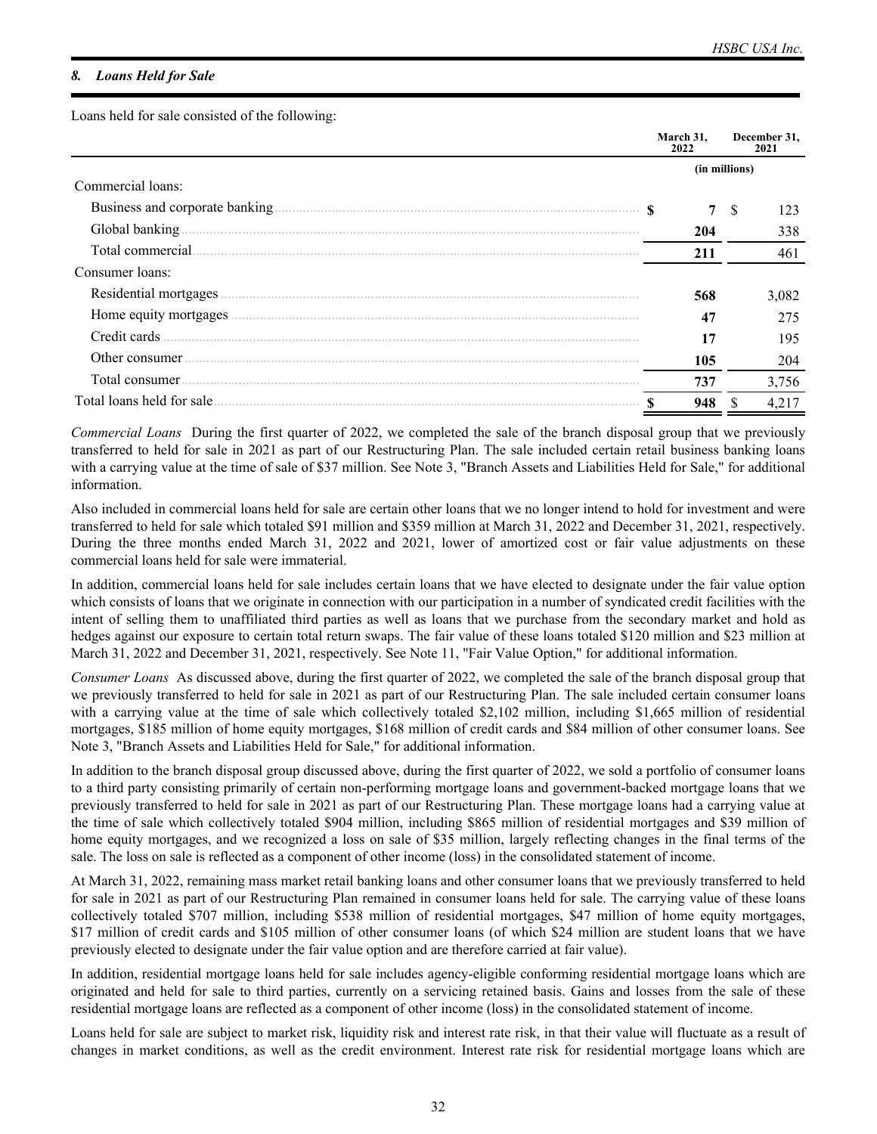#### <span id="page-31-0"></span>*8. Loans Held for Sale*

Loans held for sale consisted of the following:

|                                | March 31,<br>2022 | December 31,<br>2021 |  |  |
|--------------------------------|-------------------|----------------------|--|--|
|                                | (in millions)     |                      |  |  |
| Commercial loans:              |                   |                      |  |  |
| Business and corporate banking |                   | \$.<br>123           |  |  |
|                                | 204               | 338                  |  |  |
| Total commercial               | 211               | 461                  |  |  |
| Consumer loans:                |                   |                      |  |  |
|                                | 568               | 3,082                |  |  |
|                                | 47                | 275                  |  |  |
|                                | 17                | 195                  |  |  |
| Other consumer.                | 105               | 204                  |  |  |
| Total consumer                 | 737               | 3,756                |  |  |
| Total loans held for sale.     | 948               | 4,217                |  |  |

*Commercial Loans* During the first quarter of 2022, we completed the sale of the branch disposal group that we previously transferred to held for sale in 2021 as part of our Restructuring Plan. The sale included certain retail business banking loans with a carrying value at the time of sale of \$37 million. See Note 3, "Branch Assets and Liabilities Held for Sale," for additional information.

Also included in commercial loans held for sale are certain other loans that we no longer intend to hold for investment and were transferred to held for sale which totaled \$91 million and \$359 million at March 31, 2022 and December 31, 2021, respectively. During the three months ended March 31, 2022 and 2021, lower of amortized cost or fair value adjustments on these commercial loans held for sale were immaterial.

In addition, commercial loans held for sale includes certain loans that we have elected to designate under the fair value option which consists of loans that we originate in connection with our participation in a number of syndicated credit facilities with the intent of selling them to unaffiliated third parties as well as loans that we purchase from the secondary market and hold as hedges against our exposure to certain total return swaps. The fair value of these loans totaled \$120 million and \$23 million at March 31, 2022 and December 31, 2021, respectively. See Note 11, "Fair Value Option," for additional information.

*Consumer Loans* As discussed above, during the first quarter of 2022, we completed the sale of the branch disposal group that we previously transferred to held for sale in 2021 as part of our Restructuring Plan. The sale included certain consumer loans with a carrying value at the time of sale which collectively totaled \$2,102 million, including \$1,665 million of residential mortgages, \$185 million of home equity mortgages, \$168 million of credit cards and \$84 million of other consumer loans. See Note 3, "Branch Assets and Liabilities Held for Sale," for additional information.

In addition to the branch disposal group discussed above, during the first quarter of 2022, we sold a portfolio of consumer loans to a third party consisting primarily of certain non-performing mortgage loans and government-backed mortgage loans that we previously transferred to held for sale in 2021 as part of our Restructuring Plan. These mortgage loans had a carrying value at the time of sale which collectively totaled \$904 million, including \$865 million of residential mortgages and \$39 million of home equity mortgages, and we recognized a loss on sale of \$35 million, largely reflecting changes in the final terms of the sale. The loss on sale is reflected as a component of other income (loss) in the consolidated statement of income.

At March 31, 2022, remaining mass market retail banking loans and other consumer loans that we previously transferred to held for sale in 2021 as part of our Restructuring Plan remained in consumer loans held for sale. The carrying value of these loans collectively totaled \$707 million, including \$538 million of residential mortgages, \$47 million of home equity mortgages, \$17 million of credit cards and \$105 million of other consumer loans (of which \$24 million are student loans that we have previously elected to designate under the fair value option and are therefore carried at fair value).

In addition, residential mortgage loans held for sale includes agency-eligible conforming residential mortgage loans which are originated and held for sale to third parties, currently on a servicing retained basis. Gains and losses from the sale of these residential mortgage loans are reflected as a component of other income (loss) in the consolidated statement of income.

Loans held for sale are subject to market risk, liquidity risk and interest rate risk, in that their value will fluctuate as a result of changes in market conditions, as well as the credit environment. Interest rate risk for residential mortgage loans which are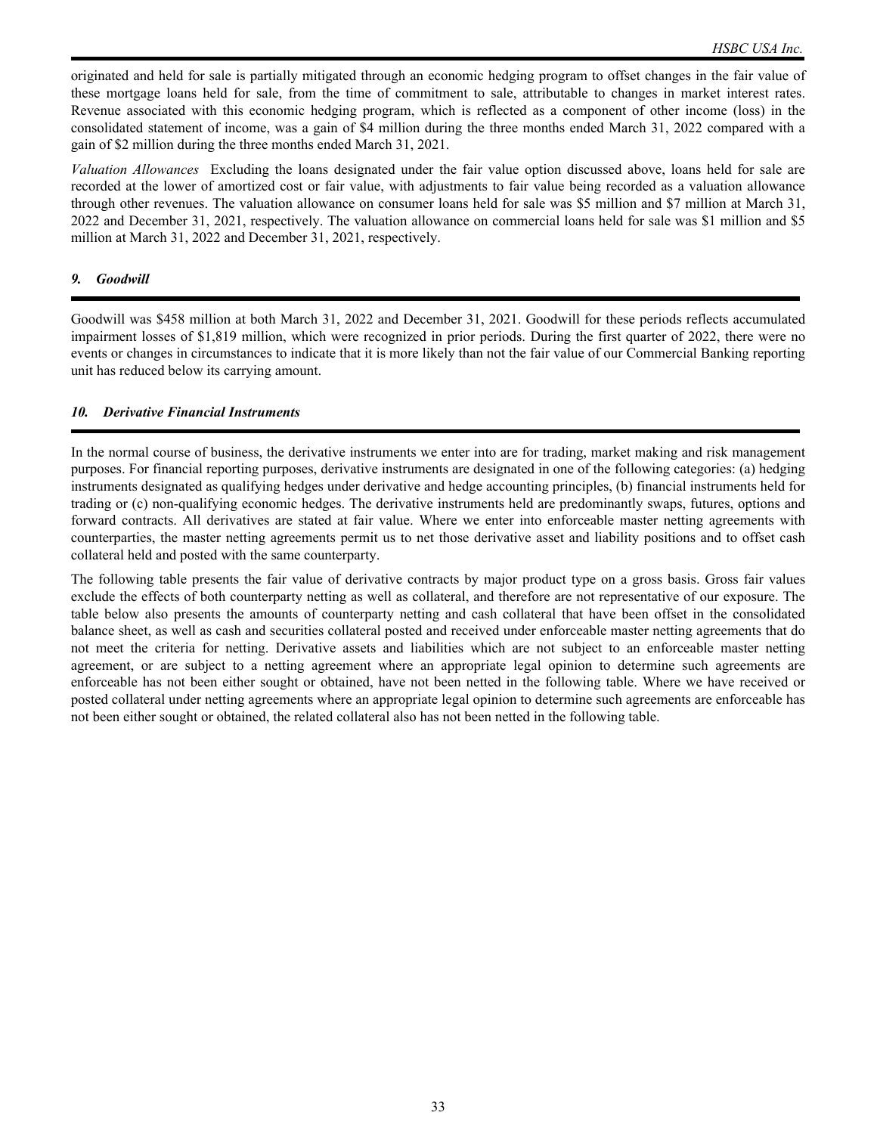<span id="page-32-0"></span>originated and held for sale is partially mitigated through an economic hedging program to offset changes in the fair value of these mortgage loans held for sale, from the time of commitment to sale, attributable to changes in market interest rates. Revenue associated with this economic hedging program, which is reflected as a component of other income (loss) in the consolidated statement of income, was a gain of \$4 million during the three months ended March 31, 2022 compared with a gain of \$2 million during the three months ended March 31, 2021.

*Valuation Allowances* Excluding the loans designated under the fair value option discussed above, loans held for sale are recorded at the lower of amortized cost or fair value, with adjustments to fair value being recorded as a valuation allowance through other revenues. The valuation allowance on consumer loans held for sale was \$5 million and \$7 million at March 31, 2022 and December 31, 2021, respectively. The valuation allowance on commercial loans held for sale was \$1 million and \$5 million at March 31, 2022 and December 31, 2021, respectively.

### *9. Goodwill*

Goodwill was \$458 million at both March 31, 2022 and December 31, 2021. Goodwill for these periods reflects accumulated impairment losses of \$1,819 million, which were recognized in prior periods. During the first quarter of 2022, there were no events or changes in circumstances to indicate that it is more likely than not the fair value of our Commercial Banking reporting unit has reduced below its carrying amount.

### *10. Derivative Financial Instruments*

In the normal course of business, the derivative instruments we enter into are for trading, market making and risk management purposes. For financial reporting purposes, derivative instruments are designated in one of the following categories: (a) hedging instruments designated as qualifying hedges under derivative and hedge accounting principles, (b) financial instruments held for trading or (c) non-qualifying economic hedges. The derivative instruments held are predominantly swaps, futures, options and forward contracts. All derivatives are stated at fair value. Where we enter into enforceable master netting agreements with counterparties, the master netting agreements permit us to net those derivative asset and liability positions and to offset cash collateral held and posted with the same counterparty.

The following table presents the fair value of derivative contracts by major product type on a gross basis. Gross fair values exclude the effects of both counterparty netting as well as collateral, and therefore are not representative of our exposure. The table below also presents the amounts of counterparty netting and cash collateral that have been offset in the consolidated balance sheet, as well as cash and securities collateral posted and received under enforceable master netting agreements that do not meet the criteria for netting. Derivative assets and liabilities which are not subject to an enforceable master netting agreement, or are subject to a netting agreement where an appropriate legal opinion to determine such agreements are enforceable has not been either sought or obtained, have not been netted in the following table. Where we have received or posted collateral under netting agreements where an appropriate legal opinion to determine such agreements are enforceable has not been either sought or obtained, the related collateral also has not been netted in the following table.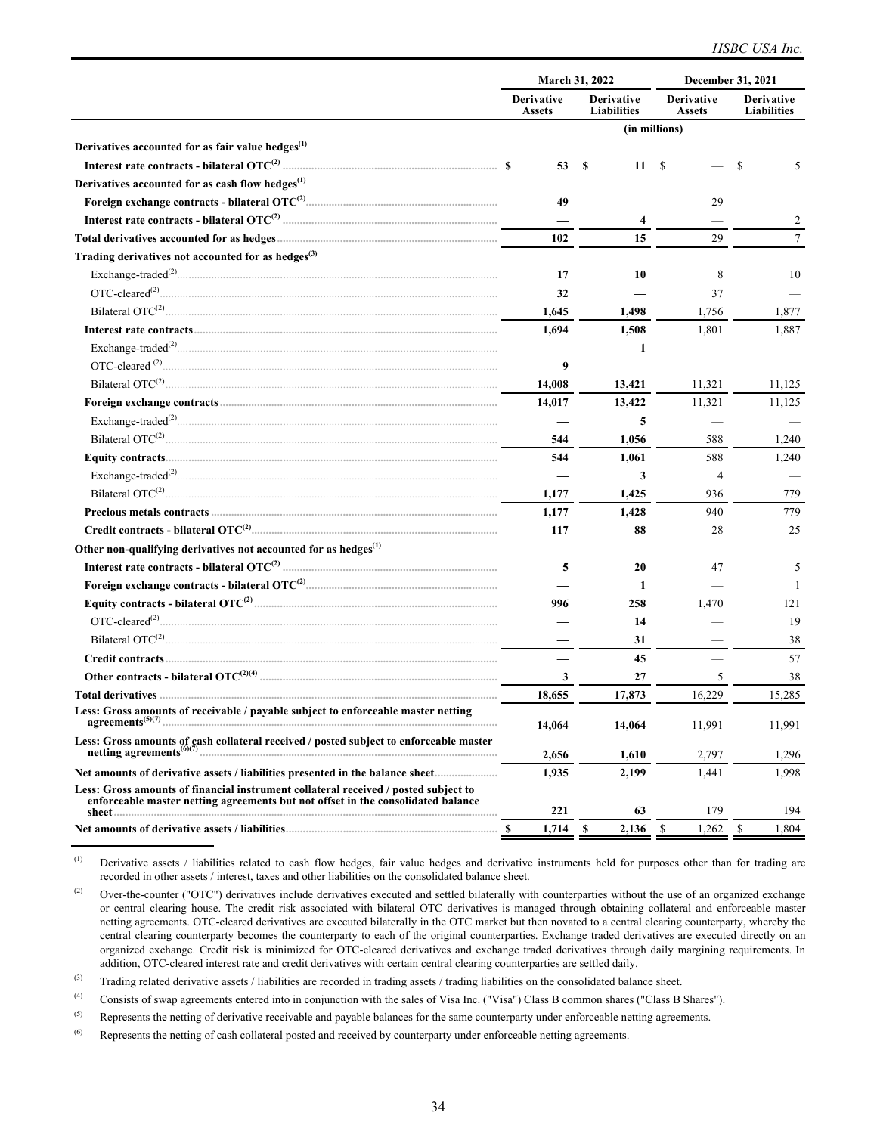|                                                                                                                                                                         |                                    | <b>March 31, 2022</b>                   | December 31, 2021                  |                                         |  |  |
|-------------------------------------------------------------------------------------------------------------------------------------------------------------------------|------------------------------------|-----------------------------------------|------------------------------------|-----------------------------------------|--|--|
|                                                                                                                                                                         | <b>Derivative</b><br><b>Assets</b> | <b>Derivative</b><br><b>Liabilities</b> | <b>Derivative</b><br><b>Assets</b> | <b>Derivative</b><br><b>Liabilities</b> |  |  |
|                                                                                                                                                                         |                                    |                                         | (in millions)                      |                                         |  |  |
| Derivatives accounted for as fair value hedges <sup>(1)</sup>                                                                                                           |                                    |                                         |                                    |                                         |  |  |
|                                                                                                                                                                         | 53                                 | -S<br>11                                | -S                                 | S<br>5                                  |  |  |
| Derivatives accounted for as cash flow hedges <sup>(1)</sup>                                                                                                            |                                    |                                         |                                    |                                         |  |  |
|                                                                                                                                                                         | 49                                 |                                         | 29                                 |                                         |  |  |
|                                                                                                                                                                         |                                    | 4                                       |                                    | 2                                       |  |  |
|                                                                                                                                                                         | 102                                | 15                                      | 29                                 | $\overline{7}$                          |  |  |
| Trading derivatives not accounted for as hedges <sup>(3)</sup>                                                                                                          |                                    |                                         |                                    |                                         |  |  |
|                                                                                                                                                                         | 17                                 | 10                                      | 8                                  | 10                                      |  |  |
|                                                                                                                                                                         | 32                                 |                                         | 37                                 |                                         |  |  |
|                                                                                                                                                                         | 1,645                              | 1,498                                   | 1,756                              | 1,877                                   |  |  |
|                                                                                                                                                                         | 1,694                              | 1,508                                   | 1,801                              | 1,887                                   |  |  |
|                                                                                                                                                                         |                                    | 1                                       |                                    |                                         |  |  |
| $\text{OTC-cleared}^{(2)}$                                                                                                                                              | 9                                  |                                         |                                    |                                         |  |  |
|                                                                                                                                                                         | 14,008                             | 13,421                                  | 11,321                             | 11.125                                  |  |  |
|                                                                                                                                                                         | 14,017                             | 13,422                                  | 11,321                             | 11,125                                  |  |  |
|                                                                                                                                                                         |                                    | 5                                       |                                    |                                         |  |  |
|                                                                                                                                                                         | 544                                | 1,056                                   | 588                                | 1,240                                   |  |  |
|                                                                                                                                                                         | 544                                | 1,061                                   | 588                                | 1,240                                   |  |  |
|                                                                                                                                                                         |                                    | 3                                       | 4                                  |                                         |  |  |
|                                                                                                                                                                         | 1,177                              | 1,425                                   | 936                                | 779                                     |  |  |
|                                                                                                                                                                         | 1,177                              | 1,428                                   | 940                                | 779                                     |  |  |
|                                                                                                                                                                         | 117                                | 88                                      | 28                                 | 25                                      |  |  |
| Other non-qualifying derivatives not accounted for as hedges <sup>(1)</sup>                                                                                             |                                    |                                         |                                    |                                         |  |  |
|                                                                                                                                                                         | 5                                  | 20                                      | 47                                 | 5                                       |  |  |
|                                                                                                                                                                         |                                    | 1                                       |                                    | 1                                       |  |  |
|                                                                                                                                                                         | 996                                | 258                                     | 1,470                              | 121                                     |  |  |
| $\text{OTC-cleared}^{(2)}$                                                                                                                                              |                                    | 14                                      |                                    | 19                                      |  |  |
|                                                                                                                                                                         |                                    | 31                                      |                                    | 38                                      |  |  |
|                                                                                                                                                                         |                                    | 45                                      |                                    | 57                                      |  |  |
|                                                                                                                                                                         | 3                                  | 27                                      | 5                                  | 38                                      |  |  |
|                                                                                                                                                                         | 18,655                             | 17,873                                  | 16,229                             | 15,285                                  |  |  |
| Less: Gross amounts of receivable / payable subject to enforceable master netting                                                                                       | 14.064                             | 14,064                                  | 11,991                             | 11,991                                  |  |  |
| Less: Gross amounts of cash collateral received / posted subject to enforceable master                                                                                  | 2,656                              | 1,610                                   | 2,797                              | 1,296                                   |  |  |
| Net amounts of derivative assets / liabilities presented in the balance sheet                                                                                           | 1,935                              | 2,199                                   | 1,441                              | 1,998                                   |  |  |
| Less: Gross amounts of financial instrument collateral received / posted subject to<br>enforceable master netting agreements but not offset in the consolidated balance |                                    |                                         | 179                                |                                         |  |  |
|                                                                                                                                                                         | 221<br>$1,714$ \$                  | 63<br>2,136                             | $\mathbb{S}$                       | 194<br>$\mathbb{S}$                     |  |  |
|                                                                                                                                                                         |                                    |                                         | 1,262                              | 1,804                                   |  |  |

(1) Derivative assets / liabilities related to cash flow hedges, fair value hedges and derivative instruments held for purposes other than for trading are recorded in other assets / interest, taxes and other liabilities on the consolidated balance sheet.

<sup>(2)</sup> Over-the-counter ("OTC") derivatives include derivatives executed and settled bilaterally with counterparties without the use of an organized exchange or central clearing house. The credit risk associated with bilateral OTC derivatives is managed through obtaining collateral and enforceable master netting agreements. OTC-cleared derivatives are executed bilaterally in the OTC market but then novated to a central clearing counterparty, whereby the central clearing counterparty becomes the counterparty to each of the original counterparties. Exchange traded derivatives are executed directly on an organized exchange. Credit risk is minimized for OTC-cleared derivatives and exchange traded derivatives through daily margining requirements. In addition, OTC-cleared interest rate and credit derivatives with certain central clearing counterparties are settled daily.

<sup>(3)</sup> Trading related derivative assets / liabilities are recorded in trading assets / trading liabilities on the consolidated balance sheet.

(4) Consists of swap agreements entered into in conjunction with the sales of Visa Inc. ("Visa") Class B common shares ("Class B Shares").

<sup>(5)</sup> Represents the netting of derivative receivable and payable balances for the same counterparty under enforceable netting agreements.

<sup>(6)</sup> Represents the netting of cash collateral posted and received by counterparty under enforceable netting agreements.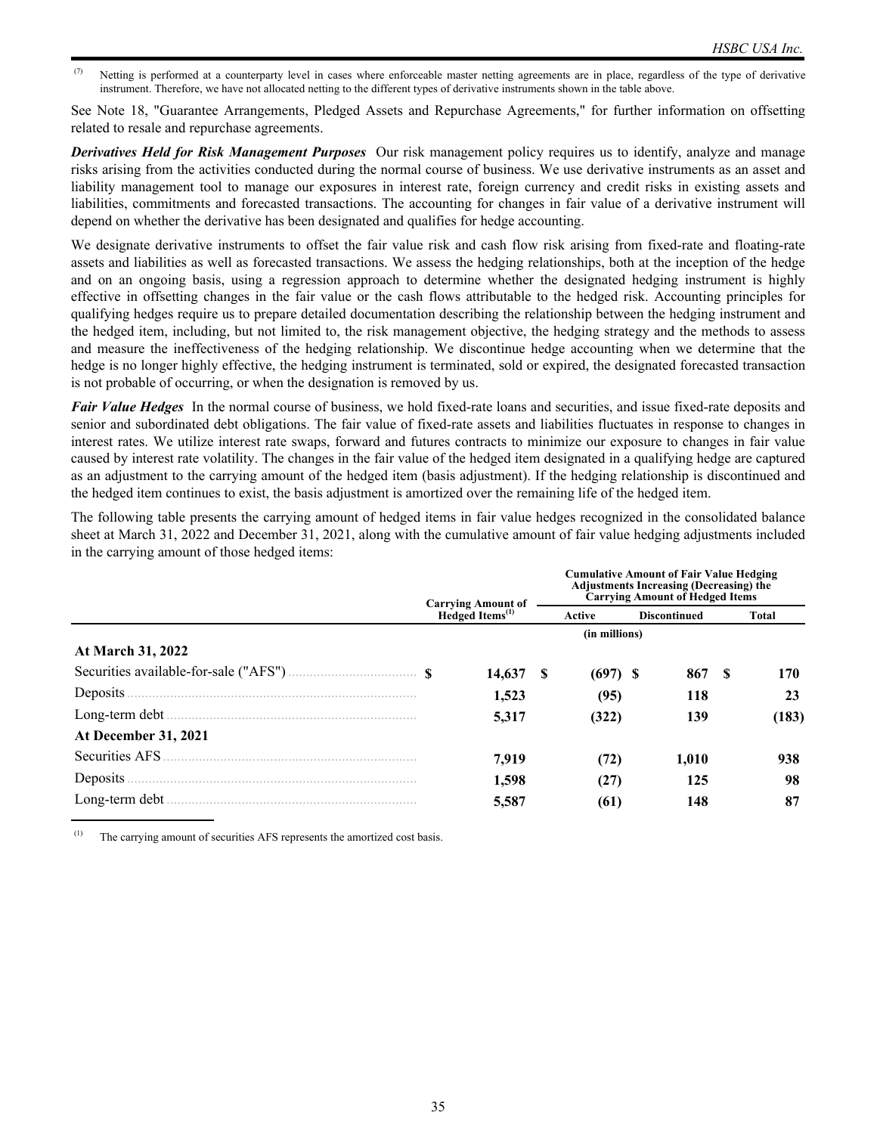(7) Netting is performed at a counterparty level in cases where enforceable master netting agreements are in place, regardless of the type of derivative instrument. Therefore, we have not allocated netting to the different types of derivative instruments shown in the table above.

See Note 18, "Guarantee Arrangements, Pledged Assets and Repurchase Agreements," for further information on offsetting related to resale and repurchase agreements.

*Derivatives Held for Risk Management Purposes* Our risk management policy requires us to identify, analyze and manage risks arising from the activities conducted during the normal course of business. We use derivative instruments as an asset and liability management tool to manage our exposures in interest rate, foreign currency and credit risks in existing assets and liabilities, commitments and forecasted transactions. The accounting for changes in fair value of a derivative instrument will depend on whether the derivative has been designated and qualifies for hedge accounting.

We designate derivative instruments to offset the fair value risk and cash flow risk arising from fixed-rate and floating-rate assets and liabilities as well as forecasted transactions. We assess the hedging relationships, both at the inception of the hedge and on an ongoing basis, using a regression approach to determine whether the designated hedging instrument is highly effective in offsetting changes in the fair value or the cash flows attributable to the hedged risk. Accounting principles for qualifying hedges require us to prepare detailed documentation describing the relationship between the hedging instrument and the hedged item, including, but not limited to, the risk management objective, the hedging strategy and the methods to assess and measure the ineffectiveness of the hedging relationship. We discontinue hedge accounting when we determine that the hedge is no longer highly effective, the hedging instrument is terminated, sold or expired, the designated forecasted transaction is not probable of occurring, or when the designation is removed by us.

*Fair Value Hedges* In the normal course of business, we hold fixed-rate loans and securities, and issue fixed-rate deposits and senior and subordinated debt obligations. The fair value of fixed-rate assets and liabilities fluctuates in response to changes in interest rates. We utilize interest rate swaps, forward and futures contracts to minimize our exposure to changes in fair value caused by interest rate volatility. The changes in the fair value of the hedged item designated in a qualifying hedge are captured as an adjustment to the carrying amount of the hedged item (basis adjustment). If the hedging relationship is discontinued and the hedged item continues to exist, the basis adjustment is amortized over the remaining life of the hedged item.

The following table presents the carrying amount of hedged items in fair value hedges recognized in the consolidated balance sheet at March 31, 2022 and December 31, 2021, along with the cumulative amount of fair value hedging adjustments included in the carrying amount of those hedged items:

|                             |                                                          |        |               | <b>Cumulative Amount of Fair Value Hedging</b><br>Adjustments Increasing (Decreasing) the<br><b>Carrying Amount of Hedged Items</b> |  |                     |     |       |  |
|-----------------------------|----------------------------------------------------------|--------|---------------|-------------------------------------------------------------------------------------------------------------------------------------|--|---------------------|-----|-------|--|
|                             | <b>Carrying Amount of</b><br>Hedged Items <sup>(1)</sup> |        |               | Active                                                                                                                              |  | <b>Discontinued</b> |     | Total |  |
|                             |                                                          |        | (in millions) |                                                                                                                                     |  |                     |     |       |  |
| At March 31, 2022           |                                                          |        |               |                                                                                                                                     |  |                     |     |       |  |
|                             |                                                          | 14,637 | -8            | $(697)$ \$                                                                                                                          |  | 867                 | -SS | 170   |  |
|                             |                                                          | 1,523  |               | (95)                                                                                                                                |  | 118                 |     | 23    |  |
| Long-term debt              |                                                          | 5,317  |               | (322)                                                                                                                               |  | 139                 |     | (183) |  |
| <b>At December 31, 2021</b> |                                                          |        |               |                                                                                                                                     |  |                     |     |       |  |
| Securities AFS              |                                                          | 7,919  |               | (72)                                                                                                                                |  | 1,010               |     | 938   |  |
| Deposits                    |                                                          | 1,598  |               | (27)                                                                                                                                |  | 125                 |     | 98    |  |
| Long-term debt.             |                                                          | 5,587  |               | (61)                                                                                                                                |  | 148                 |     | 87    |  |

(1) The carrying amount of securities AFS represents the amortized cost basis.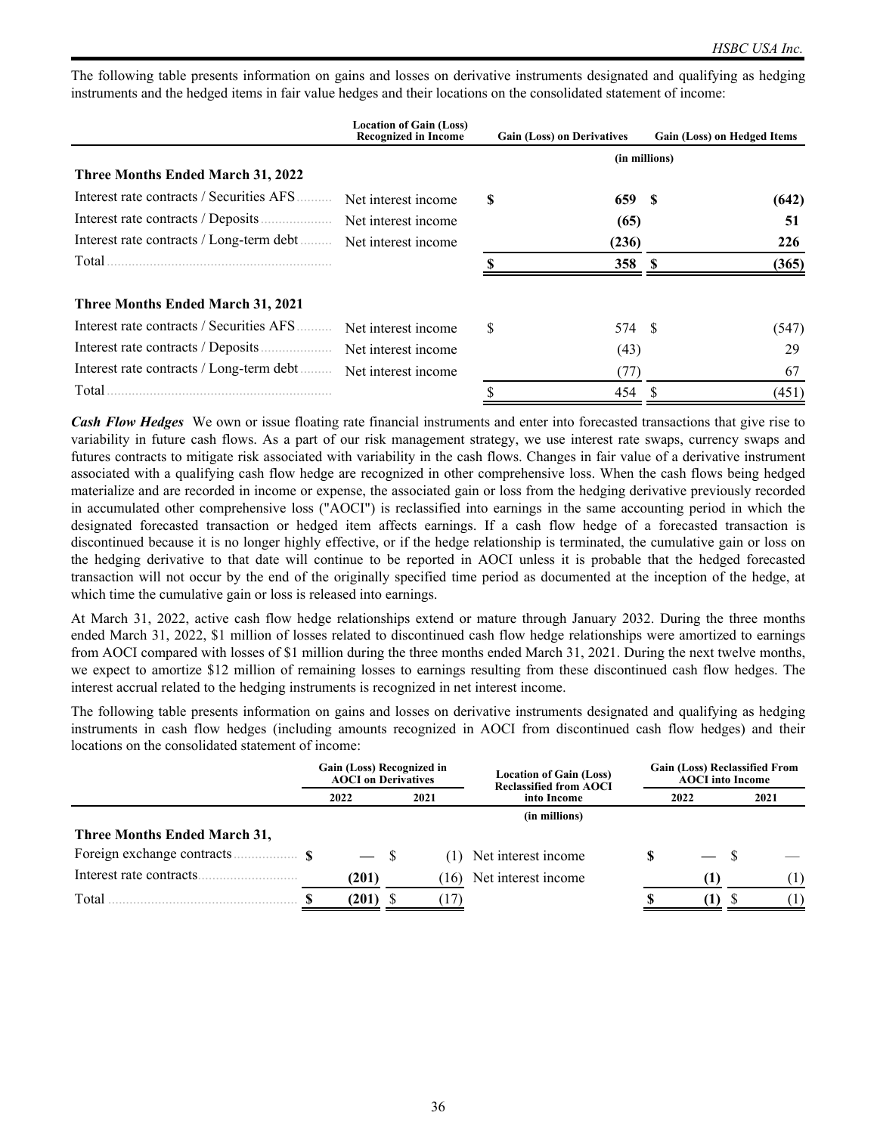The following table presents information on gains and losses on derivative instruments designated and qualifying as hedging instruments and the hedged items in fair value hedges and their locations on the consolidated statement of income:

|                                           | <b>Location of Gain (Loss)</b><br><b>Recognized in Income</b> | <b>Gain (Loss) on Derivatives</b> |        | <b>Gain (Loss) on Hedged Items</b> |       |  |
|-------------------------------------------|---------------------------------------------------------------|-----------------------------------|--------|------------------------------------|-------|--|
|                                           |                                                               |                                   |        | (in millions)                      |       |  |
| Three Months Ended March 31, 2022         |                                                               |                                   |        |                                    |       |  |
| Interest rate contracts / Securities AFS  | Net interest income                                           | S                                 | 659 S  |                                    | (642) |  |
| Interest rate contracts / Deposits        | Net interest income                                           |                                   | (65)   |                                    | 51    |  |
| Interest rate contracts / Long-term debt. | Net interest income                                           |                                   | (236)  |                                    | 226   |  |
| Total                                     |                                                               |                                   | 358    | -8                                 | (365) |  |
| Three Months Ended March 31, 2021         |                                                               |                                   |        |                                    |       |  |
| Interest rate contracts / Securities AFS  | Net interest income                                           | \$                                | 574 \$ |                                    | (547) |  |
| Interest rate contracts / Deposits.       | Net interest income                                           |                                   | (43)   |                                    | 29    |  |
| Interest rate contracts / Long-term debt. | Net interest income                                           |                                   | (77)   |                                    | 67    |  |
| Total                                     |                                                               |                                   | 454    | S                                  | (451) |  |

*Cash Flow Hedges* We own or issue floating rate financial instruments and enter into forecasted transactions that give rise to variability in future cash flows. As a part of our risk management strategy, we use interest rate swaps, currency swaps and futures contracts to mitigate risk associated with variability in the cash flows. Changes in fair value of a derivative instrument associated with a qualifying cash flow hedge are recognized in other comprehensive loss. When the cash flows being hedged materialize and are recorded in income or expense, the associated gain or loss from the hedging derivative previously recorded in accumulated other comprehensive loss ("AOCI") is reclassified into earnings in the same accounting period in which the designated forecasted transaction or hedged item affects earnings. If a cash flow hedge of a forecasted transaction is discontinued because it is no longer highly effective, or if the hedge relationship is terminated, the cumulative gain or loss on the hedging derivative to that date will continue to be reported in AOCI unless it is probable that the hedged forecasted transaction will not occur by the end of the originally specified time period as documented at the inception of the hedge, at which time the cumulative gain or loss is released into earnings.

At March 31, 2022, active cash flow hedge relationships extend or mature through January 2032. During the three months ended March 31, 2022, \$1 million of losses related to discontinued cash flow hedge relationships were amortized to earnings from AOCI compared with losses of \$1 million during the three months ended March 31, 2021. During the next twelve months, we expect to amortize \$12 million of remaining losses to earnings resulting from these discontinued cash flow hedges. The interest accrual related to the hedging instruments is recognized in net interest income.

The following table presents information on gains and losses on derivative instruments designated and qualifying as hedging instruments in cash flow hedges (including amounts recognized in AOCI from discontinued cash flow hedges) and their locations on the consolidated statement of income:

|                              | Gain (Loss) Recognized in<br><b>AOCI</b> on Derivatives |      | <b>Location of Gain (Loss)</b><br><b>Reclassified from AOCI</b> | <b>Gain (Loss) Reclassified From</b><br><b>AOCI</b> into Income |      |      |  |
|------------------------------|---------------------------------------------------------|------|-----------------------------------------------------------------|-----------------------------------------------------------------|------|------|--|
|                              | 2022                                                    | 2021 | into Income                                                     |                                                                 | 2022 | 2021 |  |
|                              |                                                         |      | (in millions)                                                   |                                                                 |      |      |  |
| Three Months Ended March 31, |                                                         |      |                                                                 |                                                                 |      |      |  |
| Foreign exchange contracts.  |                                                         |      | Net interest income                                             |                                                                 |      |      |  |
| Interest rate contracts.     | (201)                                                   | 16)  | Net interest income                                             |                                                                 |      |      |  |
| Total                        | (201)                                                   |      |                                                                 |                                                                 |      |      |  |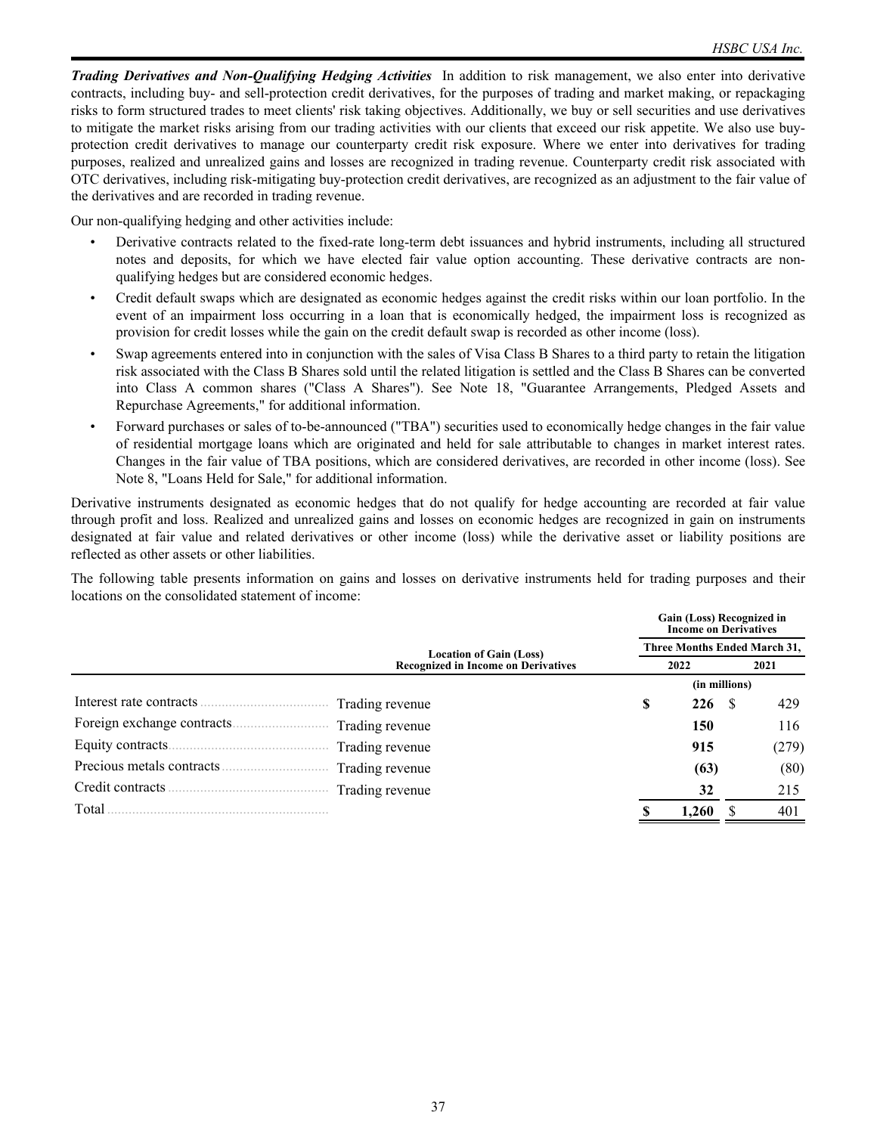*Trading Derivatives and Non-Qualifying Hedging Activities* In addition to risk management, we also enter into derivative contracts, including buy- and sell-protection credit derivatives, for the purposes of trading and market making, or repackaging risks to form structured trades to meet clients' risk taking objectives. Additionally, we buy or sell securities and use derivatives to mitigate the market risks arising from our trading activities with our clients that exceed our risk appetite. We also use buyprotection credit derivatives to manage our counterparty credit risk exposure. Where we enter into derivatives for trading purposes, realized and unrealized gains and losses are recognized in trading revenue. Counterparty credit risk associated with OTC derivatives, including risk-mitigating buy-protection credit derivatives, are recognized as an adjustment to the fair value of the derivatives and are recorded in trading revenue.

Our non-qualifying hedging and other activities include:

- Derivative contracts related to the fixed-rate long-term debt issuances and hybrid instruments, including all structured notes and deposits, for which we have elected fair value option accounting. These derivative contracts are nonqualifying hedges but are considered economic hedges.
- Credit default swaps which are designated as economic hedges against the credit risks within our loan portfolio. In the event of an impairment loss occurring in a loan that is economically hedged, the impairment loss is recognized as provision for credit losses while the gain on the credit default swap is recorded as other income (loss).
- Swap agreements entered into in conjunction with the sales of Visa Class B Shares to a third party to retain the litigation risk associated with the Class B Shares sold until the related litigation is settled and the Class B Shares can be converted into Class A common shares ("Class A Shares"). See Note 18, "Guarantee Arrangements, Pledged Assets and Repurchase Agreements," for additional information.
- Forward purchases or sales of to-be-announced ("TBA") securities used to economically hedge changes in the fair value of residential mortgage loans which are originated and held for sale attributable to changes in market interest rates. Changes in the fair value of TBA positions, which are considered derivatives, are recorded in other income (loss). See Note 8, "Loans Held for Sale," for additional information.

Derivative instruments designated as economic hedges that do not qualify for hedge accounting are recorded at fair value through profit and loss. Realized and unrealized gains and losses on economic hedges are recognized in gain on instruments designated at fair value and related derivatives or other income (loss) while the derivative asset or liability positions are reflected as other assets or other liabilities.

The following table presents information on gains and losses on derivative instruments held for trading purposes and their locations on the consolidated statement of income:

|                             |                                     | <b>Gain (Loss) Recognized in<br/>Income on Derivatives</b> |                              |       |
|-----------------------------|-------------------------------------|------------------------------------------------------------|------------------------------|-------|
|                             | <b>Location of Gain (Loss)</b>      |                                                            | Three Months Ended March 31, |       |
|                             | Recognized in Income on Derivatives | 2022                                                       | 2021                         |       |
|                             |                                     |                                                            | (in millions)                |       |
| Interest rate contracts.    | Trading revenue                     | \$<br>226                                                  | - S                          | 429   |
| Foreign exchange contracts. | Trading revenue                     | 150                                                        |                              | 116   |
| Equity contracts.           | Trading revenue                     | 915                                                        |                              | (279) |
| Precious metals contracts.  | Trading revenue                     | (63)                                                       |                              | (80)  |
| Credit contracts.           | Trading revenue                     | 32                                                         |                              | 215   |
| Total                       |                                     | 1,260                                                      |                              | 401   |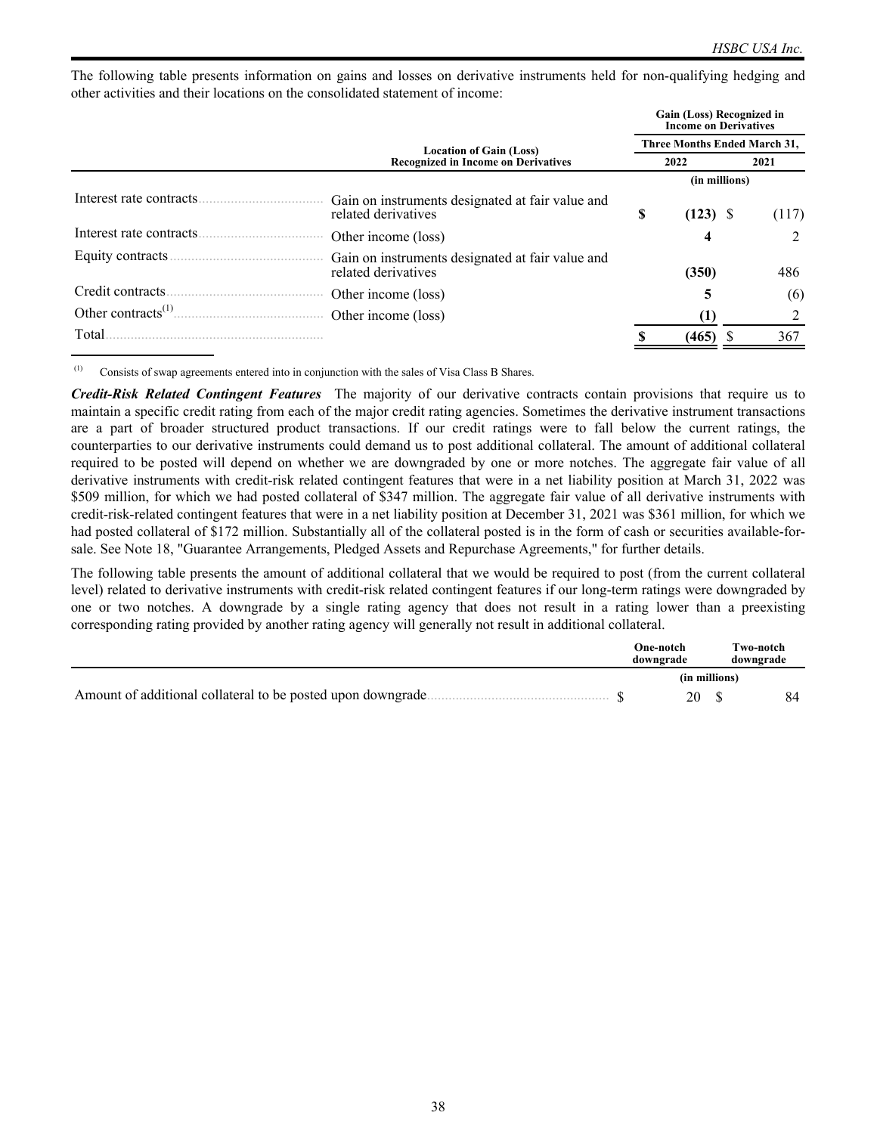**Location of Gain (Loss) Recognized in Income on Derivatives Gain (Loss) Recognized in Income on Derivatives Three Months Ended March 31, 2022 2021 (in millions)** Interest rate contracts................................... Gain on instruments designated at fair value and related derivatives **\$ (123)** \$ (117) Interest rate contracts................................... Other income (loss) **4** 2 Equity contracts........................................... Gain on instruments designated at fair value and related derivatives **(350)** 486 Credit contracts............................................ Other income (loss) **5** (6) Other contracts $^{(1)}$ . .......................................... Other income (loss) **(1)** 2 Total............................................................. **\$ (465)** \$ 367

The following table presents information on gains and losses on derivative instruments held for non-qualifying hedging and other activities and their locations on the consolidated statement of income:

(1) Consists of swap agreements entered into in conjunction with the sales of Visa Class B Shares.

*Credit-Risk Related Contingent Features* The majority of our derivative contracts contain provisions that require us to maintain a specific credit rating from each of the major credit rating agencies. Sometimes the derivative instrument transactions are a part of broader structured product transactions. If our credit ratings were to fall below the current ratings, the counterparties to our derivative instruments could demand us to post additional collateral. The amount of additional collateral required to be posted will depend on whether we are downgraded by one or more notches. The aggregate fair value of all derivative instruments with credit-risk related contingent features that were in a net liability position at March 31, 2022 was \$509 million, for which we had posted collateral of \$347 million. The aggregate fair value of all derivative instruments with credit-risk-related contingent features that were in a net liability position at December 31, 2021 was \$361 million, for which we had posted collateral of \$172 million. Substantially all of the collateral posted is in the form of cash or securities available-forsale. See Note 18, "Guarantee Arrangements, Pledged Assets and Repurchase Agreements," for further details.

The following table presents the amount of additional collateral that we would be required to post (from the current collateral level) related to derivative instruments with credit-risk related contingent features if our long-term ratings were downgraded by one or two notches. A downgrade by a single rating agency that does not result in a rating lower than a preexisting corresponding rating provided by another rating agency will generally not result in additional collateral.

|                                                              | One-notch<br>downgrade |               | Two-notch<br>downgrade |
|--------------------------------------------------------------|------------------------|---------------|------------------------|
|                                                              |                        | (in millions) |                        |
| Amount of additional collateral to be posted upon downgrade. | 20                     |               | 84                     |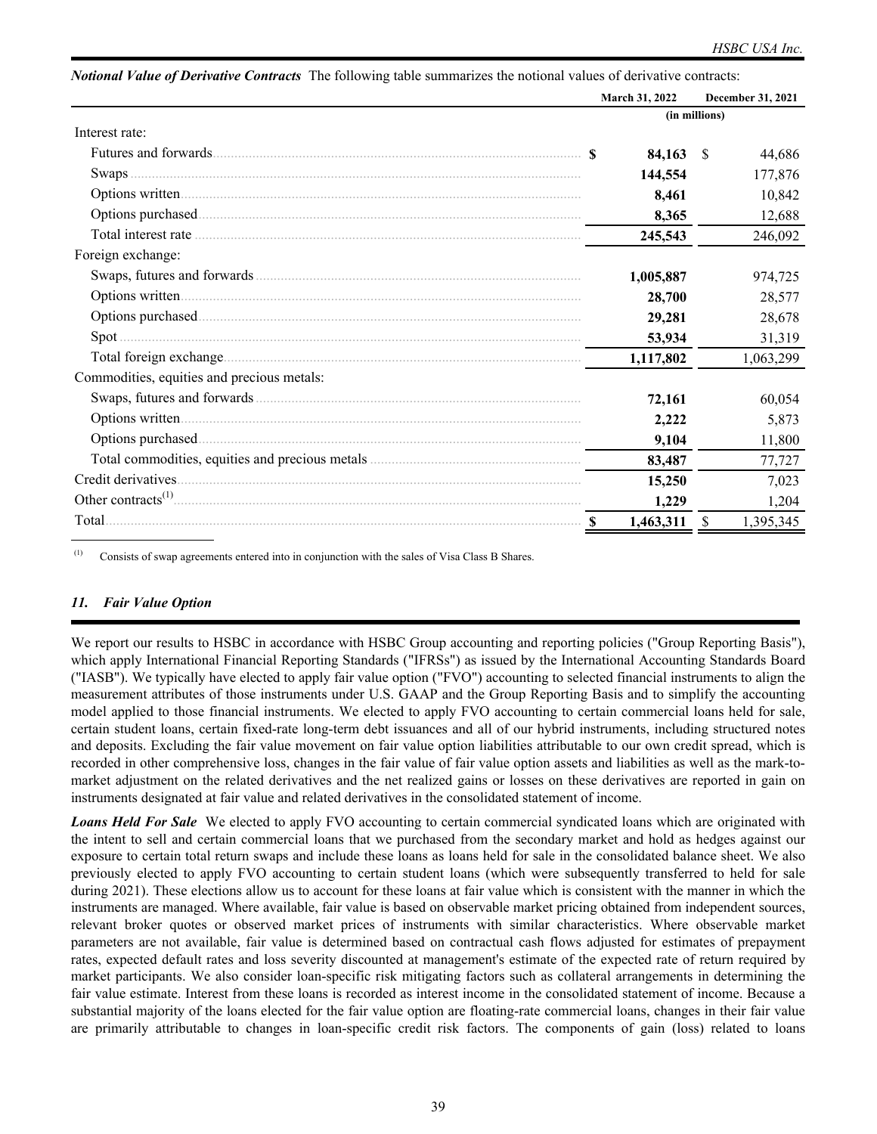|                                            | March 31, 2022                                                                                                                                                            | December 31, 2021         |  |  |  |  |  |  |
|--------------------------------------------|---------------------------------------------------------------------------------------------------------------------------------------------------------------------------|---------------------------|--|--|--|--|--|--|
|                                            | (in millions)<br>84,163<br><b>S</b><br>144,554<br>8,461<br>8,365<br>245,543<br>1,005,887<br>28,700<br>29,281<br>53,934<br>1,117,802<br>72,161<br>2,222<br>9,104<br>83,487 |                           |  |  |  |  |  |  |
| Interest rate:                             |                                                                                                                                                                           |                           |  |  |  |  |  |  |
|                                            |                                                                                                                                                                           | 44,686                    |  |  |  |  |  |  |
|                                            |                                                                                                                                                                           | 177,876                   |  |  |  |  |  |  |
|                                            |                                                                                                                                                                           | 10,842                    |  |  |  |  |  |  |
|                                            |                                                                                                                                                                           | 12,688                    |  |  |  |  |  |  |
|                                            |                                                                                                                                                                           | 246,092                   |  |  |  |  |  |  |
| Foreign exchange:                          |                                                                                                                                                                           |                           |  |  |  |  |  |  |
|                                            |                                                                                                                                                                           | 974,725                   |  |  |  |  |  |  |
|                                            |                                                                                                                                                                           | 28,577                    |  |  |  |  |  |  |
|                                            |                                                                                                                                                                           | 28,678                    |  |  |  |  |  |  |
|                                            |                                                                                                                                                                           | 31,319                    |  |  |  |  |  |  |
|                                            |                                                                                                                                                                           | 1,063,299                 |  |  |  |  |  |  |
| Commodities, equities and precious metals: |                                                                                                                                                                           |                           |  |  |  |  |  |  |
|                                            |                                                                                                                                                                           | 60,054                    |  |  |  |  |  |  |
|                                            |                                                                                                                                                                           | 5,873                     |  |  |  |  |  |  |
|                                            |                                                                                                                                                                           | 11,800                    |  |  |  |  |  |  |
|                                            |                                                                                                                                                                           | 77,727                    |  |  |  |  |  |  |
|                                            | 15,250                                                                                                                                                                    | 7,023                     |  |  |  |  |  |  |
|                                            | 1,229                                                                                                                                                                     | 1,204                     |  |  |  |  |  |  |
|                                            | 1,463,311                                                                                                                                                                 | 1,395,345<br><sup>S</sup> |  |  |  |  |  |  |

### *Notional Value of Derivative Contracts* The following table summarizes the notional values of derivative contracts:

(1) Consists of swap agreements entered into in conjunction with the sales of Visa Class B Shares.

#### *11. Fair Value Option*

We report our results to HSBC in accordance with HSBC Group accounting and reporting policies ("Group Reporting Basis"), which apply International Financial Reporting Standards ("IFRSs") as issued by the International Accounting Standards Board ("IASB"). We typically have elected to apply fair value option ("FVO") accounting to selected financial instruments to align the measurement attributes of those instruments under U.S. GAAP and the Group Reporting Basis and to simplify the accounting model applied to those financial instruments. We elected to apply FVO accounting to certain commercial loans held for sale, certain student loans, certain fixed-rate long-term debt issuances and all of our hybrid instruments, including structured notes and deposits. Excluding the fair value movement on fair value option liabilities attributable to our own credit spread, which is recorded in other comprehensive loss, changes in the fair value of fair value option assets and liabilities as well as the mark-tomarket adjustment on the related derivatives and the net realized gains or losses on these derivatives are reported in gain on instruments designated at fair value and related derivatives in the consolidated statement of income.

*Loans Held For Sale* We elected to apply FVO accounting to certain commercial syndicated loans which are originated with the intent to sell and certain commercial loans that we purchased from the secondary market and hold as hedges against our exposure to certain total return swaps and include these loans as loans held for sale in the consolidated balance sheet. We also previously elected to apply FVO accounting to certain student loans (which were subsequently transferred to held for sale during 2021). These elections allow us to account for these loans at fair value which is consistent with the manner in which the instruments are managed. Where available, fair value is based on observable market pricing obtained from independent sources, relevant broker quotes or observed market prices of instruments with similar characteristics. Where observable market parameters are not available, fair value is determined based on contractual cash flows adjusted for estimates of prepayment rates, expected default rates and loss severity discounted at management's estimate of the expected rate of return required by market participants. We also consider loan-specific risk mitigating factors such as collateral arrangements in determining the fair value estimate. Interest from these loans is recorded as interest income in the consolidated statement of income. Because a substantial majority of the loans elected for the fair value option are floating-rate commercial loans, changes in their fair value are primarily attributable to changes in loan-specific credit risk factors. The components of gain (loss) related to loans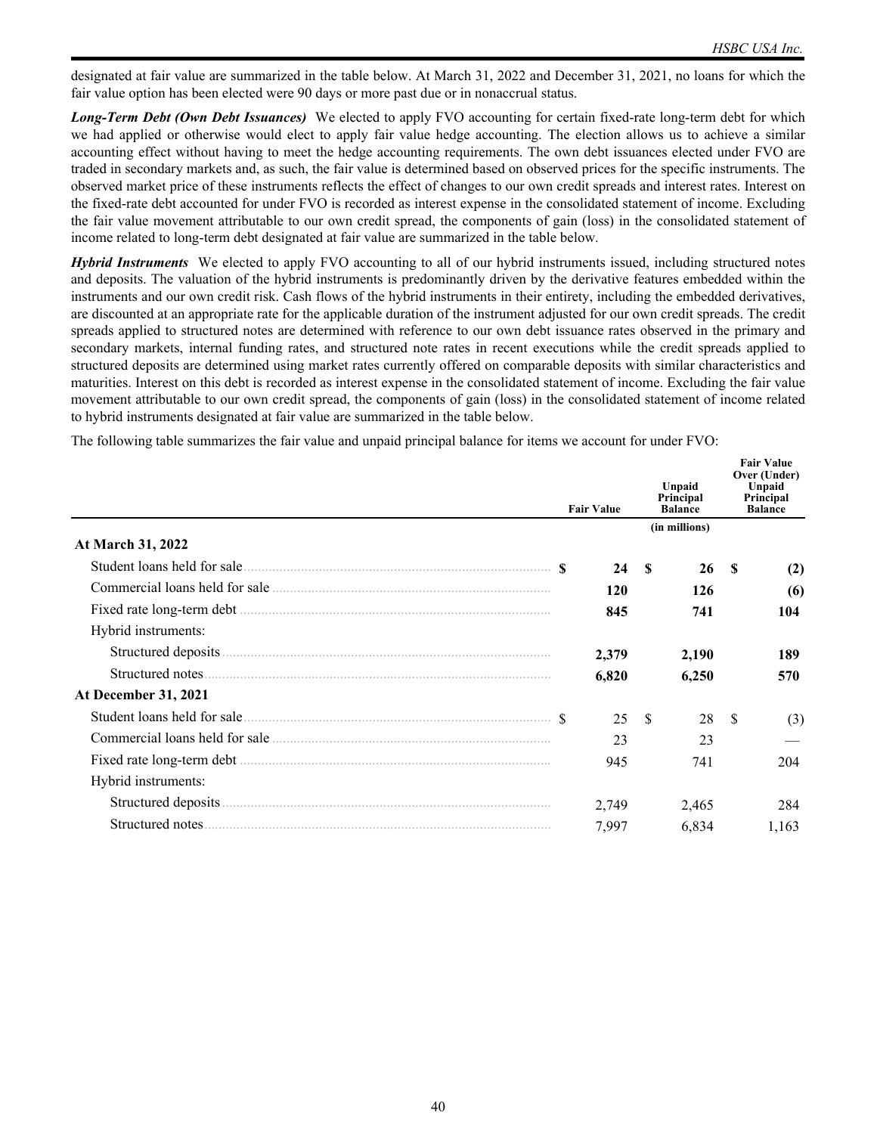designated at fair value are summarized in the table below. At March 31, 2022 and December 31, 2021, no loans for which the fair value option has been elected were 90 days or more past due or in nonaccrual status.

*Long-Term Debt (Own Debt Issuances)* We elected to apply FVO accounting for certain fixed-rate long-term debt for which we had applied or otherwise would elect to apply fair value hedge accounting. The election allows us to achieve a similar accounting effect without having to meet the hedge accounting requirements. The own debt issuances elected under FVO are traded in secondary markets and, as such, the fair value is determined based on observed prices for the specific instruments. The observed market price of these instruments reflects the effect of changes to our own credit spreads and interest rates. Interest on the fixed-rate debt accounted for under FVO is recorded as interest expense in the consolidated statement of income. Excluding the fair value movement attributable to our own credit spread, the components of gain (loss) in the consolidated statement of income related to long-term debt designated at fair value are summarized in the table below.

*Hybrid Instruments* We elected to apply FVO accounting to all of our hybrid instruments issued, including structured notes and deposits. The valuation of the hybrid instruments is predominantly driven by the derivative features embedded within the instruments and our own credit risk. Cash flows of the hybrid instruments in their entirety, including the embedded derivatives, are discounted at an appropriate rate for the applicable duration of the instrument adjusted for our own credit spreads. The credit spreads applied to structured notes are determined with reference to our own debt issuance rates observed in the primary and secondary markets, internal funding rates, and structured note rates in recent executions while the credit spreads applied to structured deposits are determined using market rates currently offered on comparable deposits with similar characteristics and maturities. Interest on this debt is recorded as interest expense in the consolidated statement of income. Excluding the fair value movement attributable to our own credit spread, the components of gain (loss) in the consolidated statement of income related to hybrid instruments designated at fair value are summarized in the table below.

The following table summarizes the fair value and unpaid principal balance for items we account for under FVO:

|                             | <b>Fair Value</b> |     |              | Unpaid<br>Principal<br><b>Balance</b> |               | <b>Fair Value</b><br>Over (Under)<br>Unpaid<br>Principal<br><b>Balance</b> |
|-----------------------------|-------------------|-----|--------------|---------------------------------------|---------------|----------------------------------------------------------------------------|
|                             |                   |     |              | (in millions)                         |               |                                                                            |
| At March 31, 2022           |                   |     |              |                                       |               |                                                                            |
|                             |                   | 24  | $\mathbf{s}$ | 26                                    | <b>S</b>      | (2)                                                                        |
|                             |                   | 120 |              | 126                                   |               | (6)                                                                        |
|                             | 845               |     |              | 741                                   |               | 104                                                                        |
| Hybrid instruments:         |                   |     |              |                                       |               |                                                                            |
|                             | 2,379             |     |              | 2,190                                 |               | 189                                                                        |
| Structured notes.           | 6,820             |     |              | 6,250                                 |               | 570                                                                        |
| <b>At December 31, 2021</b> |                   |     |              |                                       |               |                                                                            |
|                             |                   | 25  | -S           | 28                                    | <sup>\$</sup> | (3)                                                                        |
|                             |                   | 23  |              | 23                                    |               |                                                                            |
|                             |                   | 945 |              | 741                                   |               | 204                                                                        |
| Hybrid instruments:         |                   |     |              |                                       |               |                                                                            |
|                             | 2,749             |     |              | 2,465                                 |               | 284                                                                        |
|                             | 7,997             |     |              | 6,834                                 |               | 1,163                                                                      |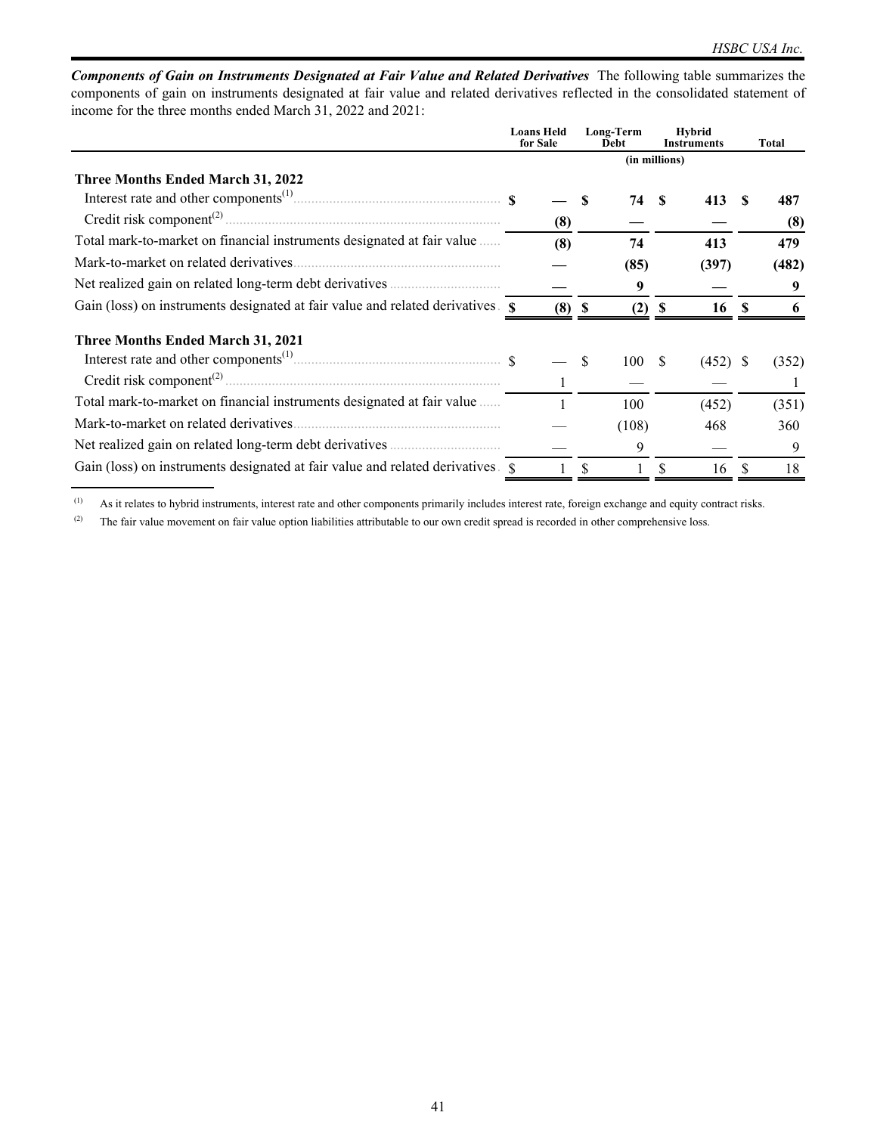*Components of Gain on Instruments Designated at Fair Value and Related Derivatives* The following table summarizes the components of gain on instruments designated at fair value and related derivatives reflected in the consolidated statement of income for the three months ended March 31, 2022 and 2021:

|                                                                                 | <b>Loans Held</b><br>for Sale |     |  |       |               | <b>Hybrid</b><br><b>Instruments</b> |    | Total |
|---------------------------------------------------------------------------------|-------------------------------|-----|--|-------|---------------|-------------------------------------|----|-------|
|                                                                                 |                               |     |  |       | (in millions) |                                     |    |       |
| Three Months Ended March 31, 2022                                               |                               |     |  |       |               |                                     |    |       |
|                                                                                 |                               |     |  | 74    | - \$          | 413                                 | -S | 487   |
|                                                                                 |                               | (8) |  |       |               |                                     |    | (8)   |
| Total mark-to-market on financial instruments designated at fair value          |                               | (8) |  | 74    |               | 413                                 |    | 479   |
| Mark-to-market on related derivatives                                           |                               |     |  | (85)  |               | (397)                               |    | (482) |
|                                                                                 |                               |     |  | 9     |               |                                     |    | 9     |
| Gain (loss) on instruments designated at fair value and related derivatives. \$ |                               | (8) |  | (2)   | S             | 16                                  |    |       |
| <b>Three Months Ended March 31, 2021</b>                                        |                               |     |  |       |               |                                     |    |       |
| Interest rate and other components <sup>(1)</sup> $\sim$                        |                               |     |  | 100   | <b>S</b>      | $(452)$ \$                          |    | (352) |
|                                                                                 |                               |     |  |       |               |                                     |    |       |
| Total mark-to-market on financial instruments designated at fair value          |                               |     |  | 100   |               | (452)                               |    | (351) |
| Mark-to-market on related derivatives                                           |                               |     |  | (108) |               | 468                                 |    | 360   |
|                                                                                 |                               |     |  | 9     |               |                                     |    | 9     |
|                                                                                 |                               |     |  |       |               | 16                                  |    | 18    |

(1) As it relates to hybrid instruments, interest rate and other components primarily includes interest rate, foreign exchange and equity contract risks.

<sup>(2)</sup> The fair value movement on fair value option liabilities attributable to our own credit spread is recorded in other comprehensive loss.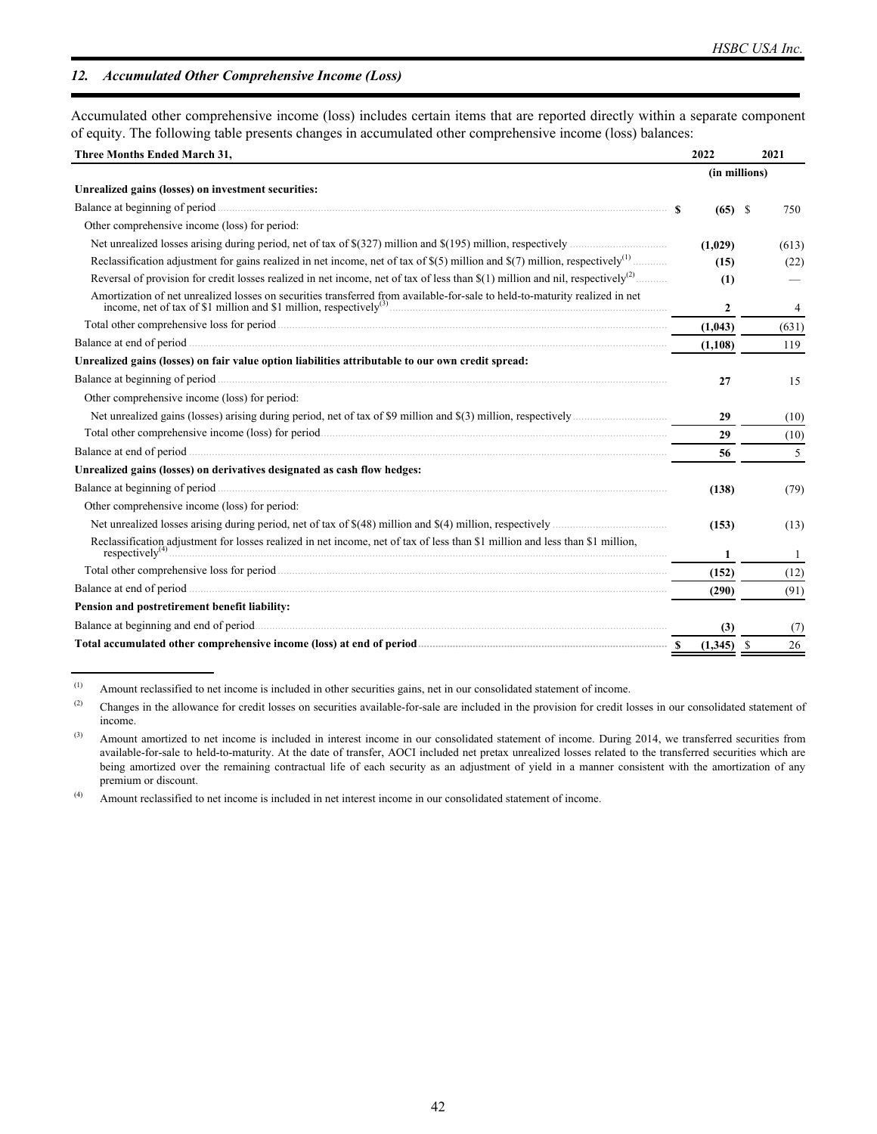### *12. Accumulated Other Comprehensive Income (Loss)*

Accumulated other comprehensive income (loss) includes certain items that are reported directly within a separate component of equity. The following table presents changes in accumulated other comprehensive income (loss) balances:

| <b>Three Months Ended March 31.</b>                                                                                                          | 2022 |              |               | 2021           |
|----------------------------------------------------------------------------------------------------------------------------------------------|------|--------------|---------------|----------------|
|                                                                                                                                              |      |              | (in millions) |                |
| Unrealized gains (losses) on investment securities:                                                                                          |      |              |               |                |
|                                                                                                                                              |      | $(65)$ \$    |               | 750            |
| Other comprehensive income (loss) for period:                                                                                                |      |              |               |                |
|                                                                                                                                              |      | (1,029)      |               | (613)          |
|                                                                                                                                              |      | (15)         |               | (22)           |
| Reversal of provision for credit losses realized in net income, net of tax of less than $\$(1)$ million and nil, respectively <sup>(2)</sup> |      | (1)          |               |                |
| Amortization of net unrealized losses on securities transferred from available-for-sale to held-to-maturity realized in net                  |      | $\mathbf{2}$ |               | $\overline{4}$ |
|                                                                                                                                              |      | (1,043)      |               | (631)          |
| Balance at end of period                                                                                                                     |      | (1, 108)     |               | 119            |
| Unrealized gains (losses) on fair value option liabilities attributable to our own credit spread:                                            |      |              |               |                |
|                                                                                                                                              |      | 27           |               | 15             |
| Other comprehensive income (loss) for period:                                                                                                |      |              |               |                |
|                                                                                                                                              |      | 29           |               | (10)           |
|                                                                                                                                              |      | 29           |               | (10)           |
| Balance at end of period                                                                                                                     |      | 56           |               | .5             |
| Unrealized gains (losses) on derivatives designated as cash flow hedges:                                                                     |      |              |               |                |
|                                                                                                                                              |      | (138)        |               | (79)           |
| Other comprehensive income (loss) for period:                                                                                                |      |              |               |                |
|                                                                                                                                              |      | (153)        |               | (13)           |
| Reclassification adjustment for losses realized in net income, net of tax of less than \$1 million and less than \$1 million,                |      | $\mathbf{1}$ |               | $\mathbf{1}$   |
|                                                                                                                                              |      | (152)        |               | (12)           |
|                                                                                                                                              |      | (290)        |               | (91)           |
| Pension and postretirement benefit liability:                                                                                                |      |              |               |                |
|                                                                                                                                              |      | (3)          |               | (7)            |
|                                                                                                                                              |      | $(1,345)$ \$ |               | 26             |
|                                                                                                                                              |      |              |               |                |

(1) Amount reclassified to net income is included in other securities gains, net in our consolidated statement of income.

(4) Amount reclassified to net income is included in net interest income in our consolidated statement of income.

<sup>&</sup>lt;sup>(2)</sup> Changes in the allowance for credit losses on securities available-for-sale are included in the provision for credit losses in our consolidated statement of income.

<sup>&</sup>lt;sup>(3)</sup> Amount amortized to net income is included in interest income in our consolidated statement of income. During 2014, we transferred securities from available-for-sale to held-to-maturity. At the date of transfer, AOCI included net pretax unrealized losses related to the transferred securities which are being amortized over the remaining contractual life of each security as an adjustment of yield in a manner consistent with the amortization of any premium or discount.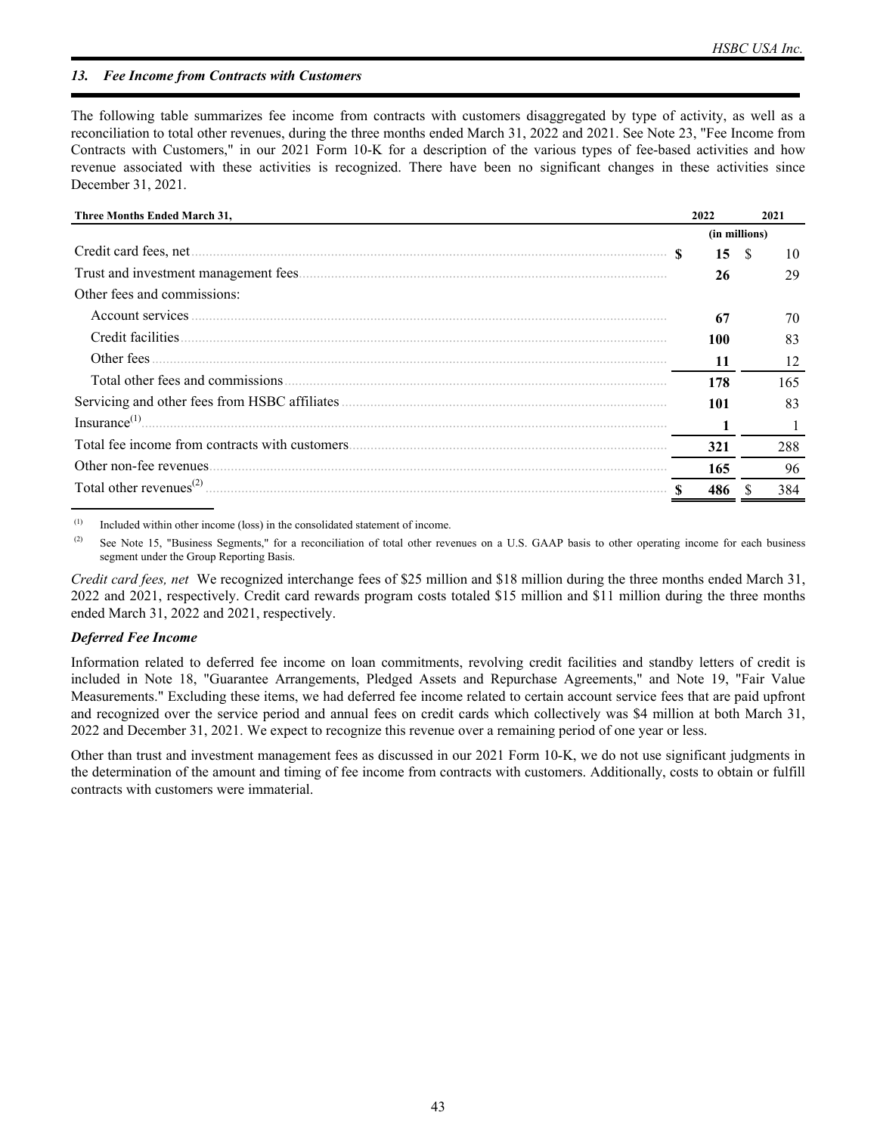# *13. Fee Income from Contracts with Customers*

The following table summarizes fee income from contracts with customers disaggregated by type of activity, as well as a reconciliation to total other revenues, during the three months ended March 31, 2022 and 2021. See Note 23, "Fee Income from Contracts with Customers," in our 2021 Form 10-K for a description of the various types of fee-based activities and how revenue associated with these activities is recognized. There have been no significant changes in these activities since December 31, 2021.

| Three Months Ended March 31,                     |   | 2022 | 2021          |      |  |
|--------------------------------------------------|---|------|---------------|------|--|
|                                                  |   |      | (in millions) |      |  |
|                                                  | S | 15   | -8            | 10   |  |
|                                                  |   | 26   |               | 29   |  |
| Other fees and commissions:                      |   |      |               |      |  |
| Account services                                 |   | 67   |               | 70   |  |
| Credit facilities.                               |   | 100  |               | 83   |  |
| Other fees                                       |   | 11   |               | 12   |  |
|                                                  |   | 178  |               | 165  |  |
|                                                  |   | 101  |               | 83   |  |
| Insurance $^{(1)}$                               |   |      |               |      |  |
|                                                  |   | 321  |               | 288. |  |
|                                                  |   | 165  |               | 96   |  |
| Total other revenues <sup><math>(2)</math></sup> |   | 486  |               | 384  |  |

(1) Included within other income (loss) in the consolidated statement of income.

<sup>(2)</sup> See Note 15, "Business Segments," for a reconciliation of total other revenues on a U.S. GAAP basis to other operating income for each business segment under the Group Reporting Basis.

*Credit card fees, net*We recognized interchange fees of \$25 million and \$18 million during the three months ended March 31, 2022 and 2021, respectively. Credit card rewards program costs totaled \$15 million and \$11 million during the three months ended March 31, 2022 and 2021, respectively.

### *Deferred Fee Income*

Information related to deferred fee income on loan commitments, revolving credit facilities and standby letters of credit is included in Note 18, "Guarantee Arrangements, Pledged Assets and Repurchase Agreements," and Note 19, "Fair Value Measurements." Excluding these items, we had deferred fee income related to certain account service fees that are paid upfront and recognized over the service period and annual fees on credit cards which collectively was \$4 million at both March 31, 2022 and December 31, 2021. We expect to recognize this revenue over a remaining period of one year or less.

Other than trust and investment management fees as discussed in our 2021 Form 10-K, we do not use significant judgments in the determination of the amount and timing of fee income from contracts with customers. Additionally, costs to obtain or fulfill contracts with customers were immaterial.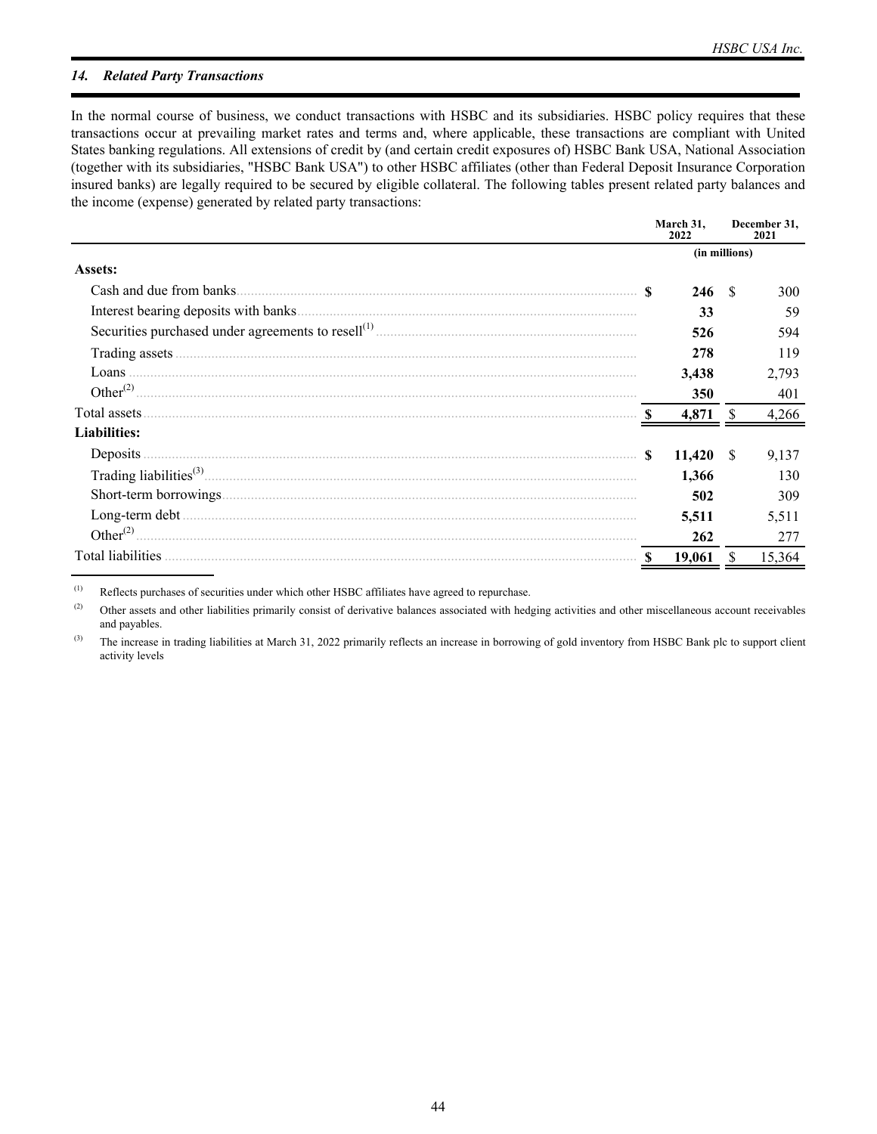### *14. Related Party Transactions*

In the normal course of business, we conduct transactions with HSBC and its subsidiaries. HSBC policy requires that these transactions occur at prevailing market rates and terms and, where applicable, these transactions are compliant with United States banking regulations. All extensions of credit by (and certain credit exposures of) HSBC Bank USA, National Association (together with its subsidiaries, "HSBC Bank USA") to other HSBC affiliates (other than Federal Deposit Insurance Corporation insured banks) are legally required to be secured by eligible collateral. The following tables present related party balances and the income (expense) generated by related party transactions:

|                      |  | March 31,<br>2022 | December 31,<br>2021 |        |  |
|----------------------|--|-------------------|----------------------|--------|--|
|                      |  |                   | (in millions)        |        |  |
| Assets:              |  |                   |                      |        |  |
|                      |  | 246               | \$.                  | 300    |  |
|                      |  | 33                |                      | 59     |  |
|                      |  | 526               |                      | 594    |  |
|                      |  | 278               |                      | 119    |  |
| Loans                |  | 3,438             |                      | 2,793  |  |
| Other $^{(2)}$       |  | <b>350</b>        |                      | 401    |  |
| Total assets.        |  | 4,871             |                      | 4,266  |  |
| <b>Liabilities:</b>  |  |                   |                      |        |  |
| Deposits             |  | 11,420            | S                    | 9,137  |  |
|                      |  | 1,366             |                      | 130    |  |
|                      |  | 502               |                      | 309    |  |
|                      |  | 5,511             |                      | 5,511  |  |
| Other <sup>(2)</sup> |  | 262               |                      | 277    |  |
| Total liabilities    |  | 19,061            |                      | 15,364 |  |

(1) Reflects purchases of securities under which other HSBC affiliates have agreed to repurchase.

(2) Other assets and other liabilities primarily consist of derivative balances associated with hedging activities and other miscellaneous account receivables and payables.

<sup>(3)</sup> The increase in trading liabilities at March 31, 2022 primarily reflects an increase in borrowing of gold inventory from HSBC Bank plc to support client activity levels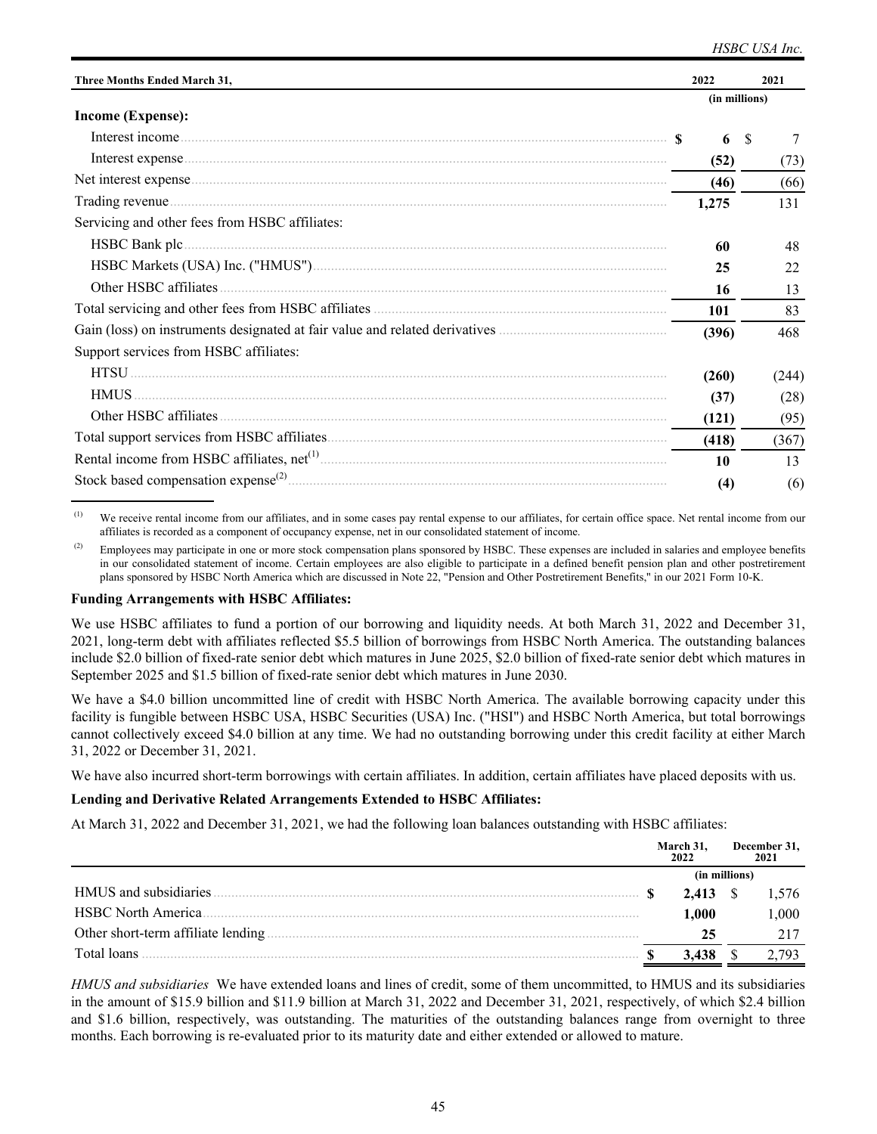| Three Months Ended March 31,                   | 2022          | 2021  |
|------------------------------------------------|---------------|-------|
|                                                | (in millions) |       |
| Income (Expense):                              |               |       |
|                                                | 6             | -S    |
|                                                | (52)          | (73)  |
|                                                | (46)          | (66)  |
|                                                | 1,275         | 131   |
| Servicing and other fees from HSBC affiliates: |               |       |
|                                                | 60            | 48    |
|                                                | 25            | 22    |
|                                                | 16            | 13    |
|                                                | 101           | 83    |
|                                                | (396)         | 468   |
| Support services from HSBC affiliates:         |               |       |
|                                                | (260)         | (244) |
| HMUS.                                          | (37)          | (28)  |
|                                                | (121)         | (95)  |
|                                                | (418)         | (367) |
|                                                | 10            | 13    |
|                                                | (4)           | (6)   |

(1) We receive rental income from our affiliates, and in some cases pay rental expense to our affiliates, for certain office space. Net rental income from our affiliates is recorded as a component of occupancy expense, net in our consolidated statement of income.

<sup>(2)</sup> Employees may participate in one or more stock compensation plans sponsored by HSBC. These expenses are included in salaries and employee benefits in our consolidated statement of income. Certain employees are also eligible to participate in a defined benefit pension plan and other postretirement plans sponsored by HSBC North America which are discussed in Note 22, "Pension and Other Postretirement Benefits," in our 2021 Form 10-K.

### **Funding Arrangements with HSBC Affiliates:**

We use HSBC affiliates to fund a portion of our borrowing and liquidity needs. At both March 31, 2022 and December 31, 2021, long-term debt with affiliates reflected \$5.5 billion of borrowings from HSBC North America. The outstanding balances include \$2.0 billion of fixed-rate senior debt which matures in June 2025, \$2.0 billion of fixed-rate senior debt which matures in September 2025 and \$1.5 billion of fixed-rate senior debt which matures in June 2030.

We have a \$4.0 billion uncommitted line of credit with HSBC North America. The available borrowing capacity under this facility is fungible between HSBC USA, HSBC Securities (USA) Inc. ("HSI") and HSBC North America, but total borrowings cannot collectively exceed \$4.0 billion at any time. We had no outstanding borrowing under this credit facility at either March 31, 2022 or December 31, 2021.

We have also incurred short-term borrowings with certain affiliates. In addition, certain affiliates have placed deposits with us.

# **Lending and Derivative Related Arrangements Extended to HSBC Affiliates:**

At March 31, 2022 and December 31, 2021, we had the following loan balances outstanding with HSBC affiliates:

|                                     | March 31,<br>2022 | December 31,<br>2021 |
|-------------------------------------|-------------------|----------------------|
|                                     | (in millions)     |                      |
| HMUS and subsidiaries               | 2.413             | 1,576                |
| <b>HSBC North America.</b>          | 1.000             | 1.000                |
| Other short-term affiliate lending. | 25                | 217                  |
| Total loans                         | 3.438             | 2.793                |

*HMUS and subsidiaries* We have extended loans and lines of credit, some of them uncommitted, to HMUS and its subsidiaries in the amount of \$15.9 billion and \$11.9 billion at March 31, 2022 and December 31, 2021, respectively, of which \$2.4 billion and \$1.6 billion, respectively, was outstanding. The maturities of the outstanding balances range from overnight to three months. Each borrowing is re-evaluated prior to its maturity date and either extended or allowed to mature.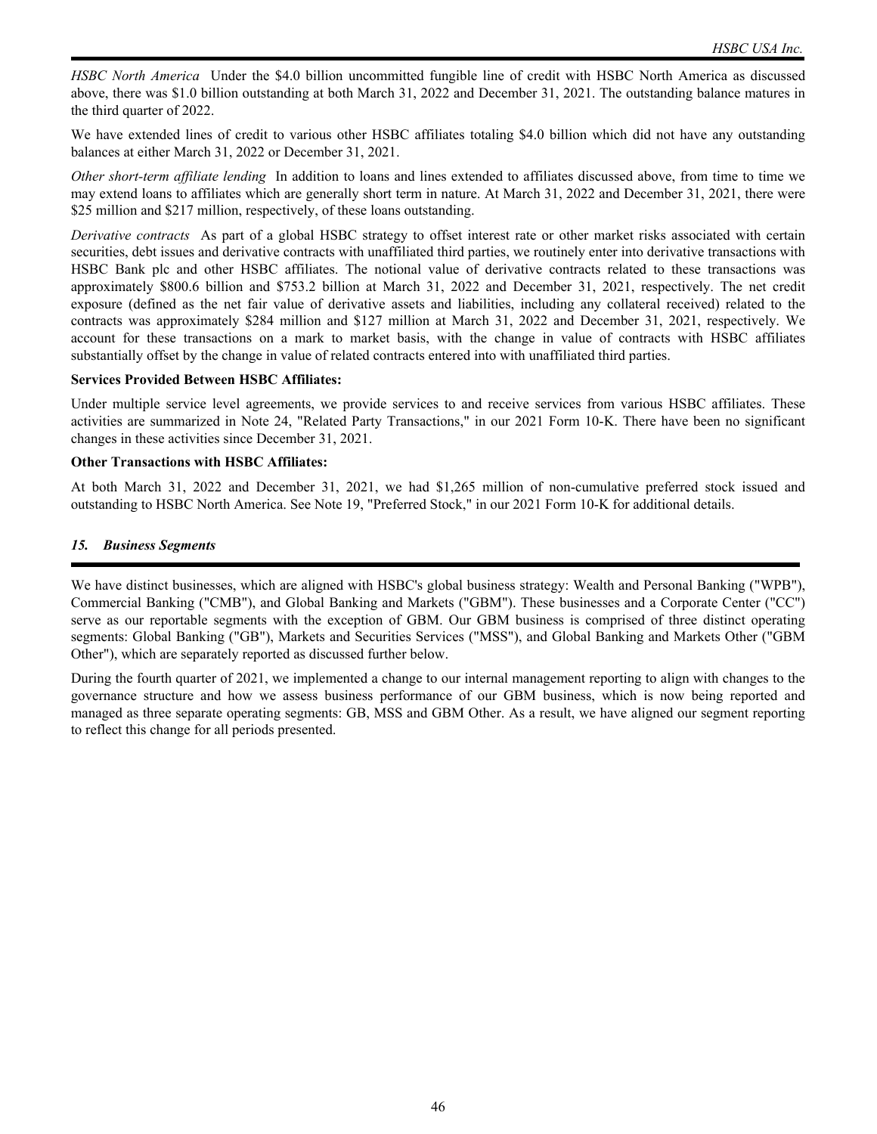*HSBC North America* Under the \$4.0 billion uncommitted fungible line of credit with HSBC North America as discussed above, there was \$1.0 billion outstanding at both March 31, 2022 and December 31, 2021. The outstanding balance matures in the third quarter of 2022.

We have extended lines of credit to various other HSBC affiliates totaling \$4.0 billion which did not have any outstanding balances at either March 31, 2022 or December 31, 2021.

*Other short-term affiliate lending* In addition to loans and lines extended to affiliates discussed above, from time to time we may extend loans to affiliates which are generally short term in nature. At March 31, 2022 and December 31, 2021, there were \$25 million and \$217 million, respectively, of these loans outstanding.

*Derivative contracts* As part of a global HSBC strategy to offset interest rate or other market risks associated with certain securities, debt issues and derivative contracts with unaffiliated third parties, we routinely enter into derivative transactions with HSBC Bank plc and other HSBC affiliates. The notional value of derivative contracts related to these transactions was approximately \$800.6 billion and \$753.2 billion at March 31, 2022 and December 31, 2021, respectively. The net credit exposure (defined as the net fair value of derivative assets and liabilities, including any collateral received) related to the contracts was approximately \$284 million and \$127 million at March 31, 2022 and December 31, 2021, respectively. We account for these transactions on a mark to market basis, with the change in value of contracts with HSBC affiliates substantially offset by the change in value of related contracts entered into with unaffiliated third parties.

#### **Services Provided Between HSBC Affiliates:**

Under multiple service level agreements, we provide services to and receive services from various HSBC affiliates. These activities are summarized in Note 24, "Related Party Transactions," in our 2021 Form 10-K. There have been no significant changes in these activities since December 31, 2021.

#### **Other Transactions with HSBC Affiliates:**

At both March 31, 2022 and December 31, 2021, we had \$1,265 million of non-cumulative preferred stock issued and outstanding to HSBC North America. See Note 19, "Preferred Stock," in our 2021 Form 10-K for additional details.

### *15. Business Segments*

We have distinct businesses, which are aligned with HSBC's global business strategy: Wealth and Personal Banking ("WPB"), Commercial Banking ("CMB"), and Global Banking and Markets ("GBM"). These businesses and a Corporate Center ("CC") serve as our reportable segments with the exception of GBM. Our GBM business is comprised of three distinct operating segments: Global Banking ("GB"), Markets and Securities Services ("MSS"), and Global Banking and Markets Other ("GBM Other"), which are separately reported as discussed further below.

During the fourth quarter of 2021, we implemented a change to our internal management reporting to align with changes to the governance structure and how we assess business performance of our GBM business, which is now being reported and managed as three separate operating segments: GB, MSS and GBM Other. As a result, we have aligned our segment reporting to reflect this change for all periods presented.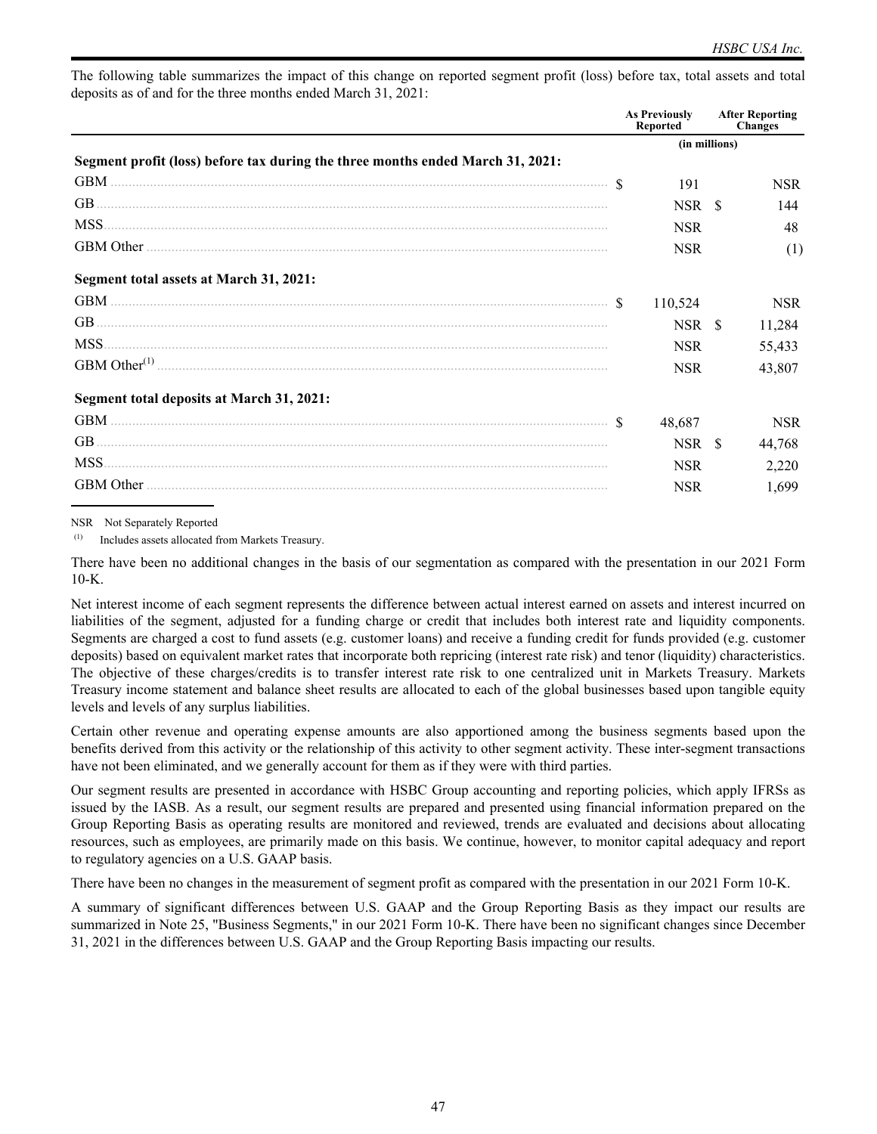The following table summarizes the impact of this change on reported segment profit (loss) before tax, total assets and total deposits as of and for the three months ended March 31, 2021:

|                                                                                | <b>As Previously</b><br>Reported |            |               | <b>After Reporting</b><br><b>Changes</b> |
|--------------------------------------------------------------------------------|----------------------------------|------------|---------------|------------------------------------------|
|                                                                                |                                  |            | (in millions) |                                          |
| Segment profit (loss) before tax during the three months ended March 31, 2021: |                                  |            |               |                                          |
|                                                                                |                                  | 191        |               | <b>NSR</b>                               |
| GB.                                                                            |                                  | NSR \$     |               | 144                                      |
| MSS.                                                                           |                                  | <b>NSR</b> |               | 48                                       |
|                                                                                |                                  | <b>NSR</b> |               | (1)                                      |
| Segment total assets at March 31, 2021:                                        |                                  |            |               |                                          |
|                                                                                | 110,524                          |            |               | <b>NSR</b>                               |
|                                                                                |                                  | NSR \$     |               | 11,284                                   |
|                                                                                |                                  | <b>NSR</b> |               | 55,433                                   |
|                                                                                |                                  | <b>NSR</b> |               | 43,807                                   |
| Segment total deposits at March 31, 2021:                                      |                                  |            |               |                                          |
| GBM.                                                                           | 48,687                           |            |               | <b>NSR</b>                               |
| GB.                                                                            |                                  | NSR \$     |               | 44,768                                   |
| MSS.                                                                           |                                  | <b>NSR</b> |               | 2,220                                    |
|                                                                                |                                  | <b>NSR</b> |               | 1,699                                    |

NSR Not Separately Reported

(1) Includes assets allocated from Markets Treasury.

There have been no additional changes in the basis of our segmentation as compared with the presentation in our 2021 Form  $10-K$ 

Net interest income of each segment represents the difference between actual interest earned on assets and interest incurred on liabilities of the segment, adjusted for a funding charge or credit that includes both interest rate and liquidity components. Segments are charged a cost to fund assets (e.g. customer loans) and receive a funding credit for funds provided (e.g. customer deposits) based on equivalent market rates that incorporate both repricing (interest rate risk) and tenor (liquidity) characteristics. The objective of these charges/credits is to transfer interest rate risk to one centralized unit in Markets Treasury. Markets Treasury income statement and balance sheet results are allocated to each of the global businesses based upon tangible equity levels and levels of any surplus liabilities.

Certain other revenue and operating expense amounts are also apportioned among the business segments based upon the benefits derived from this activity or the relationship of this activity to other segment activity. These inter-segment transactions have not been eliminated, and we generally account for them as if they were with third parties.

Our segment results are presented in accordance with HSBC Group accounting and reporting policies, which apply IFRSs as issued by the IASB. As a result, our segment results are prepared and presented using financial information prepared on the Group Reporting Basis as operating results are monitored and reviewed, trends are evaluated and decisions about allocating resources, such as employees, are primarily made on this basis. We continue, however, to monitor capital adequacy and report to regulatory agencies on a U.S. GAAP basis.

There have been no changes in the measurement of segment profit as compared with the presentation in our 2021 Form 10-K.

A summary of significant differences between U.S. GAAP and the Group Reporting Basis as they impact our results are summarized in Note 25, "Business Segments," in our 2021 Form 10-K. There have been no significant changes since December 31, 2021 in the differences between U.S. GAAP and the Group Reporting Basis impacting our results.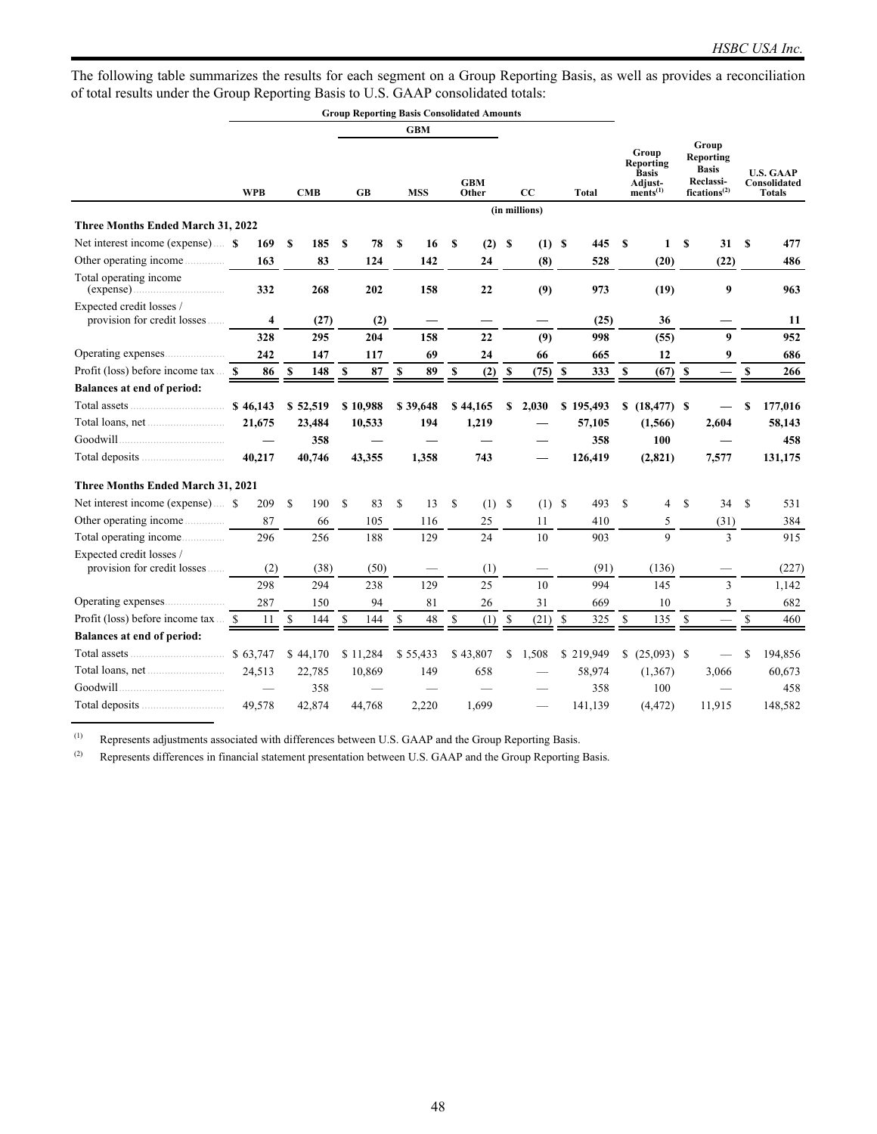The following table summarizes the results for each segment on a Group Reporting Basis, as well as provides a reconciliation of total results under the Group Reporting Basis to U.S. GAAP consolidated totals:

|                                     |            |     |    |            |               |          |               |            |    | <b>Group Reporting Basis Consolidated Amounts</b> |    |               |              |              |                                                                       |                |                                                                             |        |               |                                                   |
|-------------------------------------|------------|-----|----|------------|---------------|----------|---------------|------------|----|---------------------------------------------------|----|---------------|--------------|--------------|-----------------------------------------------------------------------|----------------|-----------------------------------------------------------------------------|--------|---------------|---------------------------------------------------|
|                                     |            |     |    |            |               |          |               | <b>GBM</b> |    |                                                   |    |               |              |              |                                                                       |                |                                                                             |        |               |                                                   |
|                                     | <b>WPB</b> |     |    | <b>CMB</b> |               | GB       |               | <b>MSS</b> |    | <b>GBM</b><br>Other                               |    | $_{\rm CC}$   |              | <b>Total</b> | Group<br>Reporting<br><b>Basis</b><br>Adjust-<br>ments <sup>(1)</sup> |                | Group<br>Reporting<br><b>Basis</b><br>Reclassi-<br>fications <sup>(2)</sup> |        |               | <b>U.S. GAAP</b><br>Consolidated<br><b>Totals</b> |
|                                     |            |     |    |            |               |          |               |            |    |                                                   |    | (in millions) |              |              |                                                                       |                |                                                                             |        |               |                                                   |
| Three Months Ended March 31, 2022   |            |     |    |            |               |          |               |            |    |                                                   |    |               |              |              |                                                                       |                |                                                                             |        |               |                                                   |
| Net interest income (expense)  \$   |            | 169 | S  | 185        | <sup>\$</sup> | 78       | S             | 16         | S  | (2)                                               | \$ | $(1)$ \$      |              | 445          | S                                                                     | 1              | <sup>\$</sup>                                                               | 31     | <sup>\$</sup> | 477                                               |
| Other operating income              |            | 163 |    | 83         |               | 124      |               | 142        |    | 24                                                |    | (8)           |              | 528          |                                                                       | (20)           |                                                                             | (22)   |               | 486                                               |
| Total operating income<br>(expense) |            | 332 |    | 268        |               | 202      |               | 158        |    | 22                                                |    | (9)           |              | 973          |                                                                       | (19)           |                                                                             | 9      |               | 963                                               |
| Expected credit losses /            |            |     |    |            |               |          |               |            |    |                                                   |    |               |              |              |                                                                       |                |                                                                             |        |               |                                                   |
| provision for credit losses.        |            | 4   |    | (27)       |               | (2)      |               |            |    |                                                   |    |               |              | (25)         |                                                                       | 36             |                                                                             |        |               | 11                                                |
|                                     |            | 328 |    | 295        |               | 204      |               | 158        |    | 22                                                |    | (9)           |              | 998          |                                                                       | (55)           |                                                                             | 9      |               | 952                                               |
|                                     |            | 242 |    | 147        |               | 117      |               | 69         |    | 24                                                |    | 66            |              | 665          |                                                                       | 12             |                                                                             | 9      |               | 686                                               |
| Profit (loss) before income tax     | - \$       | 86  | \$ | 148        | \$            | 87       | $\mathbf{s}$  | 89         | \$ | (2)                                               | \$ | (75)          | $\mathbf{s}$ | 333          | \$                                                                    | $(67)$ \$      |                                                                             |        | <b>S</b>      | 266                                               |
| <b>Balances at end of period:</b>   |            |     |    |            |               |          |               |            |    |                                                   |    |               |              |              |                                                                       |                |                                                                             |        |               |                                                   |
|                                     | \$46,143   |     |    | \$52,519   |               | \$10,988 |               | \$39,648   |    | \$44,165                                          | S  | 2,030         |              | \$195,493    | S                                                                     | $(18, 477)$ \$ |                                                                             |        | S             | 177,016                                           |
|                                     | 21,675     |     |    | 23,484     |               | 10,533   |               | 194        |    | 1,219                                             |    |               |              | 57,105       |                                                                       | (1,566)        |                                                                             | 2,604  |               | 58,143                                            |
| Goodwill                            |            |     |    | 358        |               |          |               |            |    |                                                   |    |               |              | 358          |                                                                       | 100            |                                                                             |        |               | 458                                               |
|                                     | 40,217     |     |    | 40,746     |               | 43,355   |               | 1,358      |    | 743                                               |    |               |              | 126,419      |                                                                       | (2, 821)       |                                                                             | 7,577  |               | 131,175                                           |
| Three Months Ended March 31, 2021   |            |     |    |            |               |          |               |            |    |                                                   |    |               |              |              |                                                                       |                |                                                                             |        |               |                                                   |
| Net interest income (expense) \$    |            | 209 | S  | 190        | \$            | 83       | S             | 13         | S  | (1)                                               | S  | $(1)$ \$      |              | 493          | S                                                                     | 4              | S                                                                           | 34     | <sup>\$</sup> | 531                                               |
|                                     |            | 87  |    | 66         |               | 105      |               | 116        |    | 25                                                |    | 11            |              | 410          |                                                                       | 5              |                                                                             | (31)   |               | 384                                               |
|                                     |            | 296 |    | 256        |               | 188      |               | 129        |    | 24                                                |    | 10            |              | 903          |                                                                       | 9              |                                                                             | 3      |               | 915                                               |
| Expected credit losses /            |            |     |    |            |               |          |               |            |    |                                                   |    |               |              |              |                                                                       |                |                                                                             |        |               |                                                   |
| provision for credit losses         |            | (2) |    | (38)       |               | (50)     |               |            |    | (1)                                               |    |               |              | (91)         |                                                                       | (136)          |                                                                             |        |               | (227)                                             |
|                                     |            | 298 |    | 294        |               | 238      |               | 129        |    | 25                                                |    | 10            |              | 994          |                                                                       | 145            |                                                                             | 3      |               | 1,142                                             |
|                                     |            | 287 |    | 150        |               | 94       |               | 81         |    | 26                                                |    | 31            |              | 669          |                                                                       | 10             |                                                                             | 3      |               | 682                                               |
| Profit (loss) before income tax     | - \$       | 11  | \$ | 144        | <sup>\$</sup> | 144      | <sup>\$</sup> | 48         | \$ | (1)                                               | \$ | (21)          | - \$         | 325          | <sup>\$</sup>                                                         | 135            | <sup>\$</sup>                                                               |        | \$            | 460                                               |
| <b>Balances at end of period:</b>   |            |     |    |            |               |          |               |            |    |                                                   |    |               |              |              |                                                                       |                |                                                                             |        |               |                                                   |
|                                     | \$63,747   |     |    | \$44,170   |               | \$11,284 |               | \$55,433   |    | \$43,807                                          | \$ | 1,508         |              | \$219,949    | \$                                                                    | $(25,093)$ \$  |                                                                             |        | S             | 194,856                                           |
|                                     | 24,513     |     |    | 22,785     |               | 10,869   |               | 149        |    | 658                                               |    |               |              | 58,974       |                                                                       | (1,367)        |                                                                             | 3,066  |               | 60,673                                            |
| Goodwill.                           |            |     |    | 358        |               |          |               |            |    |                                                   |    |               |              | 358          |                                                                       | 100            |                                                                             |        |               | 458                                               |
|                                     | 49,578     |     |    | 42,874     |               | 44,768   |               | 2.220      |    | 1.699                                             |    |               |              | 141,139      |                                                                       | (4, 472)       |                                                                             | 11,915 |               | 148,582                                           |

(1) Represents adjustments associated with differences between U.S. GAAP and the Group Reporting Basis.

(2) Represents differences in financial statement presentation between U.S. GAAP and the Group Reporting Basis.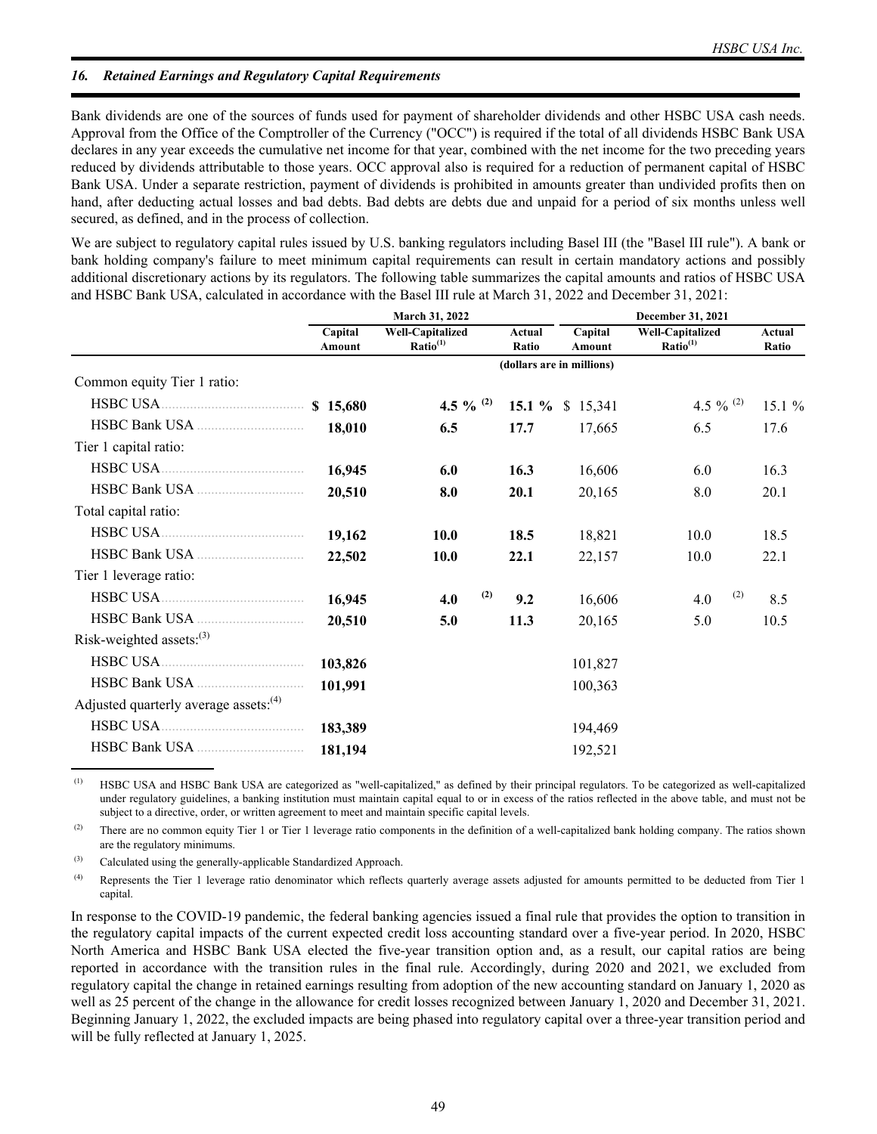# *16. Retained Earnings and Regulatory Capital Requirements*

Bank dividends are one of the sources of funds used for payment of shareholder dividends and other HSBC USA cash needs. Approval from the Office of the Comptroller of the Currency ("OCC") is required if the total of all dividends HSBC Bank USA declares in any year exceeds the cumulative net income for that year, combined with the net income for the two preceding years reduced by dividends attributable to those years. OCC approval also is required for a reduction of permanent capital of HSBC Bank USA. Under a separate restriction, payment of dividends is prohibited in amounts greater than undivided profits then on hand, after deducting actual losses and bad debts. Bad debts are debts due and unpaid for a period of six months unless well secured, as defined, and in the process of collection.

We are subject to regulatory capital rules issued by U.S. banking regulators including Basel III (the "Basel III rule"). A bank or bank holding company's failure to meet minimum capital requirements can result in certain mandatory actions and possibly additional discretionary actions by its regulators. The following table summarizes the capital amounts and ratios of HSBC USA and HSBC Bank USA, calculated in accordance with the Basel III rule at March 31, 2022 and December 31, 2021:

|                                          |                   | March 31, 2022                                  |                 |                           |                                                 |                 |
|------------------------------------------|-------------------|-------------------------------------------------|-----------------|---------------------------|-------------------------------------------------|-----------------|
|                                          | Capital<br>Amount | <b>Well-Capitalized</b><br>Ratio <sup>(1)</sup> | Actual<br>Ratio | Capital<br>Amount         | <b>Well-Capitalized</b><br>Ratio <sup>(1)</sup> | Actual<br>Ratio |
|                                          |                   |                                                 |                 | (dollars are in millions) |                                                 |                 |
| Common equity Tier 1 ratio:              |                   |                                                 |                 |                           |                                                 |                 |
|                                          |                   | 4.5 % $^{(2)}$                                  |                 | 15.1 % \$ 15,341          | 4.5 % $^{(2)}$                                  | 15.1%           |
| HSBC Bank USA                            | 18,010            | 6.5                                             | 17.7            | 17,665                    | 6.5                                             | 17.6            |
| Tier 1 capital ratio:                    |                   |                                                 |                 |                           |                                                 |                 |
| HSBC USA                                 | 16,945            | 6.0                                             | 16.3            | 16,606                    | 6.0                                             | 16.3            |
|                                          | 20,510            | 8.0                                             | 20.1            | 20,165                    | 8.0                                             | 20.1            |
| Total capital ratio:                     |                   |                                                 |                 |                           |                                                 |                 |
| HSBC USA                                 | 19,162            | <b>10.0</b>                                     | 18.5            | 18,821                    | 10.0                                            | 18.5            |
|                                          | 22,502            | 10.0                                            | 22.1            | 22,157                    | 10.0                                            | 22.1            |
| Tier 1 leverage ratio:                   |                   |                                                 |                 |                           |                                                 |                 |
| HSBC USA                                 | 16,945            | (2)<br>4.0                                      | 9.2             | 16,606                    | (2)<br>4.0                                      | 8.5             |
| HSBC Bank USA                            | 20,510            | 5.0                                             | 11.3            | 20,165                    | 5.0                                             | 10.5            |
| Risk-weighted assets: $^{(3)}$           |                   |                                                 |                 |                           |                                                 |                 |
| HSBC USA                                 | 103,826           |                                                 |                 | 101,827                   |                                                 |                 |
| HSBC Bank USA                            | 101,991           |                                                 |                 | 100,363                   |                                                 |                 |
| Adjusted quarterly average assets: $(4)$ |                   |                                                 |                 |                           |                                                 |                 |
| HSBC USA                                 | 183,389           |                                                 |                 | 194,469                   |                                                 |                 |
| HSBC Bank USA                            | 181,194           |                                                 |                 | 192,521                   |                                                 |                 |
|                                          |                   |                                                 |                 |                           |                                                 |                 |

(1) HSBC USA and HSBC Bank USA are categorized as "well-capitalized," as defined by their principal regulators. To be categorized as well-capitalized under regulatory guidelines, a banking institution must maintain capital equal to or in excess of the ratios reflected in the above table, and must not be subject to a directive, order, or written agreement to meet and maintain specific capital levels.

<sup>(2)</sup> There are no common equity Tier 1 or Tier 1 leverage ratio components in the definition of a well-capitalized bank holding company. The ratios shown are the regulatory minimums.

(3) Calculated using the generally-applicable Standardized Approach.

(4) Represents the Tier 1 leverage ratio denominator which reflects quarterly average assets adjusted for amounts permitted to be deducted from Tier 1 capital.

In response to the COVID-19 pandemic, the federal banking agencies issued a final rule that provides the option to transition in the regulatory capital impacts of the current expected credit loss accounting standard over a five-year period. In 2020, HSBC North America and HSBC Bank USA elected the five-year transition option and, as a result, our capital ratios are being reported in accordance with the transition rules in the final rule. Accordingly, during 2020 and 2021, we excluded from regulatory capital the change in retained earnings resulting from adoption of the new accounting standard on January 1, 2020 as well as 25 percent of the change in the allowance for credit losses recognized between January 1, 2020 and December 31, 2021. Beginning January 1, 2022, the excluded impacts are being phased into regulatory capital over a three-year transition period and will be fully reflected at January 1, 2025.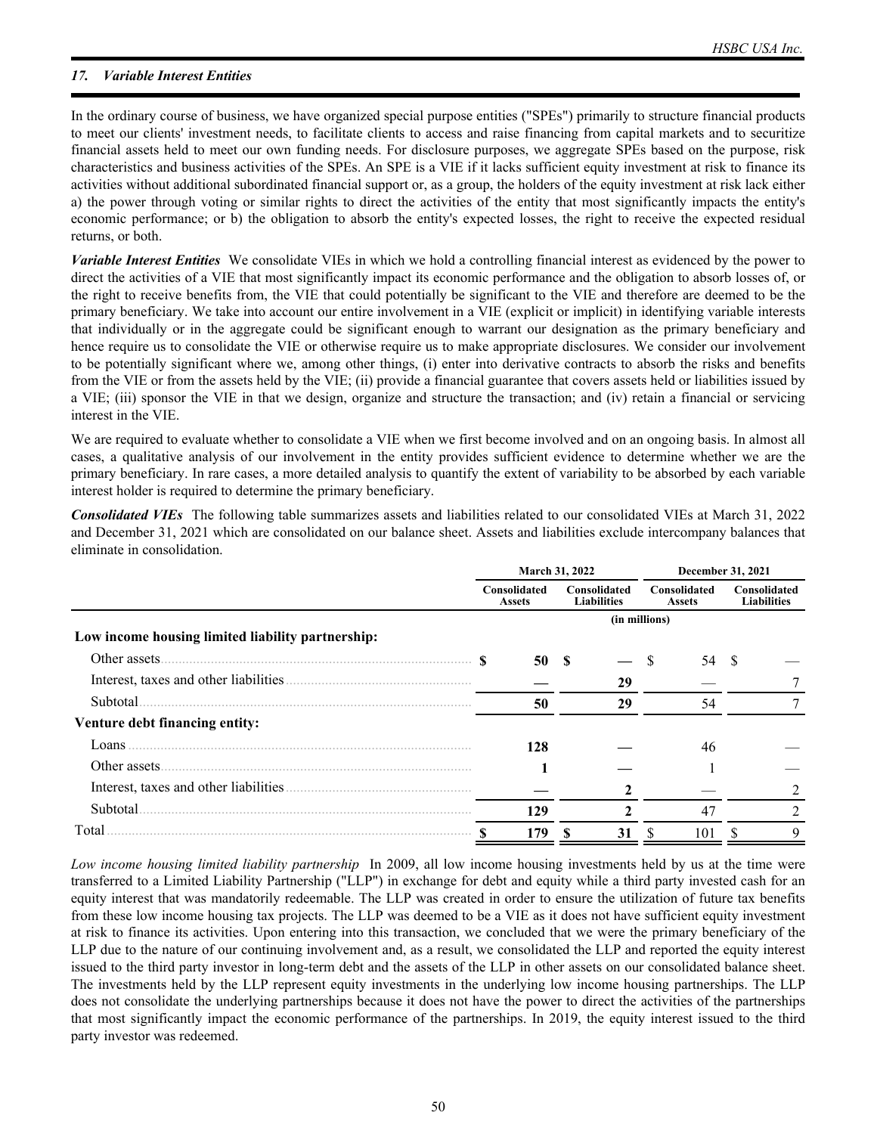### *17. Variable Interest Entities*

In the ordinary course of business, we have organized special purpose entities ("SPEs") primarily to structure financial products to meet our clients' investment needs, to facilitate clients to access and raise financing from capital markets and to securitize financial assets held to meet our own funding needs. For disclosure purposes, we aggregate SPEs based on the purpose, risk characteristics and business activities of the SPEs. An SPE is a VIE if it lacks sufficient equity investment at risk to finance its activities without additional subordinated financial support or, as a group, the holders of the equity investment at risk lack either a) the power through voting or similar rights to direct the activities of the entity that most significantly impacts the entity's economic performance; or b) the obligation to absorb the entity's expected losses, the right to receive the expected residual returns, or both.

*Variable Interest Entities* We consolidate VIEs in which we hold a controlling financial interest as evidenced by the power to direct the activities of a VIE that most significantly impact its economic performance and the obligation to absorb losses of, or the right to receive benefits from, the VIE that could potentially be significant to the VIE and therefore are deemed to be the primary beneficiary. We take into account our entire involvement in a VIE (explicit or implicit) in identifying variable interests that individually or in the aggregate could be significant enough to warrant our designation as the primary beneficiary and hence require us to consolidate the VIE or otherwise require us to make appropriate disclosures. We consider our involvement to be potentially significant where we, among other things, (i) enter into derivative contracts to absorb the risks and benefits from the VIE or from the assets held by the VIE; (ii) provide a financial guarantee that covers assets held or liabilities issued by a VIE; (iii) sponsor the VIE in that we design, organize and structure the transaction; and (iv) retain a financial or servicing interest in the VIE.

We are required to evaluate whether to consolidate a VIE when we first become involved and on an ongoing basis. In almost all cases, a qualitative analysis of our involvement in the entity provides sufficient evidence to determine whether we are the primary beneficiary. In rare cases, a more detailed analysis to quantify the extent of variability to be absorbed by each variable interest holder is required to determine the primary beneficiary.

*Consolidated VIEs* The following table summarizes assets and liabilities related to our consolidated VIEs at March 31, 2022 and December 31, 2021 which are consolidated on our balance sheet. Assets and liabilities exclude intercompany balances that eliminate in consolidation.

|                                                   |                               | March 31, 2022 |                                    |               |                               | December 31, 2021                  |   |  |
|---------------------------------------------------|-------------------------------|----------------|------------------------------------|---------------|-------------------------------|------------------------------------|---|--|
|                                                   | Consolidated<br><b>Assets</b> |                | Consolidated<br><b>Liabilities</b> |               | Consolidated<br><b>Assets</b> | Consolidated<br><b>Liabilities</b> |   |  |
|                                                   |                               |                |                                    | (in millions) |                               |                                    |   |  |
| Low income housing limited liability partnership: |                               |                |                                    |               |                               |                                    |   |  |
|                                                   | 50                            | -8             |                                    |               | 54                            | -S                                 |   |  |
| Interest, taxes and other liabilities.            |                               |                | 29                                 |               |                               |                                    |   |  |
| Subtotal.                                         | 50                            |                | 29                                 |               | 54                            |                                    |   |  |
| Venture debt financing entity:                    |                               |                |                                    |               |                               |                                    |   |  |
| Loans.                                            | 128                           |                |                                    |               | 46                            |                                    |   |  |
| Other assets.                                     |                               |                |                                    |               |                               |                                    |   |  |
| Interest, taxes and other liabilities.            |                               |                |                                    |               |                               |                                    |   |  |
| Subtotal.                                         | 129                           |                |                                    |               | 47                            |                                    |   |  |
| Total                                             | 179                           |                | 31                                 |               | 101                           |                                    | 9 |  |

*Low income housing limited liability partnership* In 2009, all low income housing investments held by us at the time were transferred to a Limited Liability Partnership ("LLP") in exchange for debt and equity while a third party invested cash for an equity interest that was mandatorily redeemable. The LLP was created in order to ensure the utilization of future tax benefits from these low income housing tax projects. The LLP was deemed to be a VIE as it does not have sufficient equity investment at risk to finance its activities. Upon entering into this transaction, we concluded that we were the primary beneficiary of the LLP due to the nature of our continuing involvement and, as a result, we consolidated the LLP and reported the equity interest issued to the third party investor in long-term debt and the assets of the LLP in other assets on our consolidated balance sheet. The investments held by the LLP represent equity investments in the underlying low income housing partnerships. The LLP does not consolidate the underlying partnerships because it does not have the power to direct the activities of the partnerships that most significantly impact the economic performance of the partnerships. In 2019, the equity interest issued to the third party investor was redeemed.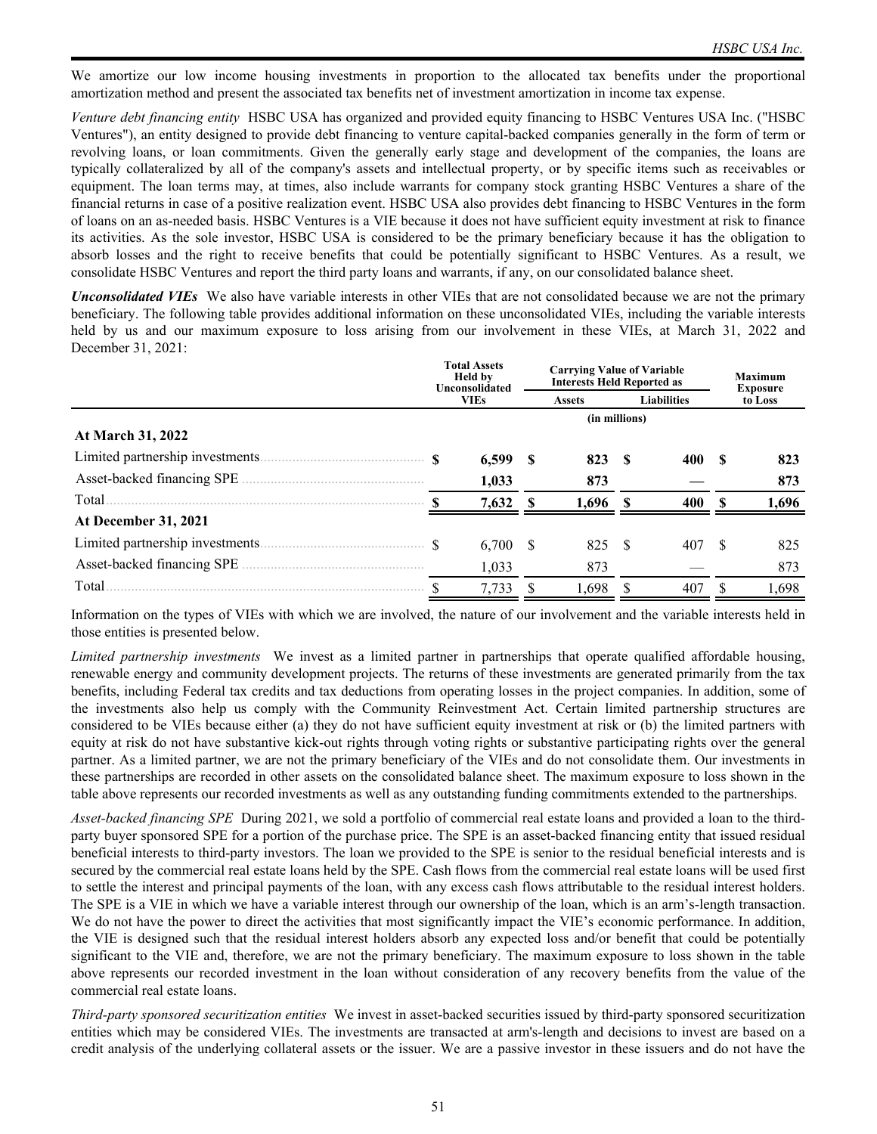We amortize our low income housing investments in proportion to the allocated tax benefits under the proportional amortization method and present the associated tax benefits net of investment amortization in income tax expense.

*Venture debt financing entity* HSBC USA has organized and provided equity financing to HSBC Ventures USA Inc. ("HSBC Ventures"), an entity designed to provide debt financing to venture capital-backed companies generally in the form of term or revolving loans, or loan commitments. Given the generally early stage and development of the companies, the loans are typically collateralized by all of the company's assets and intellectual property, or by specific items such as receivables or equipment. The loan terms may, at times, also include warrants for company stock granting HSBC Ventures a share of the financial returns in case of a positive realization event. HSBC USA also provides debt financing to HSBC Ventures in the form of loans on an as-needed basis. HSBC Ventures is a VIE because it does not have sufficient equity investment at risk to finance its activities. As the sole investor, HSBC USA is considered to be the primary beneficiary because it has the obligation to absorb losses and the right to receive benefits that could be potentially significant to HSBC Ventures. As a result, we consolidate HSBC Ventures and report the third party loans and warrants, if any, on our consolidated balance sheet.

*Unconsolidated VIEs* We also have variable interests in other VIEs that are not consolidated because we are not the primary beneficiary. The following table provides additional information on these unconsolidated VIEs, including the variable interests held by us and our maximum exposure to loss arising from our involvement in these VIEs, at March 31, 2022 and December 31, 2021:

|                             | <b>Total Assets</b><br><b>Held</b> by<br><b>Unconsolidated</b> |     | <b>Maximum</b><br><b>Exposure</b> |               |                    |    |         |
|-----------------------------|----------------------------------------------------------------|-----|-----------------------------------|---------------|--------------------|----|---------|
|                             | <b>VIEs</b>                                                    |     | <b>Assets</b>                     |               | <b>Liabilities</b> |    | to Loss |
|                             |                                                                |     |                                   | (in millions) |                    |    |         |
| At March 31, 2022           |                                                                |     |                                   |               |                    |    |         |
|                             | 6.599                                                          | - S | 823                               | -8            | 400                | S  | 823     |
|                             | 1,033                                                          |     | 873                               |               |                    |    | 873     |
| Total.                      | 7,632                                                          |     | 1,696                             |               | 400                |    | 1,696   |
| <b>At December 31, 2021</b> |                                                                |     |                                   |               |                    |    |         |
|                             | 6,700                                                          | - S | 825                               | - \$          | 407                | -S | 825     |
|                             | 1,033                                                          |     | 873                               |               |                    |    | 873     |
| Total                       | 7.733                                                          |     | 1.698                             |               | 407                | Ж, | 1,698   |

Information on the types of VIEs with which we are involved, the nature of our involvement and the variable interests held in those entities is presented below.

*Limited partnership investments* We invest as a limited partner in partnerships that operate qualified affordable housing, renewable energy and community development projects. The returns of these investments are generated primarily from the tax benefits, including Federal tax credits and tax deductions from operating losses in the project companies. In addition, some of the investments also help us comply with the Community Reinvestment Act. Certain limited partnership structures are considered to be VIEs because either (a) they do not have sufficient equity investment at risk or (b) the limited partners with equity at risk do not have substantive kick-out rights through voting rights or substantive participating rights over the general partner. As a limited partner, we are not the primary beneficiary of the VIEs and do not consolidate them. Our investments in these partnerships are recorded in other assets on the consolidated balance sheet. The maximum exposure to loss shown in the table above represents our recorded investments as well as any outstanding funding commitments extended to the partnerships.

*Asset-backed financing SPE* During 2021, we sold a portfolio of commercial real estate loans and provided a loan to the thirdparty buyer sponsored SPE for a portion of the purchase price. The SPE is an asset-backed financing entity that issued residual beneficial interests to third-party investors. The loan we provided to the SPE is senior to the residual beneficial interests and is secured by the commercial real estate loans held by the SPE. Cash flows from the commercial real estate loans will be used first to settle the interest and principal payments of the loan, with any excess cash flows attributable to the residual interest holders. The SPE is a VIE in which we have a variable interest through our ownership of the loan, which is an arm's-length transaction. We do not have the power to direct the activities that most significantly impact the VIE's economic performance. In addition, the VIE is designed such that the residual interest holders absorb any expected loss and/or benefit that could be potentially significant to the VIE and, therefore, we are not the primary beneficiary. The maximum exposure to loss shown in the table above represents our recorded investment in the loan without consideration of any recovery benefits from the value of the commercial real estate loans.

*Third-party sponsored securitization entities* We invest in asset-backed securities issued by third-party sponsored securitization entities which may be considered VIEs. The investments are transacted at arm's-length and decisions to invest are based on a credit analysis of the underlying collateral assets or the issuer. We are a passive investor in these issuers and do not have the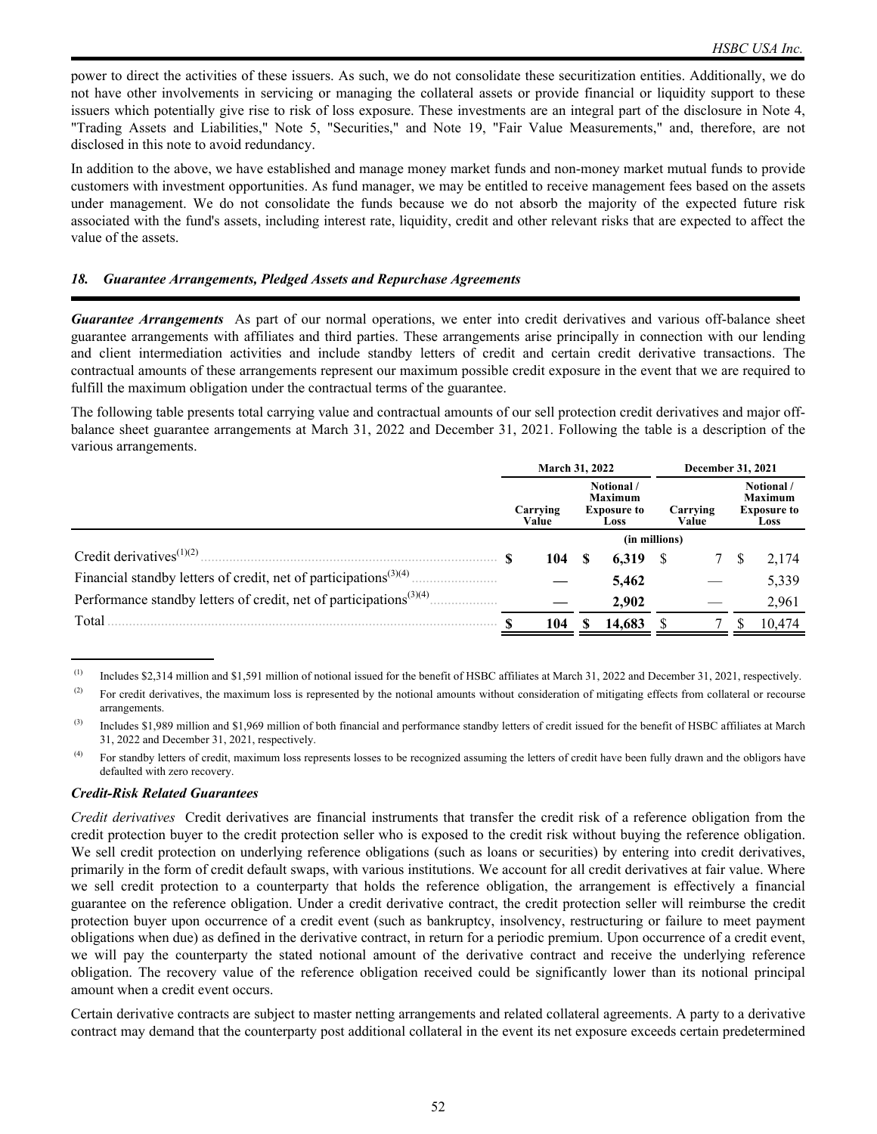power to direct the activities of these issuers. As such, we do not consolidate these securitization entities. Additionally, we do not have other involvements in servicing or managing the collateral assets or provide financial or liquidity support to these issuers which potentially give rise to risk of loss exposure. These investments are an integral part of the disclosure in Note 4, "Trading Assets and Liabilities," Note 5, "Securities," and Note 19, "Fair Value Measurements," and, therefore, are not disclosed in this note to avoid redundancy.

In addition to the above, we have established and manage money market funds and non-money market mutual funds to provide customers with investment opportunities. As fund manager, we may be entitled to receive management fees based on the assets under management. We do not consolidate the funds because we do not absorb the majority of the expected future risk associated with the fund's assets, including interest rate, liquidity, credit and other relevant risks that are expected to affect the value of the assets.

## *18. Guarantee Arrangements, Pledged Assets and Repurchase Agreements*

*Guarantee Arrangements* As part of our normal operations, we enter into credit derivatives and various off-balance sheet guarantee arrangements with affiliates and third parties. These arrangements arise principally in connection with our lending and client intermediation activities and include standby letters of credit and certain credit derivative transactions. The contractual amounts of these arrangements represent our maximum possible credit exposure in the event that we are required to fulfill the maximum obligation under the contractual terms of the guarantee.

The following table presents total carrying value and contractual amounts of our sell protection credit derivatives and major offbalance sheet guarantee arrangements at March 31, 2022 and December 31, 2021. Following the table is a description of the various arrangements.

|                                                                                             | March 31, 2022    |    |                                                            |     |                   | December 31, 2021 |                                                            |  |
|---------------------------------------------------------------------------------------------|-------------------|----|------------------------------------------------------------|-----|-------------------|-------------------|------------------------------------------------------------|--|
|                                                                                             | Carrving<br>Value |    | Notional /<br><b>Maximum</b><br><b>Exposure to</b><br>Loss |     | Carrying<br>Value |                   | Notional /<br><b>Maximum</b><br><b>Exposure to</b><br>Loss |  |
|                                                                                             |                   |    | (in millions)                                              |     |                   |                   |                                                            |  |
| Credit derivatives <sup><math>(1)(2)</math></sup>                                           | 104               | -S | 6,319                                                      | - S |                   |                   | 2,174                                                      |  |
| Financial standby letters of credit, net of participations <sup><math>(3)(4)</math></sup>   |                   |    | 5,462                                                      |     |                   |                   | 5,339                                                      |  |
| Performance standby letters of credit, net of participations <sup><math>(3)(4)</math></sup> |                   |    | 2.902                                                      |     |                   |                   | 2,961                                                      |  |
| Total                                                                                       | 104               |    | 14,683                                                     |     |                   |                   | 10.474                                                     |  |

(1) Includes \$2,314 million and \$1,591 million of notional issued for the benefit of HSBC affiliates at March 31, 2022 and December 31, 2021, respectively.

(4) For standby letters of credit, maximum loss represents losses to be recognized assuming the letters of credit have been fully drawn and the obligors have defaulted with zero recovery.

### *Credit-Risk Related Guarantees*

*Credit derivatives* Credit derivatives are financial instruments that transfer the credit risk of a reference obligation from the credit protection buyer to the credit protection seller who is exposed to the credit risk without buying the reference obligation. We sell credit protection on underlying reference obligations (such as loans or securities) by entering into credit derivatives, primarily in the form of credit default swaps, with various institutions. We account for all credit derivatives at fair value. Where we sell credit protection to a counterparty that holds the reference obligation, the arrangement is effectively a financial guarantee on the reference obligation. Under a credit derivative contract, the credit protection seller will reimburse the credit protection buyer upon occurrence of a credit event (such as bankruptcy, insolvency, restructuring or failure to meet payment obligations when due) as defined in the derivative contract, in return for a periodic premium. Upon occurrence of a credit event, we will pay the counterparty the stated notional amount of the derivative contract and receive the underlying reference obligation. The recovery value of the reference obligation received could be significantly lower than its notional principal amount when a credit event occurs.

Certain derivative contracts are subject to master netting arrangements and related collateral agreements. A party to a derivative contract may demand that the counterparty post additional collateral in the event its net exposure exceeds certain predetermined

<sup>(2)</sup> For credit derivatives, the maximum loss is represented by the notional amounts without consideration of mitigating effects from collateral or recourse arrangements.

<sup>(3)</sup> Includes \$1,989 million and \$1,969 million of both financial and performance standby letters of credit issued for the benefit of HSBC affiliates at March 31, 2022 and December 31, 2021, respectively.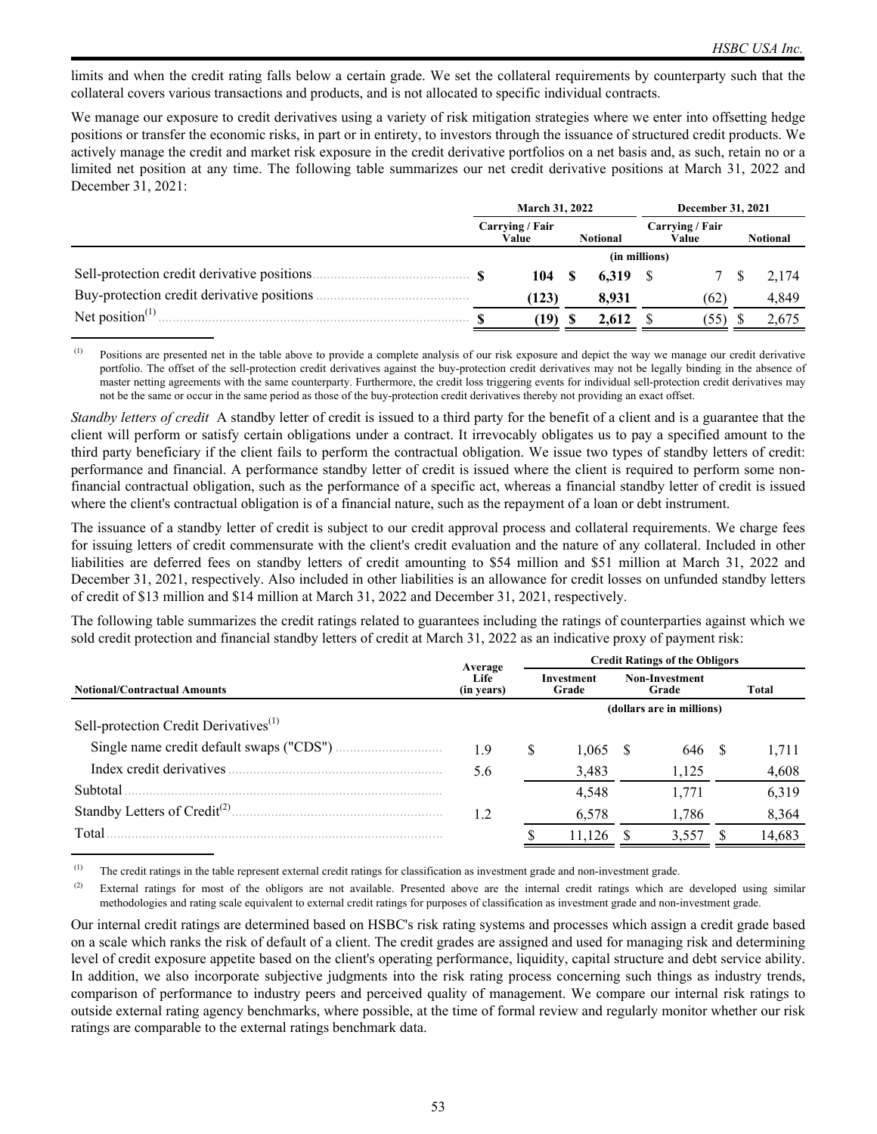limits and when the credit rating falls below a certain grade. We set the collateral requirements by counterparty such that the collateral covers various transactions and products, and is not allocated to specific individual contracts.

We manage our exposure to credit derivatives using a variety of risk mitigation strategies where we enter into offsetting hedge positions or transfer the economic risks, in part or in entirety, to investors through the issuance of structured credit products. We actively manage the credit and market risk exposure in the credit derivative portfolios on a net basis and, as such, retain no or a limited net position at any time. The following table summarizes our net credit derivative positions at March 31, 2022 and December 31, 2021:

|                                              | <b>March 31, 2022</b>    |                 |  | December 31, 2021        |  |                 |
|----------------------------------------------|--------------------------|-----------------|--|--------------------------|--|-----------------|
|                                              | Carrying / Fair<br>Value | <b>Notional</b> |  | Carrying / Fair<br>Value |  | <b>Notional</b> |
|                                              |                          | (in millions)   |  |                          |  |                 |
| Sell-protection credit derivative positions. | 104                      | 6.319 S         |  |                          |  | 2.174           |
| Buy-protection credit derivative positions.  | (123)                    | 8.931           |  | (62)                     |  | 4.849           |
| Net position $(1)$                           | , 19)                    | 2.612           |  | (55)                     |  | 2,675           |

(1) Positions are presented net in the table above to provide a complete analysis of our risk exposure and depict the way we manage our credit derivative portfolio. The offset of the sell-protection credit derivatives against the buy-protection credit derivatives may not be legally binding in the absence of master netting agreements with the same counterparty. Furthermore, the credit loss triggering events for individual sell-protection credit derivatives may not be the same or occur in the same period as those of the buy-protection credit derivatives thereby not providing an exact offset.

*Standby letters of credit* A standby letter of credit is issued to a third party for the benefit of a client and is a guarantee that the client will perform or satisfy certain obligations under a contract. It irrevocably obligates us to pay a specified amount to the third party beneficiary if the client fails to perform the contractual obligation. We issue two types of standby letters of credit: performance and financial. A performance standby letter of credit is issued where the client is required to perform some nonfinancial contractual obligation, such as the performance of a specific act, whereas a financial standby letter of credit is issued where the client's contractual obligation is of a financial nature, such as the repayment of a loan or debt instrument.

The issuance of a standby letter of credit is subject to our credit approval process and collateral requirements. We charge fees for issuing letters of credit commensurate with the client's credit evaluation and the nature of any collateral. Included in other liabilities are deferred fees on standby letters of credit amounting to \$54 million and \$51 million at March 31, 2022 and December 31, 2021, respectively. Also included in other liabilities is an allowance for credit losses on unfunded standby letters of credit of \$13 million and \$14 million at March 31, 2022 and December 31, 2021, respectively.

The following table summarizes the credit ratings related to guarantees including the ratings of counterparties against which we sold credit protection and financial standby letters of credit at March 31, 2022 as an indicative proxy of payment risk:

|                                                   | Average            | <b>Credit Ratings of the Obligors</b> |                           |     |                                |  |        |  |  |  |  |  |  |
|---------------------------------------------------|--------------------|---------------------------------------|---------------------------|-----|--------------------------------|--|--------|--|--|--|--|--|--|
| <b>Notional/Contractual Amounts</b>               | Life<br>(in years) |                                       | Investment<br>Grade       |     | <b>Non-Investment</b><br>Grade |  | Total  |  |  |  |  |  |  |
|                                                   |                    |                                       | (dollars are in millions) |     |                                |  |        |  |  |  |  |  |  |
| Sell-protection Credit Derivatives <sup>(1)</sup> |                    |                                       |                           |     |                                |  |        |  |  |  |  |  |  |
|                                                   | 1.9                | S                                     | 1,065                     | - S | 646 S                          |  | 1,711  |  |  |  |  |  |  |
| Index credit derivatives.                         | 5.6                |                                       | 3,483                     |     | 1,125                          |  | 4,608  |  |  |  |  |  |  |
| Subtotal                                          |                    |                                       | 4,548                     |     | 1.771                          |  | 6,319  |  |  |  |  |  |  |
| Standby Letters of Credit <sup>(2)</sup> .        | 12                 |                                       | 6.578                     |     | 1,786                          |  | 8,364  |  |  |  |  |  |  |
| Total                                             |                    |                                       |                           |     | 3.557                          |  | 14,683 |  |  |  |  |  |  |

<sup>(1)</sup> The credit ratings in the table represent external credit ratings for classification as investment grade and non-investment grade.

(2) External ratings for most of the obligors are not available. Presented above are the internal credit ratings which are developed using similar methodologies and rating scale equivalent to external credit ratings for purposes of classification as investment grade and non-investment grade.

Our internal credit ratings are determined based on HSBC's risk rating systems and processes which assign a credit grade based on a scale which ranks the risk of default of a client. The credit grades are assigned and used for managing risk and determining level of credit exposure appetite based on the client's operating performance, liquidity, capital structure and debt service ability. In addition, we also incorporate subjective judgments into the risk rating process concerning such things as industry trends, comparison of performance to industry peers and perceived quality of management. We compare our internal risk ratings to outside external rating agency benchmarks, where possible, at the time of formal review and regularly monitor whether our risk ratings are comparable to the external ratings benchmark data.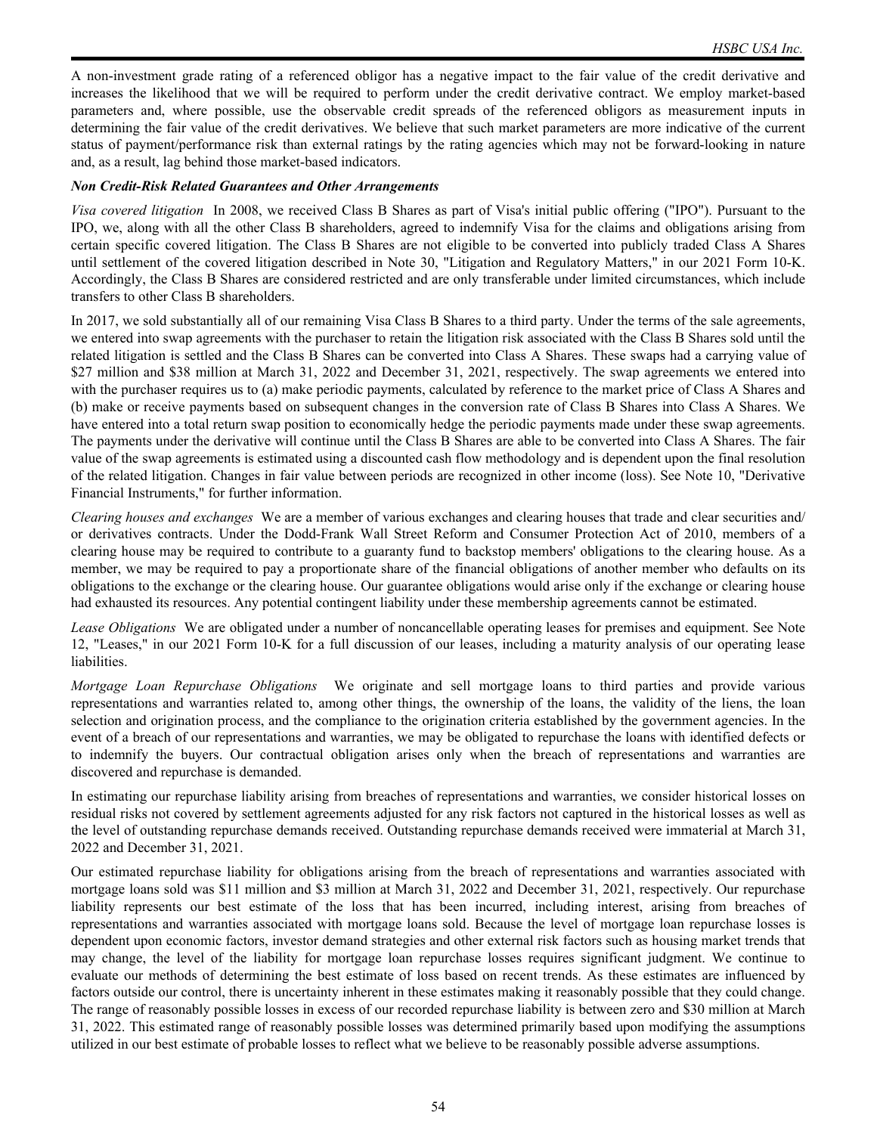A non-investment grade rating of a referenced obligor has a negative impact to the fair value of the credit derivative and increases the likelihood that we will be required to perform under the credit derivative contract. We employ market-based parameters and, where possible, use the observable credit spreads of the referenced obligors as measurement inputs in determining the fair value of the credit derivatives. We believe that such market parameters are more indicative of the current status of payment/performance risk than external ratings by the rating agencies which may not be forward-looking in nature and, as a result, lag behind those market-based indicators.

### *Non Credit-Risk Related Guarantees and Other Arrangements*

*Visa covered litigation* In 2008, we received Class B Shares as part of Visa's initial public offering ("IPO"). Pursuant to the IPO, we, along with all the other Class B shareholders, agreed to indemnify Visa for the claims and obligations arising from certain specific covered litigation. The Class B Shares are not eligible to be converted into publicly traded Class A Shares until settlement of the covered litigation described in Note 30, "Litigation and Regulatory Matters," in our 2021 Form 10-K. Accordingly, the Class B Shares are considered restricted and are only transferable under limited circumstances, which include transfers to other Class B shareholders.

In 2017, we sold substantially all of our remaining Visa Class B Shares to a third party. Under the terms of the sale agreements, we entered into swap agreements with the purchaser to retain the litigation risk associated with the Class B Shares sold until the related litigation is settled and the Class B Shares can be converted into Class A Shares. These swaps had a carrying value of \$27 million and \$38 million at March 31, 2022 and December 31, 2021, respectively. The swap agreements we entered into with the purchaser requires us to (a) make periodic payments, calculated by reference to the market price of Class A Shares and (b) make or receive payments based on subsequent changes in the conversion rate of Class B Shares into Class A Shares. We have entered into a total return swap position to economically hedge the periodic payments made under these swap agreements. The payments under the derivative will continue until the Class B Shares are able to be converted into Class A Shares. The fair value of the swap agreements is estimated using a discounted cash flow methodology and is dependent upon the final resolution of the related litigation. Changes in fair value between periods are recognized in other income (loss). See Note 10, "Derivative Financial Instruments," for further information.

*Clearing houses and exchanges* We are a member of various exchanges and clearing houses that trade and clear securities and/ or derivatives contracts. Under the Dodd-Frank Wall Street Reform and Consumer Protection Act of 2010, members of a clearing house may be required to contribute to a guaranty fund to backstop members' obligations to the clearing house. As a member, we may be required to pay a proportionate share of the financial obligations of another member who defaults on its obligations to the exchange or the clearing house. Our guarantee obligations would arise only if the exchange or clearing house had exhausted its resources. Any potential contingent liability under these membership agreements cannot be estimated.

*Lease Obligations* We are obligated under a number of noncancellable operating leases for premises and equipment. See Note 12, "Leases," in our 2021 Form 10-K for a full discussion of our leases, including a maturity analysis of our operating lease liabilities.

*Mortgage Loan Repurchase Obligations* We originate and sell mortgage loans to third parties and provide various representations and warranties related to, among other things, the ownership of the loans, the validity of the liens, the loan selection and origination process, and the compliance to the origination criteria established by the government agencies. In the event of a breach of our representations and warranties, we may be obligated to repurchase the loans with identified defects or to indemnify the buyers. Our contractual obligation arises only when the breach of representations and warranties are discovered and repurchase is demanded.

In estimating our repurchase liability arising from breaches of representations and warranties, we consider historical losses on residual risks not covered by settlement agreements adjusted for any risk factors not captured in the historical losses as well as the level of outstanding repurchase demands received. Outstanding repurchase demands received were immaterial at March 31, 2022 and December 31, 2021.

Our estimated repurchase liability for obligations arising from the breach of representations and warranties associated with mortgage loans sold was \$11 million and \$3 million at March 31, 2022 and December 31, 2021, respectively. Our repurchase liability represents our best estimate of the loss that has been incurred, including interest, arising from breaches of representations and warranties associated with mortgage loans sold. Because the level of mortgage loan repurchase losses is dependent upon economic factors, investor demand strategies and other external risk factors such as housing market trends that may change, the level of the liability for mortgage loan repurchase losses requires significant judgment. We continue to evaluate our methods of determining the best estimate of loss based on recent trends. As these estimates are influenced by factors outside our control, there is uncertainty inherent in these estimates making it reasonably possible that they could change. The range of reasonably possible losses in excess of our recorded repurchase liability is between zero and \$30 million at March 31, 2022. This estimated range of reasonably possible losses was determined primarily based upon modifying the assumptions utilized in our best estimate of probable losses to reflect what we believe to be reasonably possible adverse assumptions.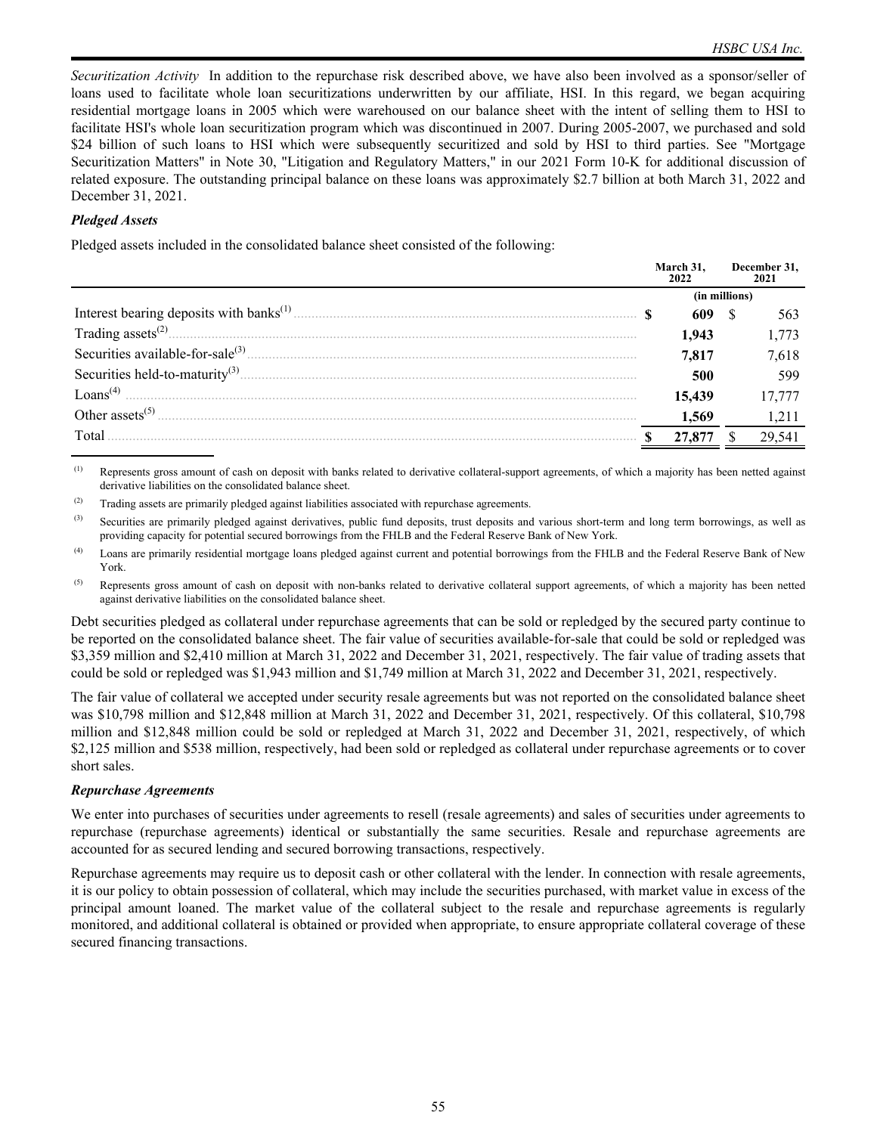*Securitization Activity* In addition to the repurchase risk described above, we have also been involved as a sponsor/seller of loans used to facilitate whole loan securitizations underwritten by our affiliate, HSI. In this regard, we began acquiring residential mortgage loans in 2005 which were warehoused on our balance sheet with the intent of selling them to HSI to facilitate HSI's whole loan securitization program which was discontinued in 2007. During 2005-2007, we purchased and sold \$24 billion of such loans to HSI which were subsequently securitized and sold by HSI to third parties. See "Mortgage Securitization Matters" in Note 30, "Litigation and Regulatory Matters," in our 2021 Form 10-K for additional discussion of related exposure. The outstanding principal balance on these loans was approximately \$2.7 billion at both March 31, 2022 and December 31, 2021.

### *Pledged Assets*

Pledged assets included in the consolidated balance sheet consisted of the following:

|                                          | March 31,<br>2022 | December 31,<br>2021 |
|------------------------------------------|-------------------|----------------------|
|                                          |                   | (in millions)        |
|                                          |                   | 563.<br>S            |
|                                          | 1.943             | 773                  |
| Securities available-for-sale $^{(3)}$ . | 7.817             | 7,618                |
|                                          | 500               | 599                  |
| Loans <sup>(4)</sup>                     | 15,439            | 17 777               |
| Other assets <sup><math>(5)</math></sup> | 1,569             | 1.211                |
| Total                                    | 27.877            | 29,541               |

<sup>(1)</sup> Represents gross amount of cash on deposit with banks related to derivative collateral-support agreements, of which a majority has been netted against derivative liabilities on the consolidated balance sheet.

<sup>(2)</sup> Trading assets are primarily pledged against liabilities associated with repurchase agreements.

<sup>(3)</sup> Securities are primarily pledged against derivatives, public fund deposits, trust deposits and various short-term and long term borrowings, as well as providing capacity for potential secured borrowings from the FHLB and the Federal Reserve Bank of New York.

<sup>(4)</sup> Loans are primarily residential mortgage loans pledged against current and potential borrowings from the FHLB and the Federal Reserve Bank of New York.

 $<sup>(5)</sup>$  Represents gross amount of cash on deposit with non-banks related to derivative collateral support agreements, of which a majority has been netted</sup> against derivative liabilities on the consolidated balance sheet.

Debt securities pledged as collateral under repurchase agreements that can be sold or repledged by the secured party continue to be reported on the consolidated balance sheet. The fair value of securities available-for-sale that could be sold or repledged was \$3,359 million and \$2,410 million at March 31, 2022 and December 31, 2021, respectively. The fair value of trading assets that could be sold or repledged was \$1,943 million and \$1,749 million at March 31, 2022 and December 31, 2021, respectively.

The fair value of collateral we accepted under security resale agreements but was not reported on the consolidated balance sheet was \$10,798 million and \$12,848 million at March 31, 2022 and December 31, 2021, respectively. Of this collateral, \$10,798 million and \$12,848 million could be sold or repledged at March 31, 2022 and December 31, 2021, respectively, of which \$2,125 million and \$538 million, respectively, had been sold or repledged as collateral under repurchase agreements or to cover short sales.

### *Repurchase Agreements*

We enter into purchases of securities under agreements to resell (resale agreements) and sales of securities under agreements to repurchase (repurchase agreements) identical or substantially the same securities. Resale and repurchase agreements are accounted for as secured lending and secured borrowing transactions, respectively.

Repurchase agreements may require us to deposit cash or other collateral with the lender. In connection with resale agreements, it is our policy to obtain possession of collateral, which may include the securities purchased, with market value in excess of the principal amount loaned. The market value of the collateral subject to the resale and repurchase agreements is regularly monitored, and additional collateral is obtained or provided when appropriate, to ensure appropriate collateral coverage of these secured financing transactions.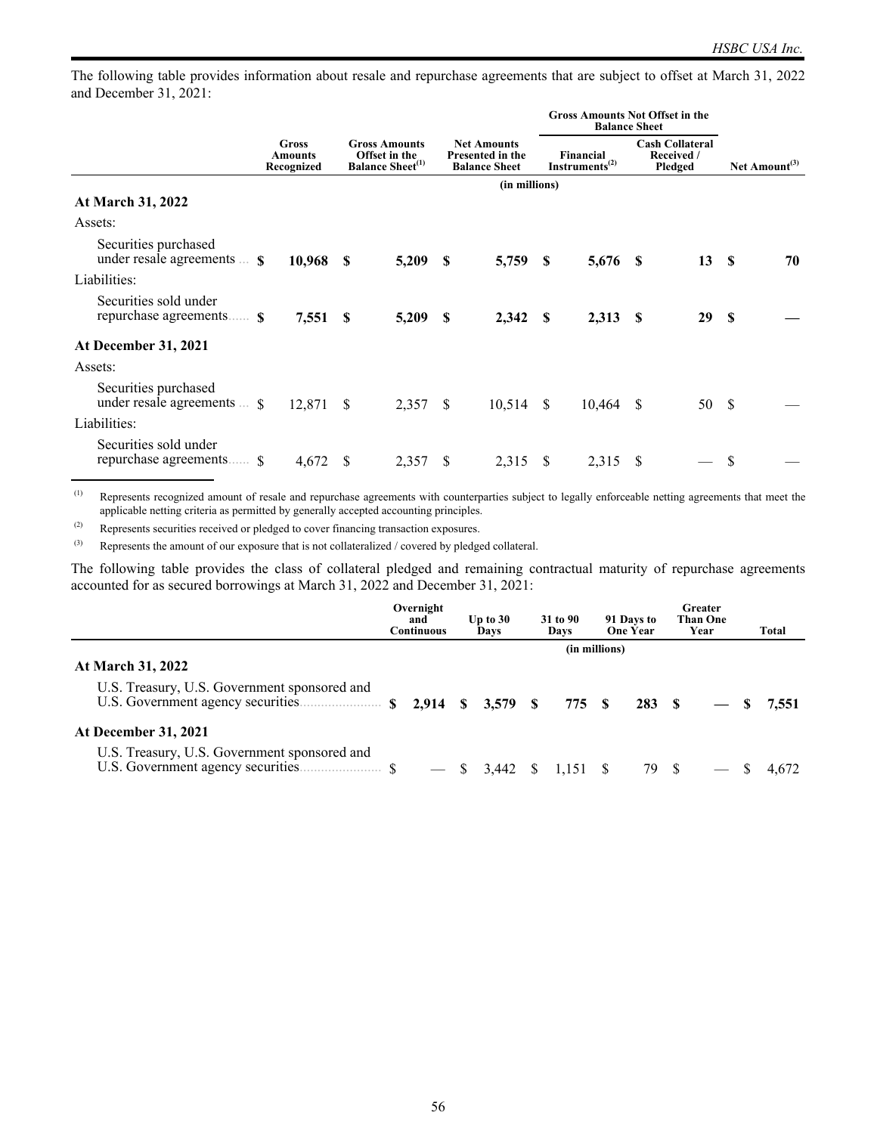The following table provides information about resale and repurchase agreements that are subject to offset at March 31, 2022 and December 31, 2021:

|                                                          |              | <b>Gross Amounts Not Offset in the</b><br><b>Balance Sheet</b> |      |                                                                              |             |                                                                       |              |                                                |          |                                                 |               |                           |
|----------------------------------------------------------|--------------|----------------------------------------------------------------|------|------------------------------------------------------------------------------|-------------|-----------------------------------------------------------------------|--------------|------------------------------------------------|----------|-------------------------------------------------|---------------|---------------------------|
|                                                          |              | Gross<br><b>Amounts</b><br>Recognized                          |      | <b>Gross Amounts</b><br>Offset in the<br><b>Balance Sheet</b> <sup>(1)</sup> |             | <b>Net Amounts</b><br><b>Presented in the</b><br><b>Balance Sheet</b> |              | <b>Financial</b><br>Instruments <sup>(2)</sup> |          | <b>Cash Collateral</b><br>Received /<br>Pledged |               | Net Amount <sup>(3)</sup> |
|                                                          |              |                                                                |      |                                                                              |             | (in millions)                                                         |              |                                                |          |                                                 |               |                           |
| At March 31, 2022                                        |              |                                                                |      |                                                                              |             |                                                                       |              |                                                |          |                                                 |               |                           |
| Assets:                                                  |              |                                                                |      |                                                                              |             |                                                                       |              |                                                |          |                                                 |               |                           |
| Securities purchased<br>under resale agreements <b>s</b> |              | $10,968$ \$                                                    |      | 5,209                                                                        | - \$        | 5,759                                                                 | <b>S</b>     | 5,676 \$                                       |          | 13                                              | <b>S</b>      | 70                        |
| Liabilities:                                             |              |                                                                |      |                                                                              |             |                                                                       |              |                                                |          |                                                 |               |                           |
| Securities sold under<br>repurchase agreements           | $\mathbf{s}$ | 7,551                                                          | - S  | 5,209                                                                        | $\mathbf s$ | 2,342                                                                 | <b>S</b>     | 2,313                                          | <b>S</b> | 29                                              | - \$          |                           |
| At December 31, 2021                                     |              |                                                                |      |                                                                              |             |                                                                       |              |                                                |          |                                                 |               |                           |
| Assets:                                                  |              |                                                                |      |                                                                              |             |                                                                       |              |                                                |          |                                                 |               |                           |
| Securities purchased<br>under resale agreements          | $\mathbb{S}$ | 12,871 \$                                                      |      | $2,357$ \$                                                                   |             | 10,514                                                                | $\mathbb{S}$ | $10,464$ \$                                    |          | 50                                              | - \$          |                           |
| Liabilities:                                             |              |                                                                |      |                                                                              |             |                                                                       |              |                                                |          |                                                 |               |                           |
| Securities sold under<br>repurchase agreements.<br>.     | S            | 4,672                                                          | - \$ | 2,357                                                                        | -S          | 2,315                                                                 | <sup>S</sup> | 2,315                                          | -S       |                                                 | <sup>\$</sup> |                           |

(1) Represents recognized amount of resale and repurchase agreements with counterparties subject to legally enforceable netting agreements that meet the applicable netting criteria as permitted by generally accepted accounting principles.

(2) Represents securities received or pledged to cover financing transaction exposures.

(3) Represents the amount of our exposure that is not collateralized / covered by pledged collateral.

The following table provides the class of collateral pledged and remaining contractual maturity of repurchase agreements accounted for as secured borrowings at March 31, 2022 and December 31, 2021:

|                                              | Overnight<br>Up to $30$<br>and<br><b>Continuous</b><br>Days |                          |              | 31 to 90<br>Days |              | 91 Days to<br><b>One Year</b> |  | Greater<br><b>Than One</b><br>Year |  | Total |              |       |  |  |
|----------------------------------------------|-------------------------------------------------------------|--------------------------|--------------|------------------|--------------|-------------------------------|--|------------------------------------|--|-------|--------------|-------|--|--|
|                                              | (in millions)                                               |                          |              |                  |              |                               |  |                                    |  |       |              |       |  |  |
| <b>At March 31, 2022</b>                     |                                                             |                          |              |                  |              |                               |  |                                    |  |       |              |       |  |  |
| U.S. Treasury, U.S. Government sponsored and |                                                             | $\frac{\ }{2.914}$       | S.           | 3,579 \$         |              | 775 S                         |  | 283 S                              |  |       | S.           | 7.551 |  |  |
| <b>At December 31, 2021</b>                  |                                                             |                          |              |                  |              |                               |  |                                    |  |       |              |       |  |  |
| U.S. Treasury, U.S. Government sponsored and |                                                             | $\overline{\phantom{a}}$ | <sup>S</sup> | 3.442            | <sup>S</sup> | $1,151$ \$                    |  | 79 S                               |  |       | <sup>S</sup> | 4.672 |  |  |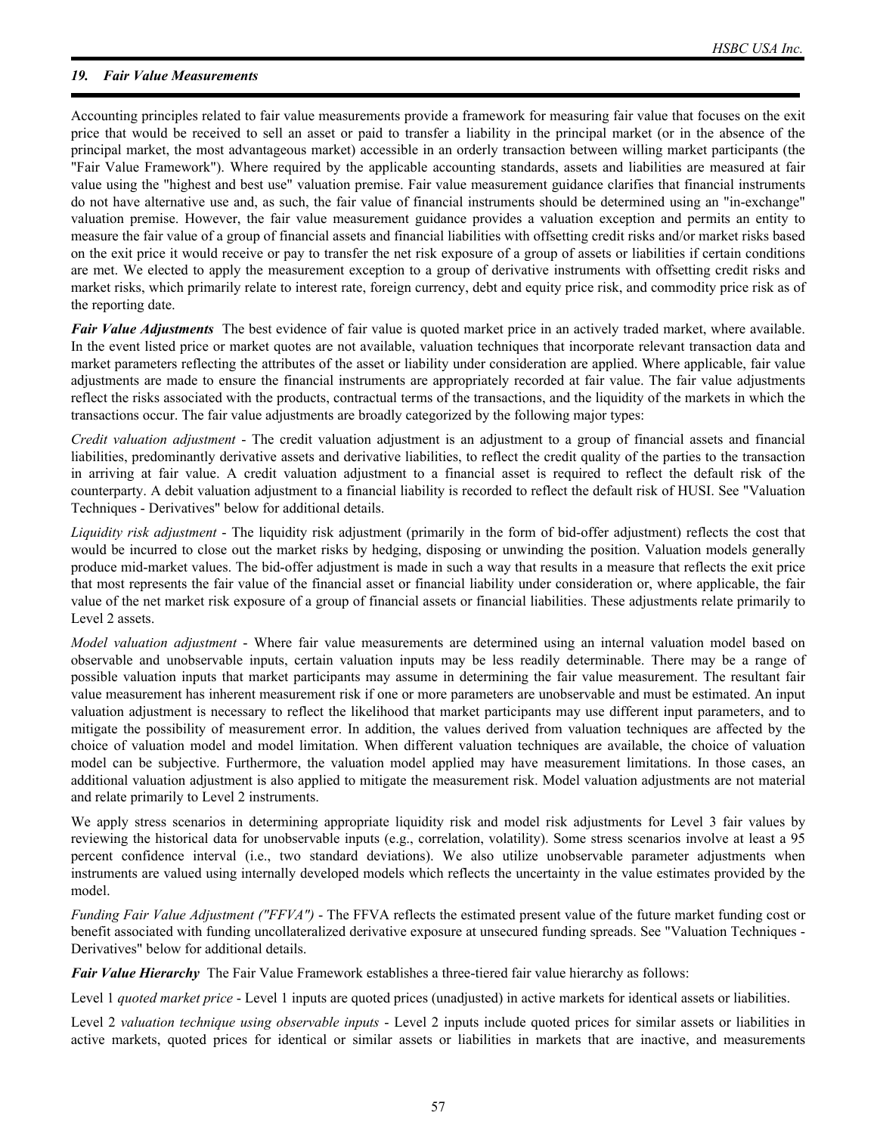### *19. Fair Value Measurements*

Accounting principles related to fair value measurements provide a framework for measuring fair value that focuses on the exit price that would be received to sell an asset or paid to transfer a liability in the principal market (or in the absence of the principal market, the most advantageous market) accessible in an orderly transaction between willing market participants (the "Fair Value Framework"). Where required by the applicable accounting standards, assets and liabilities are measured at fair value using the "highest and best use" valuation premise. Fair value measurement guidance clarifies that financial instruments do not have alternative use and, as such, the fair value of financial instruments should be determined using an "in-exchange" valuation premise. However, the fair value measurement guidance provides a valuation exception and permits an entity to measure the fair value of a group of financial assets and financial liabilities with offsetting credit risks and/or market risks based on the exit price it would receive or pay to transfer the net risk exposure of a group of assets or liabilities if certain conditions are met. We elected to apply the measurement exception to a group of derivative instruments with offsetting credit risks and market risks, which primarily relate to interest rate, foreign currency, debt and equity price risk, and commodity price risk as of the reporting date.

*Fair Value Adjustments* The best evidence of fair value is quoted market price in an actively traded market, where available. In the event listed price or market quotes are not available, valuation techniques that incorporate relevant transaction data and market parameters reflecting the attributes of the asset or liability under consideration are applied. Where applicable, fair value adjustments are made to ensure the financial instruments are appropriately recorded at fair value. The fair value adjustments reflect the risks associated with the products, contractual terms of the transactions, and the liquidity of the markets in which the transactions occur. The fair value adjustments are broadly categorized by the following major types:

*Credit valuation adjustment* - The credit valuation adjustment is an adjustment to a group of financial assets and financial liabilities, predominantly derivative assets and derivative liabilities, to reflect the credit quality of the parties to the transaction in arriving at fair value. A credit valuation adjustment to a financial asset is required to reflect the default risk of the counterparty. A debit valuation adjustment to a financial liability is recorded to reflect the default risk of HUSI. See "Valuation Techniques - Derivatives" below for additional details.

*Liquidity risk adjustment* - The liquidity risk adjustment (primarily in the form of bid-offer adjustment) reflects the cost that would be incurred to close out the market risks by hedging, disposing or unwinding the position. Valuation models generally produce mid-market values. The bid-offer adjustment is made in such a way that results in a measure that reflects the exit price that most represents the fair value of the financial asset or financial liability under consideration or, where applicable, the fair value of the net market risk exposure of a group of financial assets or financial liabilities. These adjustments relate primarily to Level 2 assets.

*Model valuation adjustment* - Where fair value measurements are determined using an internal valuation model based on observable and unobservable inputs, certain valuation inputs may be less readily determinable. There may be a range of possible valuation inputs that market participants may assume in determining the fair value measurement. The resultant fair value measurement has inherent measurement risk if one or more parameters are unobservable and must be estimated. An input valuation adjustment is necessary to reflect the likelihood that market participants may use different input parameters, and to mitigate the possibility of measurement error. In addition, the values derived from valuation techniques are affected by the choice of valuation model and model limitation. When different valuation techniques are available, the choice of valuation model can be subjective. Furthermore, the valuation model applied may have measurement limitations. In those cases, an additional valuation adjustment is also applied to mitigate the measurement risk. Model valuation adjustments are not material and relate primarily to Level 2 instruments.

We apply stress scenarios in determining appropriate liquidity risk and model risk adjustments for Level 3 fair values by reviewing the historical data for unobservable inputs (e.g., correlation, volatility). Some stress scenarios involve at least a 95 percent confidence interval (i.e., two standard deviations). We also utilize unobservable parameter adjustments when instruments are valued using internally developed models which reflects the uncertainty in the value estimates provided by the model.

*Funding Fair Value Adjustment ("FFVA")* - The FFVA reflects the estimated present value of the future market funding cost or benefit associated with funding uncollateralized derivative exposure at unsecured funding spreads. See "Valuation Techniques - Derivatives" below for additional details.

*Fair Value Hierarchy* The Fair Value Framework establishes a three-tiered fair value hierarchy as follows:

Level 1 *quoted market price* - Level 1 inputs are quoted prices (unadjusted) in active markets for identical assets or liabilities.

Level 2 *valuation technique using observable inputs* - Level 2 inputs include quoted prices for similar assets or liabilities in active markets, quoted prices for identical or similar assets or liabilities in markets that are inactive, and measurements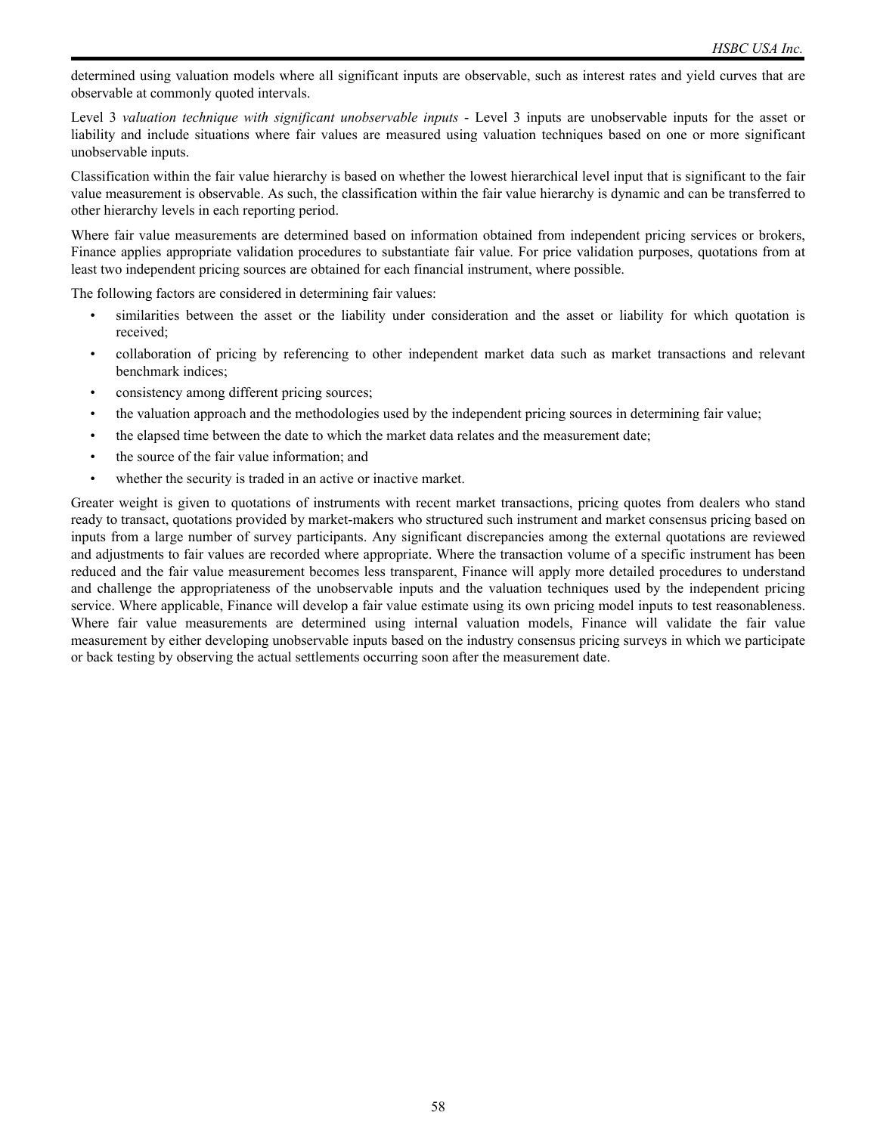determined using valuation models where all significant inputs are observable, such as interest rates and yield curves that are observable at commonly quoted intervals.

Level 3 *valuation technique with significant unobservable inputs* - Level 3 inputs are unobservable inputs for the asset or liability and include situations where fair values are measured using valuation techniques based on one or more significant unobservable inputs.

Classification within the fair value hierarchy is based on whether the lowest hierarchical level input that is significant to the fair value measurement is observable. As such, the classification within the fair value hierarchy is dynamic and can be transferred to other hierarchy levels in each reporting period.

Where fair value measurements are determined based on information obtained from independent pricing services or brokers, Finance applies appropriate validation procedures to substantiate fair value. For price validation purposes, quotations from at least two independent pricing sources are obtained for each financial instrument, where possible.

The following factors are considered in determining fair values:

- similarities between the asset or the liability under consideration and the asset or liability for which quotation is received;
- collaboration of pricing by referencing to other independent market data such as market transactions and relevant benchmark indices;
- consistency among different pricing sources;
- the valuation approach and the methodologies used by the independent pricing sources in determining fair value;
- the elapsed time between the date to which the market data relates and the measurement date;
- the source of the fair value information; and
- whether the security is traded in an active or inactive market.

Greater weight is given to quotations of instruments with recent market transactions, pricing quotes from dealers who stand ready to transact, quotations provided by market-makers who structured such instrument and market consensus pricing based on inputs from a large number of survey participants. Any significant discrepancies among the external quotations are reviewed and adjustments to fair values are recorded where appropriate. Where the transaction volume of a specific instrument has been reduced and the fair value measurement becomes less transparent, Finance will apply more detailed procedures to understand and challenge the appropriateness of the unobservable inputs and the valuation techniques used by the independent pricing service. Where applicable, Finance will develop a fair value estimate using its own pricing model inputs to test reasonableness. Where fair value measurements are determined using internal valuation models, Finance will validate the fair value measurement by either developing unobservable inputs based on the industry consensus pricing surveys in which we participate or back testing by observing the actual settlements occurring soon after the measurement date.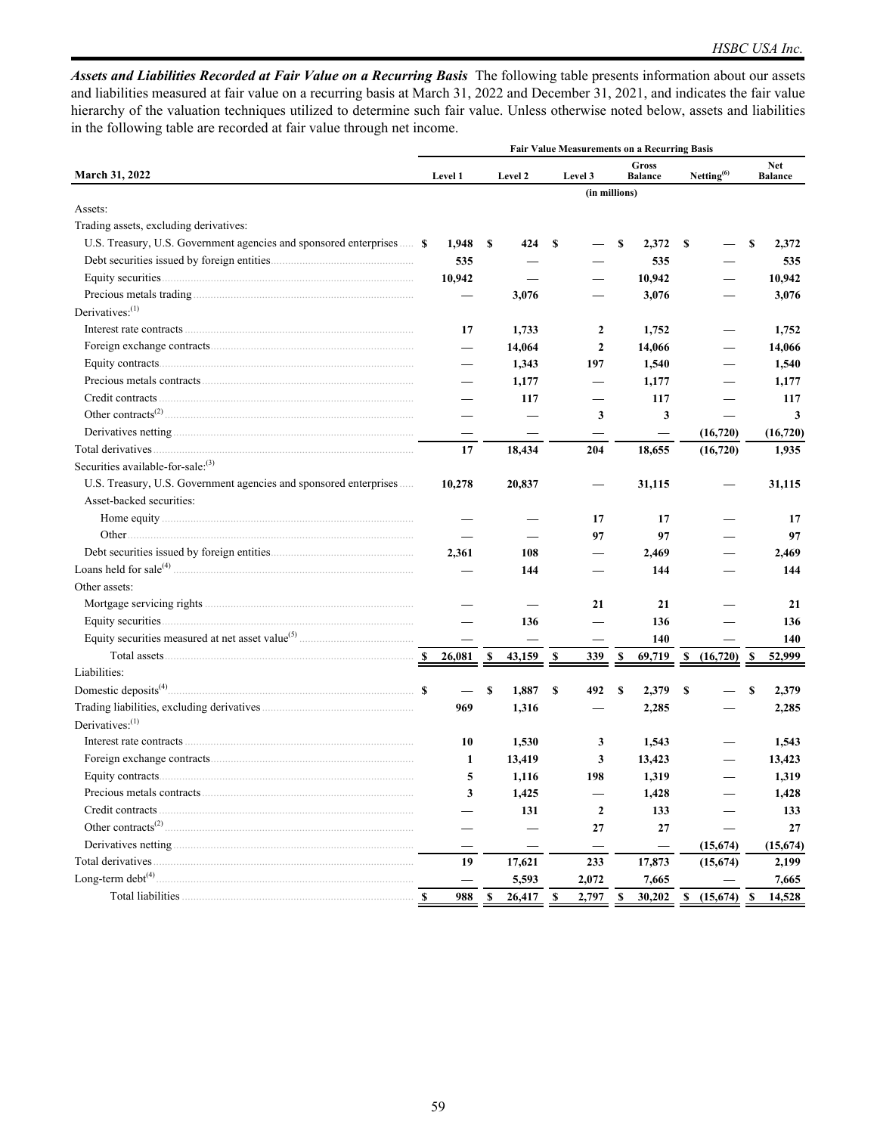*Assets and Liabilities Recorded at Fair Value on a Recurring Basis* The following table presents information about our assets and liabilities measured at fair value on a recurring basis at March 31, 2022 and December 31, 2021, and indicates the fair value hierarchy of the valuation techniques utilized to determine such fair value. Unless otherwise noted below, assets and liabilities in the following table are recorded at fair value through net income.

|                                                                       | <b>Fair Value Measurements on a Recurring Basis</b> |                          |              |         |    |                          |                                |        |                        |                          |    |                              |
|-----------------------------------------------------------------------|-----------------------------------------------------|--------------------------|--------------|---------|----|--------------------------|--------------------------------|--------|------------------------|--------------------------|----|------------------------------|
| <b>March 31, 2022</b>                                                 |                                                     | Level 1                  |              | Level 2 |    | Level 3                  | <b>Gross</b><br><b>Balance</b> |        | Netting <sup>(6)</sup> |                          |    | <b>Net</b><br><b>Balance</b> |
|                                                                       | (in millions)                                       |                          |              |         |    |                          |                                |        |                        |                          |    |                              |
| Assets:                                                               |                                                     |                          |              |         |    |                          |                                |        |                        |                          |    |                              |
| Trading assets, excluding derivatives:                                |                                                     |                          |              |         |    |                          |                                |        |                        |                          |    |                              |
| U.S. Treasury, U.S. Government agencies and sponsored enterprises  \$ |                                                     | 1,948                    | -S           | 424     | \$ |                          | S                              | 2,372  | S                      |                          | \$ | 2,372                        |
|                                                                       |                                                     | 535                      |              |         |    |                          |                                | 535    |                        |                          |    | 535                          |
|                                                                       |                                                     | 10,942                   |              |         |    |                          |                                | 10,942 |                        |                          |    | 10,942                       |
|                                                                       |                                                     |                          |              | 3,076   |    |                          |                                | 3,076  |                        |                          |    | 3,076                        |
| Derivatives: $(1)$                                                    |                                                     |                          |              |         |    |                          |                                |        |                        |                          |    |                              |
|                                                                       |                                                     | 17                       |              | 1,733   |    | 2                        |                                | 1,752  |                        |                          |    | 1,752                        |
|                                                                       |                                                     | $\overline{\phantom{0}}$ |              | 14,064  |    | $\overline{2}$           |                                | 14,066 |                        |                          |    | 14,066                       |
|                                                                       |                                                     |                          |              | 1,343   |    | 197                      |                                | 1,540  |                        |                          |    | 1,540                        |
|                                                                       |                                                     |                          |              | 1,177   |    | $\overline{\phantom{0}}$ |                                | 1,177  |                        |                          |    | 1,177                        |
|                                                                       |                                                     |                          |              | 117     |    | $\overline{\phantom{0}}$ |                                | 117    |                        |                          |    | 117                          |
|                                                                       |                                                     | $\overline{\phantom{0}}$ |              |         |    | 3                        |                                | 3      |                        | $\overline{\phantom{0}}$ |    | 3                            |
|                                                                       |                                                     |                          |              |         |    |                          |                                |        |                        | (16, 720)                |    | (16, 720)                    |
|                                                                       |                                                     | 17                       |              | 18,434  |    | 204                      |                                | 18,655 |                        | (16, 720)                |    | 1,935                        |
| Securities available-for-sale: <sup>(3)</sup>                         |                                                     |                          |              |         |    |                          |                                |        |                        |                          |    |                              |
| U.S. Treasury, U.S. Government agencies and sponsored enterprises     |                                                     | 10,278                   |              | 20,837  |    |                          |                                | 31,115 |                        |                          |    | 31,115                       |
| Asset-backed securities:                                              |                                                     |                          |              |         |    |                          |                                |        |                        |                          |    |                              |
|                                                                       |                                                     |                          |              |         |    | 17                       |                                | 17     |                        |                          |    | 17                           |
|                                                                       |                                                     |                          |              |         |    | 97                       |                                | 97     |                        |                          |    | 97                           |
|                                                                       |                                                     | 2,361                    |              | 108     |    |                          |                                | 2,469  |                        |                          |    | 2,469                        |
|                                                                       |                                                     |                          |              | 144     |    |                          |                                | 144    |                        |                          |    | 144                          |
| Other assets:                                                         |                                                     |                          |              |         |    |                          |                                |        |                        |                          |    |                              |
|                                                                       |                                                     |                          |              |         |    | 21                       |                                | 21     |                        |                          |    | 21                           |
|                                                                       |                                                     | $\overline{\phantom{0}}$ |              | 136     |    |                          |                                | 136    |                        |                          |    | 136                          |
|                                                                       |                                                     |                          |              |         |    |                          |                                | 140    |                        |                          |    | 140                          |
|                                                                       |                                                     | 26,081                   | $\mathbf{s}$ | 43,159  | \$ | 339                      | \$                             | 69,719 | $\mathbf s$            | (16,720)                 | S  | 52,999                       |
| Liabilities:                                                          |                                                     |                          |              |         |    |                          |                                |        |                        |                          |    |                              |
| Domestic deposits <sup>(4)</sup> S                                    |                                                     |                          | \$           | 1,887   | \$ | 492                      | S                              | 2,379  | \$                     |                          | \$ | 2,379                        |
|                                                                       |                                                     | 969                      |              | 1,316   |    |                          |                                | 2,285  |                        |                          |    | 2,285                        |
| Derivatives: $(1)$                                                    |                                                     |                          |              |         |    |                          |                                |        |                        |                          |    |                              |
|                                                                       |                                                     | 10                       |              | 1,530   |    | 3                        |                                | 1,543  |                        |                          |    | 1,543                        |
|                                                                       |                                                     | 1                        |              | 13,419  |    | 3                        |                                | 13,423 |                        |                          |    | 13,423                       |
|                                                                       |                                                     | 5                        |              | 1,116   |    | 198                      |                                | 1,319  |                        |                          |    | 1,319                        |
|                                                                       |                                                     | 3                        |              | 1,425   |    |                          |                                | 1,428  |                        |                          |    | 1,428                        |
| Credit contracts                                                      |                                                     |                          |              | 131     |    | $\mathbf{2}$             |                                | 133    |                        |                          |    | 133                          |
| Other contracts <sup>(2)</sup> .                                      |                                                     |                          |              |         |    | 27                       |                                | 27     |                        |                          |    | 27                           |
|                                                                       |                                                     |                          |              |         |    |                          |                                |        |                        | (15,674)                 |    | (15,674)                     |
| Total derivatives.                                                    |                                                     | 19                       |              | 17,621  |    | 233                      |                                | 17,873 |                        | (15, 674)                |    | 2,199                        |
| Long-term $debt^{(4)}$                                                |                                                     |                          |              | 5,593   |    | 2,072                    |                                | 7,665  |                        |                          |    | 7,665                        |
| Total liabilities.                                                    | S                                                   | 988                      | \$           | 26,417  | \$ | 2,797                    | $\mathbf s$                    | 30,202 | \$                     | (15,674)                 | S  | 14,528                       |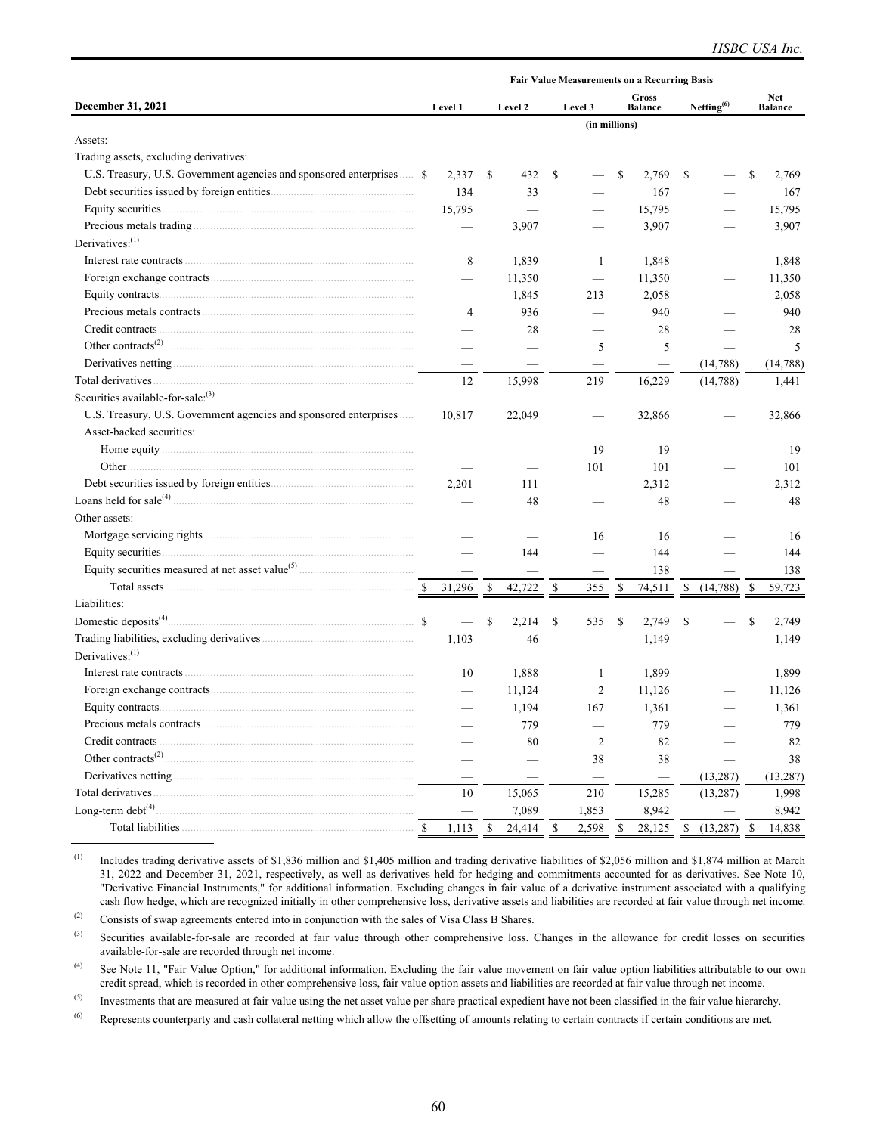|                                                                       | <b>Fair Value Measurements on a Recurring Basis</b> |                |               |                          |    |               |               |                         |    |                          |     |                              |  |
|-----------------------------------------------------------------------|-----------------------------------------------------|----------------|---------------|--------------------------|----|---------------|---------------|-------------------------|----|--------------------------|-----|------------------------------|--|
| December 31, 2021                                                     | Level 1                                             |                |               | Level 2                  |    | Level 3       |               | Gross<br><b>Balance</b> |    | $\mathbf{Netting}^{(6)}$ |     | <b>Net</b><br><b>Balance</b> |  |
|                                                                       |                                                     |                |               |                          |    | (in millions) |               |                         |    |                          |     |                              |  |
| Assets:                                                               |                                                     |                |               |                          |    |               |               |                         |    |                          |     |                              |  |
| Trading assets, excluding derivatives:                                |                                                     |                |               |                          |    |               |               |                         |    |                          |     |                              |  |
| U.S. Treasury, U.S. Government agencies and sponsored enterprises  \$ | 2,337                                               |                | \$            | 432                      | \$ |               | S.            | 2,769                   | S  |                          | \$  | 2,769                        |  |
|                                                                       |                                                     | 134            |               | 33                       |    |               |               | 167                     |    |                          |     | 167                          |  |
|                                                                       | 15,795                                              |                |               | $\overline{\phantom{0}}$ |    |               |               | 15,795                  |    |                          |     | 15,795                       |  |
|                                                                       |                                                     |                |               | 3,907                    |    |               |               | 3,907                   |    |                          |     | 3,907                        |  |
| Derivatives: <sup>(1)</sup>                                           |                                                     |                |               |                          |    |               |               |                         |    |                          |     |                              |  |
|                                                                       |                                                     | 8              |               | 1,839                    |    | -1            |               | 1,848                   |    |                          |     | 1,848                        |  |
|                                                                       |                                                     |                |               | 11,350                   |    |               |               | 11,350                  |    |                          |     | 11,350                       |  |
|                                                                       |                                                     |                |               | 1,845                    |    | 213           |               | 2,058                   |    |                          |     | 2,058                        |  |
|                                                                       |                                                     | $\overline{4}$ |               | 936                      |    |               |               | 940                     |    |                          |     | 940                          |  |
|                                                                       |                                                     |                |               | 28                       |    |               |               | 28                      |    |                          |     | 28                           |  |
|                                                                       |                                                     |                |               |                          |    | 5             |               | 5                       |    |                          |     | 5                            |  |
|                                                                       |                                                     |                |               |                          |    |               |               |                         |    | (14, 788)                |     | (14, 788)                    |  |
|                                                                       |                                                     | 12             |               | 15,998                   |    | 219           |               | 16,229                  |    | (14, 788)                |     | 1,441                        |  |
| Securities available-for-sale: <sup>(3)</sup>                         |                                                     |                |               |                          |    |               |               |                         |    |                          |     |                              |  |
| U.S. Treasury, U.S. Government agencies and sponsored enterprises     | 10,817                                              |                |               | 22,049                   |    |               |               | 32,866                  |    |                          |     | 32,866                       |  |
| Asset-backed securities:                                              |                                                     |                |               |                          |    |               |               |                         |    |                          |     |                              |  |
|                                                                       |                                                     |                |               |                          |    | 19            |               | 19                      |    |                          |     | 19                           |  |
|                                                                       |                                                     |                |               |                          |    | 101           |               | 101                     |    |                          |     | 101                          |  |
|                                                                       | 2,201                                               |                |               | 111                      |    |               |               | 2,312                   |    |                          |     | 2,312                        |  |
|                                                                       |                                                     |                |               | 48                       |    |               |               | 48                      |    |                          |     | 48                           |  |
| Other assets:                                                         |                                                     |                |               |                          |    |               |               |                         |    |                          |     |                              |  |
|                                                                       |                                                     |                |               |                          |    | 16            |               | 16                      |    |                          |     | 16                           |  |
|                                                                       |                                                     |                |               | 144                      |    |               |               | 144                     |    |                          |     | 144                          |  |
|                                                                       |                                                     |                |               |                          |    |               |               | 138                     |    |                          |     | 138                          |  |
|                                                                       | 31,296                                              |                | - \$          | 42,722                   | \$ | 355           | \$            | 74,511                  | \$ | (14,788)                 | -S  | 59,723                       |  |
| Liabilities:                                                          |                                                     |                |               |                          |    |               |               |                         |    |                          |     |                              |  |
| Domestic deposits <sup>(4)</sup> $\qquad \qquad$ \$                   |                                                     |                | <sup>\$</sup> | 2,214                    | \$ | 535           | <sup>\$</sup> | 2,749                   | S  |                          | \$  | 2,749                        |  |
|                                                                       | 1,103                                               |                |               | 46                       |    |               |               | 1,149                   |    |                          |     | 1,149                        |  |
| Derivatives: <sup>(1)</sup>                                           |                                                     |                |               |                          |    |               |               |                         |    |                          |     |                              |  |
|                                                                       |                                                     | 10             |               | 1,888                    |    | 1             |               | 1,899                   |    |                          |     | 1,899                        |  |
|                                                                       |                                                     |                |               | 11,124                   |    | 2             |               | 11,126                  |    |                          |     | 11,126                       |  |
| Equity contracts.                                                     |                                                     |                |               | 1,194                    |    | 167           |               | 1,361                   |    |                          |     | 1,361                        |  |
|                                                                       |                                                     |                |               | 779                      |    |               |               | 779                     |    |                          |     | 779                          |  |
| Credit contracts                                                      |                                                     |                |               | 80                       |    | 2             |               | 82                      |    |                          |     | 82                           |  |
|                                                                       |                                                     |                |               |                          |    | 38            |               | 38                      |    |                          |     | 38                           |  |
|                                                                       |                                                     |                |               |                          |    |               |               |                         |    | (13, 287)                |     | (13, 287)                    |  |
|                                                                       |                                                     | 10             |               | 15,065                   |    | 210           |               | 15,285                  |    | (13, 287)                |     | 1,998                        |  |
| Long-term $debt^{(4)}$                                                |                                                     |                |               | 7,089                    |    | 1,853         |               | 8,942                   |    |                          |     | 8,942                        |  |
|                                                                       | 1,113                                               |                | S.            | 24,414                   | -S | 2,598         | -S            | 28,125                  | S. | (13, 287)                | - S | 14,838                       |  |

<sup>(1)</sup> Includes trading derivative assets of \$1,836 million and \$1,405 million and trading derivative liabilities of \$2,056 million and \$1,874 million at March 31, 2022 and December 31, 2021, respectively, as well as derivatives held for hedging and commitments accounted for as derivatives. See Note 10, "Derivative Financial Instruments," for additional information. Excluding changes in fair value of a derivative instrument associated with a qualifying cash flow hedge, which are recognized initially in other comprehensive loss, derivative assets and liabilities are recorded at fair value through net income.

(2) Consists of swap agreements entered into in conjunction with the sales of Visa Class B Shares.

<sup>(3)</sup> Securities available-for-sale are recorded at fair value through other comprehensive loss. Changes in the allowance for credit losses on securities available-for-sale are recorded through net income.

<sup>(5)</sup> Investments that are measured at fair value using the net asset value per share practical expedient have not been classified in the fair value hierarchy.

<sup>(6)</sup> Represents counterparty and cash collateral netting which allow the offsetting of amounts relating to certain contracts if certain conditions are met.

<sup>&</sup>lt;sup>(4)</sup> See Note 11, "Fair Value Option," for additional information. Excluding the fair value movement on fair value option liabilities attributable to our own credit spread, which is recorded in other comprehensive loss, fair value option assets and liabilities are recorded at fair value through net income.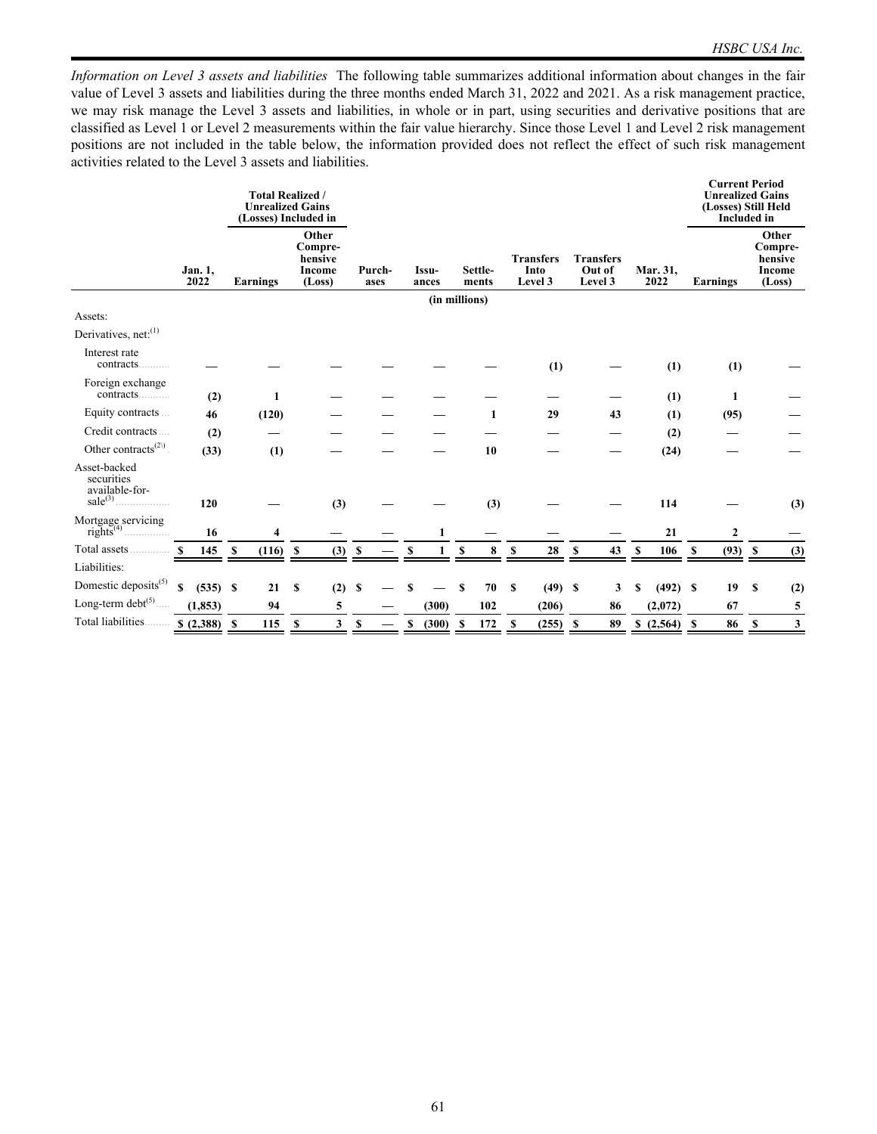*Information on Level 3 assets and liabilities* The following table summarizes additional information about changes in the fair value of Level 3 assets and liabilities during the three months ended March 31, 2022 and 2021. As a risk management practice, we may risk manage the Level 3 assets and liabilities, in whole or in part, using securities and derivative positions that are classified as Level 1 or Level 2 measurements within the fair value hierarchy. Since those Level 1 and Level 2 risk management positions are not included in the table below, the information provided does not reflect the effect of such risk management activities related to the Level 3 assets and liabilities.

|                                              |                  |                     | <b>Total Realized /</b><br><b>Unrealized Gains</b><br>(Losses) Included in |                |                    |               |                  |                                     |                                       |   |                  | <b>Current Period</b><br><b>Unrealized Gains</b><br>(Losses) Still Held | <b>Included</b> in |                                                 |
|----------------------------------------------|------------------|---------------------|----------------------------------------------------------------------------|----------------|--------------------|---------------|------------------|-------------------------------------|---------------------------------------|---|------------------|-------------------------------------------------------------------------|--------------------|-------------------------------------------------|
|                                              | Jan. 1,<br>2022  | <b>Earnings</b>     | Other<br>Compre-<br>hensive<br>Income<br>(Loss)                            | Purch-<br>ases | Issu-<br>ances     |               | Settle-<br>ments | <b>Transfers</b><br>Into<br>Level 3 | <b>Transfers</b><br>Out of<br>Level 3 |   | Mar. 31,<br>2022 | Earnings                                                                |                    | Other<br>Compre-<br>hensive<br>Income<br>(Loss) |
|                                              |                  |                     |                                                                            |                |                    | (in millions) |                  |                                     |                                       |   |                  |                                                                         |                    |                                                 |
| Assets:                                      |                  |                     |                                                                            |                |                    |               |                  |                                     |                                       |   |                  |                                                                         |                    |                                                 |
| Derivatives, net: <sup>(1)</sup>             |                  |                     |                                                                            |                |                    |               |                  |                                     |                                       |   |                  |                                                                         |                    |                                                 |
| Interest rate<br>contracts.                  |                  |                     |                                                                            |                |                    |               |                  | (1)                                 |                                       |   | (1)              | (1)                                                                     |                    |                                                 |
| Foreign exchange<br>contracts                | (2)              | 1                   |                                                                            |                |                    |               |                  |                                     |                                       |   | (1)              | $\mathbf{1}$                                                            |                    |                                                 |
| Equity contracts                             | 46               | (120)               |                                                                            |                |                    |               |                  | 29                                  | 43                                    |   | (1)              | (95)                                                                    |                    |                                                 |
| Credit contracts                             | (2)              |                     |                                                                            |                |                    |               |                  |                                     |                                       |   | (2)              |                                                                         |                    |                                                 |
| Other contracts <sup><math>(2)</math></sup>  | (33)             | (1)                 |                                                                            |                |                    |               | 10               |                                     |                                       |   | (24)             |                                                                         |                    |                                                 |
| Asset-backed<br>securities<br>available-for- | 120              |                     | (3)                                                                        |                |                    |               | (3)              |                                     |                                       |   | 114              |                                                                         |                    | (3)                                             |
| Mortgage servicing<br>$rights(4)$ .          | 16               | 4                   |                                                                            |                | 1                  |               |                  |                                     |                                       |   | 21               | 2                                                                       |                    |                                                 |
| Total assets<br>.                            | 145<br>S         | \$<br>(116)         | <b>S</b><br>(3)                                                            | \$             | \$<br>$\mathbf{1}$ | \$            | 8                | \$<br>28                            | \$<br>43                              | S | 106              | -S                                                                      | $(93)$ \$          | (3)                                             |
| Liabilities:                                 |                  |                     |                                                                            |                |                    |               |                  |                                     |                                       |   |                  |                                                                         |                    |                                                 |
| Domestic deposits <sup>(5)</sup>             | S.<br>$(535)$ \$ | 21                  | S<br>(2)                                                                   | \$             | \$                 | S             | 70               | (49)<br>S                           | <b>S</b><br>3                         | S | $(492)$ \$       | 19                                                                      | -S                 | (2)                                             |
| Long-term $debt^{(5)}$                       | (1, 853)         | 94                  | 5                                                                          |                | (300)              |               | 102              | (206)                               | 86                                    |   | (2,072)          | 67                                                                      |                    | 5                                               |
| Total liabilities $$ (2,388)$                |                  | <sup>S</sup><br>115 | 3<br><b>S</b>                                                              | \$             | \$<br>(300)        | - \$          | 172              | \$<br>(255)                         | <sup>S</sup><br>89                    |   |                  | 86                                                                      | <sup>\$</sup>      | 3                                               |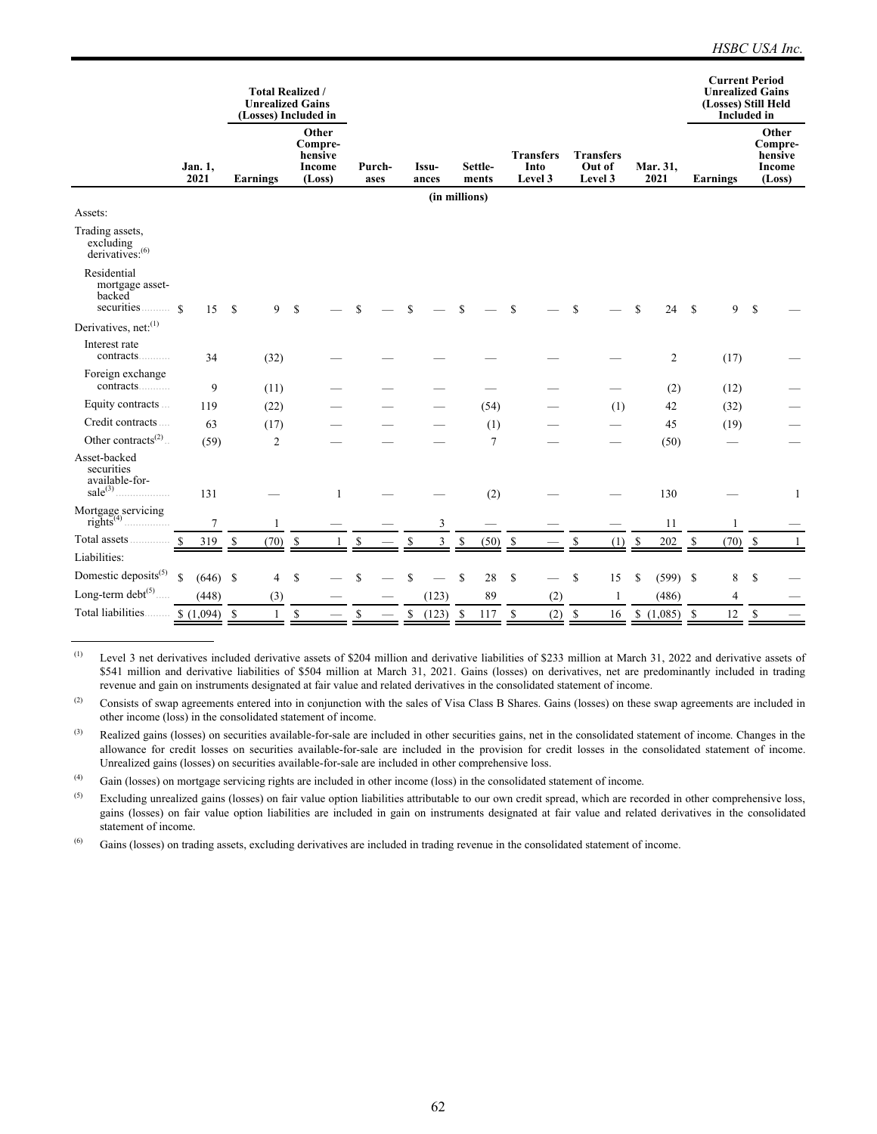|                                                             |               |                 |               | <b>Total Realized /</b><br><b>Unrealized Gains</b><br>(Losses) Included in |               |                                                 |              |                          |              |                |               |                  |              |                                     |             |                                       |               |                  |               | <b>Current Period</b><br><b>Unrealized Gains</b><br>(Losses) Still Held<br><b>Included</b> in |              |                                                 |
|-------------------------------------------------------------|---------------|-----------------|---------------|----------------------------------------------------------------------------|---------------|-------------------------------------------------|--------------|--------------------------|--------------|----------------|---------------|------------------|--------------|-------------------------------------|-------------|---------------------------------------|---------------|------------------|---------------|-----------------------------------------------------------------------------------------------|--------------|-------------------------------------------------|
|                                                             |               | Jan. 1,<br>2021 |               | <b>Earnings</b>                                                            |               | Other<br>Compre-<br>hensive<br>Income<br>(Loss) |              | Purch-<br>ases           |              | Issu-<br>ances |               | Settle-<br>ments |              | <b>Transfers</b><br>Into<br>Level 3 |             | <b>Transfers</b><br>Out of<br>Level 3 |               | Mar. 31,<br>2021 |               | <b>Earnings</b>                                                                               |              | Other<br>Compre-<br>hensive<br>Income<br>(Loss) |
|                                                             |               |                 |               |                                                                            |               |                                                 |              |                          |              | (in millions)  |               |                  |              |                                     |             |                                       |               |                  |               |                                                                                               |              |                                                 |
| Assets:                                                     |               |                 |               |                                                                            |               |                                                 |              |                          |              |                |               |                  |              |                                     |             |                                       |               |                  |               |                                                                                               |              |                                                 |
| Trading assets,<br>excluding<br>derivatives: <sup>(6)</sup> |               |                 |               |                                                                            |               |                                                 |              |                          |              |                |               |                  |              |                                     |             |                                       |               |                  |               |                                                                                               |              |                                                 |
| Residential<br>mortgage asset-<br>backed                    |               | 15              | \$            | 9                                                                          | <sup>\$</sup> |                                                 | ۶            |                          |              |                |               |                  | \$           |                                     |             |                                       | S             | 24               | \$            | 9                                                                                             | -S           |                                                 |
| Derivatives, net:(1)                                        |               |                 |               |                                                                            |               |                                                 |              |                          |              |                |               |                  |              |                                     |             |                                       |               |                  |               |                                                                                               |              |                                                 |
| Interest rate<br>contracts                                  |               | 34              |               | (32)                                                                       |               |                                                 |              |                          |              |                |               |                  |              |                                     |             |                                       |               | 2                |               | (17)                                                                                          |              |                                                 |
| Foreign exchange<br>contracts                               |               | 9               |               | (11)                                                                       |               |                                                 |              |                          |              |                |               |                  |              |                                     |             |                                       |               | (2)              |               | (12)                                                                                          |              |                                                 |
| Equity contracts                                            |               | 119             |               | (22)                                                                       |               |                                                 |              |                          |              |                |               | (54)             |              |                                     |             | (1)                                   |               | 42               |               | (32)                                                                                          |              |                                                 |
| Credit contracts                                            |               | 63              |               | (17)                                                                       |               |                                                 |              |                          |              |                |               | (1)              |              |                                     |             |                                       |               | 45               |               | (19)                                                                                          |              |                                                 |
| Other contracts <sup><math>(2)</math></sup>                 |               | (59)            |               | $\overline{2}$                                                             |               |                                                 |              |                          |              |                |               | $\overline{7}$   |              |                                     |             | $\overline{\phantom{0}}$              |               | (50)             |               |                                                                                               |              |                                                 |
| Asset-backed<br>securities<br>available-for-                |               | 131             |               |                                                                            |               |                                                 |              |                          |              |                |               | (2)              |              |                                     |             |                                       |               | 130              |               |                                                                                               |              | 1                                               |
| Mortgage servicing<br>rights <sup>(4)</sup>                 |               | $\tau$          |               | $\mathbf{1}$                                                               |               |                                                 |              |                          |              | 3              |               |                  |              |                                     |             |                                       |               | 11               |               | 1                                                                                             |              |                                                 |
| Total assets                                                | $\mathcal{S}$ | 319             | <sup>\$</sup> | (70)                                                                       | - \$          |                                                 | \$           |                          | $\mathbb{S}$ | 3              | \$            | (50)             | $\mathbf S$  |                                     | $\mathbf S$ | (1)                                   | <sup>\$</sup> | 202              | <sup>\$</sup> | $(70)$ \$                                                                                     |              | $\mathbf{1}$                                    |
| Liabilities:                                                |               |                 |               |                                                                            |               |                                                 |              |                          |              |                |               |                  |              |                                     |             |                                       |               |                  |               |                                                                                               |              |                                                 |
| Domestic deposits <sup>(5)</sup>                            | $\mathbf S$   | $(646)$ \$      |               | $\overline{4}$                                                             | <sup>\$</sup> |                                                 | S            |                          | S            |                | S             | 28               | \$           |                                     | \$          | 15                                    | <sup>\$</sup> | (599)            | -S            | 8                                                                                             | S            |                                                 |
| Long-term $debt^{(5)}$ .                                    |               | (448)           |               | (3)                                                                        |               |                                                 |              |                          |              | (123)          |               | 89               |              | (2)                                 |             | 1                                     |               | (486)            |               | 4                                                                                             |              |                                                 |
| Total liabilities $\frac{1}{2}(1,094)$                      |               |                 | $\mathbf S$   | 1                                                                          | $\mathbb{S}$  |                                                 | $\mathbb{S}$ | $\overline{\phantom{0}}$ | $\mathbb S$  | (123)          | $\mathcal{S}$ | 117              | $\mathbb{S}$ | (2)                                 | $\mathbb S$ | 16                                    |               | (1,085)          | $\mathbb S$   | 12                                                                                            | $\mathbb{S}$ |                                                 |

(1) Level 3 net derivatives included derivative assets of \$204 million and derivative liabilities of \$233 million at March 31, 2022 and derivative assets of \$541 million and derivative liabilities of \$504 million at March 31, 2021. Gains (losses) on derivatives, net are predominantly included in trading revenue and gain on instruments designated at fair value and related derivatives in the consolidated statement of income.

 $^{(2)}$  Consists of swap agreements entered into in conjunction with the sales of Visa Class B Shares. Gains (losses) on these swap agreements are included in other income (loss) in the consolidated statement of income.

<sup>(3)</sup> Realized gains (losses) on securities available-for-sale are included in other securities gains, net in the consolidated statement of income. Changes in the allowance for credit losses on securities available-for-sale are included in the provision for credit losses in the consolidated statement of income. Unrealized gains (losses) on securities available-for-sale are included in other comprehensive loss.

(4) Gain (losses) on mortgage servicing rights are included in other income (loss) in the consolidated statement of income.

<sup>(5)</sup> Excluding unrealized gains (losses) on fair value option liabilities attributable to our own credit spread, which are recorded in other comprehensive loss, gains (losses) on fair value option liabilities are included in gain on instruments designated at fair value and related derivatives in the consolidated statement of income.

<sup>(6)</sup> Gains (losses) on trading assets, excluding derivatives are included in trading revenue in the consolidated statement of income.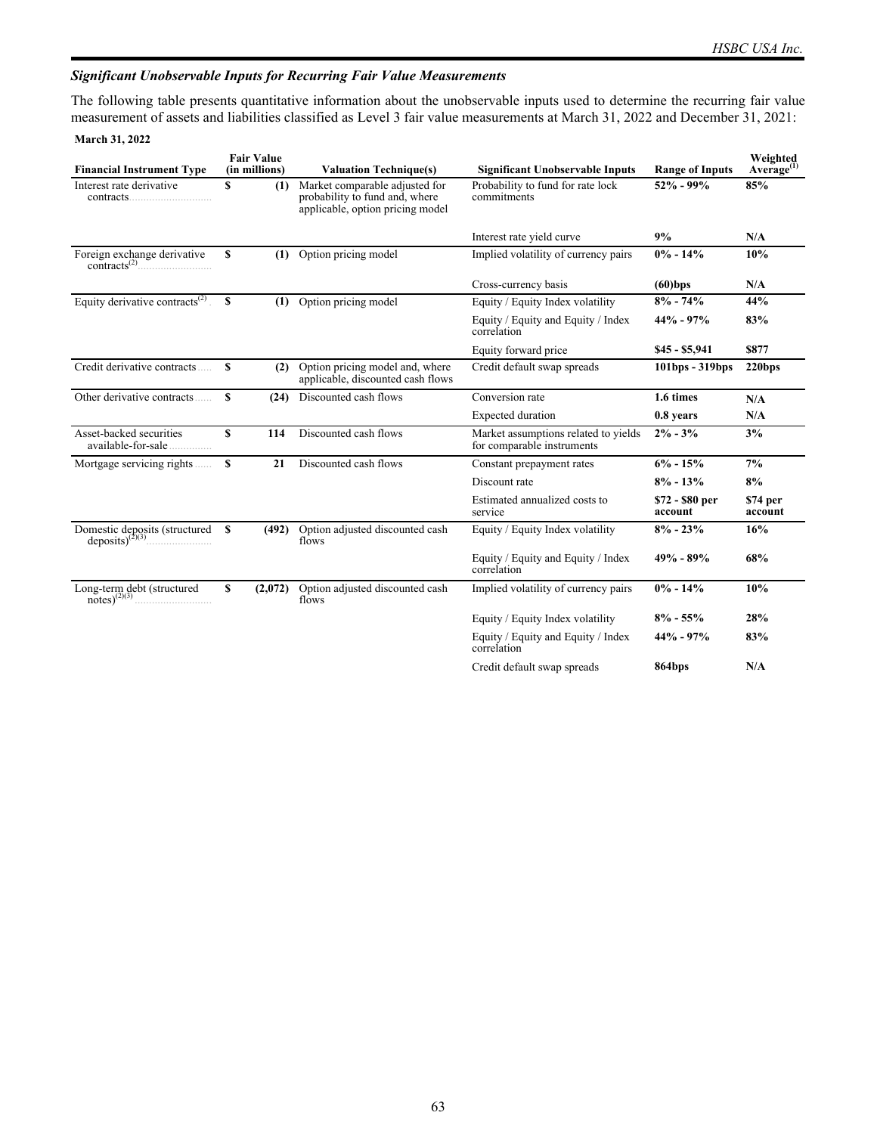# *Significant Unobservable Inputs for Recurring Fair Value Measurements*

The following table presents quantitative information about the unobservable inputs used to determine the recurring fair value measurement of assets and liabilities classified as Level 3 fair value measurements at March 31, 2022 and December 31, 2021:

# **March 31, 2022**

| <b>Fair Value</b><br><b>Financial Instrument Type</b><br>(in millions) |     | <b>Valuation Technique(s)</b> | <b>Significant Unobservable Inputs</b>                                                               | <b>Range of Inputs</b>                                             | Weighted<br>Average <sup>(1)</sup> |                     |
|------------------------------------------------------------------------|-----|-------------------------------|------------------------------------------------------------------------------------------------------|--------------------------------------------------------------------|------------------------------------|---------------------|
| Interest rate derivative                                               | \$  | (1)                           | Market comparable adjusted for<br>probability to fund and, where<br>applicable, option pricing model | Probability to fund for rate lock<br>commitments                   | $52\% - 99\%$                      | 85%                 |
|                                                                        |     |                               |                                                                                                      | Interest rate yield curve                                          | 9%                                 | N/A                 |
|                                                                        | \$  | (1)                           | Option pricing model                                                                                 | Implied volatility of currency pairs                               | $0\% - 14\%$                       | 10%                 |
|                                                                        |     |                               |                                                                                                      | Cross-currency basis                                               | $(60)$ bps                         | N/A                 |
| Equity derivative contracts <sup>(2)</sup> .                           | S   | (1)                           | Option pricing model                                                                                 | Equity / Equity Index volatility                                   | $8\% - 74\%$                       | 44%                 |
|                                                                        |     |                               |                                                                                                      | Equity / Equity and Equity / Index<br>correlation                  | 44% - 97%                          | 83%                 |
|                                                                        |     |                               |                                                                                                      | Equity forward price                                               | $$45 - $5,941$                     | \$877               |
| Credit derivative contracts                                            | \$  | (2)                           | Option pricing model and, where<br>applicable, discounted cash flows                                 | Credit default swap spreads                                        | 101bps - 319bps                    | 220bps              |
| Other derivative contracts                                             | \$  | (24)                          | Discounted cash flows                                                                                | Conversion rate                                                    | 1.6 times                          | N/A                 |
|                                                                        |     |                               |                                                                                                      | <b>Expected duration</b>                                           | 0.8 years                          | N/A                 |
| Asset-backed securities<br>available-for-sale<br>.                     | \$  | 114                           | Discounted cash flows                                                                                | Market assumptions related to yields<br>for comparable instruments | $2\% - 3\%$                        | 3%                  |
| Mortgage servicing rights                                              | S   | 21                            | Discounted cash flows                                                                                | Constant prepayment rates                                          | $6\% - 15\%$                       | 7%                  |
|                                                                        |     |                               |                                                                                                      | Discount rate                                                      | $8\% - 13\%$                       | 8%                  |
|                                                                        |     |                               |                                                                                                      | Estimated annualized costs to<br>service                           | \$72 - \$80 per<br>account         | \$74 per<br>account |
| Domestic deposits (structured                                          | \$. | (492)                         | Option adjusted discounted cash<br>flows                                                             | Equity / Equity Index volatility                                   | $8\% - 23\%$                       | 16%                 |
|                                                                        |     |                               |                                                                                                      | Equity / Equity and Equity / Index<br>correlation                  | 49% - 89%                          | 68%                 |
|                                                                        | \$  | (2,072)                       | Option adjusted discounted cash<br>flows                                                             | Implied volatility of currency pairs                               | $0\% - 14\%$                       | 10%                 |
|                                                                        |     |                               |                                                                                                      | Equity / Equity Index volatility                                   | $8\% - 55\%$                       | 28%                 |
|                                                                        |     |                               |                                                                                                      | Equity / Equity and Equity / Index<br>correlation                  | 44% - 97%                          | 83%                 |
|                                                                        |     |                               |                                                                                                      | Credit default swap spreads                                        | <b>864bps</b>                      | N/A                 |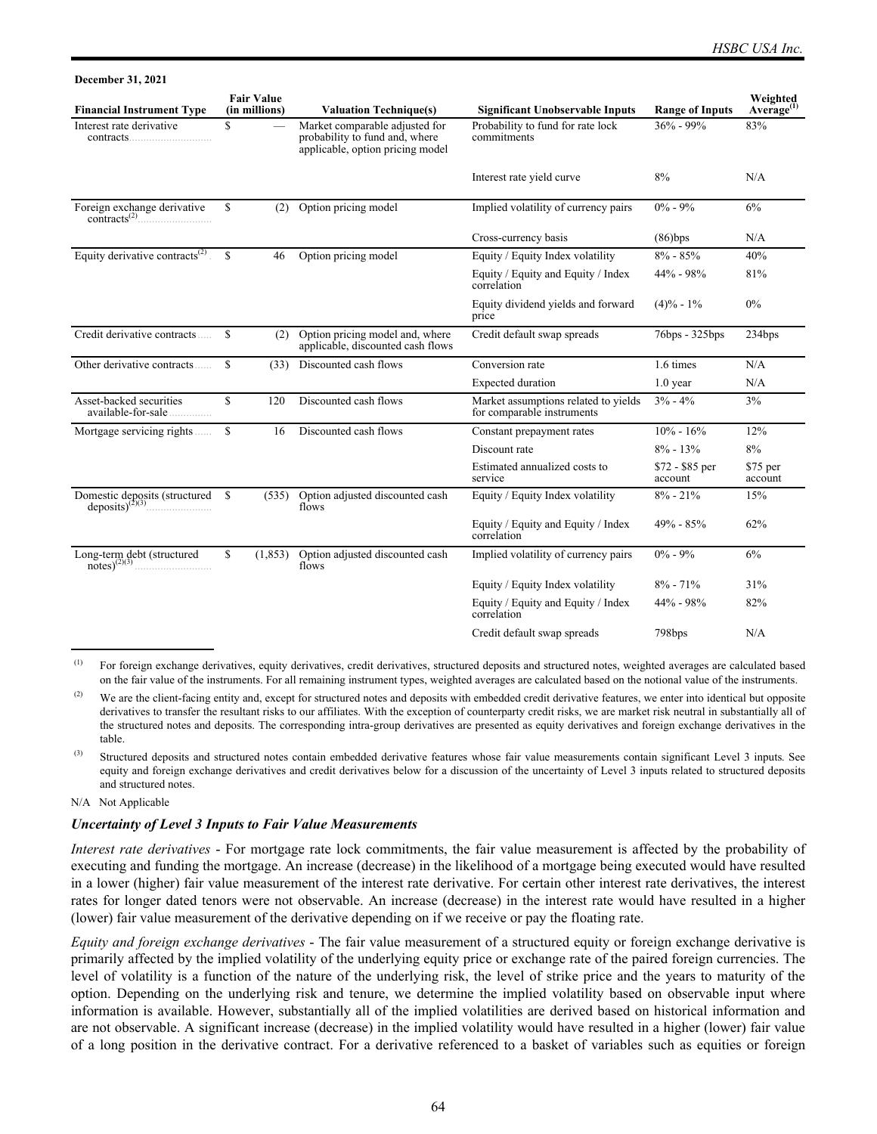| December 31, 2021                                                      |              |          |                                                                                                      |                                                                    |                            |                                    |
|------------------------------------------------------------------------|--------------|----------|------------------------------------------------------------------------------------------------------|--------------------------------------------------------------------|----------------------------|------------------------------------|
| <b>Fair Value</b><br>(in millions)<br><b>Financial Instrument Type</b> |              |          | <b>Valuation Technique(s)</b>                                                                        | <b>Significant Unobservable Inputs</b>                             | <b>Range of Inputs</b>     | Weighted<br>Average <sup>(1)</sup> |
| Interest rate derivative                                               | \$           |          | Market comparable adjusted for<br>probability to fund and, where<br>applicable, option pricing model | Probability to fund for rate lock<br>commitments                   | $36\% - 99\%$              | 83%                                |
|                                                                        |              |          |                                                                                                      | Interest rate yield curve                                          | 8%                         | N/A                                |
| Foreign exchange derivative<br>$contracts(2)$ .                        | \$.          | (2)      | Option pricing model                                                                                 | Implied volatility of currency pairs                               | $0\% - 9\%$                | 6%                                 |
|                                                                        |              |          |                                                                                                      | Cross-currency basis                                               | $(86)$ bps                 | N/A                                |
| Equity derivative contracts <sup>(2)</sup> .                           | $\mathbb{S}$ | 46       | Option pricing model                                                                                 | Equity / Equity Index volatility                                   | $8\% - 85\%$               | 40%                                |
|                                                                        |              |          |                                                                                                      | Equity / Equity and Equity / Index<br>correlation                  | 44% - 98%                  | 81%                                |
|                                                                        |              |          |                                                                                                      | Equity dividend yields and forward<br>price                        | $(4)\% - 1\%$              | 0%                                 |
| Credit derivative contracts                                            | S            | (2)      | Option pricing model and, where<br>applicable, discounted cash flows                                 | Credit default swap spreads                                        | 76bps - 325bps             | 234bps                             |
| Other derivative contracts                                             | S            | (33)     | Discounted cash flows                                                                                | Conversion rate                                                    | 1.6 times                  | N/A                                |
|                                                                        |              |          |                                                                                                      | <b>Expected duration</b>                                           | $1.0$ year                 | N/A                                |
| Asset-backed securities<br>available-for-sale                          | \$.          | 120      | Discounted cash flows                                                                                | Market assumptions related to yields<br>for comparable instruments | $3\% - 4\%$                | 3%                                 |
| Mortgage servicing rights                                              | S            | 16       | Discounted cash flows                                                                                | Constant prepayment rates                                          | $10\% - 16\%$              | 12%                                |
|                                                                        |              |          |                                                                                                      | Discount rate                                                      | $8\% - 13\%$               | 8%                                 |
|                                                                        |              |          |                                                                                                      | Estimated annualized costs to<br>service                           | \$72 - \$85 per<br>account | \$75 per<br>account                |
| Domestic deposits (structured \\$<br>deposits) <sup>(2)(3)</sup>       |              | (535)    | Option adjusted discounted cash<br>flows                                                             | Equity / Equity Index volatility                                   | $8\% - 21\%$               | 15%                                |
|                                                                        |              |          |                                                                                                      | Equity / Equity and Equity / Index<br>correlation                  | 49% - 85%                  | 62%                                |
| Long-term debt (structured notes) <sup>(2)(3)</sup>                    | $\mathbf S$  | (1, 853) | Option adjusted discounted cash<br>flows                                                             | Implied volatility of currency pairs                               | $0\% - 9\%$                | 6%                                 |
|                                                                        |              |          |                                                                                                      | Equity / Equity Index volatility                                   | $8\% - 71\%$               | 31%                                |
|                                                                        |              |          |                                                                                                      | Equity / Equity and Equity / Index<br>correlation                  | 44% - 98%                  | 82%                                |
|                                                                        |              |          |                                                                                                      | Credit default swap spreads                                        | 798bps                     | N/A                                |

<sup>(1)</sup> For foreign exchange derivatives, equity derivatives, credit derivatives, structured deposits and structured notes, weighted averages are calculated based on the fair value of the instruments. For all remaining instrument types, weighted averages are calculated based on the notional value of the instruments.

<sup>(2)</sup> We are the client-facing entity and, except for structured notes and deposits with embedded credit derivative features, we enter into identical but opposite derivatives to transfer the resultant risks to our affiliates. With the exception of counterparty credit risks, we are market risk neutral in substantially all of the structured notes and deposits. The corresponding intra-group derivatives are presented as equity derivatives and foreign exchange derivatives in the table.

<sup>(3)</sup> Structured deposits and structured notes contain embedded derivative features whose fair value measurements contain significant Level 3 inputs. See equity and foreign exchange derivatives and credit derivatives below for a discussion of the uncertainty of Level 3 inputs related to structured deposits and structured notes.

N/A Not Applicable

#### *Uncertainty of Level 3 Inputs to Fair Value Measurements*

*Interest rate derivatives* - For mortgage rate lock commitments, the fair value measurement is affected by the probability of executing and funding the mortgage. An increase (decrease) in the likelihood of a mortgage being executed would have resulted in a lower (higher) fair value measurement of the interest rate derivative. For certain other interest rate derivatives, the interest rates for longer dated tenors were not observable. An increase (decrease) in the interest rate would have resulted in a higher (lower) fair value measurement of the derivative depending on if we receive or pay the floating rate.

*Equity and foreign exchange derivatives* - The fair value measurement of a structured equity or foreign exchange derivative is primarily affected by the implied volatility of the underlying equity price or exchange rate of the paired foreign currencies. The level of volatility is a function of the nature of the underlying risk, the level of strike price and the years to maturity of the option. Depending on the underlying risk and tenure, we determine the implied volatility based on observable input where information is available. However, substantially all of the implied volatilities are derived based on historical information and are not observable. A significant increase (decrease) in the implied volatility would have resulted in a higher (lower) fair value of a long position in the derivative contract. For a derivative referenced to a basket of variables such as equities or foreign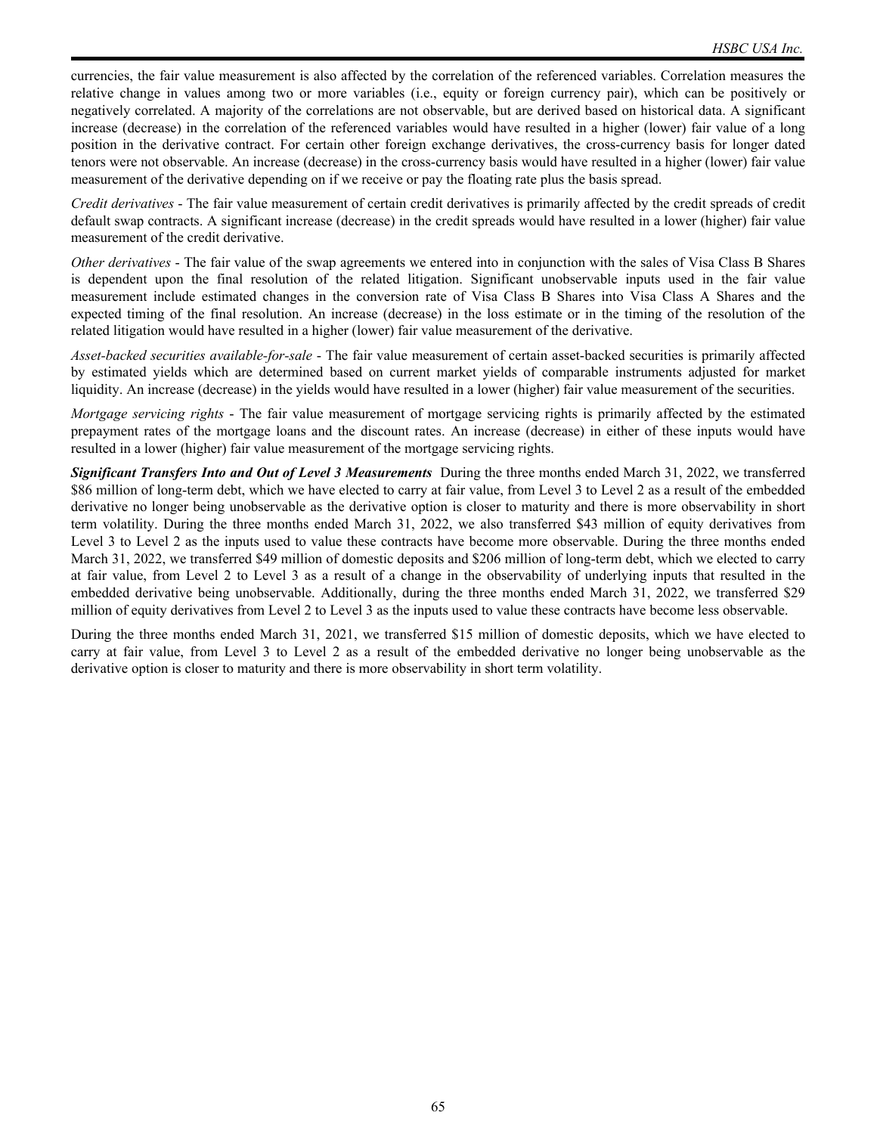currencies, the fair value measurement is also affected by the correlation of the referenced variables. Correlation measures the relative change in values among two or more variables (i.e., equity or foreign currency pair), which can be positively or negatively correlated. A majority of the correlations are not observable, but are derived based on historical data. A significant increase (decrease) in the correlation of the referenced variables would have resulted in a higher (lower) fair value of a long position in the derivative contract. For certain other foreign exchange derivatives, the cross-currency basis for longer dated tenors were not observable. An increase (decrease) in the cross-currency basis would have resulted in a higher (lower) fair value measurement of the derivative depending on if we receive or pay the floating rate plus the basis spread.

*Credit derivatives* - The fair value measurement of certain credit derivatives is primarily affected by the credit spreads of credit default swap contracts. A significant increase (decrease) in the credit spreads would have resulted in a lower (higher) fair value measurement of the credit derivative.

*Other derivatives* - The fair value of the swap agreements we entered into in conjunction with the sales of Visa Class B Shares is dependent upon the final resolution of the related litigation. Significant unobservable inputs used in the fair value measurement include estimated changes in the conversion rate of Visa Class B Shares into Visa Class A Shares and the expected timing of the final resolution. An increase (decrease) in the loss estimate or in the timing of the resolution of the related litigation would have resulted in a higher (lower) fair value measurement of the derivative.

*Asset-backed securities available-for-sale* - The fair value measurement of certain asset-backed securities is primarily affected by estimated yields which are determined based on current market yields of comparable instruments adjusted for market liquidity. An increase (decrease) in the yields would have resulted in a lower (higher) fair value measurement of the securities.

*Mortgage servicing rights* - The fair value measurement of mortgage servicing rights is primarily affected by the estimated prepayment rates of the mortgage loans and the discount rates. An increase (decrease) in either of these inputs would have resulted in a lower (higher) fair value measurement of the mortgage servicing rights.

*Significant Transfers Into and Out of Level 3 Measurements* During the three months ended March 31, 2022, we transferred \$86 million of long-term debt, which we have elected to carry at fair value, from Level 3 to Level 2 as a result of the embedded derivative no longer being unobservable as the derivative option is closer to maturity and there is more observability in short term volatility. During the three months ended March 31, 2022, we also transferred \$43 million of equity derivatives from Level 3 to Level 2 as the inputs used to value these contracts have become more observable. During the three months ended March 31, 2022, we transferred \$49 million of domestic deposits and \$206 million of long-term debt, which we elected to carry at fair value, from Level 2 to Level 3 as a result of a change in the observability of underlying inputs that resulted in the embedded derivative being unobservable. Additionally, during the three months ended March 31, 2022, we transferred \$29 million of equity derivatives from Level 2 to Level 3 as the inputs used to value these contracts have become less observable.

During the three months ended March 31, 2021, we transferred \$15 million of domestic deposits, which we have elected to carry at fair value, from Level 3 to Level 2 as a result of the embedded derivative no longer being unobservable as the derivative option is closer to maturity and there is more observability in short term volatility.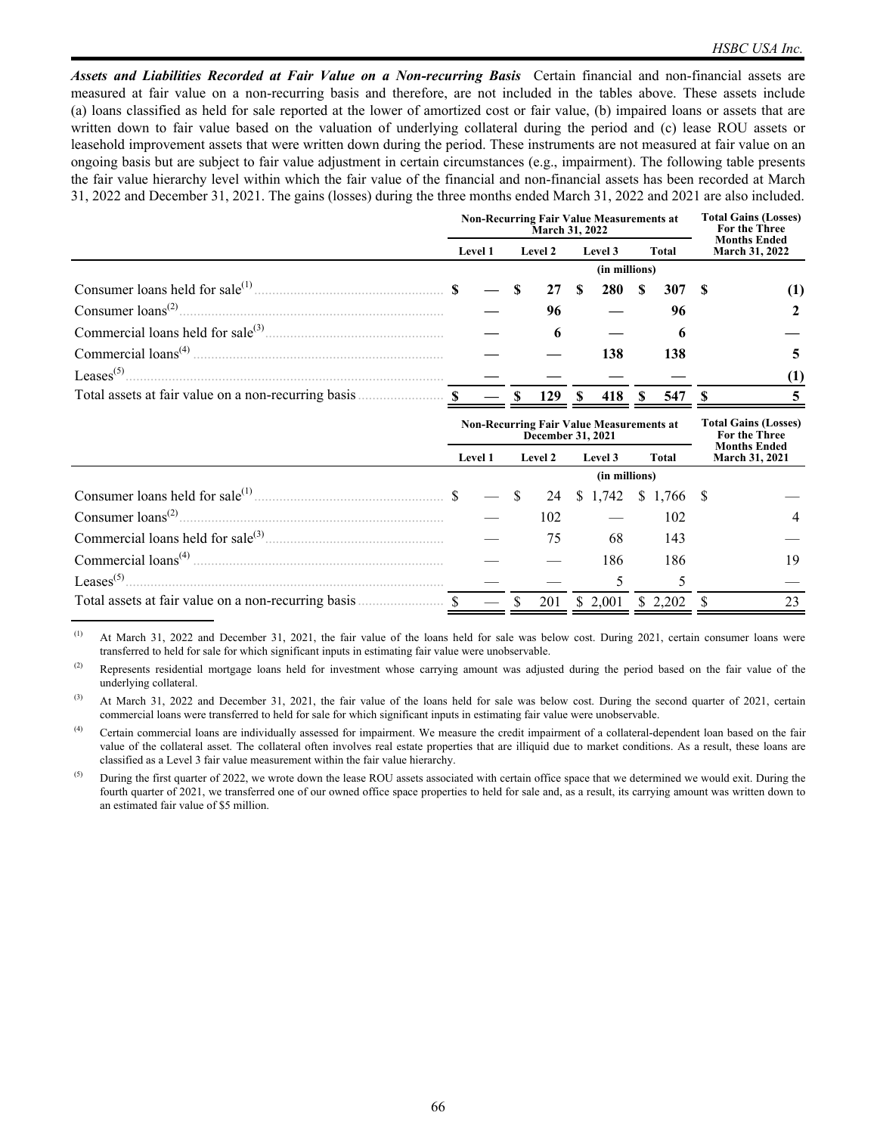*Assets and Liabilities Recorded at Fair Value on a Non-recurring Basis* Certain financial and non-financial assets are measured at fair value on a non-recurring basis and therefore, are not included in the tables above. These assets include (a) loans classified as held for sale reported at the lower of amortized cost or fair value, (b) impaired loans or assets that are written down to fair value based on the valuation of underlying collateral during the period and (c) lease ROU assets or leasehold improvement assets that were written down during the period. These instruments are not measured at fair value on an ongoing basis but are subject to fair value adjustment in certain circumstances (e.g., impairment). The following table presents the fair value hierarchy level within which the fair value of the financial and non-financial assets has been recorded at March 31, 2022 and December 31, 2021. The gains (losses) during the three months ended March 31, 2022 and 2021 are also included.

|                   | <b>Non-Recurring Fair Value Measurements at</b><br>March 31, 2022 |                          |                |     |         |               | <b>Total Gains (Losses)</b><br>For the Three<br><b>Months Ended</b> |       |                       |     |
|-------------------|-------------------------------------------------------------------|--------------------------|----------------|-----|---------|---------------|---------------------------------------------------------------------|-------|-----------------------|-----|
|                   | <b>Level 1</b>                                                    |                          | <b>Level 2</b> |     | Level 3 |               | Total                                                               |       | <b>March 31, 2022</b> |     |
|                   |                                                                   |                          |                |     |         | (in millions) |                                                                     |       |                       |     |
|                   |                                                                   |                          |                | 27S |         | <b>280</b>    | S                                                                   | 307 S |                       | (1) |
|                   |                                                                   |                          |                | 96  |         |               |                                                                     | 96    |                       |     |
|                   |                                                                   |                          |                | 6   |         |               |                                                                     | 6     |                       |     |
|                   |                                                                   |                          |                |     |         | 138           |                                                                     | 138   |                       |     |
| Leases $^{(5)}$ . |                                                                   |                          |                |     |         |               |                                                                     |       |                       | (1) |
|                   |                                                                   | $\overline{\phantom{0}}$ |                | 129 |         | 418           |                                                                     | 547   |                       |     |

|                                                      | <b>Non-Recurring Fair Value Measurements at</b><br>December 31, 2021 |        |         |     |               |                         | <b>Total Gains (Losses)</b><br>For the Three |  |
|------------------------------------------------------|----------------------------------------------------------------------|--------|---------|-----|---------------|-------------------------|----------------------------------------------|--|
|                                                      | <b>Level 1</b>                                                       |        | Level 2 |     | Level 3       | Total                   | <b>Months Ended</b><br><b>March 31, 2021</b> |  |
|                                                      |                                                                      |        |         |     | (in millions) |                         |                                              |  |
|                                                      |                                                                      | $-$ \$ |         |     |               | 24 \$ 1,742 \$ 1,766 \$ |                                              |  |
|                                                      |                                                                      |        |         | 102 |               | 102                     | 4                                            |  |
|                                                      |                                                                      |        |         | 75  | 68            | 143                     |                                              |  |
|                                                      |                                                                      |        |         |     | 186           | 186                     | 19                                           |  |
|                                                      |                                                                      |        |         |     |               |                         |                                              |  |
| Total assets at fair value on a non-recurring basis. |                                                                      |        |         | 201 | \$ 2.001      | \$2.202                 | 23                                           |  |

<sup>(1)</sup> At March 31, 2022 and December 31, 2021, the fair value of the loans held for sale was below cost. During 2021, certain consumer loans were transferred to held for sale for which significant inputs in estimating fair value were unobservable.

(4) Certain commercial loans are individually assessed for impairment. We measure the credit impairment of a collateral-dependent loan based on the fair value of the collateral asset. The collateral often involves real estate properties that are illiquid due to market conditions. As a result, these loans are classified as a Level 3 fair value measurement within the fair value hierarchy.

 $<sup>(5)</sup>$  During the first quarter of 2022, we wrote down the lease ROU assets associated with certain office space that we determined we would exit. During the</sup> fourth quarter of 2021, we transferred one of our owned office space properties to held for sale and, as a result, its carrying amount was written down to an estimated fair value of \$5 million.

<sup>&</sup>lt;sup>(2)</sup> Represents residential mortgage loans held for investment whose carrying amount was adjusted during the period based on the fair value of the underlying collateral.

<sup>(3)</sup> At March 31, 2022 and December 31, 2021, the fair value of the loans held for sale was below cost. During the second quarter of 2021, certain commercial loans were transferred to held for sale for which significant inputs in estimating fair value were unobservable.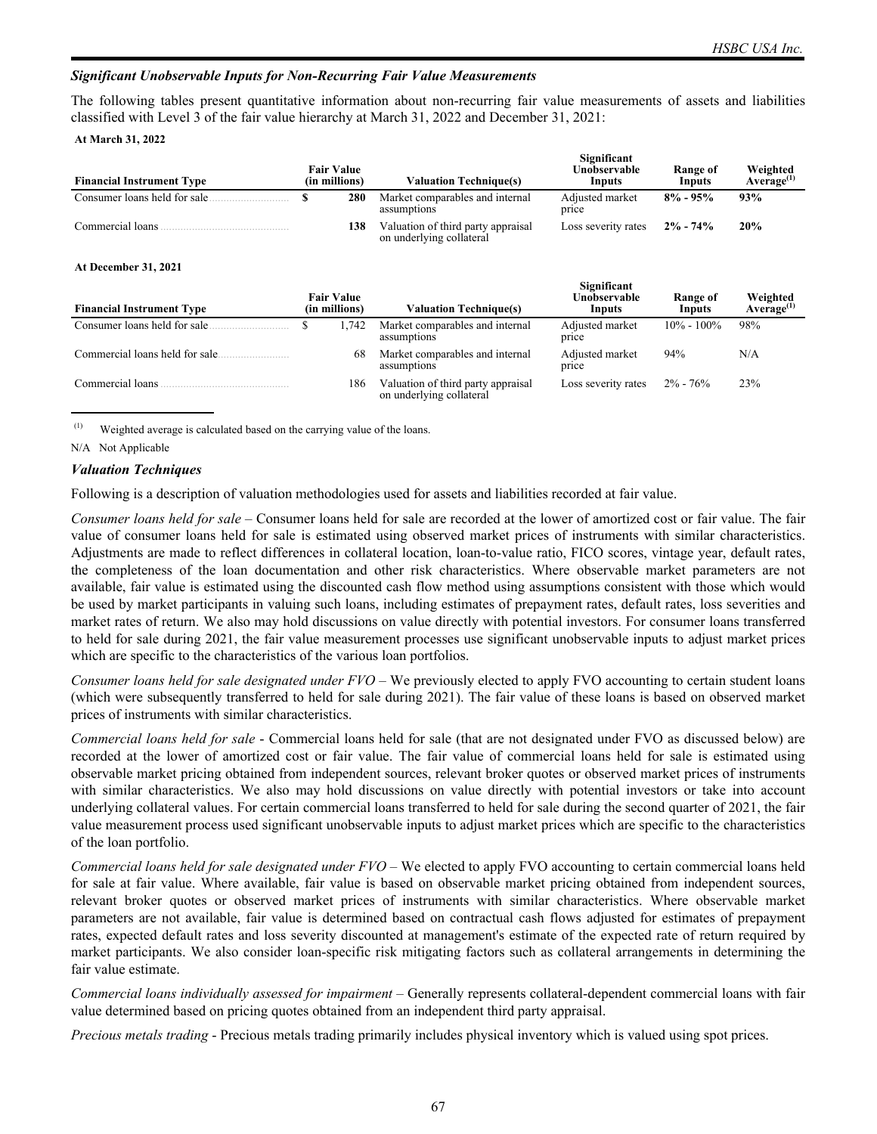# *Significant Unobservable Inputs for Non-Recurring Fair Value Measurements*

The following tables present quantitative information about non-recurring fair value measurements of assets and liabilities classified with Level 3 of the fair value hierarchy at March 31, 2022 and December 31, 2021:

### **At March 31, 2022**

| <b>Financial Instrument Type</b> | <b>Fair Value</b><br>(in millions) | <b>Valuation Technique(s)</b>                                  | Significant<br>Unobservable<br>Inputs | Range of<br>Inputs | Weighted<br>Average <sup>(1)</sup> |
|----------------------------------|------------------------------------|----------------------------------------------------------------|---------------------------------------|--------------------|------------------------------------|
| Consumer loans held for sale.    | 280                                | Market comparables and internal<br>assumptions                 | Adjusted market<br>price              | $8\% - 95\%$       | 93%                                |
| Commercial loans                 | 138                                | Valuation of third party appraisal<br>on underlying collateral | Loss severity rates                   | $2\% - 74\%$       | 20%                                |
| <b>At December 31, 2021</b>      |                                    |                                                                |                                       |                    |                                    |
| <b>Financial Instrument Type</b> | <b>Fair Value</b><br>(in millions) | <b>Valuation Technique(s)</b>                                  | Significant<br>Unobservable<br>Inputs | Range of<br>Inputs | Weighted<br>Average <sup>(1)</sup> |

| <b>Financial Instrument Type</b> | .<br>(in millions) | <b>Valuation Technique(s)</b>                                  | $\sim$ 11000001 , 11010<br>Inputs | <br>Inputs     | $\cdots$<br>Average <sup>(1)</sup> |
|----------------------------------|--------------------|----------------------------------------------------------------|-----------------------------------|----------------|------------------------------------|
| Consumer loans held for sale.    | ' 742              | Market comparables and internal<br>assumptions                 | Adjusted market<br>price          | $10\% - 100\%$ | 98%                                |
| Commercial loans held for sale.  | 68                 | Market comparables and internal<br>assumptions                 | Adjusted market<br>price          | 94%            | N/A                                |
| Commercial loans                 | 186                | Valuation of third party appraisal<br>on underlying collateral | Loss severity rates               | $2\%$ - 76%    | 23%                                |

(1) Weighted average is calculated based on the carrying value of the loans.

#### N/A Not Applicable

### *Valuation Techniques*

Following is a description of valuation methodologies used for assets and liabilities recorded at fair value.

*Consumer loans held for sale* – Consumer loans held for sale are recorded at the lower of amortized cost or fair value. The fair value of consumer loans held for sale is estimated using observed market prices of instruments with similar characteristics. Adjustments are made to reflect differences in collateral location, loan-to-value ratio, FICO scores, vintage year, default rates, the completeness of the loan documentation and other risk characteristics. Where observable market parameters are not available, fair value is estimated using the discounted cash flow method using assumptions consistent with those which would be used by market participants in valuing such loans, including estimates of prepayment rates, default rates, loss severities and market rates of return. We also may hold discussions on value directly with potential investors. For consumer loans transferred to held for sale during 2021, the fair value measurement processes use significant unobservable inputs to adjust market prices which are specific to the characteristics of the various loan portfolios.

*Consumer loans held for sale designated under FVO* – We previously elected to apply FVO accounting to certain student loans (which were subsequently transferred to held for sale during 2021). The fair value of these loans is based on observed market prices of instruments with similar characteristics.

*Commercial loans held for sale* - Commercial loans held for sale (that are not designated under FVO as discussed below) are recorded at the lower of amortized cost or fair value. The fair value of commercial loans held for sale is estimated using observable market pricing obtained from independent sources, relevant broker quotes or observed market prices of instruments with similar characteristics. We also may hold discussions on value directly with potential investors or take into account underlying collateral values. For certain commercial loans transferred to held for sale during the second quarter of 2021, the fair value measurement process used significant unobservable inputs to adjust market prices which are specific to the characteristics of the loan portfolio.

*Commercial loans held for sale designated under FVO* – We elected to apply FVO accounting to certain commercial loans held for sale at fair value. Where available, fair value is based on observable market pricing obtained from independent sources, relevant broker quotes or observed market prices of instruments with similar characteristics. Where observable market parameters are not available, fair value is determined based on contractual cash flows adjusted for estimates of prepayment rates, expected default rates and loss severity discounted at management's estimate of the expected rate of return required by market participants. We also consider loan-specific risk mitigating factors such as collateral arrangements in determining the fair value estimate.

*Commercial loans individually assessed for impairment* – Generally represents collateral-dependent commercial loans with fair value determined based on pricing quotes obtained from an independent third party appraisal.

*Precious metals trading* - Precious metals trading primarily includes physical inventory which is valued using spot prices.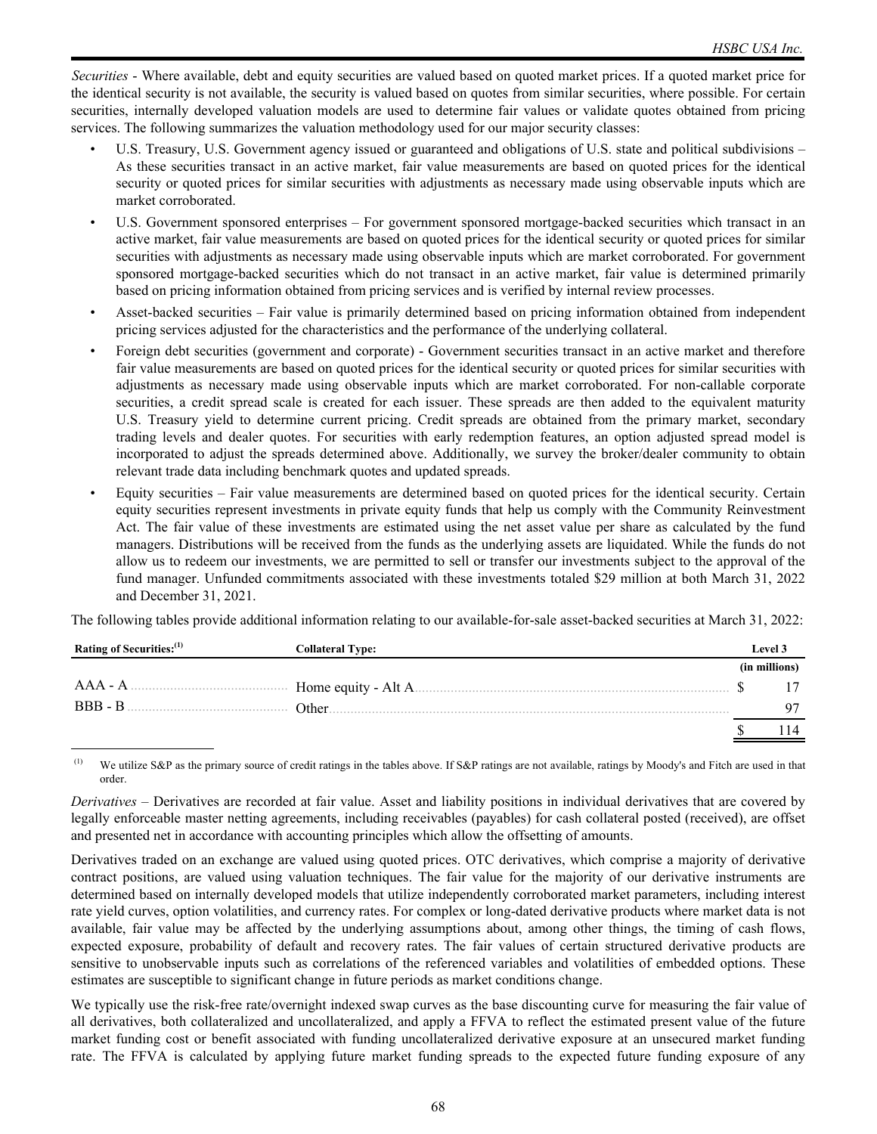*Securities* - Where available, debt and equity securities are valued based on quoted market prices. If a quoted market price for the identical security is not available, the security is valued based on quotes from similar securities, where possible. For certain securities, internally developed valuation models are used to determine fair values or validate quotes obtained from pricing services. The following summarizes the valuation methodology used for our major security classes:

- U.S. Treasury, U.S. Government agency issued or guaranteed and obligations of U.S. state and political subdivisions As these securities transact in an active market, fair value measurements are based on quoted prices for the identical security or quoted prices for similar securities with adjustments as necessary made using observable inputs which are market corroborated.
- U.S. Government sponsored enterprises For government sponsored mortgage-backed securities which transact in an active market, fair value measurements are based on quoted prices for the identical security or quoted prices for similar securities with adjustments as necessary made using observable inputs which are market corroborated. For government sponsored mortgage-backed securities which do not transact in an active market, fair value is determined primarily based on pricing information obtained from pricing services and is verified by internal review processes.
- Asset-backed securities Fair value is primarily determined based on pricing information obtained from independent pricing services adjusted for the characteristics and the performance of the underlying collateral.
- Foreign debt securities (government and corporate) Government securities transact in an active market and therefore fair value measurements are based on quoted prices for the identical security or quoted prices for similar securities with adjustments as necessary made using observable inputs which are market corroborated. For non-callable corporate securities, a credit spread scale is created for each issuer. These spreads are then added to the equivalent maturity U.S. Treasury yield to determine current pricing. Credit spreads are obtained from the primary market, secondary trading levels and dealer quotes. For securities with early redemption features, an option adjusted spread model is incorporated to adjust the spreads determined above. Additionally, we survey the broker/dealer community to obtain relevant trade data including benchmark quotes and updated spreads.
- Equity securities Fair value measurements are determined based on quoted prices for the identical security. Certain equity securities represent investments in private equity funds that help us comply with the Community Reinvestment Act. The fair value of these investments are estimated using the net asset value per share as calculated by the fund managers. Distributions will be received from the funds as the underlying assets are liquidated. While the funds do not allow us to redeem our investments, we are permitted to sell or transfer our investments subject to the approval of the fund manager. Unfunded commitments associated with these investments totaled \$29 million at both March 31, 2022 and December 31, 2021.

The following tables provide additional information relating to our available-for-sale asset-backed securities at March 31, 2022:

| Rating of Securities: <sup>(1)</sup> | <b>Collateral Type:</b> | Level 3       |
|--------------------------------------|-------------------------|---------------|
|                                      |                         | (in millions) |
| $AAA - A$                            | Home equity - Alt A     |               |
| $BBB - B$ .                          | Other                   | Q7            |
|                                      |                         |               |

<sup>(1)</sup> We utilize S&P as the primary source of credit ratings in the tables above. If S&P ratings are not available, ratings by Moody's and Fitch are used in that order.

*Derivatives* – Derivatives are recorded at fair value. Asset and liability positions in individual derivatives that are covered by legally enforceable master netting agreements, including receivables (payables) for cash collateral posted (received), are offset and presented net in accordance with accounting principles which allow the offsetting of amounts.

Derivatives traded on an exchange are valued using quoted prices. OTC derivatives, which comprise a majority of derivative contract positions, are valued using valuation techniques. The fair value for the majority of our derivative instruments are determined based on internally developed models that utilize independently corroborated market parameters, including interest rate yield curves, option volatilities, and currency rates. For complex or long-dated derivative products where market data is not available, fair value may be affected by the underlying assumptions about, among other things, the timing of cash flows, expected exposure, probability of default and recovery rates. The fair values of certain structured derivative products are sensitive to unobservable inputs such as correlations of the referenced variables and volatilities of embedded options. These estimates are susceptible to significant change in future periods as market conditions change.

We typically use the risk-free rate/overnight indexed swap curves as the base discounting curve for measuring the fair value of all derivatives, both collateralized and uncollateralized, and apply a FFVA to reflect the estimated present value of the future market funding cost or benefit associated with funding uncollateralized derivative exposure at an unsecured market funding rate. The FFVA is calculated by applying future market funding spreads to the expected future funding exposure of any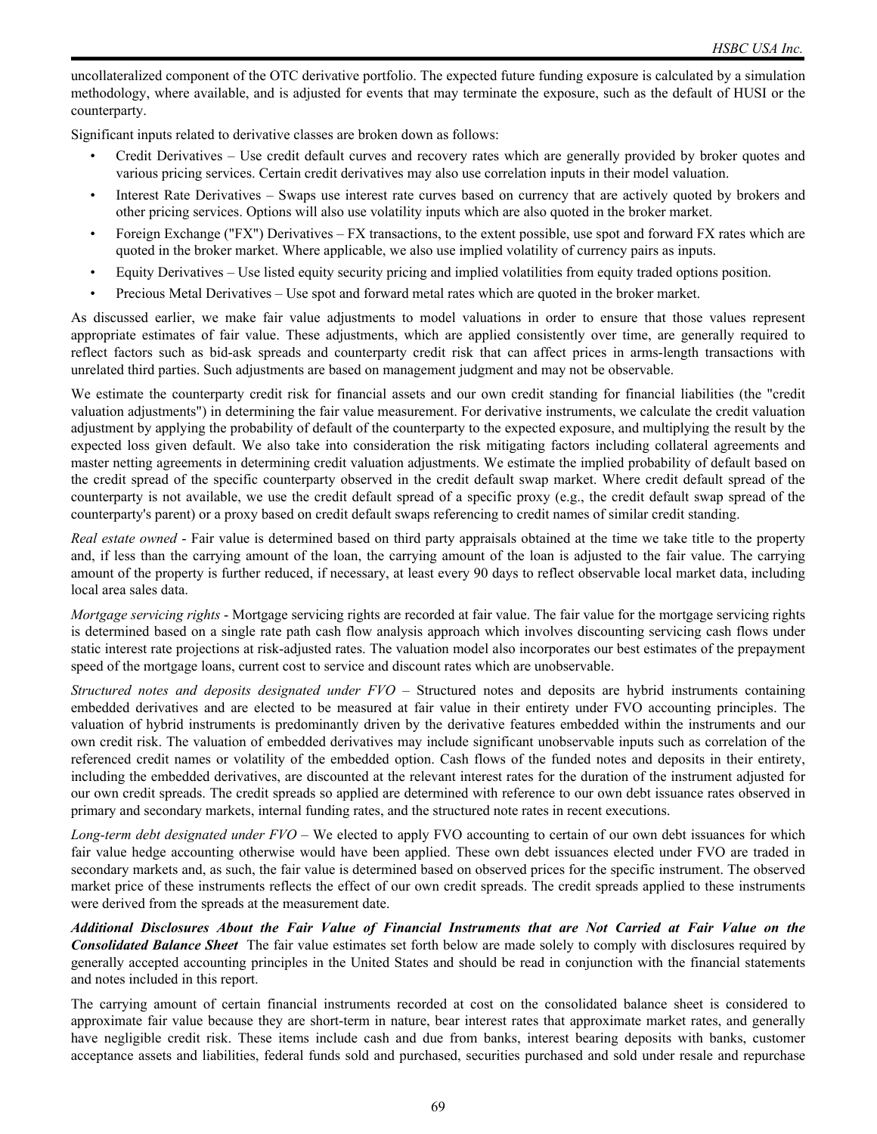uncollateralized component of the OTC derivative portfolio. The expected future funding exposure is calculated by a simulation methodology, where available, and is adjusted for events that may terminate the exposure, such as the default of HUSI or the counterparty.

Significant inputs related to derivative classes are broken down as follows:

- Credit Derivatives Use credit default curves and recovery rates which are generally provided by broker quotes and various pricing services. Certain credit derivatives may also use correlation inputs in their model valuation.
- Interest Rate Derivatives Swaps use interest rate curves based on currency that are actively quoted by brokers and other pricing services. Options will also use volatility inputs which are also quoted in the broker market.
- Foreign Exchange ("FX") Derivatives FX transactions, to the extent possible, use spot and forward FX rates which are quoted in the broker market. Where applicable, we also use implied volatility of currency pairs as inputs.
- Equity Derivatives Use listed equity security pricing and implied volatilities from equity traded options position.
- Precious Metal Derivatives Use spot and forward metal rates which are quoted in the broker market.

As discussed earlier, we make fair value adjustments to model valuations in order to ensure that those values represent appropriate estimates of fair value. These adjustments, which are applied consistently over time, are generally required to reflect factors such as bid-ask spreads and counterparty credit risk that can affect prices in arms-length transactions with unrelated third parties. Such adjustments are based on management judgment and may not be observable.

We estimate the counterparty credit risk for financial assets and our own credit standing for financial liabilities (the "credit valuation adjustments") in determining the fair value measurement. For derivative instruments, we calculate the credit valuation adjustment by applying the probability of default of the counterparty to the expected exposure, and multiplying the result by the expected loss given default. We also take into consideration the risk mitigating factors including collateral agreements and master netting agreements in determining credit valuation adjustments. We estimate the implied probability of default based on the credit spread of the specific counterparty observed in the credit default swap market. Where credit default spread of the counterparty is not available, we use the credit default spread of a specific proxy (e.g., the credit default swap spread of the counterparty's parent) or a proxy based on credit default swaps referencing to credit names of similar credit standing.

*Real estate owned* - Fair value is determined based on third party appraisals obtained at the time we take title to the property and, if less than the carrying amount of the loan, the carrying amount of the loan is adjusted to the fair value. The carrying amount of the property is further reduced, if necessary, at least every 90 days to reflect observable local market data, including local area sales data.

*Mortgage servicing rights* - Mortgage servicing rights are recorded at fair value. The fair value for the mortgage servicing rights is determined based on a single rate path cash flow analysis approach which involves discounting servicing cash flows under static interest rate projections at risk-adjusted rates. The valuation model also incorporates our best estimates of the prepayment speed of the mortgage loans, current cost to service and discount rates which are unobservable.

*Structured notes and deposits designated under FVO* – Structured notes and deposits are hybrid instruments containing embedded derivatives and are elected to be measured at fair value in their entirety under FVO accounting principles. The valuation of hybrid instruments is predominantly driven by the derivative features embedded within the instruments and our own credit risk. The valuation of embedded derivatives may include significant unobservable inputs such as correlation of the referenced credit names or volatility of the embedded option. Cash flows of the funded notes and deposits in their entirety, including the embedded derivatives, are discounted at the relevant interest rates for the duration of the instrument adjusted for our own credit spreads. The credit spreads so applied are determined with reference to our own debt issuance rates observed in primary and secondary markets, internal funding rates, and the structured note rates in recent executions.

*Long-term debt designated under FVO* – We elected to apply FVO accounting to certain of our own debt issuances for which fair value hedge accounting otherwise would have been applied. These own debt issuances elected under FVO are traded in secondary markets and, as such, the fair value is determined based on observed prices for the specific instrument. The observed market price of these instruments reflects the effect of our own credit spreads. The credit spreads applied to these instruments were derived from the spreads at the measurement date.

*Additional Disclosures About the Fair Value of Financial Instruments that are Not Carried at Fair Value on the Consolidated Balance Sheet* The fair value estimates set forth below are made solely to comply with disclosures required by generally accepted accounting principles in the United States and should be read in conjunction with the financial statements and notes included in this report.

The carrying amount of certain financial instruments recorded at cost on the consolidated balance sheet is considered to approximate fair value because they are short-term in nature, bear interest rates that approximate market rates, and generally have negligible credit risk. These items include cash and due from banks, interest bearing deposits with banks, customer acceptance assets and liabilities, federal funds sold and purchased, securities purchased and sold under resale and repurchase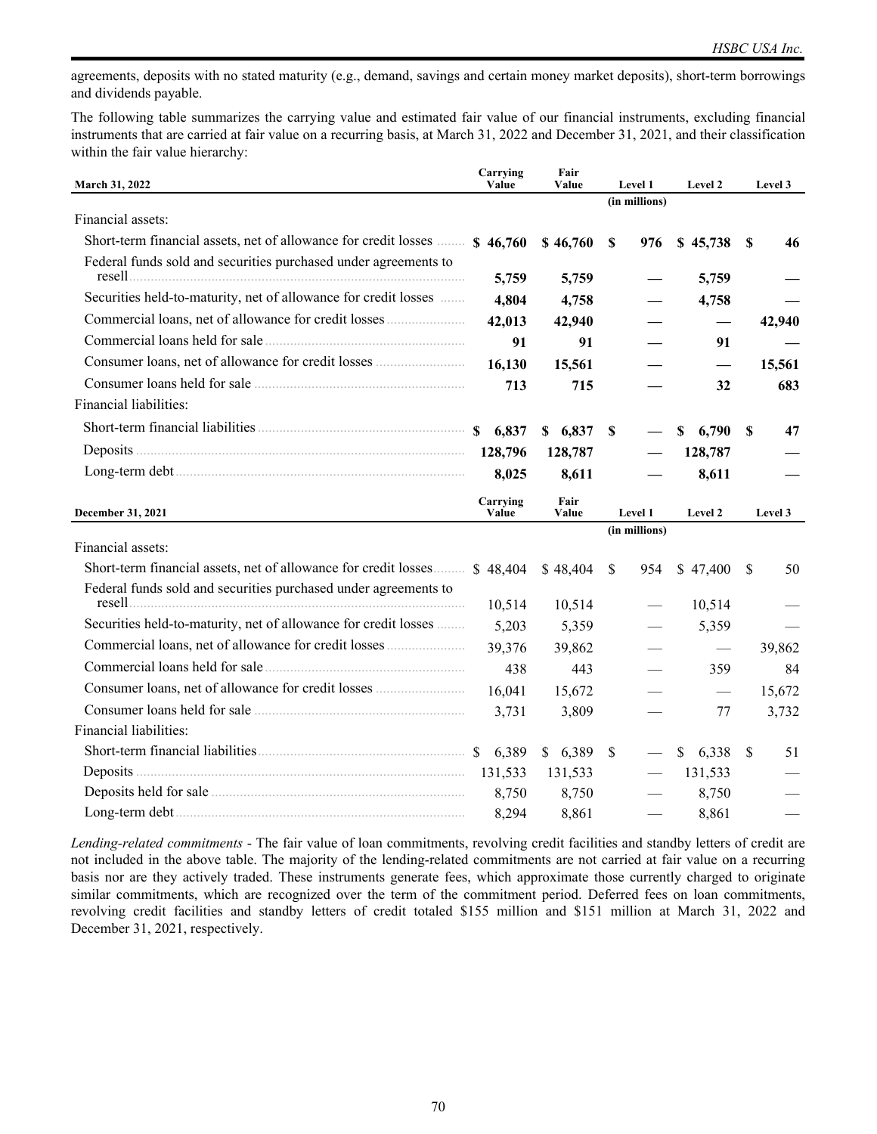agreements, deposits with no stated maturity (e.g., demand, savings and certain money market deposits), short-term borrowings and dividends payable.

The following table summarizes the carrying value and estimated fair value of our financial instruments, excluding financial instruments that are carried at fair value on a recurring basis, at March 31, 2022 and December 31, 2021, and their classification within the fair value hierarchy:

| March 31, 2022                                                            | Carrying<br>Value     | Fair<br>Value      | Level 1                          | Level 2                  | Level 3                         |
|---------------------------------------------------------------------------|-----------------------|--------------------|----------------------------------|--------------------------|---------------------------------|
|                                                                           |                       |                    | (in millions)                    |                          |                                 |
| Financial assets:                                                         |                       |                    |                                  |                          |                                 |
| Short-term financial assets, net of allowance for credit losses  \$46,760 |                       | \$46,760           | $\boldsymbol{\mathsf{S}}$<br>976 | \$45,738                 | 46<br>$\boldsymbol{\mathsf{s}}$ |
| Federal funds sold and securities purchased under agreements to           | 5,759                 | 5,759              |                                  | 5,759                    |                                 |
| Securities held-to-maturity, net of allowance for credit losses           | 4,804                 | 4,758              |                                  | 4,758                    |                                 |
|                                                                           | 42,013                | 42,940             |                                  | $\overline{\phantom{0}}$ | 42,940                          |
|                                                                           | 91                    | 91                 |                                  | 91                       |                                 |
|                                                                           | 16,130                | 15,561             |                                  |                          | 15,561                          |
|                                                                           | 713                   | 715                |                                  | 32                       | 683                             |
| Financial liabilities:                                                    |                       |                    |                                  |                          |                                 |
|                                                                           | $\mathbf{S}$<br>6,837 | \$6,837            | <b>S</b>                         | $\mathbf{s}$<br>6,790    | <b>S</b><br>47                  |
|                                                                           | 128,796               | 128,787            |                                  | 128,787                  |                                 |
|                                                                           | 8,025                 | 8,611              |                                  | 8,611                    |                                 |
|                                                                           |                       |                    |                                  |                          |                                 |
| December 31, 2021                                                         | Carrying<br>Value     | Fair<br>Value      | Level 1                          | Level 2                  | Level 3                         |
|                                                                           |                       |                    | (in millions)                    |                          |                                 |
| Financial assets:                                                         |                       |                    |                                  |                          |                                 |
| Short-term financial assets, net of allowance for credit losses \$48,404  |                       | \$48,404           | $\mathbb{S}$<br>954              | \$47,400                 | 50<br><sup>S</sup>              |
| Federal funds sold and securities purchased under agreements to           |                       |                    |                                  |                          |                                 |
|                                                                           | 10,514                | 10,514             |                                  | 10,514                   |                                 |
| Securities held-to-maturity, net of allowance for credit losses           | 5,203                 | 5,359              | $\overline{\phantom{0}}$         | 5,359                    |                                 |
|                                                                           | 39,376                | 39,862             |                                  | $\overline{\phantom{m}}$ | 39,862                          |
|                                                                           | 438                   | 443                |                                  | 359                      | 84                              |
|                                                                           | 16,041                | 15,672             |                                  | $\overline{\phantom{0}}$ | 15,672                          |
|                                                                           | 3,731                 | 3,809              |                                  | 77                       | 3,732                           |
| Financial liabilities:                                                    |                       |                    |                                  |                          |                                 |
| Deposits 131,533                                                          |                       | \$6,389<br>131,533 | <sup>\$</sup>                    | \$<br>6,338<br>131,533   | <sup>\$</sup><br>51             |
|                                                                           | 8,750                 | 8,750              |                                  | 8,750                    |                                 |

*Lending-related commitments* - The fair value of loan commitments, revolving credit facilities and standby letters of credit are not included in the above table. The majority of the lending-related commitments are not carried at fair value on a recurring basis nor are they actively traded. These instruments generate fees, which approximate those currently charged to originate similar commitments, which are recognized over the term of the commitment period. Deferred fees on loan commitments, revolving credit facilities and standby letters of credit totaled \$155 million and \$151 million at March 31, 2022 and December 31, 2021, respectively.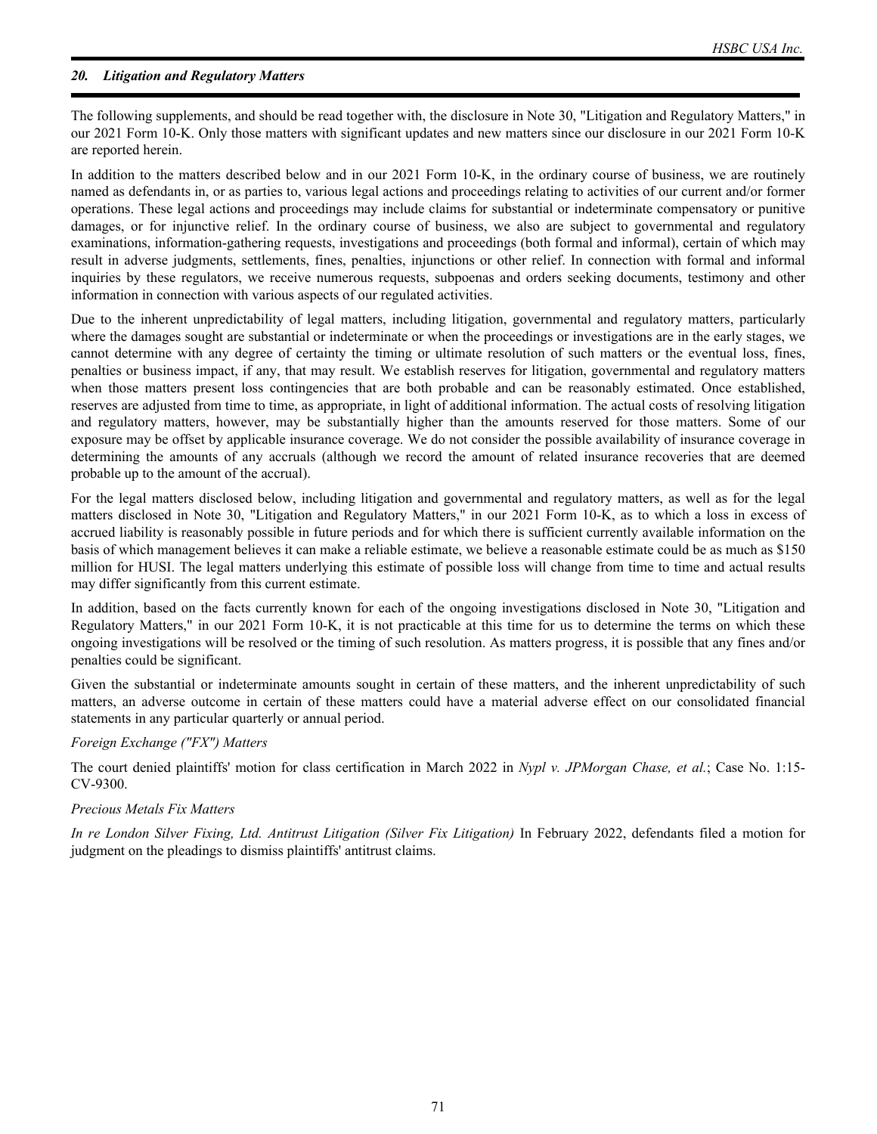#### *20. Litigation and Regulatory Matters*

The following supplements, and should be read together with, the disclosure in Note 30, "Litigation and Regulatory Matters," in our 2021 Form 10-K. Only those matters with significant updates and new matters since our disclosure in our 2021 Form 10-K are reported herein.

In addition to the matters described below and in our 2021 Form 10-K, in the ordinary course of business, we are routinely named as defendants in, or as parties to, various legal actions and proceedings relating to activities of our current and/or former operations. These legal actions and proceedings may include claims for substantial or indeterminate compensatory or punitive damages, or for injunctive relief. In the ordinary course of business, we also are subject to governmental and regulatory examinations, information-gathering requests, investigations and proceedings (both formal and informal), certain of which may result in adverse judgments, settlements, fines, penalties, injunctions or other relief. In connection with formal and informal inquiries by these regulators, we receive numerous requests, subpoenas and orders seeking documents, testimony and other information in connection with various aspects of our regulated activities.

Due to the inherent unpredictability of legal matters, including litigation, governmental and regulatory matters, particularly where the damages sought are substantial or indeterminate or when the proceedings or investigations are in the early stages, we cannot determine with any degree of certainty the timing or ultimate resolution of such matters or the eventual loss, fines, penalties or business impact, if any, that may result. We establish reserves for litigation, governmental and regulatory matters when those matters present loss contingencies that are both probable and can be reasonably estimated. Once established, reserves are adjusted from time to time, as appropriate, in light of additional information. The actual costs of resolving litigation and regulatory matters, however, may be substantially higher than the amounts reserved for those matters. Some of our exposure may be offset by applicable insurance coverage. We do not consider the possible availability of insurance coverage in determining the amounts of any accruals (although we record the amount of related insurance recoveries that are deemed probable up to the amount of the accrual).

For the legal matters disclosed below, including litigation and governmental and regulatory matters, as well as for the legal matters disclosed in Note 30, "Litigation and Regulatory Matters," in our 2021 Form 10-K, as to which a loss in excess of accrued liability is reasonably possible in future periods and for which there is sufficient currently available information on the basis of which management believes it can make a reliable estimate, we believe a reasonable estimate could be as much as \$150 million for HUSI. The legal matters underlying this estimate of possible loss will change from time to time and actual results may differ significantly from this current estimate.

In addition, based on the facts currently known for each of the ongoing investigations disclosed in Note 30, "Litigation and Regulatory Matters," in our 2021 Form 10-K, it is not practicable at this time for us to determine the terms on which these ongoing investigations will be resolved or the timing of such resolution. As matters progress, it is possible that any fines and/or penalties could be significant.

Given the substantial or indeterminate amounts sought in certain of these matters, and the inherent unpredictability of such matters, an adverse outcome in certain of these matters could have a material adverse effect on our consolidated financial statements in any particular quarterly or annual period.

### *Foreign Exchange ("FX") Matters*

The court denied plaintiffs' motion for class certification in March 2022 in *Nypl v. JPMorgan Chase, et al.*; Case No. 1:15- CV-9300.

#### *Precious Metals Fix Matters*

*In re London Silver Fixing, Ltd. Antitrust Litigation (Silver Fix Litigation)* In February 2022, defendants filed a motion for judgment on the pleadings to dismiss plaintiffs' antitrust claims.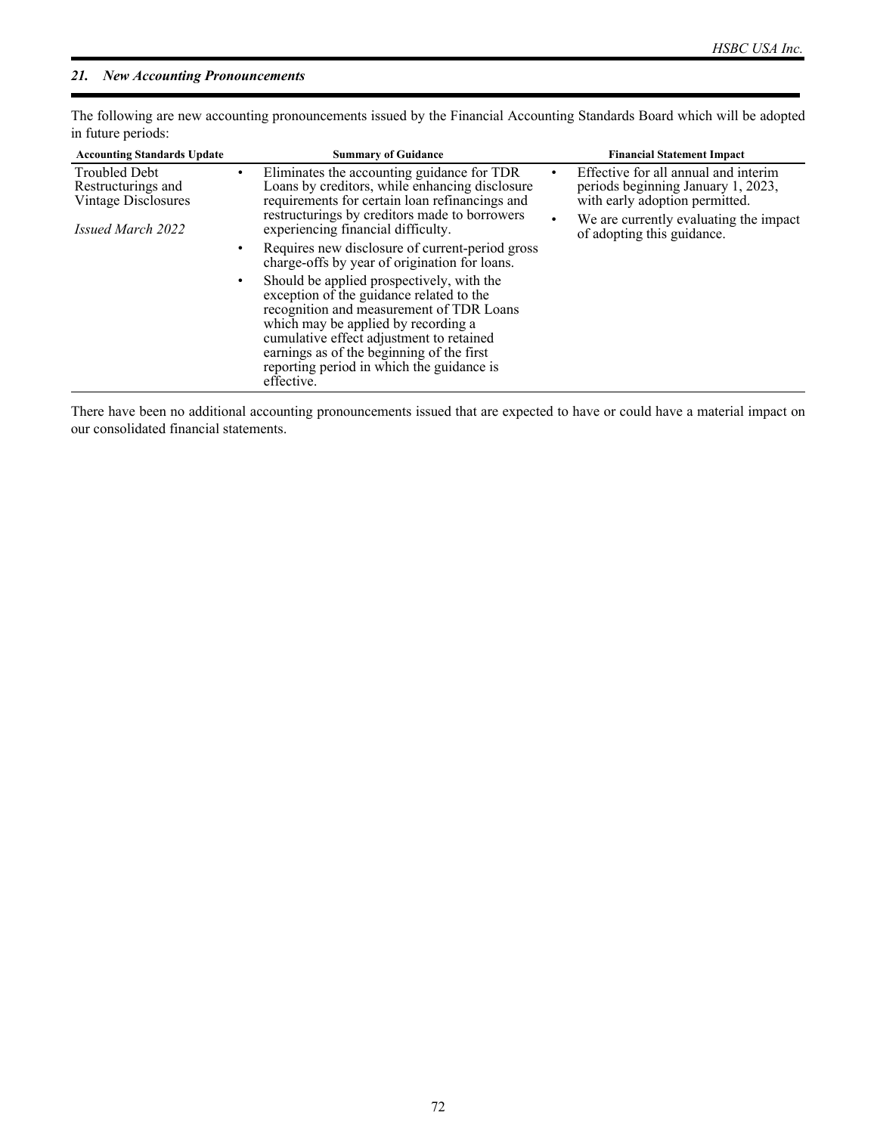# *21. New Accounting Pronouncements*

| <b>Accounting Standards Update</b>                                                            | <b>Summary of Guidance</b>                                                                                                                                                                                                                                                                                                                                                                                                                                                                                                                                                                                                                                                     | <b>Financial Statement Impact</b>                                                                                                                                                    |
|-----------------------------------------------------------------------------------------------|--------------------------------------------------------------------------------------------------------------------------------------------------------------------------------------------------------------------------------------------------------------------------------------------------------------------------------------------------------------------------------------------------------------------------------------------------------------------------------------------------------------------------------------------------------------------------------------------------------------------------------------------------------------------------------|--------------------------------------------------------------------------------------------------------------------------------------------------------------------------------------|
| <b>Troubled Debt</b><br>Restructurings and<br>Vintage Disclosures<br><i>Issued March 2022</i> | Eliminates the accounting guidance for TDR<br>٠<br>Loans by creditors, while enhancing disclosure<br>requirements for certain loan refinancings and<br>restructurings by creditors made to borrowers<br>experiencing financial difficulty.<br>Requires new disclosure of current-period gross<br>charge-offs by year of origination for loans.<br>Should be applied prospectively, with the<br>exception of the guidance related to the<br>recognition and measurement of TDR Loans<br>which may be applied by recording a<br>cumulative effect adjustment to retained<br>earnings as of the beginning of the first<br>reporting period in which the guidance is<br>effective. | Effective for all annual and interim<br>periods beginning January 1, 2023,<br>with early adoption permitted.<br>We are currently evaluating the impact<br>of adopting this guidance. |

The following are new accounting pronouncements issued by the Financial Accounting Standards Board which will be adopted in future periods:

There have been no additional accounting pronouncements issued that are expected to have or could have a material impact on our consolidated financial statements.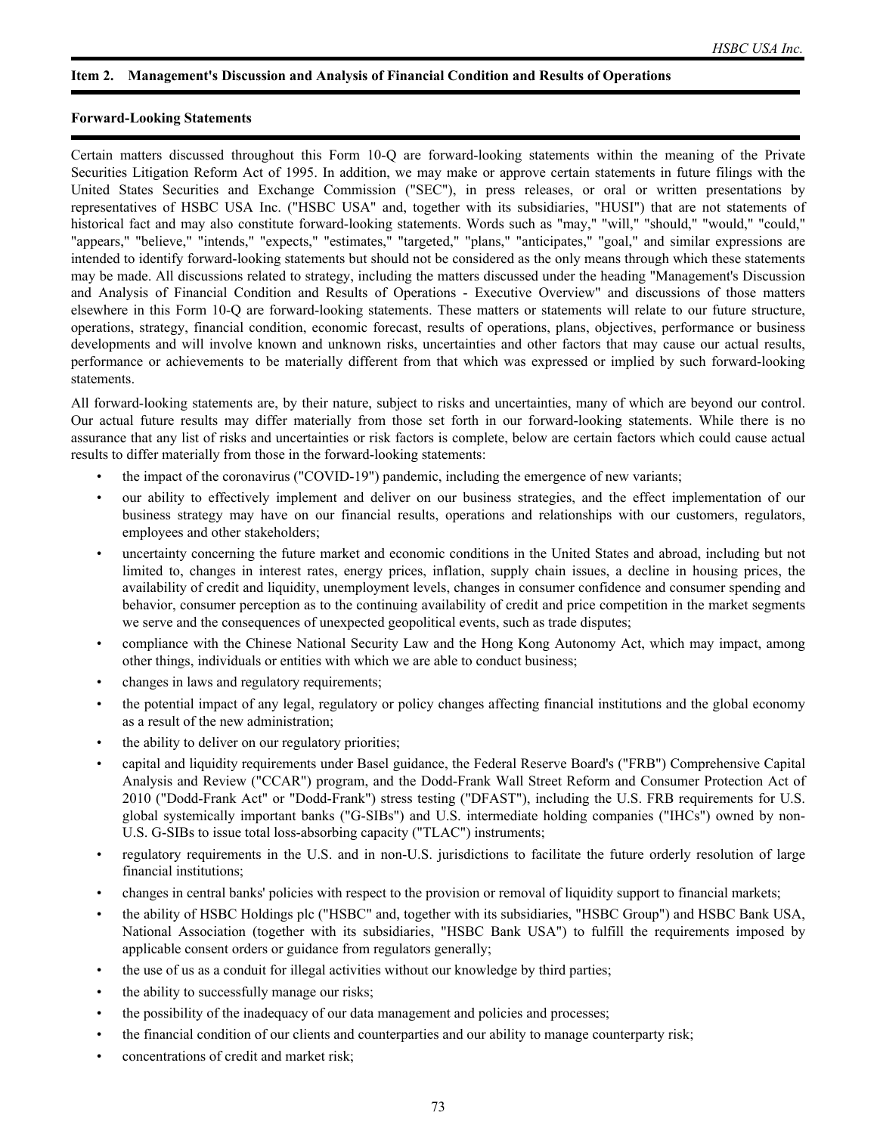## **Item 2. Management's Discussion and Analysis of Financial Condition and Results of Operations**

## **Forward-Looking Statements**

Certain matters discussed throughout this Form 10-Q are forward-looking statements within the meaning of the Private Securities Litigation Reform Act of 1995. In addition, we may make or approve certain statements in future filings with the United States Securities and Exchange Commission ("SEC"), in press releases, or oral or written presentations by representatives of HSBC USA Inc. ("HSBC USA" and, together with its subsidiaries, "HUSI") that are not statements of historical fact and may also constitute forward-looking statements. Words such as "may," "will," "should," "would," "could," "appears," "believe," "intends," "expects," "estimates," "targeted," "plans," "anticipates," "goal," and similar expressions are intended to identify forward-looking statements but should not be considered as the only means through which these statements may be made. All discussions related to strategy, including the matters discussed under the heading "Management's Discussion and Analysis of Financial Condition and Results of Operations - Executive Overview" and discussions of those matters elsewhere in this Form 10-Q are forward-looking statements. These matters or statements will relate to our future structure, operations, strategy, financial condition, economic forecast, results of operations, plans, objectives, performance or business developments and will involve known and unknown risks, uncertainties and other factors that may cause our actual results, performance or achievements to be materially different from that which was expressed or implied by such forward-looking statements.

All forward-looking statements are, by their nature, subject to risks and uncertainties, many of which are beyond our control. Our actual future results may differ materially from those set forth in our forward-looking statements. While there is no assurance that any list of risks and uncertainties or risk factors is complete, below are certain factors which could cause actual results to differ materially from those in the forward-looking statements:

- the impact of the coronavirus ("COVID-19") pandemic, including the emergence of new variants;
- our ability to effectively implement and deliver on our business strategies, and the effect implementation of our business strategy may have on our financial results, operations and relationships with our customers, regulators, employees and other stakeholders;
- uncertainty concerning the future market and economic conditions in the United States and abroad, including but not limited to, changes in interest rates, energy prices, inflation, supply chain issues, a decline in housing prices, the availability of credit and liquidity, unemployment levels, changes in consumer confidence and consumer spending and behavior, consumer perception as to the continuing availability of credit and price competition in the market segments we serve and the consequences of unexpected geopolitical events, such as trade disputes;
- compliance with the Chinese National Security Law and the Hong Kong Autonomy Act, which may impact, among other things, individuals or entities with which we are able to conduct business;
- changes in laws and regulatory requirements;
- the potential impact of any legal, regulatory or policy changes affecting financial institutions and the global economy as a result of the new administration;
- the ability to deliver on our regulatory priorities;
- capital and liquidity requirements under Basel guidance, the Federal Reserve Board's ("FRB") Comprehensive Capital Analysis and Review ("CCAR") program, and the Dodd-Frank Wall Street Reform and Consumer Protection Act of 2010 ("Dodd-Frank Act" or "Dodd-Frank") stress testing ("DFAST"), including the U.S. FRB requirements for U.S. global systemically important banks ("G-SIBs") and U.S. intermediate holding companies ("IHCs") owned by non-U.S. G-SIBs to issue total loss-absorbing capacity ("TLAC") instruments;
- regulatory requirements in the U.S. and in non-U.S. jurisdictions to facilitate the future orderly resolution of large financial institutions;
- changes in central banks' policies with respect to the provision or removal of liquidity support to financial markets;
- the ability of HSBC Holdings plc ("HSBC" and, together with its subsidiaries, "HSBC Group") and HSBC Bank USA, National Association (together with its subsidiaries, "HSBC Bank USA") to fulfill the requirements imposed by applicable consent orders or guidance from regulators generally;
- the use of us as a conduit for illegal activities without our knowledge by third parties;
- the ability to successfully manage our risks;
- the possibility of the inadequacy of our data management and policies and processes;
- the financial condition of our clients and counterparties and our ability to manage counterparty risk;
- concentrations of credit and market risk;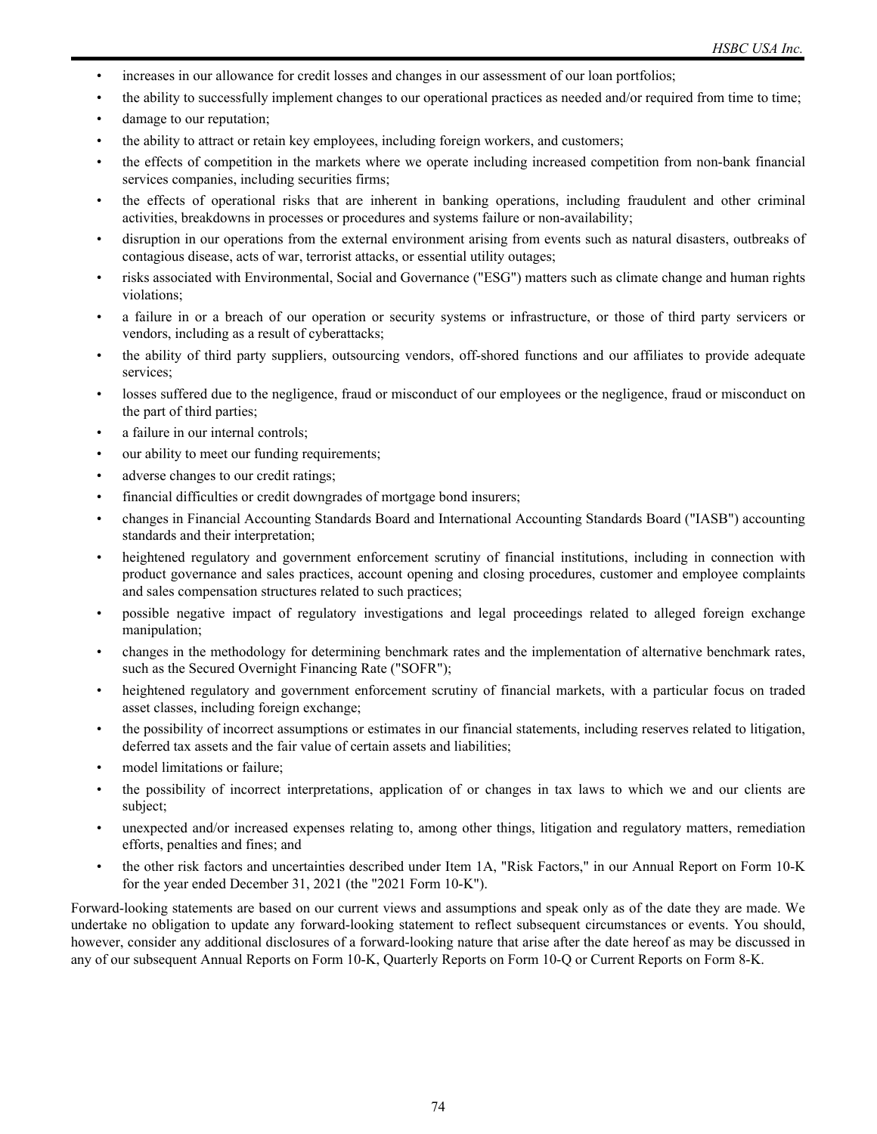- increases in our allowance for credit losses and changes in our assessment of our loan portfolios;
- the ability to successfully implement changes to our operational practices as needed and/or required from time to time;
- damage to our reputation;
- the ability to attract or retain key employees, including foreign workers, and customers;
- the effects of competition in the markets where we operate including increased competition from non-bank financial services companies, including securities firms;
- the effects of operational risks that are inherent in banking operations, including fraudulent and other criminal activities, breakdowns in processes or procedures and systems failure or non-availability;
- disruption in our operations from the external environment arising from events such as natural disasters, outbreaks of contagious disease, acts of war, terrorist attacks, or essential utility outages;
- risks associated with Environmental, Social and Governance ("ESG") matters such as climate change and human rights violations;
- a failure in or a breach of our operation or security systems or infrastructure, or those of third party servicers or vendors, including as a result of cyberattacks;
- the ability of third party suppliers, outsourcing vendors, off-shored functions and our affiliates to provide adequate services;
- losses suffered due to the negligence, fraud or misconduct of our employees or the negligence, fraud or misconduct on the part of third parties;
- a failure in our internal controls;
- our ability to meet our funding requirements;
- adverse changes to our credit ratings;
- financial difficulties or credit downgrades of mortgage bond insurers;
- changes in Financial Accounting Standards Board and International Accounting Standards Board ("IASB") accounting standards and their interpretation;
- heightened regulatory and government enforcement scrutiny of financial institutions, including in connection with product governance and sales practices, account opening and closing procedures, customer and employee complaints and sales compensation structures related to such practices;
- possible negative impact of regulatory investigations and legal proceedings related to alleged foreign exchange manipulation;
- changes in the methodology for determining benchmark rates and the implementation of alternative benchmark rates, such as the Secured Overnight Financing Rate ("SOFR");
- heightened regulatory and government enforcement scrutiny of financial markets, with a particular focus on traded asset classes, including foreign exchange;
- the possibility of incorrect assumptions or estimates in our financial statements, including reserves related to litigation, deferred tax assets and the fair value of certain assets and liabilities;
- model limitations or failure:
- the possibility of incorrect interpretations, application of or changes in tax laws to which we and our clients are subject;
- unexpected and/or increased expenses relating to, among other things, litigation and regulatory matters, remediation efforts, penalties and fines; and
- the other risk factors and uncertainties described under Item 1A, "Risk Factors," in our Annual Report on Form 10-K for the year ended December 31, 2021 (the "2021 Form 10-K").

Forward-looking statements are based on our current views and assumptions and speak only as of the date they are made. We undertake no obligation to update any forward-looking statement to reflect subsequent circumstances or events. You should, however, consider any additional disclosures of a forward-looking nature that arise after the date hereof as may be discussed in any of our subsequent Annual Reports on Form 10-K, Quarterly Reports on Form 10-Q or Current Reports on Form 8-K.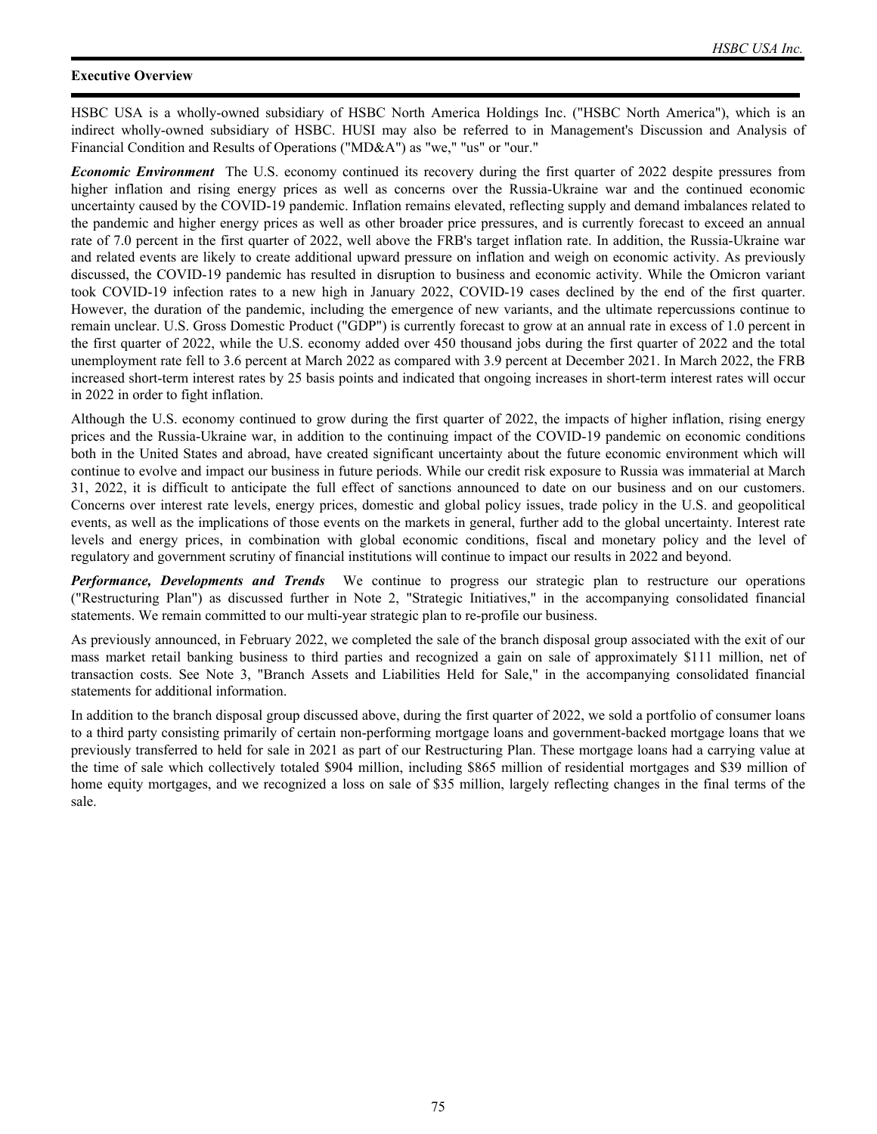## **Executive Overview**

HSBC USA is a wholly-owned subsidiary of HSBC North America Holdings Inc. ("HSBC North America"), which is an indirect wholly-owned subsidiary of HSBC. HUSI may also be referred to in Management's Discussion and Analysis of Financial Condition and Results of Operations ("MD&A") as "we," "us" or "our."

*Economic Environment* The U.S. economy continued its recovery during the first quarter of 2022 despite pressures from higher inflation and rising energy prices as well as concerns over the Russia-Ukraine war and the continued economic uncertainty caused by the COVID-19 pandemic. Inflation remains elevated, reflecting supply and demand imbalances related to the pandemic and higher energy prices as well as other broader price pressures, and is currently forecast to exceed an annual rate of 7.0 percent in the first quarter of 2022, well above the FRB's target inflation rate. In addition, the Russia-Ukraine war and related events are likely to create additional upward pressure on inflation and weigh on economic activity. As previously discussed, the COVID-19 pandemic has resulted in disruption to business and economic activity. While the Omicron variant took COVID-19 infection rates to a new high in January 2022, COVID-19 cases declined by the end of the first quarter. However, the duration of the pandemic, including the emergence of new variants, and the ultimate repercussions continue to remain unclear. U.S. Gross Domestic Product ("GDP") is currently forecast to grow at an annual rate in excess of 1.0 percent in the first quarter of 2022, while the U.S. economy added over 450 thousand jobs during the first quarter of 2022 and the total unemployment rate fell to 3.6 percent at March 2022 as compared with 3.9 percent at December 2021. In March 2022, the FRB increased short-term interest rates by 25 basis points and indicated that ongoing increases in short-term interest rates will occur in 2022 in order to fight inflation.

Although the U.S. economy continued to grow during the first quarter of 2022, the impacts of higher inflation, rising energy prices and the Russia-Ukraine war, in addition to the continuing impact of the COVID-19 pandemic on economic conditions both in the United States and abroad, have created significant uncertainty about the future economic environment which will continue to evolve and impact our business in future periods. While our credit risk exposure to Russia was immaterial at March 31, 2022, it is difficult to anticipate the full effect of sanctions announced to date on our business and on our customers. Concerns over interest rate levels, energy prices, domestic and global policy issues, trade policy in the U.S. and geopolitical events, as well as the implications of those events on the markets in general, further add to the global uncertainty. Interest rate levels and energy prices, in combination with global economic conditions, fiscal and monetary policy and the level of regulatory and government scrutiny of financial institutions will continue to impact our results in 2022 and beyond.

*Performance, Developments and Trends* We continue to progress our strategic plan to restructure our operations ("Restructuring Plan") as discussed further in Note 2, "Strategic Initiatives," in the accompanying consolidated financial statements. We remain committed to our multi-year strategic plan to re-profile our business.

As previously announced, in February 2022, we completed the sale of the branch disposal group associated with the exit of our mass market retail banking business to third parties and recognized a gain on sale of approximately \$111 million, net of transaction costs. See Note 3, "Branch Assets and Liabilities Held for Sale," in the accompanying consolidated financial statements for additional information.

In addition to the branch disposal group discussed above, during the first quarter of 2022, we sold a portfolio of consumer loans to a third party consisting primarily of certain non-performing mortgage loans and government-backed mortgage loans that we previously transferred to held for sale in 2021 as part of our Restructuring Plan. These mortgage loans had a carrying value at the time of sale which collectively totaled \$904 million, including \$865 million of residential mortgages and \$39 million of home equity mortgages, and we recognized a loss on sale of \$35 million, largely reflecting changes in the final terms of the sale.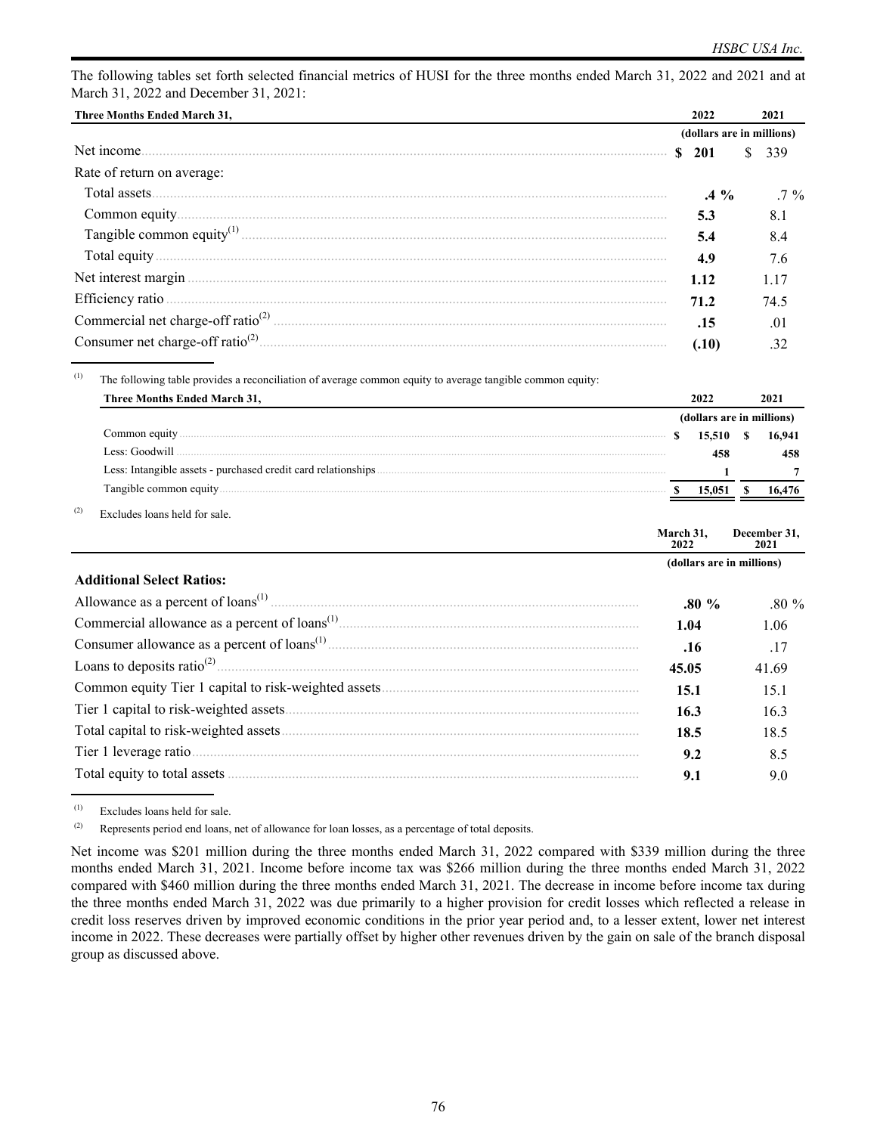|                                       | The following tables set forth selected financial metrics of HUSI for the three months ended March 31, 2022 and 2021 and at |  |  |  |
|---------------------------------------|-----------------------------------------------------------------------------------------------------------------------------|--|--|--|
| March 31, 2022 and December 31, 2021: |                                                                                                                             |  |  |  |

| Three Months Ended March 31, |                                 | 2022   |                           | 2021  |
|------------------------------|---------------------------------|--------|---------------------------|-------|
|                              |                                 |        | (dollars are in millions) |       |
|                              | $\frac{\text{S}}{\text{A}}$ 201 |        |                           | 339   |
| Rate of return on average:   |                                 |        |                           |       |
|                              |                                 | $.4\%$ |                           | $7\%$ |
|                              | 5.3                             |        |                           | 81    |
|                              | 5.4                             |        |                           | 84    |
|                              | 4.9                             |        |                           | 76    |
|                              | 1.12                            |        |                           |       |
|                              | 71.2                            |        |                           | 74.5  |
|                              | .15                             |        |                           | -01   |
|                              | (.10)                           |        |                           |       |

(1) The following table provides a reconciliation of average common equity to average tangible common equity:

| <b>Three Months Ended March 31,</b>                           | 2022                      | 2021 |
|---------------------------------------------------------------|---------------------------|------|
|                                                               | (dollars are in millions) |      |
| Common equit                                                  |                           |      |
| Less: Goodwill                                                | ירו                       |      |
| Less: Intangible assets - purchased credit card relationships |                           |      |
| Tangible common equity                                        |                           |      |

(2) Excludes loans held for sale.

|                                  | March 31,<br>2022         | December 31,<br>2021 |
|----------------------------------|---------------------------|----------------------|
|                                  | (dollars are in millions) |                      |
| <b>Additional Select Ratios:</b> |                           |                      |
|                                  | $.80\%$                   | $.80\%$              |
|                                  | 1.04                      | 1.06                 |
|                                  | .16                       | .17                  |
|                                  | 45.05                     | 41.69                |
|                                  | 15.1                      | 15.1                 |
|                                  | 16.3                      | 16.3                 |
|                                  | 18.5                      | 18.5                 |
|                                  | 9.2                       | 8.5                  |
|                                  | 9.1                       | 9.0                  |

(1) Excludes loans held for sale.

(2) Represents period end loans, net of allowance for loan losses, as a percentage of total deposits.

Net income was \$201 million during the three months ended March 31, 2022 compared with \$339 million during the three months ended March 31, 2021. Income before income tax was \$266 million during the three months ended March 31, 2022 compared with \$460 million during the three months ended March 31, 2021. The decrease in income before income tax during the three months ended March 31, 2022 was due primarily to a higher provision for credit losses which reflected a release in credit loss reserves driven by improved economic conditions in the prior year period and, to a lesser extent, lower net interest income in 2022. These decreases were partially offset by higher other revenues driven by the gain on sale of the branch disposal group as discussed above.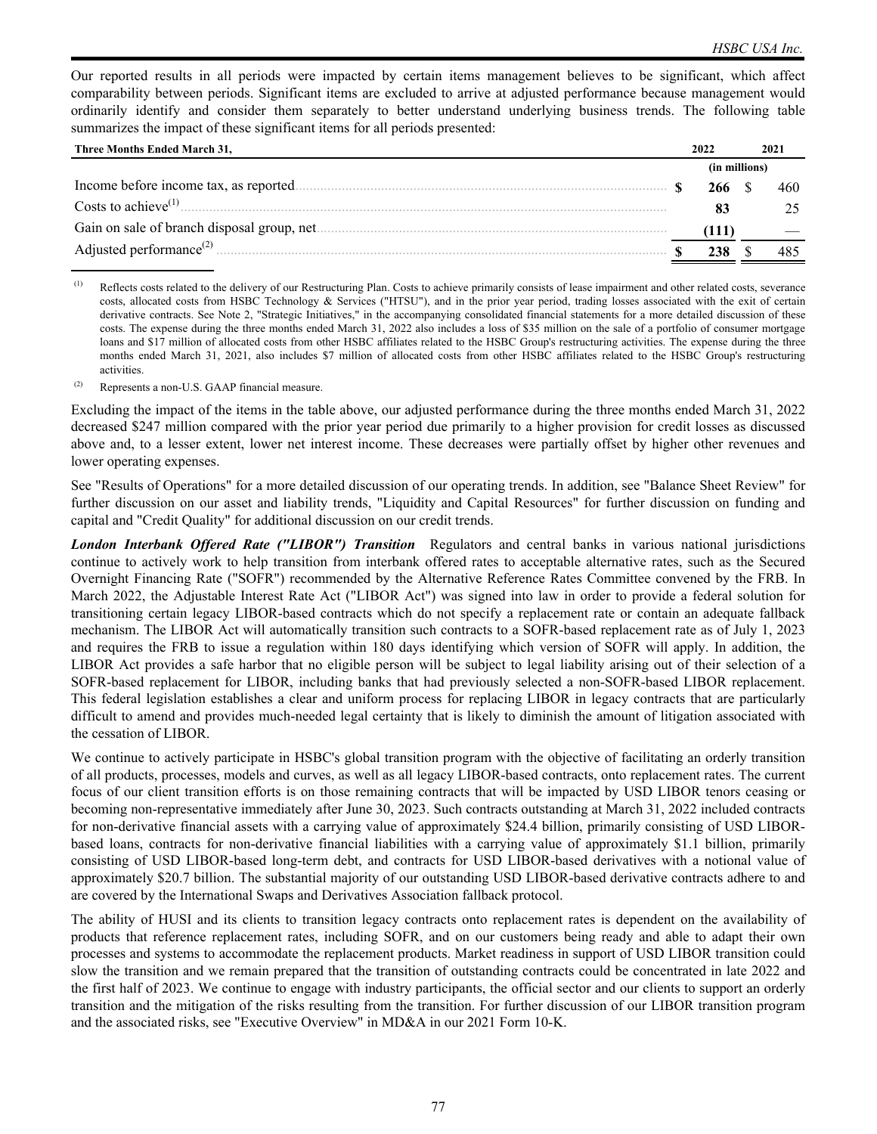Our reported results in all periods were impacted by certain items management believes to be significant, which affect comparability between periods. Significant items are excluded to arrive at adjusted performance because management would ordinarily identify and consider them separately to better understand underlying business trends. The following table summarizes the impact of these significant items for all periods presented:

| Three Months Ended March 31,               |       |               | $202^{\circ}$ |
|--------------------------------------------|-------|---------------|---------------|
|                                            |       | (in millions) |               |
| Income before income tax, as reported.     | 266   |               | 460           |
| Costs to achieve <sup>(1)</sup> .          | 83    |               |               |
| Gain on sale of branch disposal group, net | (111) |               |               |
| Adjusted performance <sup>(2)</sup>        | 238   |               | 485           |

(1) Reflects costs related to the delivery of our Restructuring Plan. Costs to achieve primarily consists of lease impairment and other related costs, severance costs, allocated costs from HSBC Technology & Services ("HTSU"), and in the prior year period, trading losses associated with the exit of certain derivative contracts. See Note 2, "Strategic Initiatives," in the accompanying consolidated financial statements for a more detailed discussion of these costs. The expense during the three months ended March 31, 2022 also includes a loss of \$35 million on the sale of a portfolio of consumer mortgage loans and \$17 million of allocated costs from other HSBC affiliates related to the HSBC Group's restructuring activities. The expense during the three months ended March 31, 2021, also includes \$7 million of allocated costs from other HSBC affiliates related to the HSBC Group's restructuring activities.

(2) Represents a non-U.S. GAAP financial measure.

Excluding the impact of the items in the table above, our adjusted performance during the three months ended March 31, 2022 decreased \$247 million compared with the prior year period due primarily to a higher provision for credit losses as discussed above and, to a lesser extent, lower net interest income. These decreases were partially offset by higher other revenues and lower operating expenses.

See "Results of Operations" for a more detailed discussion of our operating trends. In addition, see "Balance Sheet Review" for further discussion on our asset and liability trends, "Liquidity and Capital Resources" for further discussion on funding and capital and "Credit Quality" for additional discussion on our credit trends.

*London Interbank Offered Rate ("LIBOR") Transition* Regulators and central banks in various national jurisdictions continue to actively work to help transition from interbank offered rates to acceptable alternative rates, such as the Secured Overnight Financing Rate ("SOFR") recommended by the Alternative Reference Rates Committee convened by the FRB. In March 2022, the Adjustable Interest Rate Act ("LIBOR Act") was signed into law in order to provide a federal solution for transitioning certain legacy LIBOR-based contracts which do not specify a replacement rate or contain an adequate fallback mechanism. The LIBOR Act will automatically transition such contracts to a SOFR-based replacement rate as of July 1, 2023 and requires the FRB to issue a regulation within 180 days identifying which version of SOFR will apply. In addition, the LIBOR Act provides a safe harbor that no eligible person will be subject to legal liability arising out of their selection of a SOFR-based replacement for LIBOR, including banks that had previously selected a non-SOFR-based LIBOR replacement. This federal legislation establishes a clear and uniform process for replacing LIBOR in legacy contracts that are particularly difficult to amend and provides much-needed legal certainty that is likely to diminish the amount of litigation associated with the cessation of LIBOR.

We continue to actively participate in HSBC's global transition program with the objective of facilitating an orderly transition of all products, processes, models and curves, as well as all legacy LIBOR-based contracts, onto replacement rates. The current focus of our client transition efforts is on those remaining contracts that will be impacted by USD LIBOR tenors ceasing or becoming non-representative immediately after June 30, 2023. Such contracts outstanding at March 31, 2022 included contracts for non-derivative financial assets with a carrying value of approximately \$24.4 billion, primarily consisting of USD LIBORbased loans, contracts for non-derivative financial liabilities with a carrying value of approximately \$1.1 billion, primarily consisting of USD LIBOR-based long-term debt, and contracts for USD LIBOR-based derivatives with a notional value of approximately \$20.7 billion. The substantial majority of our outstanding USD LIBOR-based derivative contracts adhere to and are covered by the International Swaps and Derivatives Association fallback protocol.

The ability of HUSI and its clients to transition legacy contracts onto replacement rates is dependent on the availability of products that reference replacement rates, including SOFR, and on our customers being ready and able to adapt their own processes and systems to accommodate the replacement products. Market readiness in support of USD LIBOR transition could slow the transition and we remain prepared that the transition of outstanding contracts could be concentrated in late 2022 and the first half of 2023. We continue to engage with industry participants, the official sector and our clients to support an orderly transition and the mitigation of the risks resulting from the transition. For further discussion of our LIBOR transition program and the associated risks, see "Executive Overview" in MD&A in our 2021 Form 10-K.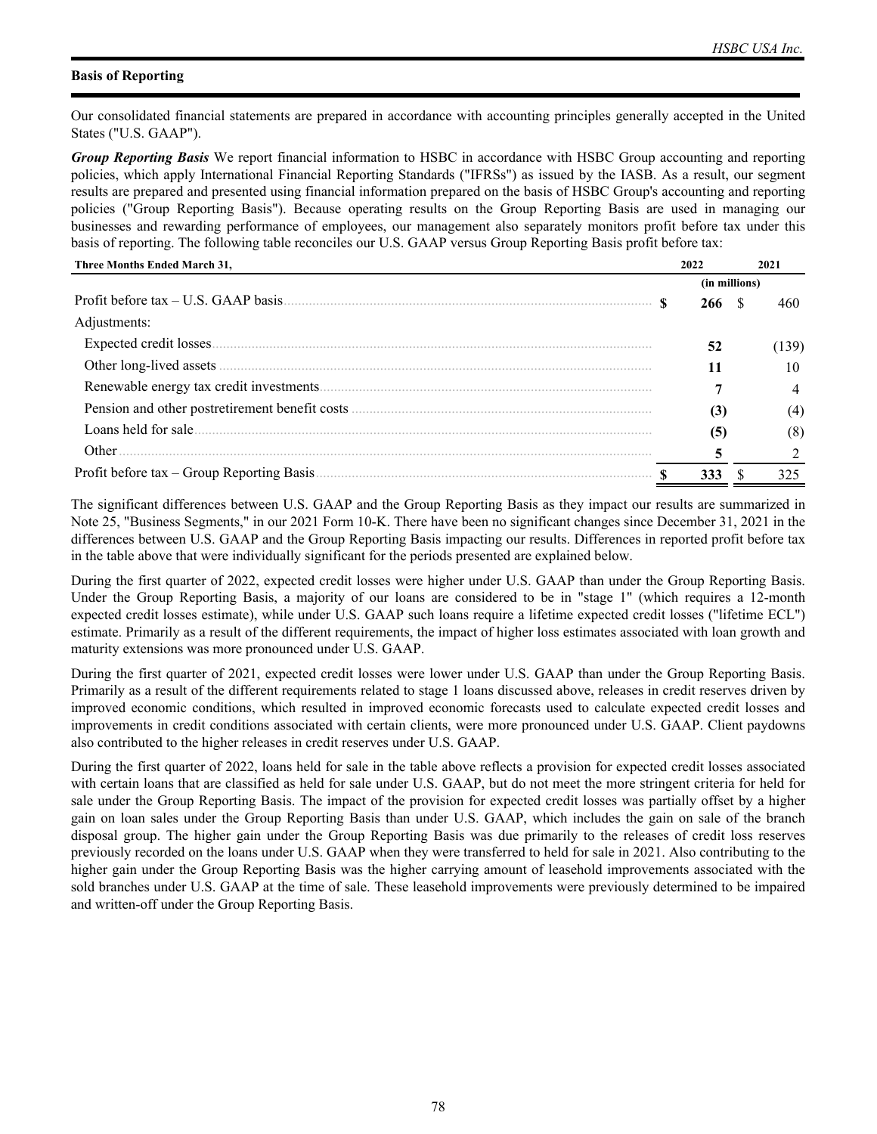# **Basis of Reporting**

Our consolidated financial statements are prepared in accordance with accounting principles generally accepted in the United States ("U.S. GAAP").

*Group Reporting Basis* We report financial information to HSBC in accordance with HSBC Group accounting and reporting policies, which apply International Financial Reporting Standards ("IFRSs") as issued by the IASB. As a result, our segment results are prepared and presented using financial information prepared on the basis of HSBC Group's accounting and reporting policies ("Group Reporting Basis"). Because operating results on the Group Reporting Basis are used in managing our businesses and rewarding performance of employees, our management also separately monitors profit before tax under this basis of reporting. The following table reconciles our U.S. GAAP versus Group Reporting Basis profit before tax:

**Three Months Ended March 31, 2022 2021**

|                                            | (in millions) |     |
|--------------------------------------------|---------------|-----|
| Profit before $tax - U.S. GAAP$ basis.     |               |     |
| Adjustments:                               |               |     |
|                                            | 52            | 39) |
|                                            |               |     |
|                                            |               |     |
|                                            |               | (4) |
|                                            | (5)           | (8) |
| Other                                      |               |     |
| Profit before tax - Group Reporting Basis. | 333           |     |
|                                            |               |     |

The significant differences between U.S. GAAP and the Group Reporting Basis as they impact our results are summarized in Note 25, "Business Segments," in our 2021 Form 10-K. There have been no significant changes since December 31, 2021 in the differences between U.S. GAAP and the Group Reporting Basis impacting our results. Differences in reported profit before tax in the table above that were individually significant for the periods presented are explained below.

During the first quarter of 2022, expected credit losses were higher under U.S. GAAP than under the Group Reporting Basis. Under the Group Reporting Basis, a majority of our loans are considered to be in "stage 1" (which requires a 12-month expected credit losses estimate), while under U.S. GAAP such loans require a lifetime expected credit losses ("lifetime ECL") estimate. Primarily as a result of the different requirements, the impact of higher loss estimates associated with loan growth and maturity extensions was more pronounced under U.S. GAAP.

During the first quarter of 2021, expected credit losses were lower under U.S. GAAP than under the Group Reporting Basis. Primarily as a result of the different requirements related to stage 1 loans discussed above, releases in credit reserves driven by improved economic conditions, which resulted in improved economic forecasts used to calculate expected credit losses and improvements in credit conditions associated with certain clients, were more pronounced under U.S. GAAP. Client paydowns also contributed to the higher releases in credit reserves under U.S. GAAP.

During the first quarter of 2022, loans held for sale in the table above reflects a provision for expected credit losses associated with certain loans that are classified as held for sale under U.S. GAAP, but do not meet the more stringent criteria for held for sale under the Group Reporting Basis. The impact of the provision for expected credit losses was partially offset by a higher gain on loan sales under the Group Reporting Basis than under U.S. GAAP, which includes the gain on sale of the branch disposal group. The higher gain under the Group Reporting Basis was due primarily to the releases of credit loss reserves previously recorded on the loans under U.S. GAAP when they were transferred to held for sale in 2021. Also contributing to the higher gain under the Group Reporting Basis was the higher carrying amount of leasehold improvements associated with the sold branches under U.S. GAAP at the time of sale. These leasehold improvements were previously determined to be impaired and written-off under the Group Reporting Basis.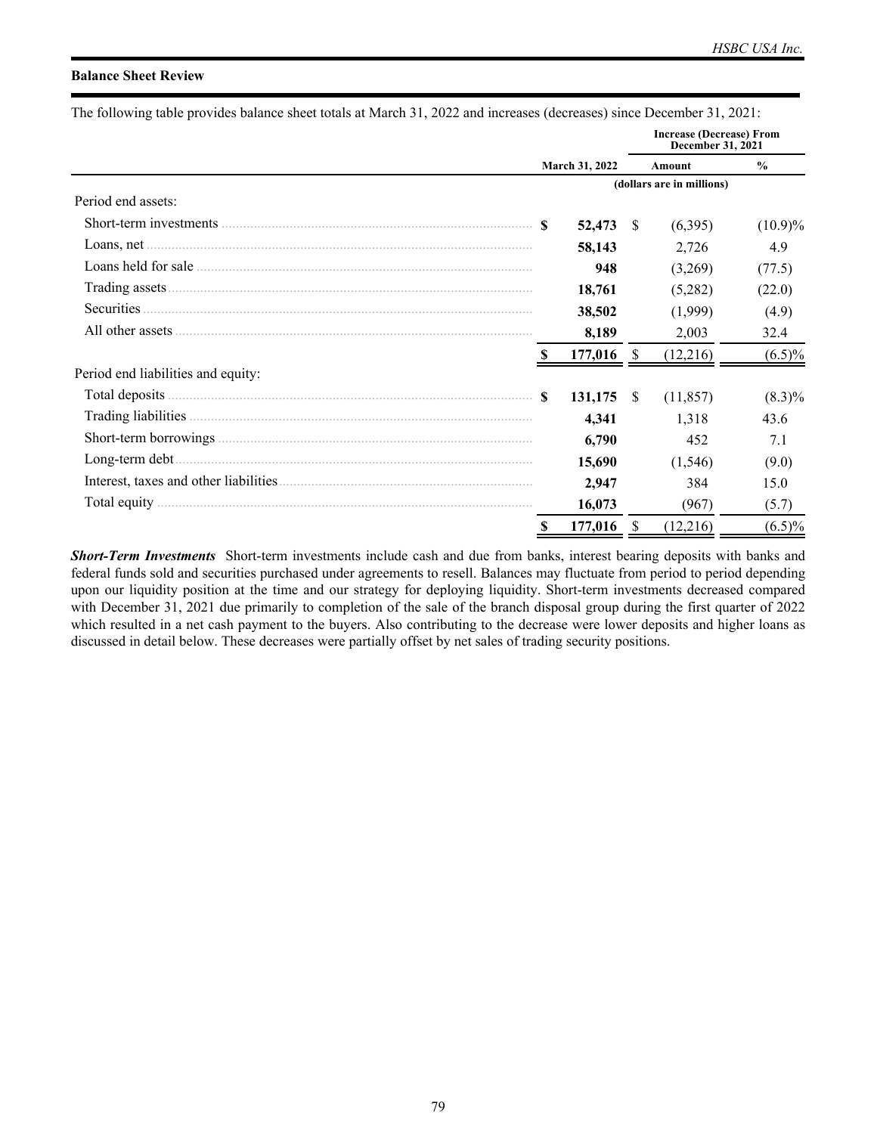#### **Balance Sheet Review**

The following table provides balance sheet totals at March 31, 2022 and increases (decreases) since December 31, 2021:

|                                    |              | March 31, 2022 |                           | <b>Increase (Decrease) From</b><br>December 31, 2021 |               |  |  |
|------------------------------------|--------------|----------------|---------------------------|------------------------------------------------------|---------------|--|--|
|                                    |              |                |                           | Amount                                               | $\frac{0}{0}$ |  |  |
|                                    |              |                | (dollars are in millions) |                                                      |               |  |  |
| Period end assets:                 |              |                |                           |                                                      |               |  |  |
|                                    |              | 52,473         | <sup>S</sup>              | (6,395)                                              | $(10.9)\%$    |  |  |
|                                    |              | 58,143         |                           | 2,726                                                | 4.9           |  |  |
|                                    |              | 948            |                           | (3,269)                                              | (77.5)        |  |  |
|                                    |              | 18,761         |                           | (5,282)                                              | (22.0)        |  |  |
|                                    |              | 38,502         |                           | (1,999)                                              | (4.9)         |  |  |
|                                    |              | 8,189          |                           | 2,003                                                | 32.4          |  |  |
|                                    |              | 177,016        | -S                        | (12,216)                                             | $(6.5)\%$     |  |  |
| Period end liabilities and equity: |              |                |                           |                                                      |               |  |  |
|                                    | $\mathbf{s}$ | 131,175        | -S                        | (11, 857)                                            | $(8.3)\%$     |  |  |
|                                    |              | 4,341          |                           | 1,318                                                | 43.6          |  |  |
|                                    |              | 6,790          |                           | 452                                                  | 7.1           |  |  |
|                                    |              | 15,690         |                           | (1, 546)                                             | (9.0)         |  |  |
|                                    |              | 2,947          |                           | 384                                                  | 15.0          |  |  |
|                                    |              | 16,073         |                           | (967)                                                | (5.7)         |  |  |
|                                    | \$           | 177,016        | \$                        | (12,216)                                             | $(6.5)\%$     |  |  |

*Short-Term Investments* Short-term investments include cash and due from banks, interest bearing deposits with banks and federal funds sold and securities purchased under agreements to resell. Balances may fluctuate from period to period depending upon our liquidity position at the time and our strategy for deploying liquidity. Short-term investments decreased compared with December 31, 2021 due primarily to completion of the sale of the branch disposal group during the first quarter of 2022 which resulted in a net cash payment to the buyers. Also contributing to the decrease were lower deposits and higher loans as discussed in detail below. These decreases were partially offset by net sales of trading security positions.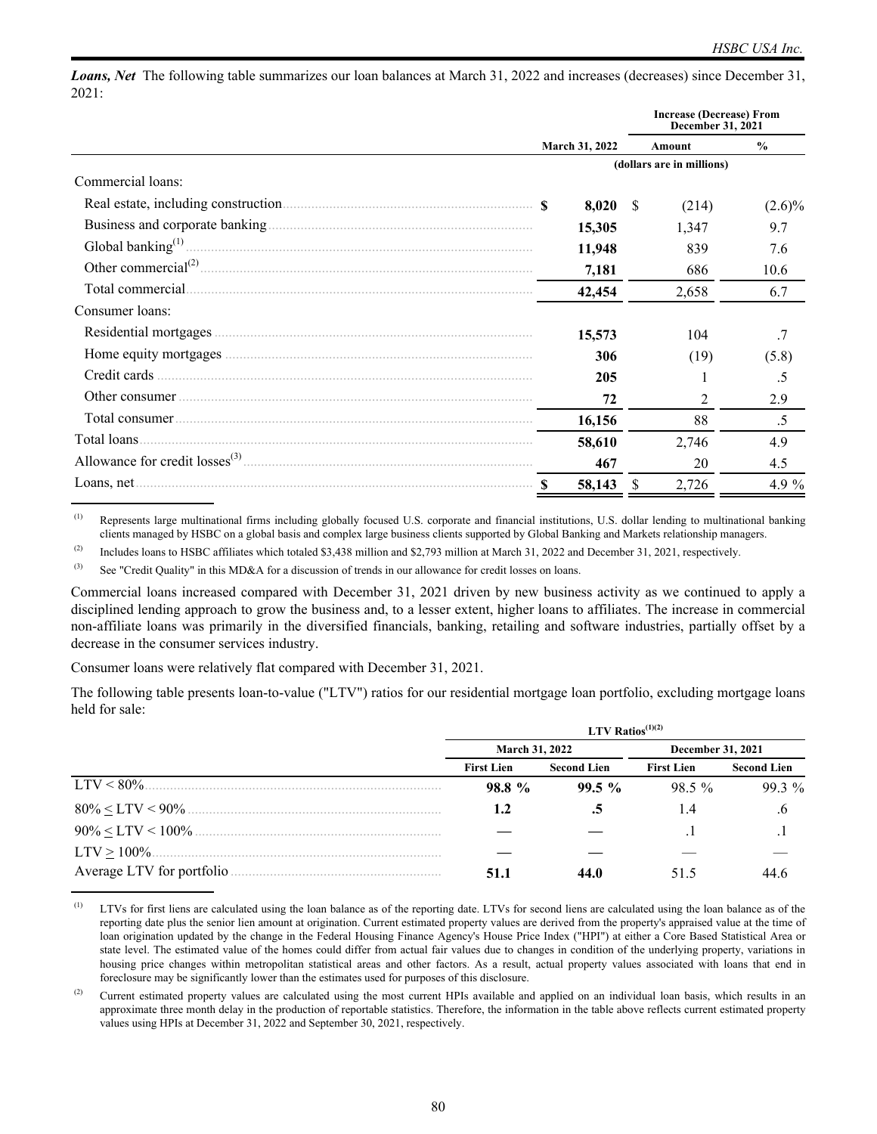*Loans, Net* The following table summarizes our loan balances at March 31, 2022 and increases (decreases) since December 31, 2021:

|                   |                |                           | <b>Increase (Decrease) From</b><br><b>December 31, 2021</b> |               |  |
|-------------------|----------------|---------------------------|-------------------------------------------------------------|---------------|--|
|                   | March 31, 2022 |                           | Amount                                                      | $\frac{0}{0}$ |  |
|                   |                | (dollars are in millions) |                                                             |               |  |
| Commercial loans: |                |                           |                                                             |               |  |
|                   | 8,020          | S                         | (214)                                                       | $(2.6)\%$     |  |
|                   | 15,305         |                           | 1,347                                                       | 9.7           |  |
|                   | 11,948         |                           | 839                                                         | 7.6           |  |
|                   | 7,181          |                           | 686                                                         | 10.6          |  |
| Total commercial. | 42,454         |                           | 2,658                                                       | 6.7           |  |
| Consumer loans:   |                |                           |                                                             |               |  |
|                   | 15,573         |                           | 104                                                         | .7            |  |
|                   | 306            |                           | (19)                                                        | (5.8)         |  |
| Credit cards      | 205            |                           |                                                             | .5            |  |
|                   | 72             |                           | 2                                                           | 2.9           |  |
|                   | 16,156         |                           | 88                                                          | .5            |  |
| Total loans.      | 58,610         |                           | 2,746                                                       | 4.9           |  |
|                   | 467            |                           | 20                                                          | 4.5           |  |
|                   | 58,143         | S                         | 2,726                                                       | 4.9 $%$       |  |

(1) Represents large multinational firms including globally focused U.S. corporate and financial institutions, U.S. dollar lending to multinational banking clients managed by HSBC on a global basis and complex large business clients supported by Global Banking and Markets relationship managers.

<sup>(2)</sup> Includes loans to HSBC affiliates which totaled \$3,438 million and \$2,793 million at March 31, 2022 and December 31, 2021, respectively.

(3) See "Credit Quality" in this MD&A for a discussion of trends in our allowance for credit losses on loans.

Commercial loans increased compared with December 31, 2021 driven by new business activity as we continued to apply a disciplined lending approach to grow the business and, to a lesser extent, higher loans to affiliates. The increase in commercial non-affiliate loans was primarily in the diversified financials, banking, retailing and software industries, partially offset by a decrease in the consumer services industry.

Consumer loans were relatively flat compared with December 31, 2021.

The following table presents loan-to-value ("LTV") ratios for our residential mortgage loan portfolio, excluding mortgage loans held for sale:

|                                         | LTV Ratios $(1)(2)$   |                   |                    |         |  |  |  |  |
|-----------------------------------------|-----------------------|-------------------|--------------------|---------|--|--|--|--|
|                                         | <b>March 31, 2022</b> |                   | December 31, 2021  |         |  |  |  |  |
| <b>Second Lien</b><br><b>First Lien</b> |                       | <b>First Lien</b> | <b>Second Lien</b> |         |  |  |  |  |
| $LTV < 80\%$                            | 98.8%                 | $99.5 \%$         | $98.5 \%$          | $993\%$ |  |  |  |  |
|                                         | 1.2                   |                   | 1.4                | .6      |  |  |  |  |
|                                         |                       |                   |                    |         |  |  |  |  |
|                                         |                       |                   |                    |         |  |  |  |  |
|                                         | 51.1                  | 44.0              | 515                |         |  |  |  |  |

<sup>(1)</sup> LTVs for first liens are calculated using the loan balance as of the reporting date. LTVs for second liens are calculated using the loan balance as of the reporting date plus the senior lien amount at origination. Current estimated property values are derived from the property's appraised value at the time of loan origination updated by the change in the Federal Housing Finance Agency's House Price Index ("HPI") at either a Core Based Statistical Area or state level. The estimated value of the homes could differ from actual fair values due to changes in condition of the underlying property, variations in housing price changes within metropolitan statistical areas and other factors. As a result, actual property values associated with loans that end in foreclosure may be significantly lower than the estimates used for purposes of this disclosure.

<sup>&</sup>lt;sup>(2)</sup> Current estimated property values are calculated using the most current HPIs available and applied on an individual loan basis, which results in an approximate three month delay in the production of reportable statistics. Therefore, the information in the table above reflects current estimated property values using HPIs at December 31, 2022 and September 30, 2021, respectively.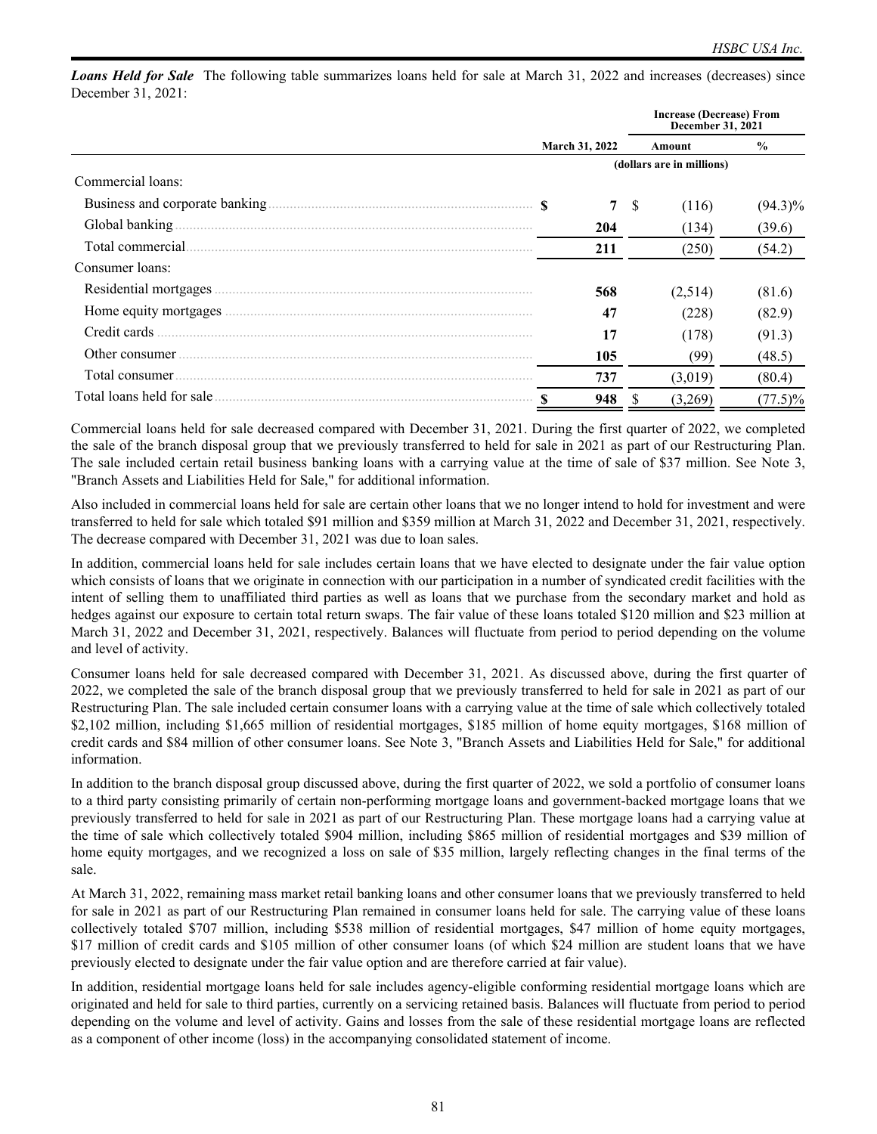*Loans Held for Sale* The following table summarizes loans held for sale at March 31, 2022 and increases (decreases) since December 31, 2021:

|                                 | March 31, 2022 |     |                           | <b>Increase (Decrease) From</b><br><b>December 31, 2021</b> |               |
|---------------------------------|----------------|-----|---------------------------|-------------------------------------------------------------|---------------|
|                                 |                |     |                           | Amount                                                      | $\frac{0}{0}$ |
|                                 |                |     | (dollars are in millions) |                                                             |               |
| Commercial loans:               |                |     |                           |                                                             |               |
| Business and corporate banking. |                | 7   | S                         | (116)                                                       | $(94.3)\%$    |
| Global banking.                 |                | 204 |                           | (134)                                                       | (39.6)        |
| Total commercial.               |                | 211 |                           | (250)                                                       | (54.2)        |
| Consumer loans:                 |                |     |                           |                                                             |               |
| Residential mortgages           |                | 568 |                           | (2,514)                                                     | (81.6)        |
|                                 |                | 47  |                           | (228)                                                       | (82.9)        |
| Credit cards                    |                | 17  |                           | (178)                                                       | (91.3)        |
| Other consumer.                 |                | 105 |                           | (99)                                                        | (48.5)        |
| Total consumer.                 |                | 737 |                           | (3,019)                                                     | (80.4)        |
| Total loans held for sale       |                | 948 |                           | (3,269)                                                     | $(77.5)\%$    |

Commercial loans held for sale decreased compared with December 31, 2021. During the first quarter of 2022, we completed the sale of the branch disposal group that we previously transferred to held for sale in 2021 as part of our Restructuring Plan. The sale included certain retail business banking loans with a carrying value at the time of sale of \$37 million. See Note 3, "Branch Assets and Liabilities Held for Sale," for additional information.

Also included in commercial loans held for sale are certain other loans that we no longer intend to hold for investment and were transferred to held for sale which totaled \$91 million and \$359 million at March 31, 2022 and December 31, 2021, respectively. The decrease compared with December 31, 2021 was due to loan sales.

In addition, commercial loans held for sale includes certain loans that we have elected to designate under the fair value option which consists of loans that we originate in connection with our participation in a number of syndicated credit facilities with the intent of selling them to unaffiliated third parties as well as loans that we purchase from the secondary market and hold as hedges against our exposure to certain total return swaps. The fair value of these loans totaled \$120 million and \$23 million at March 31, 2022 and December 31, 2021, respectively. Balances will fluctuate from period to period depending on the volume and level of activity.

Consumer loans held for sale decreased compared with December 31, 2021. As discussed above, during the first quarter of 2022, we completed the sale of the branch disposal group that we previously transferred to held for sale in 2021 as part of our Restructuring Plan. The sale included certain consumer loans with a carrying value at the time of sale which collectively totaled \$2,102 million, including \$1,665 million of residential mortgages, \$185 million of home equity mortgages, \$168 million of credit cards and \$84 million of other consumer loans. See Note 3, "Branch Assets and Liabilities Held for Sale," for additional information.

In addition to the branch disposal group discussed above, during the first quarter of 2022, we sold a portfolio of consumer loans to a third party consisting primarily of certain non-performing mortgage loans and government-backed mortgage loans that we previously transferred to held for sale in 2021 as part of our Restructuring Plan. These mortgage loans had a carrying value at the time of sale which collectively totaled \$904 million, including \$865 million of residential mortgages and \$39 million of home equity mortgages, and we recognized a loss on sale of \$35 million, largely reflecting changes in the final terms of the sale.

At March 31, 2022, remaining mass market retail banking loans and other consumer loans that we previously transferred to held for sale in 2021 as part of our Restructuring Plan remained in consumer loans held for sale. The carrying value of these loans collectively totaled \$707 million, including \$538 million of residential mortgages, \$47 million of home equity mortgages, \$17 million of credit cards and \$105 million of other consumer loans (of which \$24 million are student loans that we have previously elected to designate under the fair value option and are therefore carried at fair value).

In addition, residential mortgage loans held for sale includes agency-eligible conforming residential mortgage loans which are originated and held for sale to third parties, currently on a servicing retained basis. Balances will fluctuate from period to period depending on the volume and level of activity. Gains and losses from the sale of these residential mortgage loans are reflected as a component of other income (loss) in the accompanying consolidated statement of income.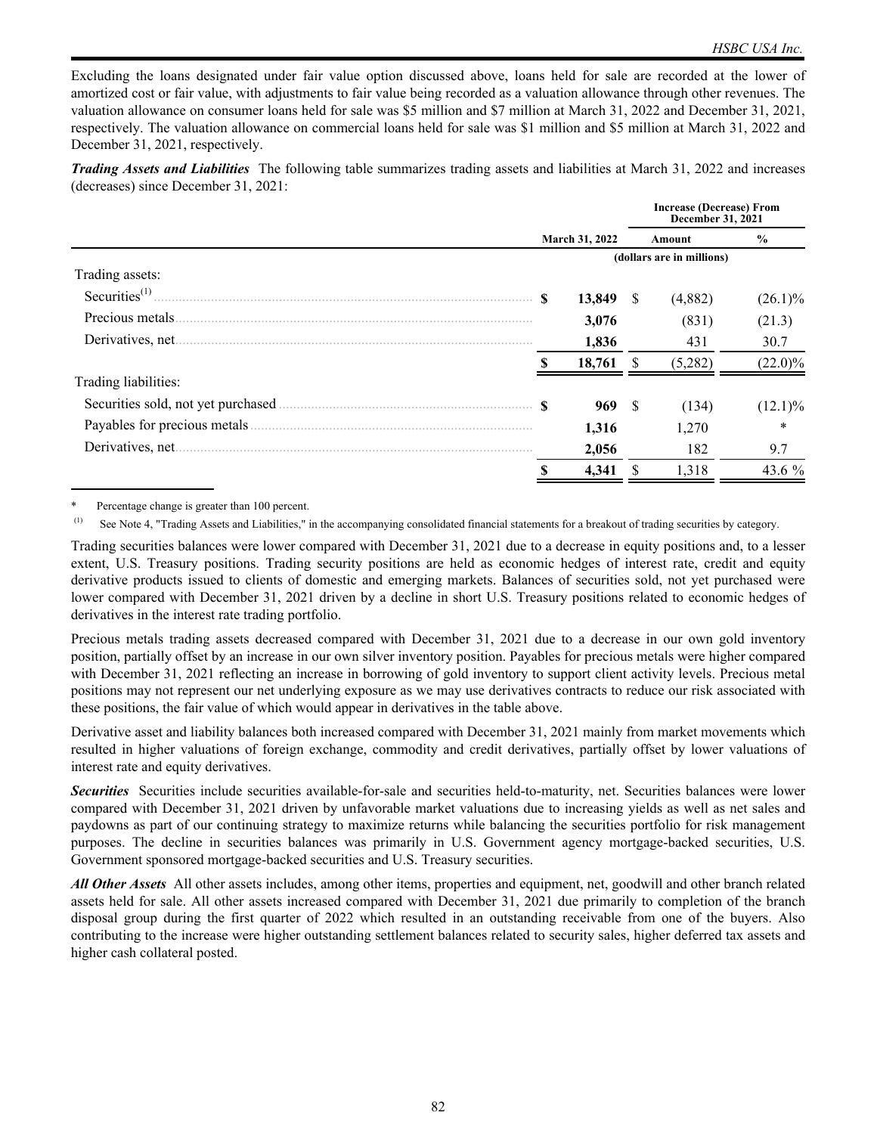Excluding the loans designated under fair value option discussed above, loans held for sale are recorded at the lower of amortized cost or fair value, with adjustments to fair value being recorded as a valuation allowance through other revenues. The valuation allowance on consumer loans held for sale was \$5 million and \$7 million at March 31, 2022 and December 31, 2021, respectively. The valuation allowance on commercial loans held for sale was \$1 million and \$5 million at March 31, 2022 and December 31, 2021, respectively.

*Trading Assets and Liabilities* The following table summarizes trading assets and liabilities at March 31, 2022 and increases (decreases) since December 31, 2021:

|                      |    | March 31, 2022            |  | <b>Increase (Decrease) From</b><br>December 31, 2021 |               |
|----------------------|----|---------------------------|--|------------------------------------------------------|---------------|
|                      |    |                           |  | Amount                                               | $\frac{0}{0}$ |
|                      |    | (dollars are in millions) |  |                                                      |               |
| Trading assets:      |    |                           |  |                                                      |               |
| Securities $(1)$     | \$ | $13,849$ \$               |  | (4,882)                                              | $(26.1)\%$    |
| Precious metals.     |    | 3,076                     |  | (831)                                                | (21.3)        |
| Derivatives, net.    |    | 1,836                     |  | 431                                                  | 30.7          |
|                      |    | 18,761                    |  | (5,282)                                              | $(22.0)\%$    |
| Trading liabilities: |    |                           |  |                                                      |               |
|                      |    | 969S                      |  | (134)                                                | $(12.1)\%$    |
|                      |    | 1,316                     |  | 1,270                                                | $\ast$        |
| Derivatives, net     |    | 2,056                     |  | 182                                                  | 9.7           |
|                      |    | 4,341                     |  | 1,318                                                | 43.6 %        |

Percentage change is greater than 100 percent.

<sup>(1)</sup> See Note 4, "Trading Assets and Liabilities," in the accompanying consolidated financial statements for a breakout of trading securities by category.

Trading securities balances were lower compared with December 31, 2021 due to a decrease in equity positions and, to a lesser extent, U.S. Treasury positions. Trading security positions are held as economic hedges of interest rate, credit and equity derivative products issued to clients of domestic and emerging markets. Balances of securities sold, not yet purchased were lower compared with December 31, 2021 driven by a decline in short U.S. Treasury positions related to economic hedges of derivatives in the interest rate trading portfolio.

Precious metals trading assets decreased compared with December 31, 2021 due to a decrease in our own gold inventory position, partially offset by an increase in our own silver inventory position. Payables for precious metals were higher compared with December 31, 2021 reflecting an increase in borrowing of gold inventory to support client activity levels. Precious metal positions may not represent our net underlying exposure as we may use derivatives contracts to reduce our risk associated with these positions, the fair value of which would appear in derivatives in the table above.

Derivative asset and liability balances both increased compared with December 31, 2021 mainly from market movements which resulted in higher valuations of foreign exchange, commodity and credit derivatives, partially offset by lower valuations of interest rate and equity derivatives.

*Securities* Securities include securities available-for-sale and securities held-to-maturity, net. Securities balances were lower compared with December 31, 2021 driven by unfavorable market valuations due to increasing yields as well as net sales and paydowns as part of our continuing strategy to maximize returns while balancing the securities portfolio for risk management purposes. The decline in securities balances was primarily in U.S. Government agency mortgage-backed securities, U.S. Government sponsored mortgage-backed securities and U.S. Treasury securities.

*All Other Assets* All other assets includes, among other items, properties and equipment, net, goodwill and other branch related assets held for sale. All other assets increased compared with December 31, 2021 due primarily to completion of the branch disposal group during the first quarter of 2022 which resulted in an outstanding receivable from one of the buyers. Also contributing to the increase were higher outstanding settlement balances related to security sales, higher deferred tax assets and higher cash collateral posted.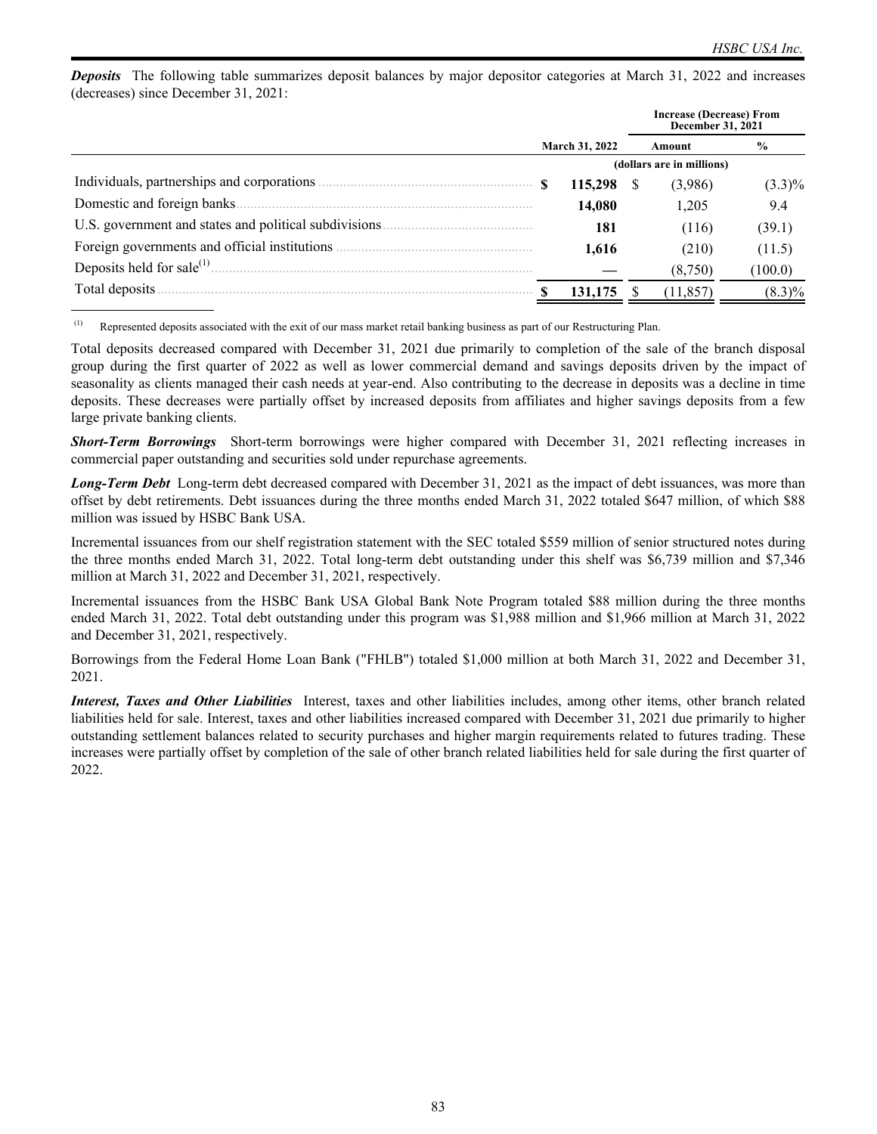*Deposits* The following table summarizes deposit balances by major depositor categories at March 31, 2022 and increases (decreases) since December 31, 2021:

|                       |         |        | <b>Increase (Decrease) From</b><br><b>December 31, 2021</b> |                           |  |  |
|-----------------------|---------|--------|-------------------------------------------------------------|---------------------------|--|--|
| <b>March 31, 2022</b> |         | Amount |                                                             | $\frac{0}{0}$             |  |  |
|                       |         |        |                                                             |                           |  |  |
| S                     | 115,298 |        | (3,986)                                                     | $(3.3)\%$                 |  |  |
|                       | 14.080  |        | 1,205                                                       | 9.4                       |  |  |
|                       | 181     |        | (116)                                                       | (39.1)                    |  |  |
|                       | 1,616   |        | (210)                                                       | (11.5)                    |  |  |
|                       |         |        | (8,750)                                                     | (100.0)                   |  |  |
|                       | 131,175 |        | (11, 857)                                                   | $(8.3)\%$                 |  |  |
|                       |         |        |                                                             | (dollars are in millions) |  |  |

(1) Represented deposits associated with the exit of our mass market retail banking business as part of our Restructuring Plan.

Total deposits decreased compared with December 31, 2021 due primarily to completion of the sale of the branch disposal group during the first quarter of 2022 as well as lower commercial demand and savings deposits driven by the impact of seasonality as clients managed their cash needs at year-end. Also contributing to the decrease in deposits was a decline in time deposits. These decreases were partially offset by increased deposits from affiliates and higher savings deposits from a few large private banking clients.

*Short-Term Borrowings* Short-term borrowings were higher compared with December 31, 2021 reflecting increases in commercial paper outstanding and securities sold under repurchase agreements.

*Long-Term Debt* Long-term debt decreased compared with December 31, 2021 as the impact of debt issuances, was more than offset by debt retirements. Debt issuances during the three months ended March 31, 2022 totaled \$647 million, of which \$88 million was issued by HSBC Bank USA.

Incremental issuances from our shelf registration statement with the SEC totaled \$559 million of senior structured notes during the three months ended March 31, 2022. Total long-term debt outstanding under this shelf was \$6,739 million and \$7,346 million at March 31, 2022 and December 31, 2021, respectively.

Incremental issuances from the HSBC Bank USA Global Bank Note Program totaled \$88 million during the three months ended March 31, 2022. Total debt outstanding under this program was \$1,988 million and \$1,966 million at March 31, 2022 and December 31, 2021, respectively.

Borrowings from the Federal Home Loan Bank ("FHLB") totaled \$1,000 million at both March 31, 2022 and December 31, 2021.

*Interest, Taxes and Other Liabilities* Interest, taxes and other liabilities includes, among other items, other branch related liabilities held for sale. Interest, taxes and other liabilities increased compared with December 31, 2021 due primarily to higher outstanding settlement balances related to security purchases and higher margin requirements related to futures trading. These increases were partially offset by completion of the sale of other branch related liabilities held for sale during the first quarter of 2022.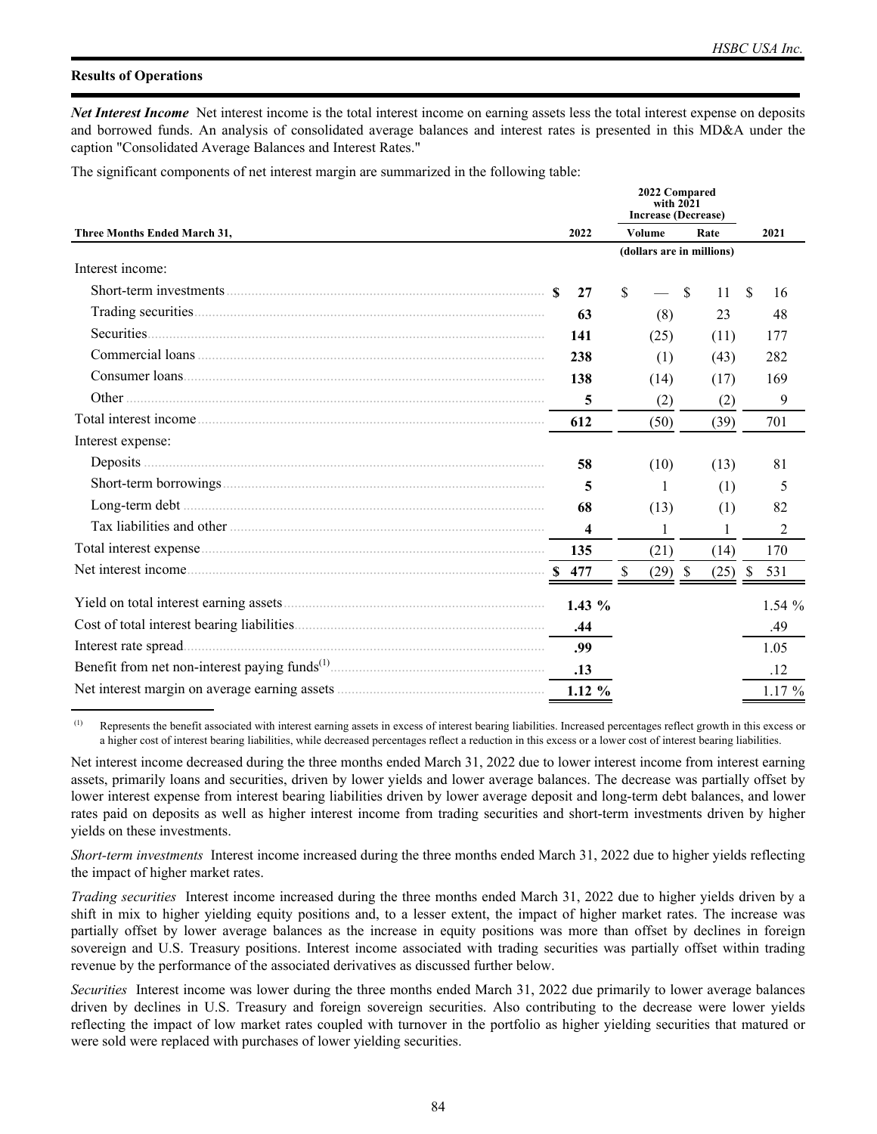#### **Results of Operations**

*Net Interest Income* Net interest income is the total interest income on earning assets less the total interest expense on deposits and borrowed funds. An analysis of consolidated average balances and interest rates is presented in this MD&A under the caption "Consolidated Average Balances and Interest Rates."

The significant components of net interest margin are summarized in the following table:

|                              |                         | 2022 Compared<br>with $2021$<br><b>Increase (Decrease)</b> |               |      |               |          |
|------------------------------|-------------------------|------------------------------------------------------------|---------------|------|---------------|----------|
| Three Months Ended March 31, | 2022                    | Volume                                                     |               | Rate |               | 2021     |
|                              |                         | (dollars are in millions)                                  |               |      |               |          |
| Interest income:             |                         |                                                            |               |      |               |          |
|                              | $\mathbf{s}$<br>27      | \$                                                         | <sup>\$</sup> | 11   | <sup>\$</sup> | 16       |
|                              | 63                      | (8)                                                        |               | 23   |               | 48       |
|                              | 141                     | (25)                                                       |               | (11) |               | 177      |
|                              | 238                     | (1)                                                        |               | (43) |               | 282      |
|                              | 138                     | (14)                                                       |               | (17) |               | 169      |
|                              | 5                       | (2)                                                        |               | (2)  |               | 9        |
|                              | 612                     | (50)                                                       |               | (39) |               | 701      |
| Interest expense:            |                         |                                                            |               |      |               |          |
|                              | 58                      | (10)                                                       |               | (13) |               | 81       |
|                              | 5                       | 1                                                          |               | (1)  |               | 5        |
|                              | 68                      | (13)                                                       |               | (1)  |               | 82       |
|                              | $\overline{\mathbf{4}}$ | 1                                                          |               | 1    |               | 2        |
|                              | 135                     | (21)                                                       |               | (14) |               | 170      |
|                              |                         | \$<br>$(29)$ \$                                            |               | (25) | <sup>\$</sup> | 531      |
|                              | $1.43\%$                |                                                            |               |      |               | 1.54%    |
|                              | .44                     |                                                            |               |      |               | .49      |
|                              | .99                     |                                                            |               |      |               | 1.05     |
|                              | .13                     |                                                            |               |      |               | .12      |
|                              | 1.12%                   |                                                            |               |      |               | $1.17\%$ |

(1) Represents the benefit associated with interest earning assets in excess of interest bearing liabilities. Increased percentages reflect growth in this excess or a higher cost of interest bearing liabilities, while decreased percentages reflect a reduction in this excess or a lower cost of interest bearing liabilities.

Net interest income decreased during the three months ended March 31, 2022 due to lower interest income from interest earning assets, primarily loans and securities, driven by lower yields and lower average balances. The decrease was partially offset by lower interest expense from interest bearing liabilities driven by lower average deposit and long-term debt balances, and lower rates paid on deposits as well as higher interest income from trading securities and short-term investments driven by higher yields on these investments.

*Short-term investments* Interest income increased during the three months ended March 31, 2022 due to higher yields reflecting the impact of higher market rates.

*Trading securities* Interest income increased during the three months ended March 31, 2022 due to higher yields driven by a shift in mix to higher yielding equity positions and, to a lesser extent, the impact of higher market rates. The increase was partially offset by lower average balances as the increase in equity positions was more than offset by declines in foreign sovereign and U.S. Treasury positions. Interest income associated with trading securities was partially offset within trading revenue by the performance of the associated derivatives as discussed further below.

*Securities* Interest income was lower during the three months ended March 31, 2022 due primarily to lower average balances driven by declines in U.S. Treasury and foreign sovereign securities. Also contributing to the decrease were lower yields reflecting the impact of low market rates coupled with turnover in the portfolio as higher yielding securities that matured or were sold were replaced with purchases of lower yielding securities.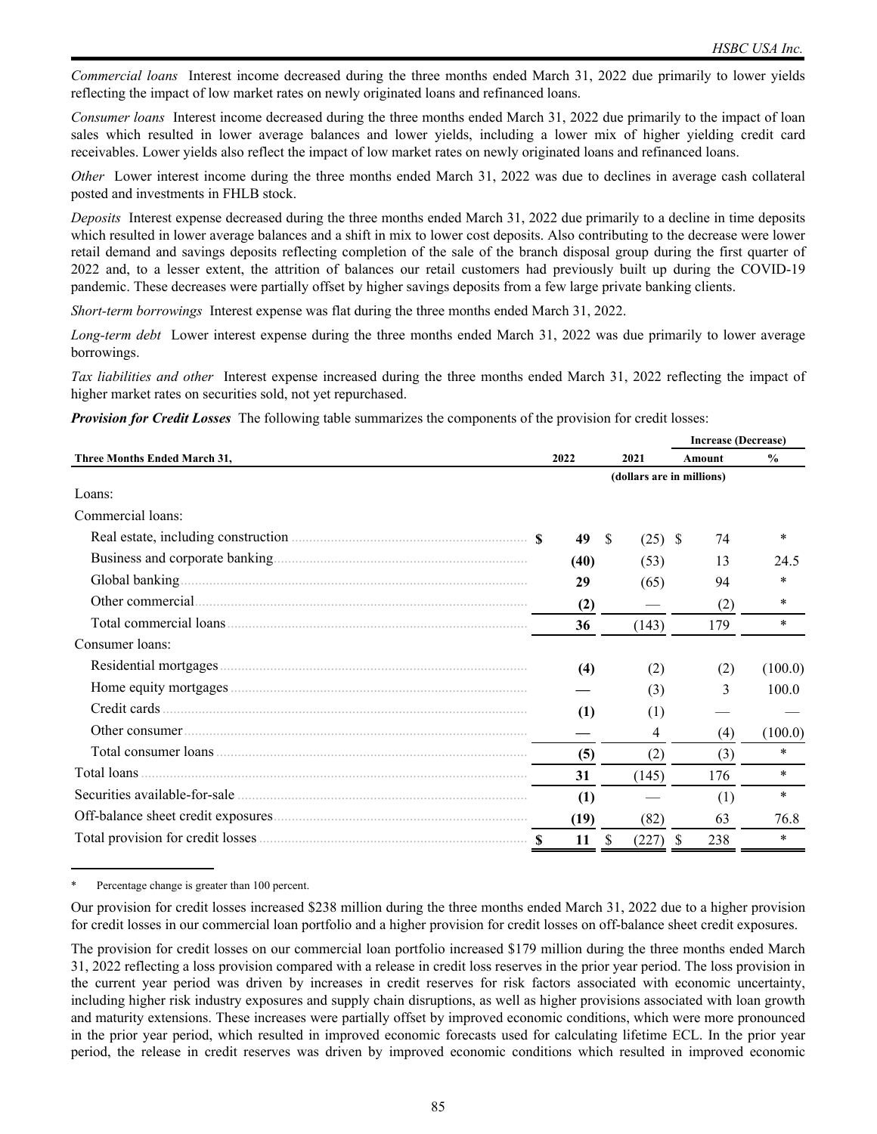*Commercial loans* Interest income decreased during the three months ended March 31, 2022 due primarily to lower yields reflecting the impact of low market rates on newly originated loans and refinanced loans.

*Consumer loans* Interest income decreased during the three months ended March 31, 2022 due primarily to the impact of loan sales which resulted in lower average balances and lower yields, including a lower mix of higher yielding credit card receivables. Lower yields also reflect the impact of low market rates on newly originated loans and refinanced loans.

*Other* Lower interest income during the three months ended March 31, 2022 was due to declines in average cash collateral posted and investments in FHLB stock.

*Deposits* Interest expense decreased during the three months ended March 31, 2022 due primarily to a decline in time deposits which resulted in lower average balances and a shift in mix to lower cost deposits. Also contributing to the decrease were lower retail demand and savings deposits reflecting completion of the sale of the branch disposal group during the first quarter of 2022 and, to a lesser extent, the attrition of balances our retail customers had previously built up during the COVID-19 pandemic. These decreases were partially offset by higher savings deposits from a few large private banking clients.

*Short-term borrowings* Interest expense was flat during the three months ended March 31, 2022.

*Long-term debt* Lower interest expense during the three months ended March 31, 2022 was due primarily to lower average borrowings.

*Tax liabilities and other* Interest expense increased during the three months ended March 31, 2022 reflecting the impact of higher market rates on securities sold, not yet repurchased.

*Provision for Credit Losses* The following table summarizes the components of the provision for credit losses:

|                              |                           |                  | <b>Increase (Decrease)</b> |               |  |  |  |
|------------------------------|---------------------------|------------------|----------------------------|---------------|--|--|--|
| Three Months Ended March 31, |                           | 2021             | Amount                     | $\frac{0}{0}$ |  |  |  |
|                              | (dollars are in millions) |                  |                            |               |  |  |  |
| Loans:                       |                           |                  |                            |               |  |  |  |
| Commercial loans:            |                           |                  |                            |               |  |  |  |
|                              | 49                        | \$.<br>$(25)$ \$ | 74                         | *             |  |  |  |
|                              | (40)                      | (53)             | 13                         | 24.5          |  |  |  |
|                              | 29                        | (65)             | 94                         | *             |  |  |  |
|                              | (2)                       |                  | (2)                        | *             |  |  |  |
|                              | 36                        | (143)            | 179                        | *             |  |  |  |
| Consumer loans:              |                           |                  |                            |               |  |  |  |
|                              | (4)                       | (2)              | (2)                        | (100.0)       |  |  |  |
|                              |                           | (3)              | 3                          | 100.0         |  |  |  |
|                              | (1)                       | (1)              |                            |               |  |  |  |
|                              |                           | 4                | (4)                        | (100.0)       |  |  |  |
|                              | (5)                       | (2)              | (3)                        | $\ast$        |  |  |  |
| Total loans                  | 31                        | (145)            | 176                        | $\ast$        |  |  |  |
|                              | (1)                       |                  | (1)                        | $\ast$        |  |  |  |
|                              | (19)                      | (82)             | 63                         | 76.8          |  |  |  |
|                              | 11<br>-86                 | (227)            | 238                        | $\ast$        |  |  |  |

Percentage change is greater than 100 percent.

Our provision for credit losses increased \$238 million during the three months ended March 31, 2022 due to a higher provision for credit losses in our commercial loan portfolio and a higher provision for credit losses on off-balance sheet credit exposures.

The provision for credit losses on our commercial loan portfolio increased \$179 million during the three months ended March 31, 2022 reflecting a loss provision compared with a release in credit loss reserves in the prior year period. The loss provision in the current year period was driven by increases in credit reserves for risk factors associated with economic uncertainty, including higher risk industry exposures and supply chain disruptions, as well as higher provisions associated with loan growth and maturity extensions. These increases were partially offset by improved economic conditions, which were more pronounced in the prior year period, which resulted in improved economic forecasts used for calculating lifetime ECL. In the prior year period, the release in credit reserves was driven by improved economic conditions which resulted in improved economic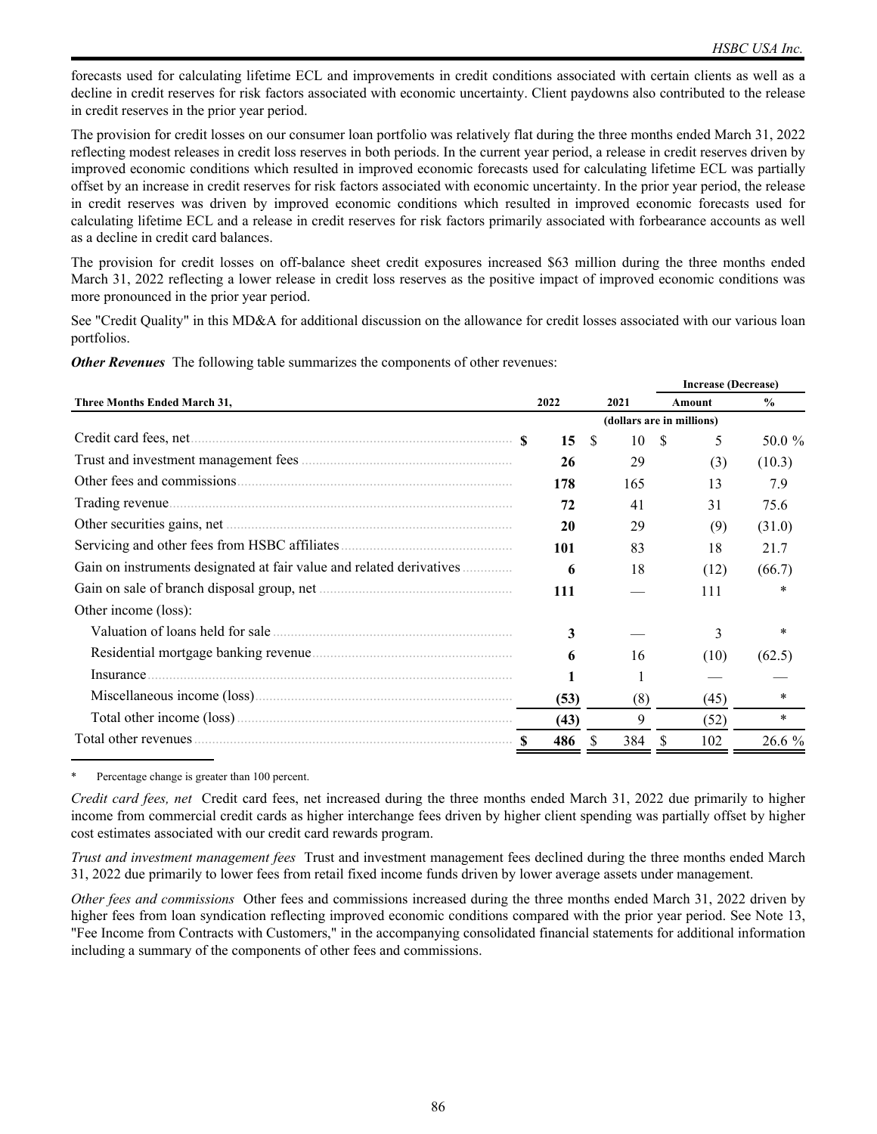forecasts used for calculating lifetime ECL and improvements in credit conditions associated with certain clients as well as a decline in credit reserves for risk factors associated with economic uncertainty. Client paydowns also contributed to the release in credit reserves in the prior year period.

The provision for credit losses on our consumer loan portfolio was relatively flat during the three months ended March 31, 2022 reflecting modest releases in credit loss reserves in both periods. In the current year period, a release in credit reserves driven by improved economic conditions which resulted in improved economic forecasts used for calculating lifetime ECL was partially offset by an increase in credit reserves for risk factors associated with economic uncertainty. In the prior year period, the release in credit reserves was driven by improved economic conditions which resulted in improved economic forecasts used for calculating lifetime ECL and a release in credit reserves for risk factors primarily associated with forbearance accounts as well as a decline in credit card balances.

The provision for credit losses on off-balance sheet credit exposures increased \$63 million during the three months ended March 31, 2022 reflecting a lower release in credit loss reserves as the positive impact of improved economic conditions was more pronounced in the prior year period.

See "Credit Quality" in this MD&A for additional discussion on the allowance for credit losses associated with our various loan portfolios.

**Other Revenues** The following table summarizes the components of other revenues:

|                                                                                                          |      |            | <b>Increase (Decrease)</b> |               |  |  |  |
|----------------------------------------------------------------------------------------------------------|------|------------|----------------------------|---------------|--|--|--|
| Three Months Ended March 31,                                                                             |      | 2021       | Amount                     | $\frac{0}{0}$ |  |  |  |
|                                                                                                          |      |            | (dollars are in millions)  |               |  |  |  |
|                                                                                                          | 15   | 10<br>- \$ | - \$<br>5                  | 50.0 $%$      |  |  |  |
|                                                                                                          | 26   | 29         | (3)                        | (10.3)        |  |  |  |
|                                                                                                          | 178  | 165        | 13                         | 7.9           |  |  |  |
|                                                                                                          | 72   | 41         | 31                         | 75.6          |  |  |  |
| Other securities gains, net <i>manufactured</i> near the securities gains, net                           | 20   | 29         | (9)                        | (31.0)        |  |  |  |
|                                                                                                          | 101  | 83         | 18                         | 21.7          |  |  |  |
| Gain on instruments designated at fair value and related derivatives                                     | 6    | 18         | (12)                       | (66.7)        |  |  |  |
| Gain on sale of branch disposal group, net <i>manufactured</i> in the sale of branch disposal group, net | 111  |            | 111                        | *             |  |  |  |
| Other income (loss):                                                                                     |      |            |                            |               |  |  |  |
|                                                                                                          | 3    |            | 3                          | *             |  |  |  |
|                                                                                                          | 6    | 16         | (10)                       | (62.5)        |  |  |  |
| Insurance.                                                                                               |      |            |                            |               |  |  |  |
|                                                                                                          | (53) | (8)        | (45)                       | *             |  |  |  |
|                                                                                                          | (43) | 9          | (52)                       | $\ast$        |  |  |  |
|                                                                                                          | 486  | 384        | 102                        | $26.6\%$      |  |  |  |

Percentage change is greater than 100 percent.

*Credit card fees, net* Credit card fees, net increased during the three months ended March 31, 2022 due primarily to higher income from commercial credit cards as higher interchange fees driven by higher client spending was partially offset by higher cost estimates associated with our credit card rewards program.

*Trust and investment management fees* Trust and investment management fees declined during the three months ended March 31, 2022 due primarily to lower fees from retail fixed income funds driven by lower average assets under management.

*Other fees and commissions* Other fees and commissions increased during the three months ended March 31, 2022 driven by higher fees from loan syndication reflecting improved economic conditions compared with the prior year period. See Note 13, "Fee Income from Contracts with Customers," in the accompanying consolidated financial statements for additional information including a summary of the components of other fees and commissions.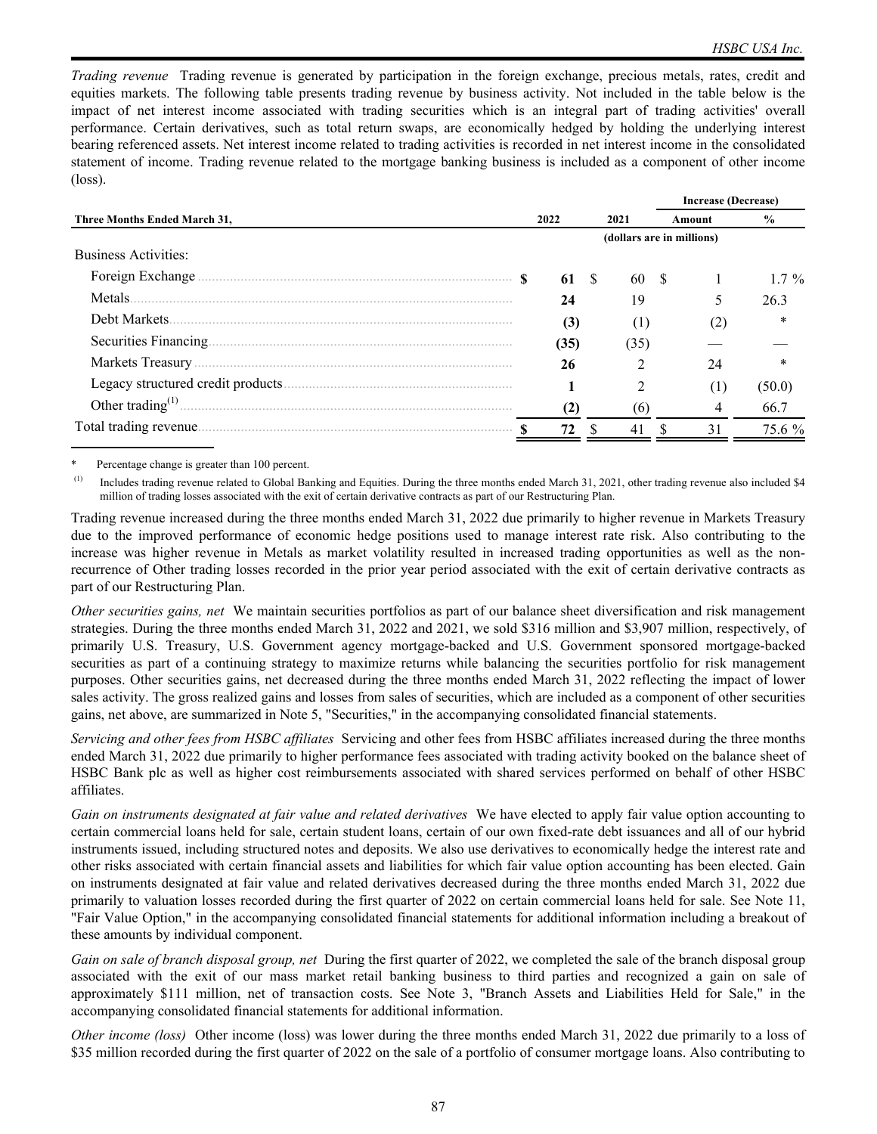*Trading revenue* Trading revenue is generated by participation in the foreign exchange, precious metals, rates, credit and equities markets. The following table presents trading revenue by business activity. Not included in the table below is the impact of net interest income associated with trading securities which is an integral part of trading activities' overall performance. Certain derivatives, such as total return swaps, are economically hedged by holding the underlying interest bearing referenced assets. Net interest income related to trading activities is recorded in net interest income in the consolidated statement of income. Trading revenue related to the mortgage banking business is included as a component of other income (loss).

|                              |  |              |  |                           |        | <b>Increase (Decrease)</b> |               |
|------------------------------|--|--------------|--|---------------------------|--------|----------------------------|---------------|
| Three Months Ended March 31, |  | 2022<br>2021 |  |                           | Amount |                            | $\frac{1}{2}$ |
|                              |  |              |  | (dollars are in millions) |        |                            |               |
| <b>Business Activities:</b>  |  |              |  |                           |        |                            |               |
|                              |  | 61 S         |  | 60 S                      |        |                            | $1.7 \%$      |
| Metals.                      |  | 24           |  | 19                        |        |                            | 26.3          |
| Debt Markets                 |  | (3)          |  | Œ                         |        | (2)                        | *             |
|                              |  | (35)         |  | (35)                      |        |                            |               |
|                              |  | 26           |  |                           |        | 24                         |               |
|                              |  |              |  |                           |        | Œ                          | (50.0)        |
|                              |  | (2)          |  | (6)                       |        |                            | 66.7          |
|                              |  | 72           |  | 41                        |        | 31                         | 75.6 %        |

Percentage change is greater than 100 percent.

 $<sup>(1)</sup>$  Includes trading revenue related to Global Banking and Equities. During the three months ended March 31, 2021, other trading revenue also included \$4</sup> million of trading losses associated with the exit of certain derivative contracts as part of our Restructuring Plan.

Trading revenue increased during the three months ended March 31, 2022 due primarily to higher revenue in Markets Treasury due to the improved performance of economic hedge positions used to manage interest rate risk. Also contributing to the increase was higher revenue in Metals as market volatility resulted in increased trading opportunities as well as the nonrecurrence of Other trading losses recorded in the prior year period associated with the exit of certain derivative contracts as part of our Restructuring Plan.

*Other securities gains, net* We maintain securities portfolios as part of our balance sheet diversification and risk management strategies. During the three months ended March 31, 2022 and 2021, we sold \$316 million and \$3,907 million, respectively, of primarily U.S. Treasury, U.S. Government agency mortgage-backed and U.S. Government sponsored mortgage-backed securities as part of a continuing strategy to maximize returns while balancing the securities portfolio for risk management purposes. Other securities gains, net decreased during the three months ended March 31, 2022 reflecting the impact of lower sales activity. The gross realized gains and losses from sales of securities, which are included as a component of other securities gains, net above, are summarized in Note 5, "Securities," in the accompanying consolidated financial statements.

*Servicing and other fees from HSBC affiliates* Servicing and other fees from HSBC affiliates increased during the three months ended March 31, 2022 due primarily to higher performance fees associated with trading activity booked on the balance sheet of HSBC Bank plc as well as higher cost reimbursements associated with shared services performed on behalf of other HSBC affiliates.

*Gain on instruments designated at fair value and related derivatives* We have elected to apply fair value option accounting to certain commercial loans held for sale, certain student loans, certain of our own fixed-rate debt issuances and all of our hybrid instruments issued, including structured notes and deposits. We also use derivatives to economically hedge the interest rate and other risks associated with certain financial assets and liabilities for which fair value option accounting has been elected. Gain on instruments designated at fair value and related derivatives decreased during the three months ended March 31, 2022 due primarily to valuation losses recorded during the first quarter of 2022 on certain commercial loans held for sale. See Note 11, "Fair Value Option," in the accompanying consolidated financial statements for additional information including a breakout of these amounts by individual component.

*Gain on sale of branch disposal group, net* During the first quarter of 2022, we completed the sale of the branch disposal group associated with the exit of our mass market retail banking business to third parties and recognized a gain on sale of approximately \$111 million, net of transaction costs. See Note 3, "Branch Assets and Liabilities Held for Sale," in the accompanying consolidated financial statements for additional information.

*Other income (loss)* Other income (loss) was lower during the three months ended March 31, 2022 due primarily to a loss of \$35 million recorded during the first quarter of 2022 on the sale of a portfolio of consumer mortgage loans. Also contributing to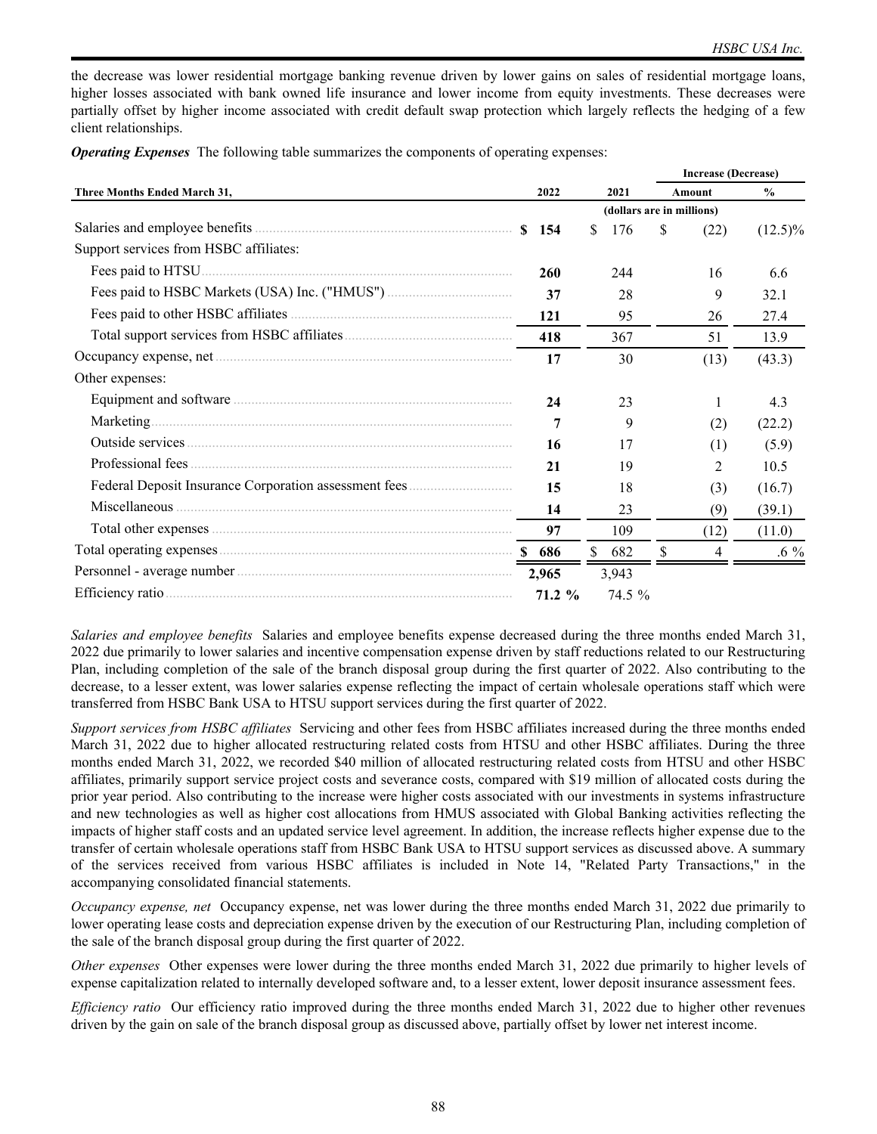the decrease was lower residential mortgage banking revenue driven by lower gains on sales of residential mortgage loans, higher losses associated with bank owned life insurance and lower income from equity investments. These decreases were partially offset by higher income associated with credit default swap protection which largely reflects the hedging of a few client relationships.

*Operating Expenses* The following table summarizes the components of operating expenses:

|                                        |           |                     | <b>Increase (Decrease)</b> |               |
|----------------------------------------|-----------|---------------------|----------------------------|---------------|
| <b>Three Months Ended March 31,</b>    | 2022      | 2021                | <b>Amount</b>              | $\frac{6}{9}$ |
|                                        |           |                     | (dollars are in millions)  |               |
|                                        | \$154     | 176<br>S.           | \$<br>(22)                 | $(12.5)\%$    |
| Support services from HSBC affiliates: |           |                     |                            |               |
|                                        | 260       | 244                 | 16                         | 6.6           |
|                                        | 37        | 28                  | 9                          | 32.1          |
|                                        | 121       | 95                  | 26                         | 27.4          |
|                                        | 418       | 367                 | 51                         | 13.9          |
|                                        | 17        | 30                  | (13)                       | (43.3)        |
| Other expenses:                        |           |                     |                            |               |
|                                        | 24        | 23                  | 1                          | 4.3           |
|                                        | 7         | 9                   | (2)                        | (22.2)        |
|                                        | 16        | 17                  | (1)                        | (5.9)         |
| Professional fees                      | 21        | 19                  | 2                          | 10.5          |
|                                        | 15        | 18                  | (3)                        | (16.7)        |
|                                        | 14        | 23                  | (9)                        | (39.1)        |
|                                        | 97        | 109                 | (12)                       | (11.0)        |
|                                        |           | $\mathbb{S}$<br>682 | \$<br>4                    | $.6\%$        |
|                                        | 2,965     | 3,943               |                            |               |
|                                        | $71.2 \%$ | 74.5 %              |                            |               |

*Salaries and employee benefits* Salaries and employee benefits expense decreased during the three months ended March 31, 2022 due primarily to lower salaries and incentive compensation expense driven by staff reductions related to our Restructuring Plan, including completion of the sale of the branch disposal group during the first quarter of 2022. Also contributing to the decrease, to a lesser extent, was lower salaries expense reflecting the impact of certain wholesale operations staff which were transferred from HSBC Bank USA to HTSU support services during the first quarter of 2022.

*Support services from HSBC affiliates* Servicing and other fees from HSBC affiliates increased during the three months ended March 31, 2022 due to higher allocated restructuring related costs from HTSU and other HSBC affiliates. During the three months ended March 31, 2022, we recorded \$40 million of allocated restructuring related costs from HTSU and other HSBC affiliates, primarily support service project costs and severance costs, compared with \$19 million of allocated costs during the prior year period. Also contributing to the increase were higher costs associated with our investments in systems infrastructure and new technologies as well as higher cost allocations from HMUS associated with Global Banking activities reflecting the impacts of higher staff costs and an updated service level agreement. In addition, the increase reflects higher expense due to the transfer of certain wholesale operations staff from HSBC Bank USA to HTSU support services as discussed above. A summary of the services received from various HSBC affiliates is included in Note 14, "Related Party Transactions," in the accompanying consolidated financial statements.

*Occupancy expense, net* Occupancy expense, net was lower during the three months ended March 31, 2022 due primarily to lower operating lease costs and depreciation expense driven by the execution of our Restructuring Plan, including completion of the sale of the branch disposal group during the first quarter of 2022.

*Other expenses* Other expenses were lower during the three months ended March 31, 2022 due primarily to higher levels of expense capitalization related to internally developed software and, to a lesser extent, lower deposit insurance assessment fees.

*Efficiency ratio* Our efficiency ratio improved during the three months ended March 31, 2022 due to higher other revenues driven by the gain on sale of the branch disposal group as discussed above, partially offset by lower net interest income.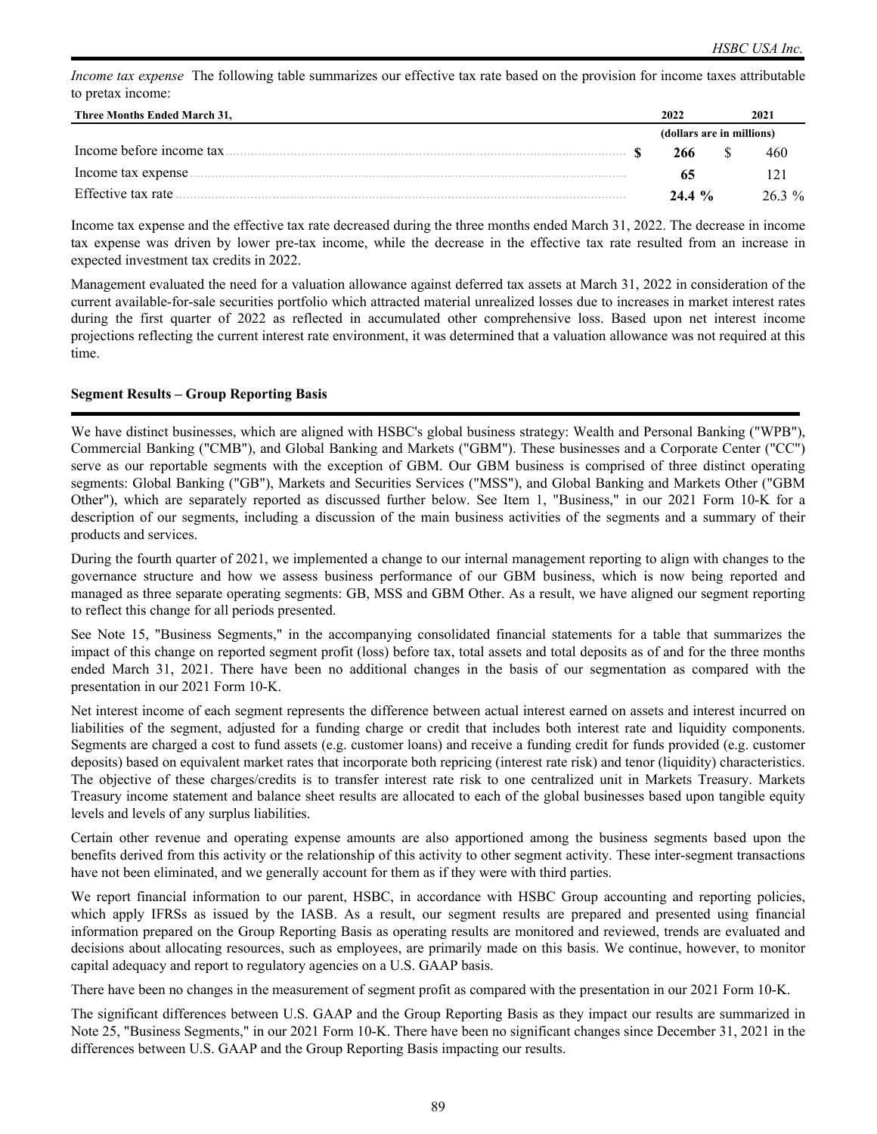*Income tax expense* The following table summarizes our effective tax rate based on the provision for income taxes attributable to pretax income:

| Three Months Ended March 31, | 2022                      | 2021     |
|------------------------------|---------------------------|----------|
|                              | (dollars are in millions) |          |
| Income before income tax.    | 266                       | 460      |
| Income tax expense.          |                           | 121      |
| Effective tax rate           | $24.4\%$                  | $26.3\%$ |

Income tax expense and the effective tax rate decreased during the three months ended March 31, 2022. The decrease in income tax expense was driven by lower pre-tax income, while the decrease in the effective tax rate resulted from an increase in expected investment tax credits in 2022.

Management evaluated the need for a valuation allowance against deferred tax assets at March 31, 2022 in consideration of the current available-for-sale securities portfolio which attracted material unrealized losses due to increases in market interest rates during the first quarter of 2022 as reflected in accumulated other comprehensive loss. Based upon net interest income projections reflecting the current interest rate environment, it was determined that a valuation allowance was not required at this time.

## **Segment Results – Group Reporting Basis**

We have distinct businesses, which are aligned with HSBC's global business strategy: Wealth and Personal Banking ("WPB"), Commercial Banking ("CMB"), and Global Banking and Markets ("GBM"). These businesses and a Corporate Center ("CC") serve as our reportable segments with the exception of GBM. Our GBM business is comprised of three distinct operating segments: Global Banking ("GB"), Markets and Securities Services ("MSS"), and Global Banking and Markets Other ("GBM Other"), which are separately reported as discussed further below. See Item 1, "Business," in our 2021 Form 10-K for a description of our segments, including a discussion of the main business activities of the segments and a summary of their products and services.

During the fourth quarter of 2021, we implemented a change to our internal management reporting to align with changes to the governance structure and how we assess business performance of our GBM business, which is now being reported and managed as three separate operating segments: GB, MSS and GBM Other. As a result, we have aligned our segment reporting to reflect this change for all periods presented.

See Note 15, "Business Segments," in the accompanying consolidated financial statements for a table that summarizes the impact of this change on reported segment profit (loss) before tax, total assets and total deposits as of and for the three months ended March 31, 2021. There have been no additional changes in the basis of our segmentation as compared with the presentation in our 2021 Form 10-K.

Net interest income of each segment represents the difference between actual interest earned on assets and interest incurred on liabilities of the segment, adjusted for a funding charge or credit that includes both interest rate and liquidity components. Segments are charged a cost to fund assets (e.g. customer loans) and receive a funding credit for funds provided (e.g. customer deposits) based on equivalent market rates that incorporate both repricing (interest rate risk) and tenor (liquidity) characteristics. The objective of these charges/credits is to transfer interest rate risk to one centralized unit in Markets Treasury. Markets Treasury income statement and balance sheet results are allocated to each of the global businesses based upon tangible equity levels and levels of any surplus liabilities.

Certain other revenue and operating expense amounts are also apportioned among the business segments based upon the benefits derived from this activity or the relationship of this activity to other segment activity. These inter-segment transactions have not been eliminated, and we generally account for them as if they were with third parties.

We report financial information to our parent, HSBC, in accordance with HSBC Group accounting and reporting policies, which apply IFRSs as issued by the IASB. As a result, our segment results are prepared and presented using financial information prepared on the Group Reporting Basis as operating results are monitored and reviewed, trends are evaluated and decisions about allocating resources, such as employees, are primarily made on this basis. We continue, however, to monitor capital adequacy and report to regulatory agencies on a U.S. GAAP basis.

There have been no changes in the measurement of segment profit as compared with the presentation in our 2021 Form 10-K.

The significant differences between U.S. GAAP and the Group Reporting Basis as they impact our results are summarized in Note 25, "Business Segments," in our 2021 Form 10-K. There have been no significant changes since December 31, 2021 in the differences between U.S. GAAP and the Group Reporting Basis impacting our results.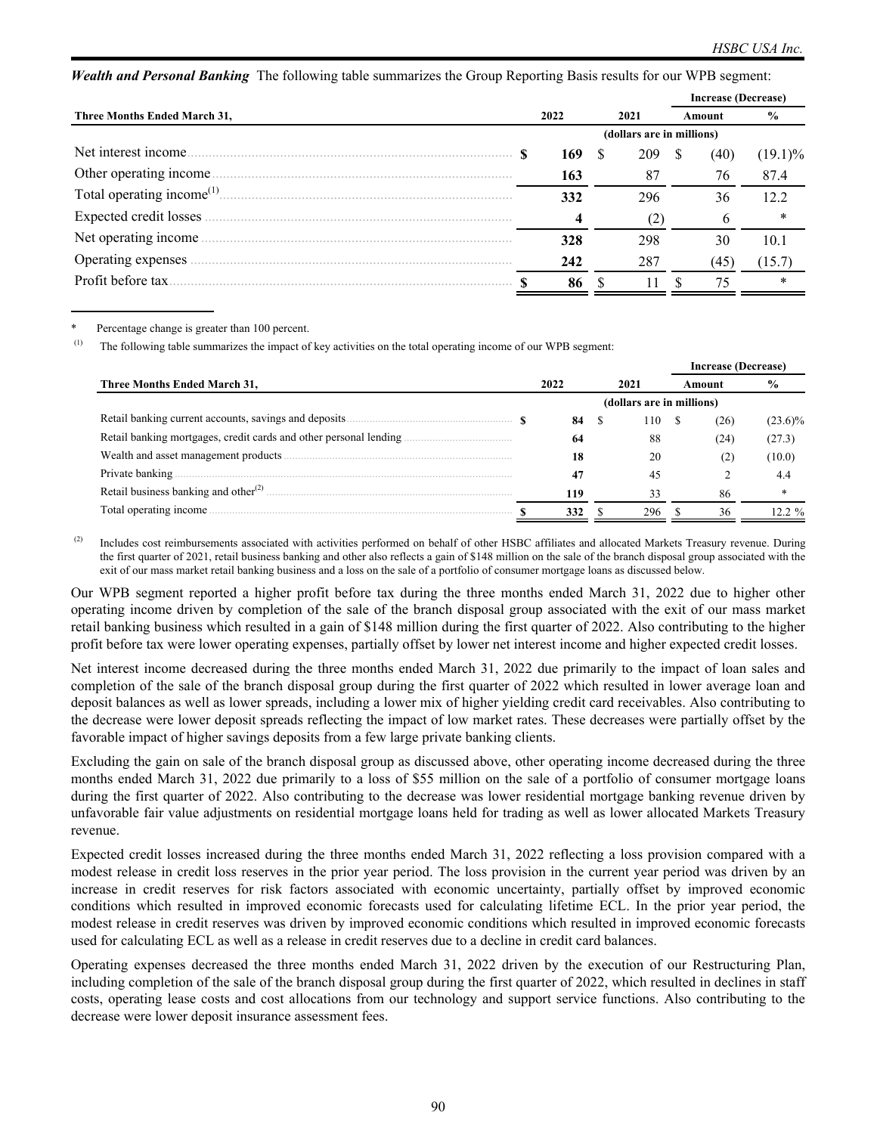## *Wealth and Personal Banking* The following table summarizes the Group Reporting Basis results for our WPB segment:

|                              |      |               |                           |  | Increase (Decrease) |               |
|------------------------------|------|---------------|---------------------------|--|---------------------|---------------|
| Three Months Ended March 31, | 2022 | 2021          |                           |  | Amount              | $\frac{6}{9}$ |
|                              |      |               | (dollars are in millions) |  |                     |               |
| Net interest income.         | 169. | $\mathcal{L}$ | 209                       |  | (40)                | $(19.1)\%$    |
|                              | 163  |               | -87                       |  | 76                  | 87.4          |
|                              | 332  |               | 296                       |  | 36                  | 12.2          |
|                              |      |               | 2                         |  | b                   | $\ast$        |
|                              | 328  |               | 298                       |  | 30                  | 10 1          |
| Operating expenses           | 242  |               | 287                       |  | (45                 | 15.7          |
| Profit before tax.           | 86   |               |                           |  | 75                  |               |
|                              |      |               |                           |  |                     |               |

Percentage change is greater than 100 percent.

(1) The following table summarizes the impact of key activities on the total operating income of our WPB segment:

|                              |  |      |                           |        | Increase (Decrease) |               |
|------------------------------|--|------|---------------------------|--------|---------------------|---------------|
| Three Months Ended March 31, |  | 2022 | 2021                      | Amount |                     | $\frac{6}{9}$ |
|                              |  |      | (dollars are in millions) |        |                     |               |
|                              |  | 84   | 110                       | S      | (26)                | $(23.6)\%$    |
|                              |  | 64   | 88                        |        | (24)                | (27.3)        |
|                              |  | 18   | 20                        |        | (2)                 | (10.0)        |
|                              |  | 47   | 45                        |        |                     | 4.4           |
|                              |  | 119  | 33                        |        | 86                  | $\ast$        |
| Total operating income       |  | 332  | 296                       |        | 36                  | 12.2 %        |

<sup>(2)</sup> Includes cost reimbursements associated with activities performed on behalf of other HSBC affiliates and allocated Markets Treasury revenue. During the first quarter of 2021, retail business banking and other also reflects a gain of \$148 million on the sale of the branch disposal group associated with the exit of our mass market retail banking business and a loss on the sale of a portfolio of consumer mortgage loans as discussed below.

Our WPB segment reported a higher profit before tax during the three months ended March 31, 2022 due to higher other operating income driven by completion of the sale of the branch disposal group associated with the exit of our mass market retail banking business which resulted in a gain of \$148 million during the first quarter of 2022. Also contributing to the higher profit before tax were lower operating expenses, partially offset by lower net interest income and higher expected credit losses.

Net interest income decreased during the three months ended March 31, 2022 due primarily to the impact of loan sales and completion of the sale of the branch disposal group during the first quarter of 2022 which resulted in lower average loan and deposit balances as well as lower spreads, including a lower mix of higher yielding credit card receivables. Also contributing to the decrease were lower deposit spreads reflecting the impact of low market rates. These decreases were partially offset by the favorable impact of higher savings deposits from a few large private banking clients.

Excluding the gain on sale of the branch disposal group as discussed above, other operating income decreased during the three months ended March 31, 2022 due primarily to a loss of \$55 million on the sale of a portfolio of consumer mortgage loans during the first quarter of 2022. Also contributing to the decrease was lower residential mortgage banking revenue driven by unfavorable fair value adjustments on residential mortgage loans held for trading as well as lower allocated Markets Treasury revenue.

Expected credit losses increased during the three months ended March 31, 2022 reflecting a loss provision compared with a modest release in credit loss reserves in the prior year period. The loss provision in the current year period was driven by an increase in credit reserves for risk factors associated with economic uncertainty, partially offset by improved economic conditions which resulted in improved economic forecasts used for calculating lifetime ECL. In the prior year period, the modest release in credit reserves was driven by improved economic conditions which resulted in improved economic forecasts used for calculating ECL as well as a release in credit reserves due to a decline in credit card balances.

Operating expenses decreased the three months ended March 31, 2022 driven by the execution of our Restructuring Plan, including completion of the sale of the branch disposal group during the first quarter of 2022, which resulted in declines in staff costs, operating lease costs and cost allocations from our technology and support service functions. Also contributing to the decrease were lower deposit insurance assessment fees.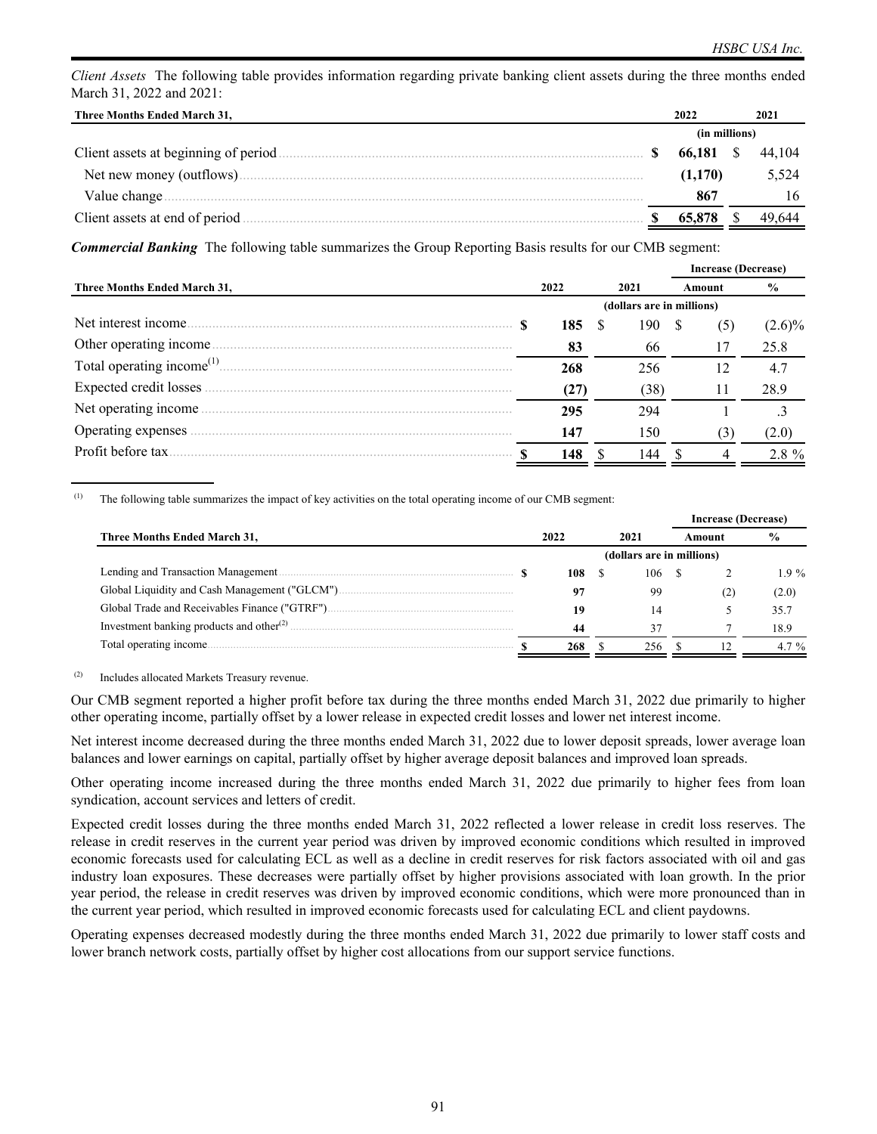*Client Assets* The following table provides information regarding private banking client assets during the three months ended March 31, 2022 and 2021:

| Three Months Ended March 31,          | 2022          | 2021   |
|---------------------------------------|---------------|--------|
|                                       | (in millions) |        |
| Client assets at beginning of period. | 66.181        | 44.104 |
| Net new money (outflows)              | (1,170)       | 5.524  |
| Value change                          | 867           | 16     |
| Client assets at end of period        | 65,878        | 49.644 |

*Commercial Banking* The following table summarizes the Group Reporting Basis results for our CMB segment:

|                              |      |                           | Increase (Decrease) |           |  |  |  |
|------------------------------|------|---------------------------|---------------------|-----------|--|--|--|
| Three Months Ended March 31, |      | 2021                      | Amount              | $\%$      |  |  |  |
|                              |      | (dollars are in millions) |                     |           |  |  |  |
|                              | 185  | 190.                      | (5)                 | $(2.6)\%$ |  |  |  |
|                              | 83   | 66                        | 17                  | 25.8      |  |  |  |
|                              | 268  | 256                       | 12                  | 4.7       |  |  |  |
|                              | (27) | (38)                      | 11                  | 28.9      |  |  |  |
|                              | 295  | 294                       |                     |           |  |  |  |
| Operating expenses           | 147  | 150                       | (3)                 | (2.0)     |  |  |  |
| Profit before tax.           | 148  | 144                       |                     | $2.8 \%$  |  |  |  |

(1) The following table summarizes the impact of key activities on the total operating income of our CMB segment:

|                              |     |      |        | Increase (Decrease) |
|------------------------------|-----|------|--------|---------------------|
| Three Months Ended March 31, |     | 2021 | Amount | $\%$                |
|                              |     |      |        |                     |
|                              | 108 | 106. | - 8    | $1.9\%$             |
|                              |     | 99   |        | (2.0)               |
|                              | 19  | 14   |        | 35.7                |
|                              | 44  |      |        | 18.9                |
| Total operating income.      | 268 | 256  |        | 47%                 |

(2) Includes allocated Markets Treasury revenue.

Our CMB segment reported a higher profit before tax during the three months ended March 31, 2022 due primarily to higher other operating income, partially offset by a lower release in expected credit losses and lower net interest income.

Net interest income decreased during the three months ended March 31, 2022 due to lower deposit spreads, lower average loan balances and lower earnings on capital, partially offset by higher average deposit balances and improved loan spreads.

Other operating income increased during the three months ended March 31, 2022 due primarily to higher fees from loan syndication, account services and letters of credit.

Expected credit losses during the three months ended March 31, 2022 reflected a lower release in credit loss reserves. The release in credit reserves in the current year period was driven by improved economic conditions which resulted in improved economic forecasts used for calculating ECL as well as a decline in credit reserves for risk factors associated with oil and gas industry loan exposures. These decreases were partially offset by higher provisions associated with loan growth. In the prior year period, the release in credit reserves was driven by improved economic conditions, which were more pronounced than in the current year period, which resulted in improved economic forecasts used for calculating ECL and client paydowns.

Operating expenses decreased modestly during the three months ended March 31, 2022 due primarily to lower staff costs and lower branch network costs, partially offset by higher cost allocations from our support service functions.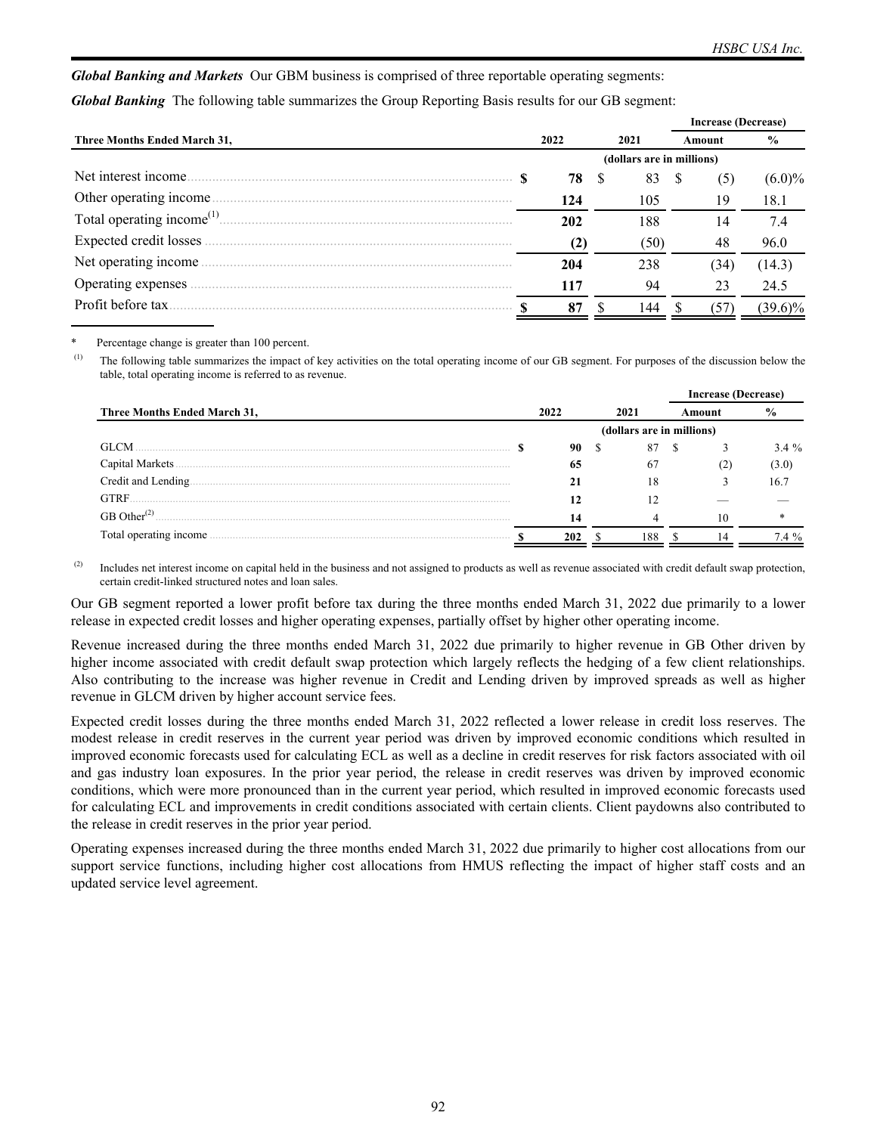*Global Banking and Markets* Our GBM business is comprised of three reportable operating segments:

*Global Banking* The following table summarizes the Group Reporting Basis results for our GB segment:

|                              |      |      |                           |     | Increase (Decrease) |               |
|------------------------------|------|------|---------------------------|-----|---------------------|---------------|
| Three Months Ended March 31, | 2022 | 2021 |                           |     | Amount              | $\frac{6}{9}$ |
|                              |      |      | (dollars are in millions) |     |                     |               |
| Net interest income.         | 78.  | - 8  | 83                        | - 8 | (5)                 | $(6.0)\%$     |
| Other operating income.      | 124  |      | 105                       |     | 19                  | 18.1          |
|                              | 202  |      | 188                       |     | 14                  | 7.4           |
|                              | (2)  |      | (50)                      |     | 48                  | 96.0          |
|                              | 204  |      | 238                       |     | (34)                | (14.3)        |
| Operating expenses           | 117  |      | 94                        |     | 23                  | 24.5          |
| Profit before tax            | 87   |      | 144                       |     | (57                 | $(39.6)\%$    |

Percentage change is greater than 100 percent.

<sup>(1)</sup> The following table summarizes the impact of key activities on the total operating income of our GB segment. For purposes of the discussion below the table, total operating income is referred to as revenue.

| Three Months Ended March 31, |  | 2022                      |  | 2021 |  | Amoun |                |  |  |  |
|------------------------------|--|---------------------------|--|------|--|-------|----------------|--|--|--|
|                              |  | (dollars are in millions) |  |      |  |       |                |  |  |  |
|                              |  | 90                        |  | 87   |  |       | $3.4\%$        |  |  |  |
| apital Markets.              |  |                           |  |      |  | ∠     |                |  |  |  |
| Credit and Lending.          |  |                           |  | 8    |  |       |                |  |  |  |
| <b>GTRF</b>                  |  |                           |  |      |  |       |                |  |  |  |
| GB Other <sup>(2)</sup>      |  |                           |  |      |  |       |                |  |  |  |
| Total operating income       |  |                           |  | Õ.   |  |       | $4\frac{0}{6}$ |  |  |  |

 $^{(2)}$  Includes net interest income on capital held in the business and not assigned to products as well as revenue associated with credit default swap protection, certain credit-linked structured notes and loan sales.

Our GB segment reported a lower profit before tax during the three months ended March 31, 2022 due primarily to a lower release in expected credit losses and higher operating expenses, partially offset by higher other operating income.

Revenue increased during the three months ended March 31, 2022 due primarily to higher revenue in GB Other driven by higher income associated with credit default swap protection which largely reflects the hedging of a few client relationships. Also contributing to the increase was higher revenue in Credit and Lending driven by improved spreads as well as higher revenue in GLCM driven by higher account service fees.

Expected credit losses during the three months ended March 31, 2022 reflected a lower release in credit loss reserves. The modest release in credit reserves in the current year period was driven by improved economic conditions which resulted in improved economic forecasts used for calculating ECL as well as a decline in credit reserves for risk factors associated with oil and gas industry loan exposures. In the prior year period, the release in credit reserves was driven by improved economic conditions, which were more pronounced than in the current year period, which resulted in improved economic forecasts used for calculating ECL and improvements in credit conditions associated with certain clients. Client paydowns also contributed to the release in credit reserves in the prior year period.

Operating expenses increased during the three months ended March 31, 2022 due primarily to higher cost allocations from our support service functions, including higher cost allocations from HMUS reflecting the impact of higher staff costs and an updated service level agreement.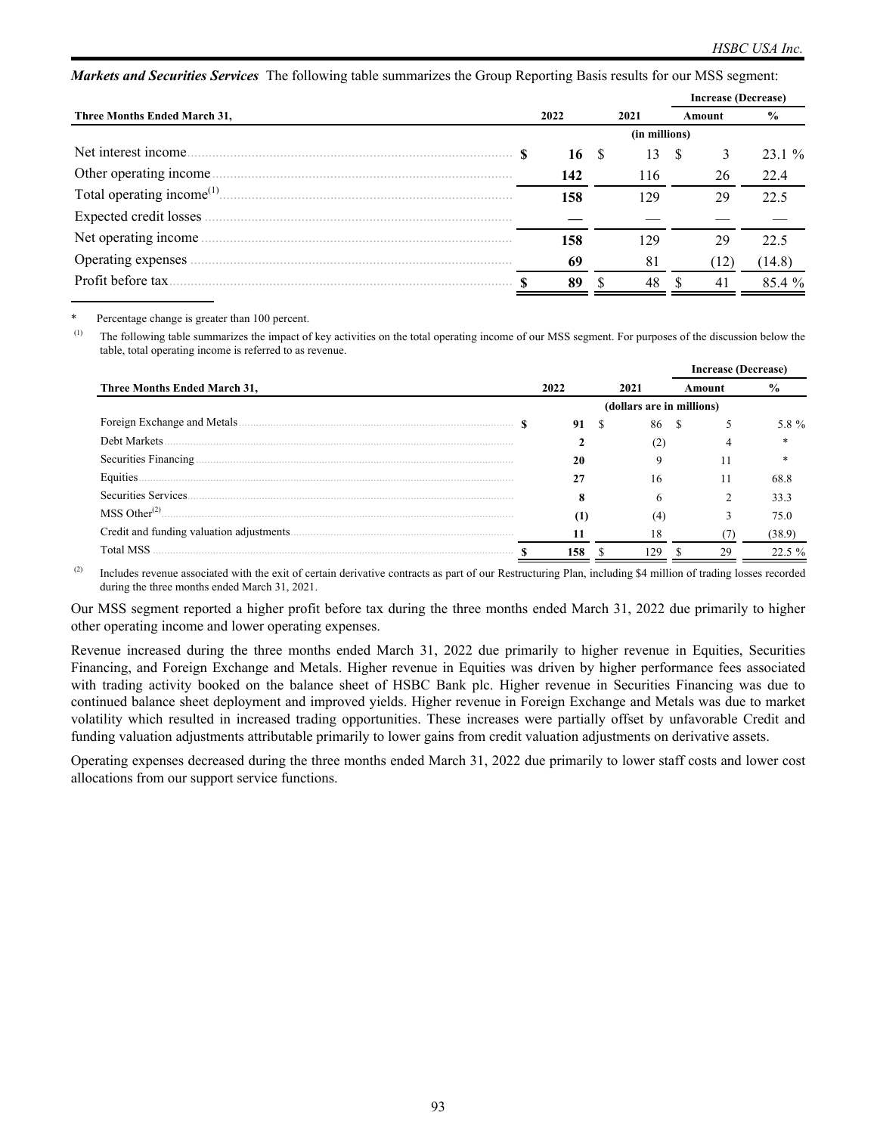## *Markets and Securities Services* The following table summarizes the Group Reporting Basis results for our MSS segment:

|                              |               |  |      |     | Increase (Decrease) |               |
|------------------------------|---------------|--|------|-----|---------------------|---------------|
| Three Months Ended March 31, | 2022          |  | 2021 |     | Amount              | $\frac{6}{9}$ |
|                              | (in millions) |  |      |     |                     |               |
|                              | 16 S          |  | 13   | - S | 3                   | $231\%$       |
|                              | 142           |  | 116  |     | 26                  | 22.4          |
|                              | 158           |  | 129  |     | 29                  | 22.5          |
|                              |               |  |      |     |                     |               |
|                              | 158           |  | 129  |     | 29                  | 22.5          |
|                              | 69            |  | 81   |     | (12)                | (14.8)        |
| Profit before tax.           | 89            |  | 48   |     | 41                  | $854\%$       |
|                              |               |  |      |     |                     |               |

\* Percentage change is greater than 100 percent.

(1) The following table summarizes the impact of key activities on the total operating income of our MSS segment. For purposes of the discussion below the table, total operating income is referred to as revenue.

|                              |      |                           |  | Increase (Decrease) |       |  |  |  |
|------------------------------|------|---------------------------|--|---------------------|-------|--|--|--|
| Three Months Ended March 31, | 2022 | 2021                      |  |                     |       |  |  |  |
|                              |      | (dollars are in millions) |  |                     |       |  |  |  |
|                              |      | 86.                       |  |                     | 58%   |  |  |  |
| Debt Markets                 |      |                           |  |                     |       |  |  |  |
| Securities Financing         |      |                           |  |                     |       |  |  |  |
| Equities.                    |      | 16                        |  |                     |       |  |  |  |
| Securities Services.         |      | h                         |  |                     |       |  |  |  |
|                              |      | (4                        |  |                     |       |  |  |  |
|                              |      |                           |  |                     | 38.91 |  |  |  |
|                              |      |                           |  | 29                  |       |  |  |  |

 $^{(2)}$  Includes revenue associated with the exit of certain derivative contracts as part of our Restructuring Plan, including \$4 million of trading losses recorded during the three months ended March 31, 2021.

Our MSS segment reported a higher profit before tax during the three months ended March 31, 2022 due primarily to higher other operating income and lower operating expenses.

Revenue increased during the three months ended March 31, 2022 due primarily to higher revenue in Equities, Securities Financing, and Foreign Exchange and Metals. Higher revenue in Equities was driven by higher performance fees associated with trading activity booked on the balance sheet of HSBC Bank plc. Higher revenue in Securities Financing was due to continued balance sheet deployment and improved yields. Higher revenue in Foreign Exchange and Metals was due to market volatility which resulted in increased trading opportunities. These increases were partially offset by unfavorable Credit and funding valuation adjustments attributable primarily to lower gains from credit valuation adjustments on derivative assets.

Operating expenses decreased during the three months ended March 31, 2022 due primarily to lower staff costs and lower cost allocations from our support service functions.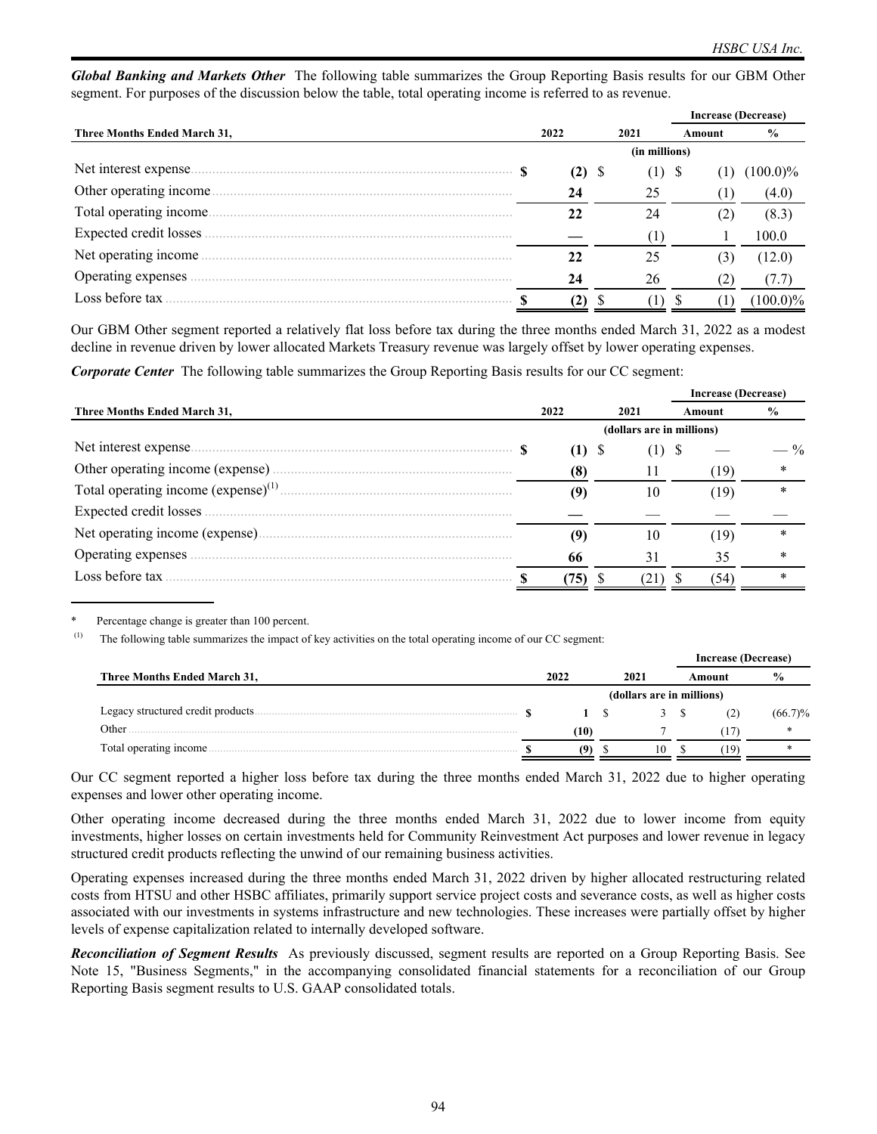**Increase (Decrease)**

*Global Banking and Markets Other* The following table summarizes the Group Reporting Basis results for our GBM Other segment. For purposes of the discussion below the table, total operating income is referred to as revenue.

|                                      |  |          |  |               |  |        | <b>Increase (Decrease)</b> |
|--------------------------------------|--|----------|--|---------------|--|--------|----------------------------|
| 2022<br>Three Months Ended March 31, |  |          |  | 2021          |  | Amount | $\frac{0}{0}$              |
|                                      |  |          |  | (in millions) |  |        |                            |
| Net interest expense.                |  | $(2)$ \$ |  | $(1)$ \$      |  |        | $(100.0)\%$                |
| Other operating income.              |  | 24       |  | 25            |  |        | (4.0)                      |
| Total operating income.              |  | 22       |  | 24            |  | (2)    | (8.3)                      |
|                                      |  |          |  |               |  |        | 100.0                      |
| Net operating income.                |  | 22       |  | 25            |  |        | (12.0)                     |
| Operating expenses                   |  | 24       |  | 26            |  | (2)    | 7.71                       |
| Loss before tax                      |  | (2)      |  |               |  |        | $(100.0)\%$                |

Our GBM Other segment reported a relatively flat loss before tax during the three months ended March 31, 2022 as a modest decline in revenue driven by lower allocated Markets Treasury revenue was largely offset by lower operating expenses.

*Corporate Center* The following table summarizes the Group Reporting Basis results for our CC segment:

|                              |      |                           | <b>Increase (Decrease)</b> |                    |
|------------------------------|------|---------------------------|----------------------------|--------------------|
| Three Months Ended March 31, | 2022 | 2021                      | Amount                     | $\frac{0}{\alpha}$ |
|                              |      | (dollars are in millions) |                            |                    |
|                              |      | $(1)$ S<br>(I) 5          |                            | $\frac{0}{0}$      |
|                              | (8)  | 11                        | (19)                       | $\ast$             |
|                              |      | 10                        | (19)                       |                    |
|                              |      |                           |                            |                    |
|                              |      | 10                        | (19)                       |                    |
| Operating expenses           | 66   | 31                        | 35                         |                    |
|                              | 75)  |                           | (54)                       |                    |

Percentage change is greater than 100 percent.

(1) The following table summarizes the impact of key activities on the total operating income of our CC segment:

|      |      |        | THE CASE (DECITASE)       |
|------|------|--------|---------------------------|
| 2022 | 2021 | Amount | $\frac{6}{9}$             |
|      |      |        |                           |
|      |      |        | $(66.7)\%$                |
| (10) |      |        |                           |
| (9)  | 10   |        |                           |
|      |      |        | (dollars are in millions) |

Our CC segment reported a higher loss before tax during the three months ended March 31, 2022 due to higher operating expenses and lower other operating income.

Other operating income decreased during the three months ended March 31, 2022 due to lower income from equity investments, higher losses on certain investments held for Community Reinvestment Act purposes and lower revenue in legacy structured credit products reflecting the unwind of our remaining business activities.

Operating expenses increased during the three months ended March 31, 2022 driven by higher allocated restructuring related costs from HTSU and other HSBC affiliates, primarily support service project costs and severance costs, as well as higher costs associated with our investments in systems infrastructure and new technologies. These increases were partially offset by higher levels of expense capitalization related to internally developed software.

*Reconciliation of Segment Results* As previously discussed, segment results are reported on a Group Reporting Basis. See Note 15, "Business Segments," in the accompanying consolidated financial statements for a reconciliation of our Group Reporting Basis segment results to U.S. GAAP consolidated totals.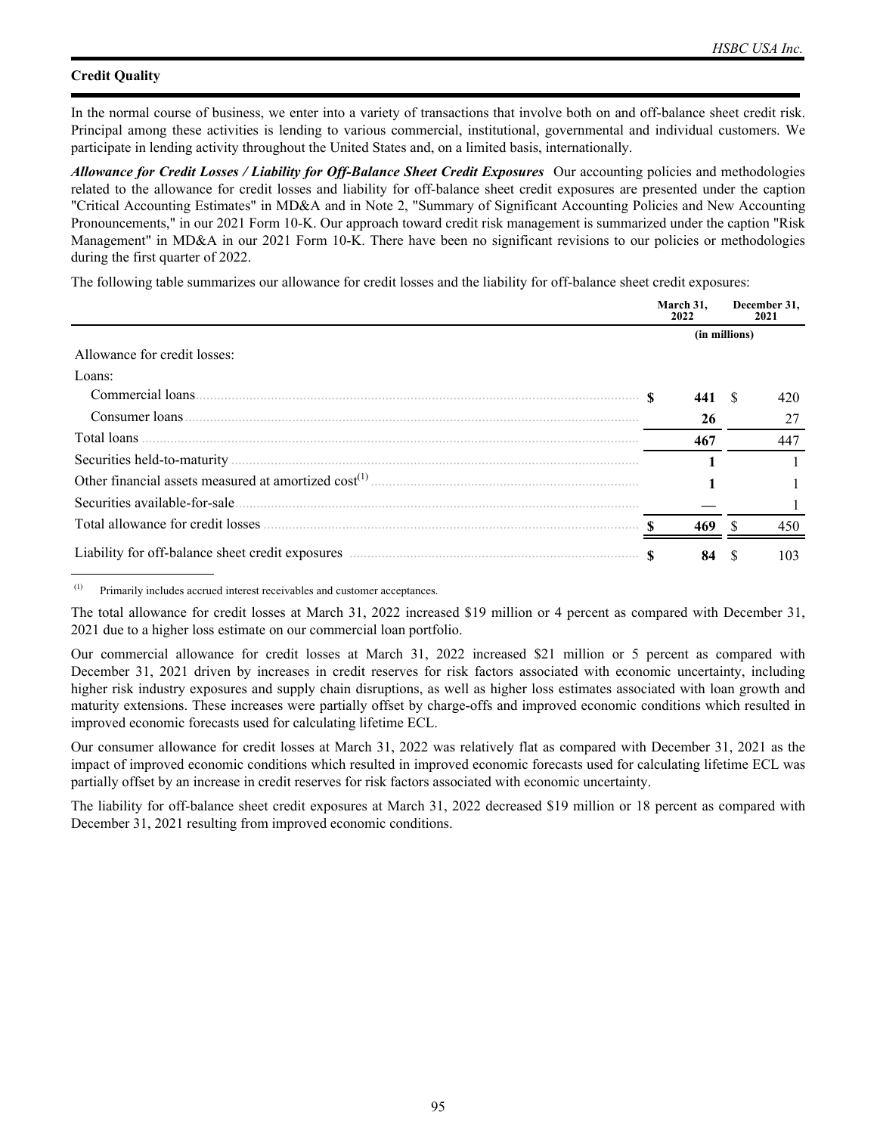#### **Credit Quality**

In the normal course of business, we enter into a variety of transactions that involve both on and off-balance sheet credit risk. Principal among these activities is lending to various commercial, institutional, governmental and individual customers. We participate in lending activity throughout the United States and, on a limited basis, internationally.

Allowance for Credit Losses / Liability for Off-Balance Sheet Credit Exposures Our accounting policies and methodologies related to the allowance for credit losses and liability for off-balance sheet credit exposures are presented under the caption "Critical Accounting Estimates" in MD&A and in Note 2, "Summary of Significant Accounting Policies and New Accounting Pronouncements," in our 2021 Form 10-K. Our approach toward credit risk management is summarized under the caption "Risk Management" in MD&A in our 2021 Form 10-K. There have been no significant revisions to our policies or methodologies during the first quarter of 2022.

The following table summarizes our allowance for credit losses and the liability for off-balance sheet credit exposures:

|                              | March 31,<br>2022 | December 31,<br>2021 |
|------------------------------|-------------------|----------------------|
|                              |                   | (in millions)        |
| Allowance for credit losses: |                   |                      |
| Loans:                       |                   |                      |
|                              | 441               | 420                  |
|                              | 26                | 27                   |
| Total loans                  | 467               | 447                  |
|                              |                   |                      |
|                              |                   |                      |
|                              |                   |                      |
|                              | 469               | 450                  |
|                              |                   | 103                  |

(1) Primarily includes accrued interest receivables and customer acceptances.

The total allowance for credit losses at March 31, 2022 increased \$19 million or 4 percent as compared with December 31, 2021 due to a higher loss estimate on our commercial loan portfolio.

Our commercial allowance for credit losses at March 31, 2022 increased \$21 million or 5 percent as compared with December 31, 2021 driven by increases in credit reserves for risk factors associated with economic uncertainty, including higher risk industry exposures and supply chain disruptions, as well as higher loss estimates associated with loan growth and maturity extensions. These increases were partially offset by charge-offs and improved economic conditions which resulted in improved economic forecasts used for calculating lifetime ECL.

Our consumer allowance for credit losses at March 31, 2022 was relatively flat as compared with December 31, 2021 as the impact of improved economic conditions which resulted in improved economic forecasts used for calculating lifetime ECL was partially offset by an increase in credit reserves for risk factors associated with economic uncertainty.

The liability for off-balance sheet credit exposures at March 31, 2022 decreased \$19 million or 18 percent as compared with December 31, 2021 resulting from improved economic conditions.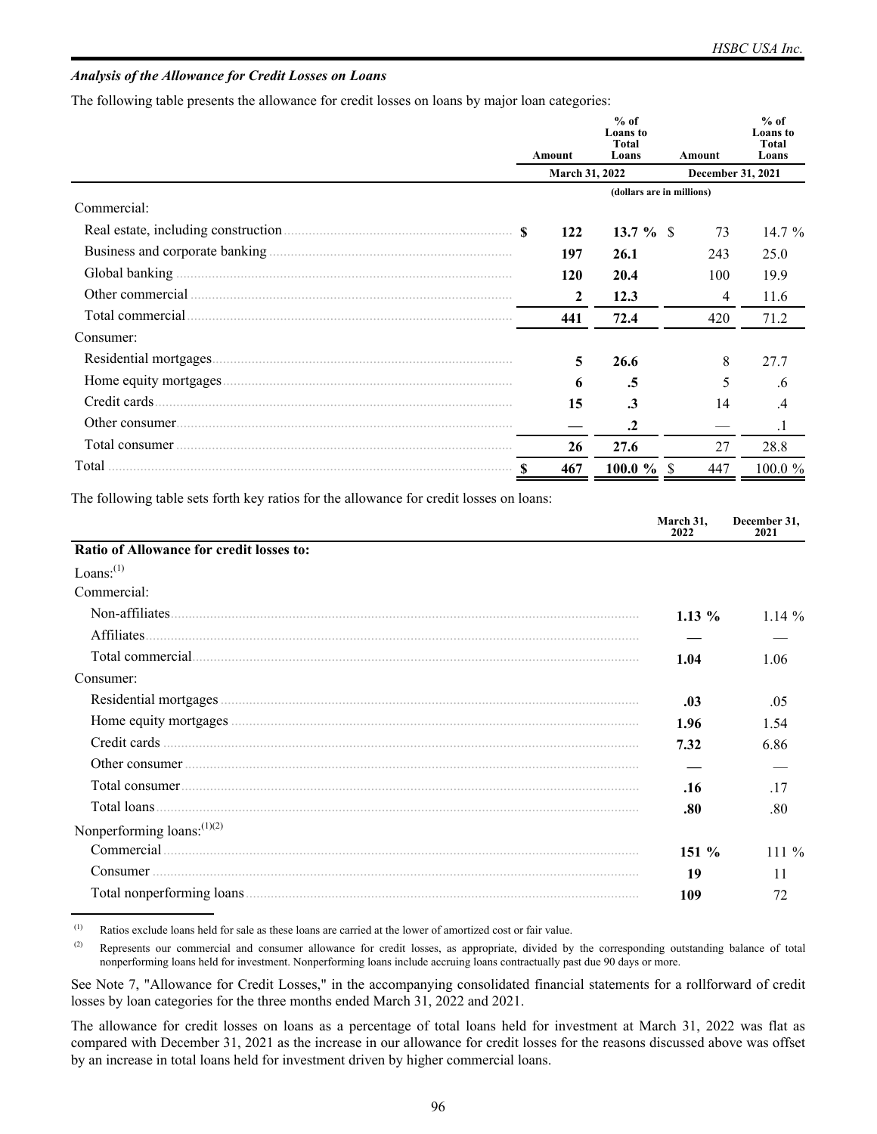# *Analysis of the Allowance for Credit Losses on Loans*

The following table presents the allowance for credit losses on loans by major loan categories:

|                                 | Amount              | $%$ of<br><b>Loans</b> to<br><b>Total</b><br>Loans | Amount | $%$ of<br><b>Loans</b> to<br><b>Total</b><br>Loans |  |
|---------------------------------|---------------------|----------------------------------------------------|--------|----------------------------------------------------|--|
|                                 | March 31, 2022      |                                                    |        | December 31, 2021                                  |  |
|                                 |                     | (dollars are in millions)                          |        |                                                    |  |
| Commercial:                     |                     |                                                    |        |                                                    |  |
|                                 | 122<br>$\mathbf{s}$ | 13.7 $%$ \$                                        | 73     | $14.7\%$                                           |  |
| Business and corporate banking. | 197                 | <b>26.1</b>                                        | 243    | 25.0                                               |  |
| Global banking.                 | 120                 | 20.4                                               | 100    | 19.9                                               |  |
| Other commercial                | 2                   | 12.3                                               |        | 11.6<br>4                                          |  |
| Total commercial.               | 441                 | 72.4                                               | 420    | 71.2                                               |  |
| Consumer:                       |                     |                                                    |        |                                                    |  |
| Residential mortgages           | 5                   | 26.6                                               |        | 8<br>27.7                                          |  |
| Home equity mortgages           | 6                   | .5                                                 |        | 5<br>.6                                            |  |
| Credit cards                    | 15                  | $\cdot$ 3                                          | 14     | $\cdot$                                            |  |
| Other consumer.                 |                     | $\cdot$                                            |        | .1                                                 |  |
| Total consumer.                 | 26                  | 27.6                                               | 27     | 28.8                                               |  |
| Total                           | 467                 | 100.0 $%$                                          | 447    | 100.0 %                                            |  |

The following table sets forth key ratios for the allowance for credit losses on loans:

|                                          | March 31,<br>2022 | December 31,<br>2021 |
|------------------------------------------|-------------------|----------------------|
| Ratio of Allowance for credit losses to: |                   |                      |
| Loans: $^{(1)}$                          |                   |                      |
| Commercial:                              |                   |                      |
| Non-affiliates                           | $1.13\%$          | $1.14\%$             |
| Affiliates.                              |                   |                      |
|                                          | 1.04              | 1.06                 |
| Consumer:                                |                   |                      |
|                                          | .03               | .05                  |
|                                          | 1.96              | 1.54                 |
| Credit cards                             | 7.32              | 6.86                 |
|                                          |                   |                      |
|                                          | .16               | .17                  |
| Total loans                              | .80               | .80                  |
| Nonperforming $loans:^{(1)(2)}$          |                   |                      |
| Commercial                               | $151 \%$          | $111\%$              |
| Consumer                                 | 19                | 11                   |
|                                          | 109               | 72                   |

(1) Ratios exclude loans held for sale as these loans are carried at the lower of amortized cost or fair value.

(2) Represents our commercial and consumer allowance for credit losses, as appropriate, divided by the corresponding outstanding balance of total nonperforming loans held for investment. Nonperforming loans include accruing loans contractually past due 90 days or more.

See Note 7, "Allowance for Credit Losses," in the accompanying consolidated financial statements for a rollforward of credit losses by loan categories for the three months ended March 31, 2022 and 2021.

The allowance for credit losses on loans as a percentage of total loans held for investment at March 31, 2022 was flat as compared with December 31, 2021 as the increase in our allowance for credit losses for the reasons discussed above was offset by an increase in total loans held for investment driven by higher commercial loans.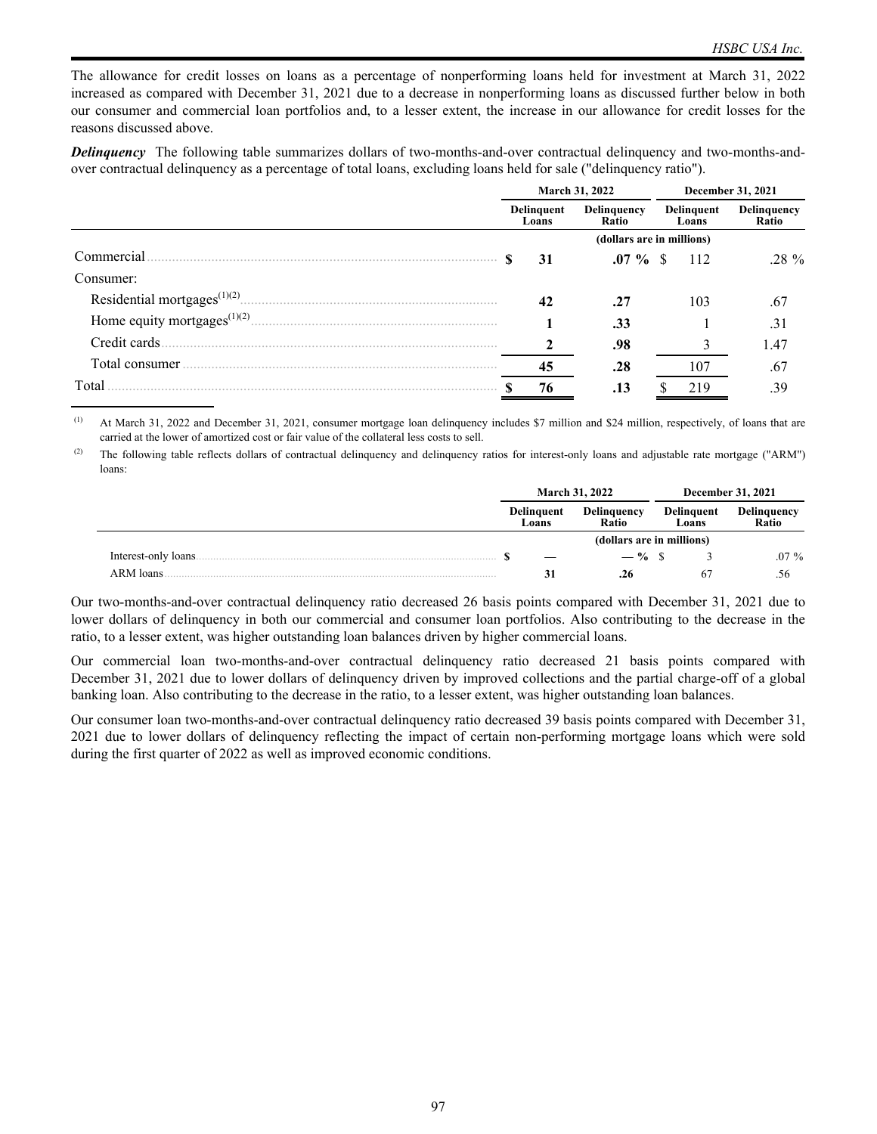The allowance for credit losses on loans as a percentage of nonperforming loans held for investment at March 31, 2022 increased as compared with December 31, 2021 due to a decrease in nonperforming loans as discussed further below in both our consumer and commercial loan portfolios and, to a lesser extent, the increase in our allowance for credit losses for the reasons discussed above.

*Delinquency* The following table summarizes dollars of two-months-and-over contractual delinquency and two-months-andover contractual delinquency as a percentage of total loans, excluding loans held for sale ("delinquency ratio").

|                                | <b>March 31, 2022</b> |    |                           |  |                | December 31, 2021 |  |  |  |  |                             |  |  |  |  |  |  |  |  |  |                            |                      |
|--------------------------------|-----------------------|----|---------------------------|--|----------------|-------------------|--|--|--|--|-----------------------------|--|--|--|--|--|--|--|--|--|----------------------------|----------------------|
|                                | Delinquent<br>Loans   |    |                           |  |                |                   |  |  |  |  | <b>Delinquency</b><br>Ratio |  |  |  |  |  |  |  |  |  | <b>Delinquent</b><br>Loans | Delinquency<br>Ratio |
|                                |                       |    | (dollars are in millions) |  |                |                   |  |  |  |  |                             |  |  |  |  |  |  |  |  |  |                            |                      |
| Commercial.                    |                       | 31 |                           |  | $.07\%$ \$ 112 | $.28\%$           |  |  |  |  |                             |  |  |  |  |  |  |  |  |  |                            |                      |
| Consumer:                      |                       |    |                           |  |                |                   |  |  |  |  |                             |  |  |  |  |  |  |  |  |  |                            |                      |
| Residential mortgages $(1)(2)$ |                       | 42 | .27                       |  | 103            | .67               |  |  |  |  |                             |  |  |  |  |  |  |  |  |  |                            |                      |
|                                |                       |    | .33                       |  |                | .31               |  |  |  |  |                             |  |  |  |  |  |  |  |  |  |                            |                      |
|                                |                       |    | .98                       |  |                | 1.47              |  |  |  |  |                             |  |  |  |  |  |  |  |  |  |                            |                      |
|                                |                       | 45 | .28                       |  | 107            | .67               |  |  |  |  |                             |  |  |  |  |  |  |  |  |  |                            |                      |
| Total                          |                       | 76 | .13                       |  | 219            | .39               |  |  |  |  |                             |  |  |  |  |  |  |  |  |  |                            |                      |

(1) At March 31, 2022 and December 31, 2021, consumer mortgage loan delinquency includes \$7 million and \$24 million, respectively, of loans that are carried at the lower of amortized cost or fair value of the collateral less costs to sell.

<sup>(2)</sup> The following table reflects dollars of contractual delinquency and delinquency ratios for interest-only loans and adjustable rate mortgage ("ARM") loans:

|                     |                            | <b>March 31, 2022</b>       |  | <b>December 31, 2021</b>                                  |
|---------------------|----------------------------|-----------------------------|--|-----------------------------------------------------------|
|                     | <b>Delinquent</b><br>Loans | <b>Delinquency</b><br>Ratio |  | <b>Delinquent</b><br><b>Delinquency</b><br>Ratio<br>Loans |
|                     |                            | (dollars are in millions)   |  |                                                           |
| Interest-only loans |                            |                             |  | $.07\%$                                                   |
| ARM loans           |                            |                             |  |                                                           |

Our two-months-and-over contractual delinquency ratio decreased 26 basis points compared with December 31, 2021 due to lower dollars of delinquency in both our commercial and consumer loan portfolios. Also contributing to the decrease in the ratio, to a lesser extent, was higher outstanding loan balances driven by higher commercial loans.

Our commercial loan two-months-and-over contractual delinquency ratio decreased 21 basis points compared with December 31, 2021 due to lower dollars of delinquency driven by improved collections and the partial charge-off of a global banking loan. Also contributing to the decrease in the ratio, to a lesser extent, was higher outstanding loan balances.

Our consumer loan two-months-and-over contractual delinquency ratio decreased 39 basis points compared with December 31, 2021 due to lower dollars of delinquency reflecting the impact of certain non-performing mortgage loans which were sold during the first quarter of 2022 as well as improved economic conditions.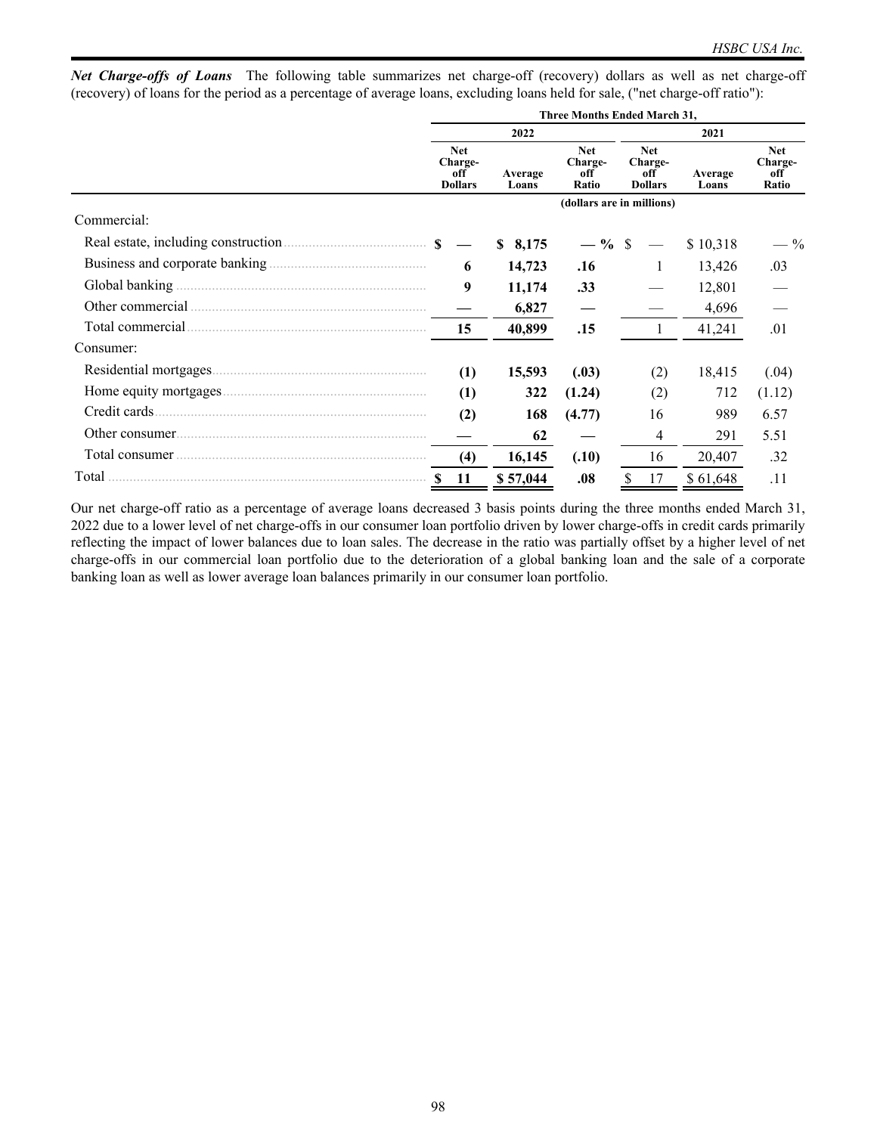*Net Charge-offs of Loans* The following table summarizes net charge-off (recovery) dollars as well as net charge-off (recovery) of loans for the period as a percentage of average loans, excluding loans held for sale, ("net charge-off ratio"):

|                | Three Months Ended March 31,                   |                  |                                       |                                                |                  |                                       |  |  |  |
|----------------|------------------------------------------------|------------------|---------------------------------------|------------------------------------------------|------------------|---------------------------------------|--|--|--|
|                |                                                | 2022             |                                       |                                                | 2021             |                                       |  |  |  |
|                | <b>Net</b><br>Charge-<br>off<br><b>Dollars</b> | Average<br>Loans | <b>Net</b><br>Charge-<br>off<br>Ratio | <b>Net</b><br>Charge-<br>off<br><b>Dollars</b> | Average<br>Loans | <b>Net</b><br>Charge-<br>off<br>Ratio |  |  |  |
|                |                                                |                  |                                       | (dollars are in millions)                      |                  |                                       |  |  |  |
| Commercial:    |                                                |                  |                                       |                                                |                  |                                       |  |  |  |
|                |                                                | 8,175<br>S       |                                       | $\overline{\phantom{m}}$                       | \$10,318         | $- \frac{9}{6}$                       |  |  |  |
|                | 6                                              | 14,723           | .16                                   | -1                                             | 13,426           | .03                                   |  |  |  |
| Global banking | 9                                              | 11,174           | .33                                   |                                                | 12,801           |                                       |  |  |  |
|                |                                                | 6,827            |                                       |                                                | 4,696            |                                       |  |  |  |
|                | 15                                             | 40,899           | .15                                   | 1                                              | 41,241           | .01                                   |  |  |  |
| Consumer:      |                                                |                  |                                       |                                                |                  |                                       |  |  |  |
|                | (1)                                            | 15,593           | (.03)                                 | (2)                                            | 18,415           | (.04)                                 |  |  |  |
|                | (1)                                            | 322              | (1.24)                                | (2)                                            | 712              | (1.12)                                |  |  |  |
| Credit cards   | (2)                                            | 168              | (4.77)                                | 16                                             | 989              | 6.57                                  |  |  |  |
|                |                                                | 62               |                                       | 4                                              | 291              | 5.51                                  |  |  |  |
|                | (4)                                            | 16,145           | (.10)                                 | 16                                             | 20,407           | .32                                   |  |  |  |
| Total          | 11                                             | \$57,044         | .08                                   | 17<br>\$                                       | \$61,648         | .11                                   |  |  |  |

Our net charge-off ratio as a percentage of average loans decreased 3 basis points during the three months ended March 31, 2022 due to a lower level of net charge-offs in our consumer loan portfolio driven by lower charge-offs in credit cards primarily reflecting the impact of lower balances due to loan sales. The decrease in the ratio was partially offset by a higher level of net charge-offs in our commercial loan portfolio due to the deterioration of a global banking loan and the sale of a corporate banking loan as well as lower average loan balances primarily in our consumer loan portfolio.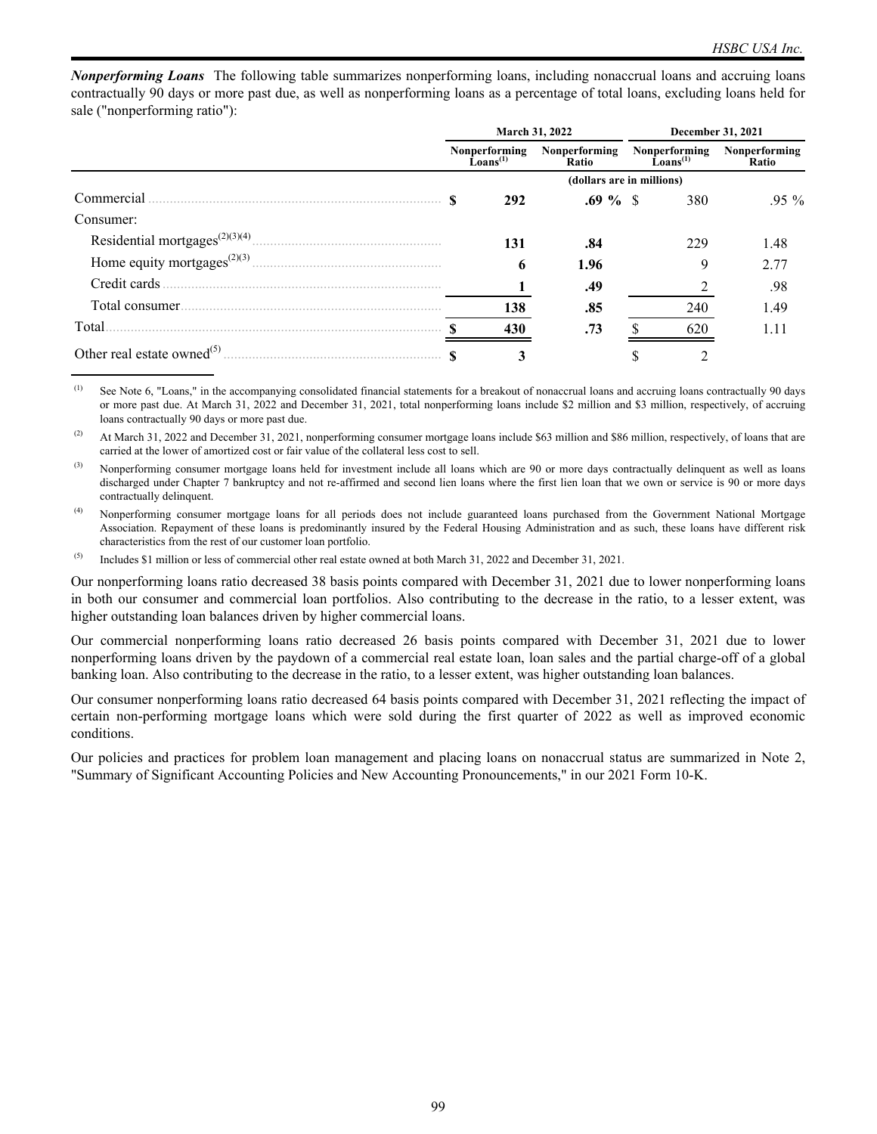*Nonperforming Loans* The following table summarizes nonperforming loans, including nonaccrual loans and accruing loans contractually 90 days or more past due, as well as nonperforming loans as a percentage of total loans, excluding loans held for sale ("nonperforming ratio"):

|                 | March 31, 2022 |                                                   |                           |  | December 31, 2021                           |                        |  |  |
|-----------------|----------------|---------------------------------------------------|---------------------------|--|---------------------------------------------|------------------------|--|--|
|                 |                | Nonperforming<br>$\bar{\mathbf{L}}$ oans $^{(1)}$ | Nonperforming<br>Ratio    |  | Nonperforming<br>$\mathbf{L}$ oans $^{(1)}$ | Nonperforming<br>Ratio |  |  |
|                 |                |                                                   | (dollars are in millions) |  |                                             |                        |  |  |
| Commercial      |                | <b>292</b>                                        | $.69\%$ \$                |  | 380                                         | $.95\%$                |  |  |
| Consumer:       |                |                                                   |                           |  |                                             |                        |  |  |
|                 |                | 131                                               | .84                       |  | 229                                         | 1.48                   |  |  |
|                 |                | 6                                                 | 1.96                      |  | 9                                           | 2.77                   |  |  |
| Credit cards    |                |                                                   | .49                       |  |                                             | .98                    |  |  |
| Total consumer. |                | 138                                               | .85                       |  | 240                                         | 1.49                   |  |  |
| Total           |                | 430                                               | .73                       |  | 620                                         | 1.11                   |  |  |
|                 |                |                                                   |                           |  |                                             |                        |  |  |

<sup>(1)</sup> See Note 6, "Loans," in the accompanying consolidated financial statements for a breakout of nonaccrual loans and accruing loans contractually 90 days or more past due. At March 31, 2022 and December 31, 2021, total nonperforming loans include \$2 million and \$3 million, respectively, of accruing loans contractually 90 days or more past due.

<sup>(2)</sup> At March 31, 2022 and December 31, 2021, nonperforming consumer mortgage loans include \$63 million and \$86 million, respectively, of loans that are carried at the lower of amortized cost or fair value of the collateral less cost to sell.

<sup>(3)</sup> Nonperforming consumer mortgage loans held for investment include all loans which are 90 or more days contractually delinquent as well as loans discharged under Chapter 7 bankruptcy and not re-affirmed and second lien loans where the first lien loan that we own or service is 90 or more days contractually delinquent.

<sup>(4)</sup> Nonperforming consumer mortgage loans for all periods does not include guaranteed loans purchased from the Government National Mortgage Association. Repayment of these loans is predominantly insured by the Federal Housing Administration and as such, these loans have different risk characteristics from the rest of our customer loan portfolio.

 $^{(5)}$  Includes \$1 million or less of commercial other real estate owned at both March 31, 2022 and December 31, 2021.

Our nonperforming loans ratio decreased 38 basis points compared with December 31, 2021 due to lower nonperforming loans in both our consumer and commercial loan portfolios. Also contributing to the decrease in the ratio, to a lesser extent, was higher outstanding loan balances driven by higher commercial loans.

Our commercial nonperforming loans ratio decreased 26 basis points compared with December 31, 2021 due to lower nonperforming loans driven by the paydown of a commercial real estate loan, loan sales and the partial charge-off of a global banking loan. Also contributing to the decrease in the ratio, to a lesser extent, was higher outstanding loan balances.

Our consumer nonperforming loans ratio decreased 64 basis points compared with December 31, 2021 reflecting the impact of certain non-performing mortgage loans which were sold during the first quarter of 2022 as well as improved economic conditions.

Our policies and practices for problem loan management and placing loans on nonaccrual status are summarized in Note 2, "Summary of Significant Accounting Policies and New Accounting Pronouncements," in our 2021 Form 10-K.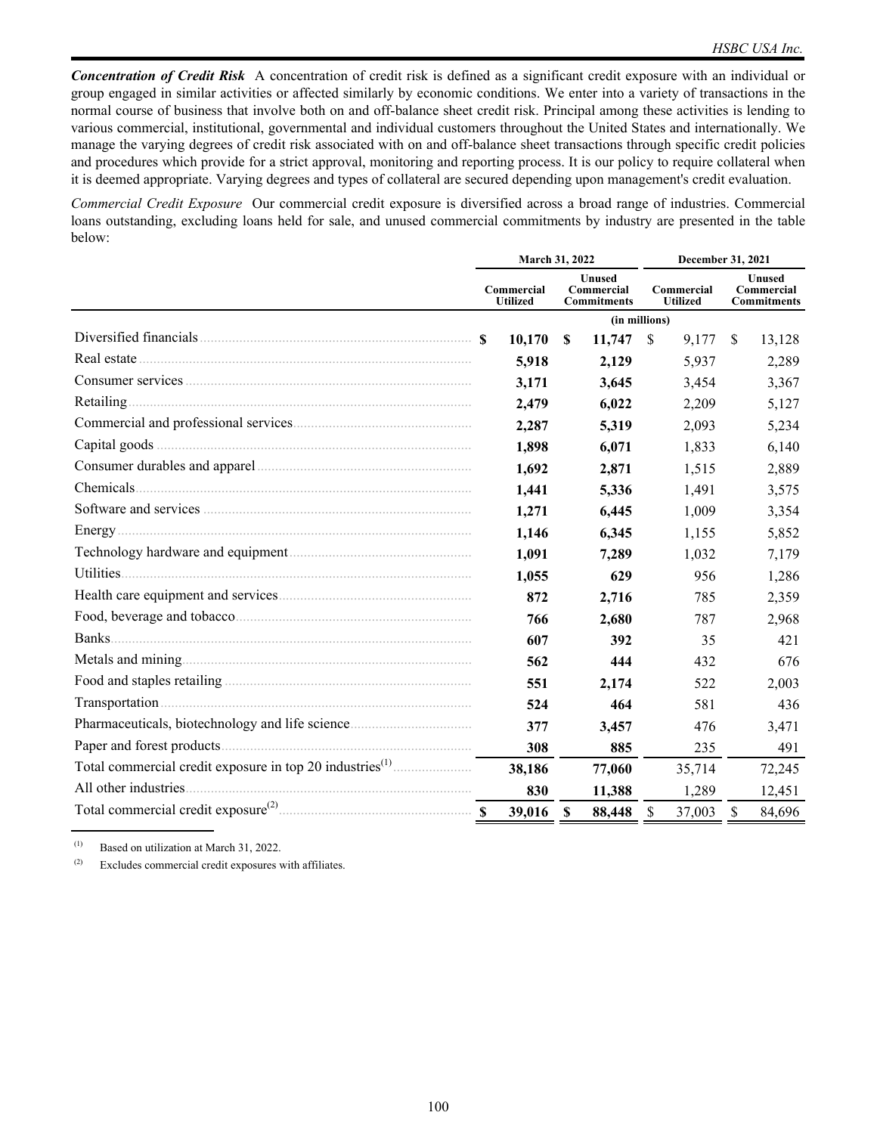*Concentration of Credit Risk* A concentration of credit risk is defined as a significant credit exposure with an individual or group engaged in similar activities or affected similarly by economic conditions. We enter into a variety of transactions in the normal course of business that involve both on and off-balance sheet credit risk. Principal among these activities is lending to various commercial, institutional, governmental and individual customers throughout the United States and internationally. We manage the varying degrees of credit risk associated with on and off-balance sheet transactions through specific credit policies and procedures which provide for a strict approval, monitoring and reporting process. It is our policy to require collateral when it is deemed appropriate. Varying degrees and types of collateral are secured depending upon management's credit evaluation.

*Commercial Credit Exposure* Our commercial credit exposure is diversified across a broad range of industries. Commercial loans outstanding, excluding loans held for sale, and unused commercial commitments by industry are presented in the table below:

| March 31, 2022 |                                                                             |               | December 31, 2021 |                               |        |               |                                            |
|----------------|-----------------------------------------------------------------------------|---------------|-------------------|-------------------------------|--------|---------------|--------------------------------------------|
|                | Unused<br>Commercial<br>Commercial<br><b>Utilized</b><br><b>Commitments</b> |               |                   | Commercial<br><b>Utilized</b> |        |               | Unused<br>Commercial<br><b>Commitments</b> |
|                |                                                                             |               | (in millions)     |                               |        |               |                                            |
|                | 10,170                                                                      | <sup>\$</sup> | 11,747            | <sup>\$</sup>                 | 9,177  | $\mathbb{S}$  | 13,128                                     |
|                | 5,918                                                                       |               | 2,129             |                               | 5,937  |               | 2,289                                      |
|                | 3,171                                                                       |               | 3,645             |                               | 3,454  |               | 3,367                                      |
|                | 2,479                                                                       |               | 6,022             |                               | 2,209  |               | 5,127                                      |
|                | 2,287                                                                       |               | 5,319             |                               | 2,093  |               | 5,234                                      |
|                | 1,898                                                                       |               | 6,071             |                               | 1,833  |               | 6,140                                      |
|                | 1,692                                                                       |               | 2,871             |                               | 1,515  |               | 2,889                                      |
|                | 1,441                                                                       |               | 5,336             |                               | 1,491  |               | 3,575                                      |
|                | 1,271                                                                       |               | 6,445             |                               | 1,009  |               | 3,354                                      |
|                | 1,146                                                                       |               | 6,345             |                               | 1,155  |               | 5,852                                      |
|                | 1,091                                                                       |               | 7,289             |                               | 1,032  |               | 7,179                                      |
|                | 1,055                                                                       |               | 629               |                               | 956    |               | 1,286                                      |
|                | 872                                                                         |               | 2,716             |                               | 785    |               | 2,359                                      |
|                | 766                                                                         |               | 2,680             |                               | 787    |               | 2,968                                      |
|                | 607                                                                         |               | 392               |                               | 35     |               | 421                                        |
|                | 562                                                                         |               | 444               |                               | 432    |               | 676                                        |
|                | 551                                                                         |               | 2,174             |                               | 522    |               | 2,003                                      |
|                | 524                                                                         |               | 464               |                               | 581    |               | 436                                        |
|                | 377                                                                         |               | 3,457             |                               | 476    |               | 3,471                                      |
|                | 308                                                                         |               | 885               |                               | 235    |               | 491                                        |
|                | 38,186                                                                      |               | 77,060            |                               | 35,714 |               | 72,245                                     |
|                | 830                                                                         |               | 11,388            |                               | 1,289  |               | 12,451                                     |
|                | 39,016 \$                                                                   |               | 88,448            | $\mathbb{S}$                  | 37,003 | $\mathcal{S}$ | 84,696                                     |

 $(1)$  Based on utilization at March 31, 2022.

(2) Excludes commercial credit exposures with affiliates.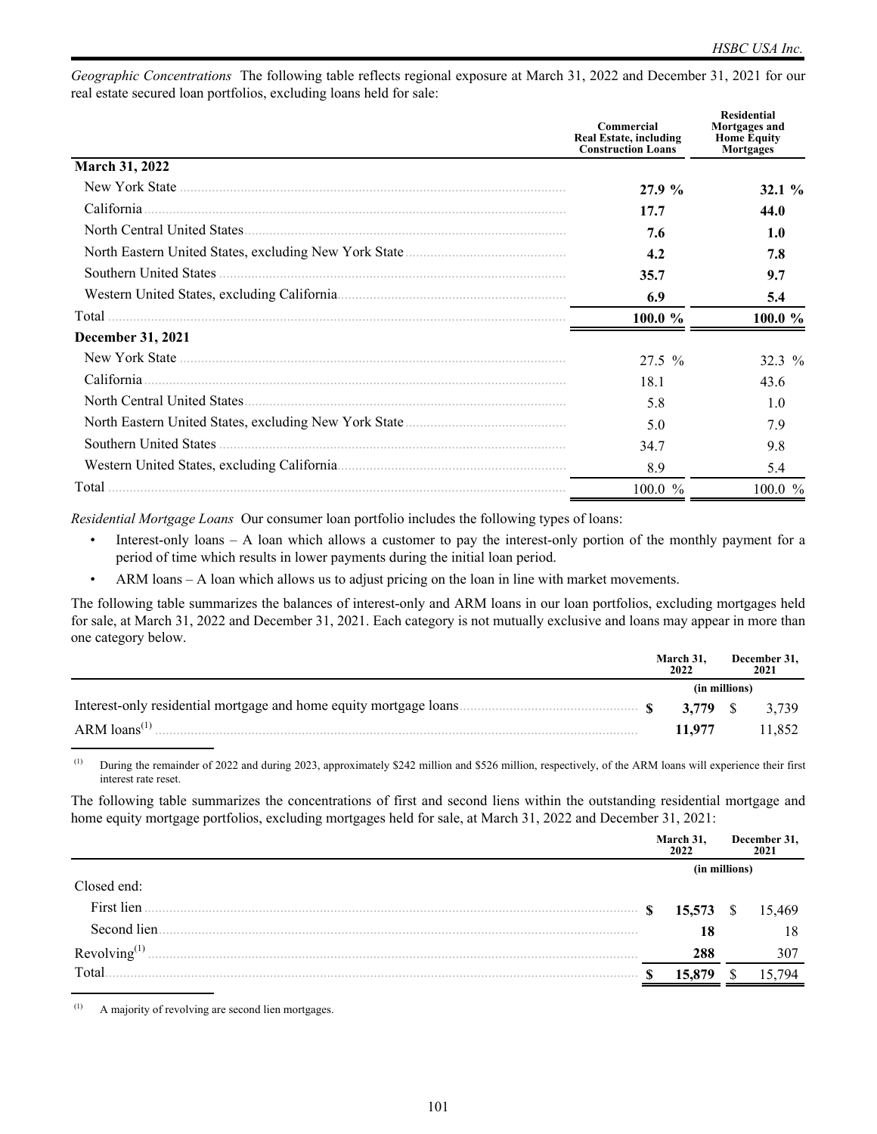*Geographic Concentrations* The following table reflects regional exposure at March 31, 2022 and December 31, 2021 for our real estate secured loan portfolios, excluding loans held for sale:

|                   | Commercial<br><b>Real Estate, including</b><br><b>Construction Loans</b> | <b>Residential</b><br>Mortgages and<br><b>Home Equity</b><br>Mortgages |
|-------------------|--------------------------------------------------------------------------|------------------------------------------------------------------------|
| March 31, 2022    |                                                                          |                                                                        |
|                   | 27.9%                                                                    | 32.1 $%$                                                               |
| California        | 17.7                                                                     | 44.0                                                                   |
|                   | 7.6                                                                      | 1.0                                                                    |
|                   | 4.2                                                                      | 7.8                                                                    |
|                   | 35.7                                                                     | 9.7                                                                    |
|                   | 6.9                                                                      | 5.4                                                                    |
| Total             | 100.0 %                                                                  | 100.0%                                                                 |
| December 31, 2021 |                                                                          |                                                                        |
|                   | $27.5 \%$                                                                | $32.3\%$                                                               |
| California        | 18.1                                                                     | 43.6                                                                   |
|                   | 5.8                                                                      | 1.0                                                                    |
|                   | 5.0                                                                      | 7.9                                                                    |
|                   | 34.7                                                                     | 9.8                                                                    |
|                   | 8.9                                                                      | 5.4                                                                    |
| Total             | $100.0 \%$                                                               | $100.0 \%$                                                             |

*Residential Mortgage Loans* Our consumer loan portfolio includes the following types of loans:

- Interest-only loans A loan which allows a customer to pay the interest-only portion of the monthly payment for a period of time which results in lower payments during the initial loan period.
- ARM loans A loan which allows us to adjust pricing on the loan in line with market movements.

The following table summarizes the balances of interest-only and ARM loans in our loan portfolios, excluding mortgages held for sale, at March 31, 2022 and December 31, 2021. Each category is not mutually exclusive and loans may appear in more than one category below.

|                                                                    | March 31,<br>2022 |               | December 31,<br>2021 |
|--------------------------------------------------------------------|-------------------|---------------|----------------------|
|                                                                    |                   | (in millions) |                      |
| Interest-only residential mortgage and home equity mortgage loans. |                   | $3.779$ \$    | 3.739                |
| $ARM$ loans <sup>(1)</sup>                                         |                   | 11.977        | 11.852               |

(1) During the remainder of 2022 and during 2023, approximately \$242 million and \$526 million, respectively, of the ARM loans will experience their first interest rate reset.

The following table summarizes the concentrations of first and second liens within the outstanding residential mortgage and home equity mortgage portfolios, excluding mortgages held for sale, at March 31, 2022 and December 31, 2021:

|                                   | March 31,<br>2022 | December 31,<br>2021 |
|-----------------------------------|-------------------|----------------------|
|                                   |                   | (in millions)        |
| Closed end:                       |                   |                      |
| First lien                        | 15,573            | 15.469<br>S          |
| Second lien.                      | 18                | 18                   |
| Revolving <sup>(1)</sup><br>Total | 288               | 307                  |
|                                   | 15.879            | 794                  |

(1) A majority of revolving are second lien mortgages.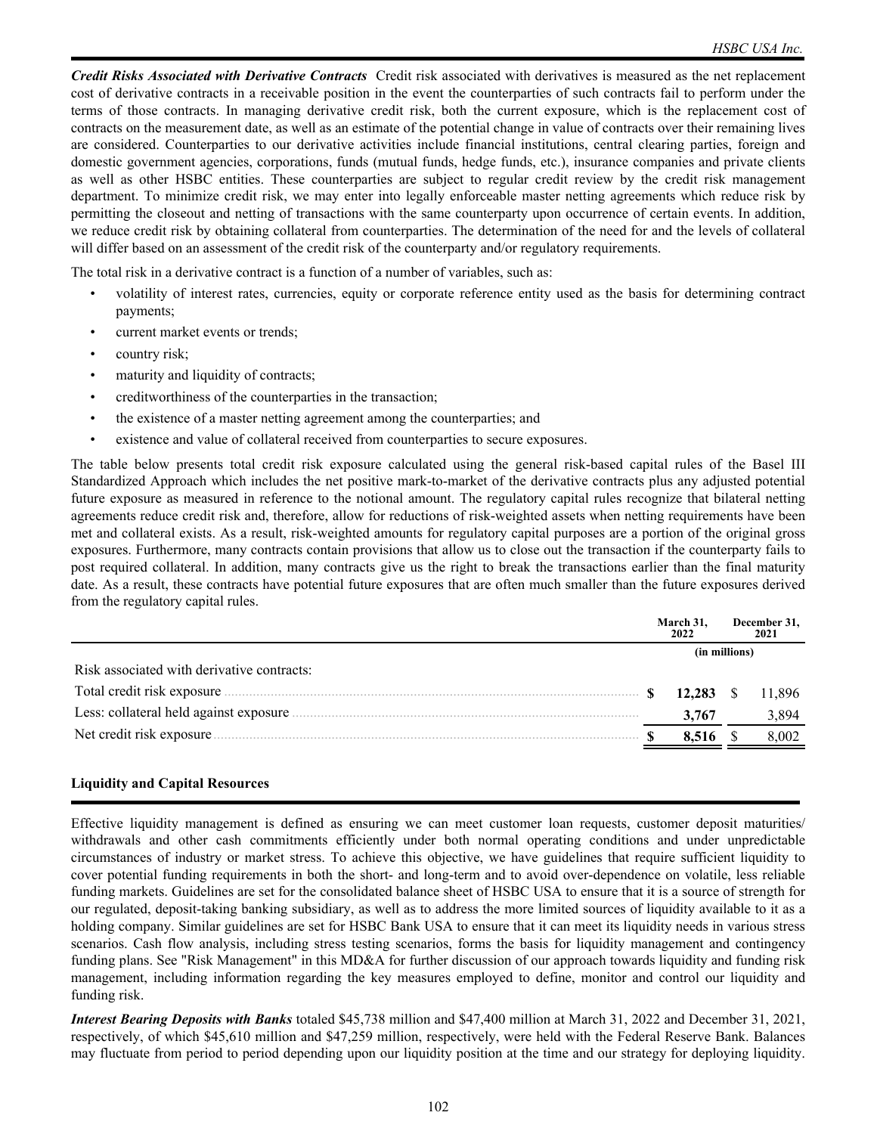*Credit Risks Associated with Derivative Contracts* Credit risk associated with derivatives is measured as the net replacement cost of derivative contracts in a receivable position in the event the counterparties of such contracts fail to perform under the terms of those contracts. In managing derivative credit risk, both the current exposure, which is the replacement cost of contracts on the measurement date, as well as an estimate of the potential change in value of contracts over their remaining lives are considered. Counterparties to our derivative activities include financial institutions, central clearing parties, foreign and domestic government agencies, corporations, funds (mutual funds, hedge funds, etc.), insurance companies and private clients as well as other HSBC entities. These counterparties are subject to regular credit review by the credit risk management department. To minimize credit risk, we may enter into legally enforceable master netting agreements which reduce risk by permitting the closeout and netting of transactions with the same counterparty upon occurrence of certain events. In addition, we reduce credit risk by obtaining collateral from counterparties. The determination of the need for and the levels of collateral will differ based on an assessment of the credit risk of the counterparty and/or regulatory requirements.

The total risk in a derivative contract is a function of a number of variables, such as:

- volatility of interest rates, currencies, equity or corporate reference entity used as the basis for determining contract payments;
- current market events or trends;
- country risk;
- maturity and liquidity of contracts;
- creditworthiness of the counterparties in the transaction;
- the existence of a master netting agreement among the counterparties; and
- existence and value of collateral received from counterparties to secure exposures.

The table below presents total credit risk exposure calculated using the general risk-based capital rules of the Basel III Standardized Approach which includes the net positive mark-to-market of the derivative contracts plus any adjusted potential future exposure as measured in reference to the notional amount. The regulatory capital rules recognize that bilateral netting agreements reduce credit risk and, therefore, allow for reductions of risk-weighted assets when netting requirements have been met and collateral exists. As a result, risk-weighted amounts for regulatory capital purposes are a portion of the original gross exposures. Furthermore, many contracts contain provisions that allow us to close out the transaction if the counterparty fails to post required collateral. In addition, many contracts give us the right to break the transactions earlier than the final maturity date. As a result, these contracts have potential future exposures that are often much smaller than the future exposures derived from the regulatory capital rules.

|                                            | March 31,<br>2022 | December 31,<br>2021 |  |
|--------------------------------------------|-------------------|----------------------|--|
|                                            | (in millions)     |                      |  |
| Risk associated with derivative contracts: |                   |                      |  |
| Total credit risk exposure.                | 12,283            | 11,896               |  |
| Less: collateral held against exposure     | 3.767             | 3,894                |  |
| Net credit risk exposure.                  | 8,516             | 8,002                |  |

# **Liquidity and Capital Resources**

Effective liquidity management is defined as ensuring we can meet customer loan requests, customer deposit maturities/ withdrawals and other cash commitments efficiently under both normal operating conditions and under unpredictable circumstances of industry or market stress. To achieve this objective, we have guidelines that require sufficient liquidity to cover potential funding requirements in both the short- and long-term and to avoid over-dependence on volatile, less reliable funding markets. Guidelines are set for the consolidated balance sheet of HSBC USA to ensure that it is a source of strength for our regulated, deposit-taking banking subsidiary, as well as to address the more limited sources of liquidity available to it as a holding company. Similar guidelines are set for HSBC Bank USA to ensure that it can meet its liquidity needs in various stress scenarios. Cash flow analysis, including stress testing scenarios, forms the basis for liquidity management and contingency funding plans. See "Risk Management" in this MD&A for further discussion of our approach towards liquidity and funding risk management, including information regarding the key measures employed to define, monitor and control our liquidity and funding risk.

*Interest Bearing Deposits with Banks* totaled \$45,738 million and \$47,400 million at March 31, 2022 and December 31, 2021, respectively, of which \$45,610 million and \$47,259 million, respectively, were held with the Federal Reserve Bank. Balances may fluctuate from period to period depending upon our liquidity position at the time and our strategy for deploying liquidity.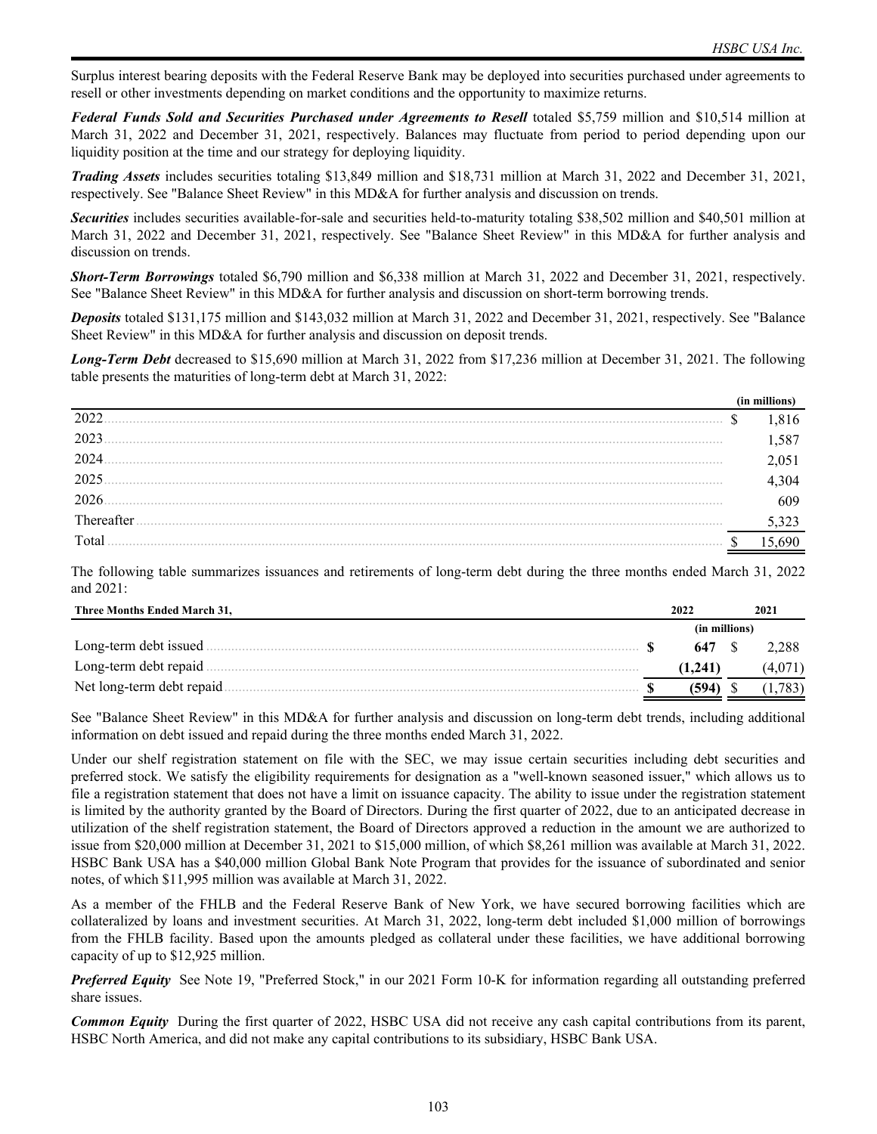Surplus interest bearing deposits with the Federal Reserve Bank may be deployed into securities purchased under agreements to resell or other investments depending on market conditions and the opportunity to maximize returns.

*Federal Funds Sold and Securities Purchased under Agreements to Resell* totaled \$5,759 million and \$10,514 million at March 31, 2022 and December 31, 2021, respectively. Balances may fluctuate from period to period depending upon our liquidity position at the time and our strategy for deploying liquidity.

*Trading Assets* includes securities totaling \$13,849 million and \$18,731 million at March 31, 2022 and December 31, 2021, respectively. See "Balance Sheet Review" in this MD&A for further analysis and discussion on trends.

*Securities* includes securities available-for-sale and securities held-to-maturity totaling \$38,502 million and \$40,501 million at March 31, 2022 and December 31, 2021, respectively. See "Balance Sheet Review" in this MD&A for further analysis and discussion on trends.

*Short-Term Borrowings* totaled \$6,790 million and \$6,338 million at March 31, 2022 and December 31, 2021, respectively. See "Balance Sheet Review" in this MD&A for further analysis and discussion on short-term borrowing trends.

*Deposits* totaled \$131,175 million and \$143,032 million at March 31, 2022 and December 31, 2021, respectively. See "Balance Sheet Review" in this MD&A for further analysis and discussion on deposit trends.

*Long-Term Debt* decreased to \$15,690 million at March 31, 2022 from \$17,236 million at December 31, 2021. The following table presents the maturities of long-term debt at March 31, 2022:

| 2022       |       |
|------------|-------|
| 2023       | 587   |
| 2024       | 2.051 |
| 2025       |       |
| 2026       | 609   |
| Thereafter |       |
| Total      |       |

The following table summarizes issuances and retirements of long-term debt during the three months ended March 31, 2022 and 2021:

| Three Months Ended March 31, |               | 2022    |  | 2021    |
|------------------------------|---------------|---------|--|---------|
|                              | (in millions) |         |  |         |
| Long-term debt issued.       |               | 647     |  | 2.288   |
| Long-term debt repaid.       |               | (1.241) |  | (4,071) |
| Net long-term debt repaid.   |               | (594    |  |         |

See "Balance Sheet Review" in this MD&A for further analysis and discussion on long-term debt trends, including additional information on debt issued and repaid during the three months ended March 31, 2022.

Under our shelf registration statement on file with the SEC, we may issue certain securities including debt securities and preferred stock. We satisfy the eligibility requirements for designation as a "well-known seasoned issuer," which allows us to file a registration statement that does not have a limit on issuance capacity. The ability to issue under the registration statement is limited by the authority granted by the Board of Directors. During the first quarter of 2022, due to an anticipated decrease in utilization of the shelf registration statement, the Board of Directors approved a reduction in the amount we are authorized to issue from \$20,000 million at December 31, 2021 to \$15,000 million, of which \$8,261 million was available at March 31, 2022. HSBC Bank USA has a \$40,000 million Global Bank Note Program that provides for the issuance of subordinated and senior notes, of which \$11,995 million was available at March 31, 2022.

As a member of the FHLB and the Federal Reserve Bank of New York, we have secured borrowing facilities which are collateralized by loans and investment securities. At March 31, 2022, long-term debt included \$1,000 million of borrowings from the FHLB facility. Based upon the amounts pledged as collateral under these facilities, we have additional borrowing capacity of up to \$12,925 million.

*Preferred Equity* See Note 19, "Preferred Stock," in our 2021 Form 10-K for information regarding all outstanding preferred share issues.

*Common Equity* During the first quarter of 2022, HSBC USA did not receive any cash capital contributions from its parent, HSBC North America, and did not make any capital contributions to its subsidiary, HSBC Bank USA.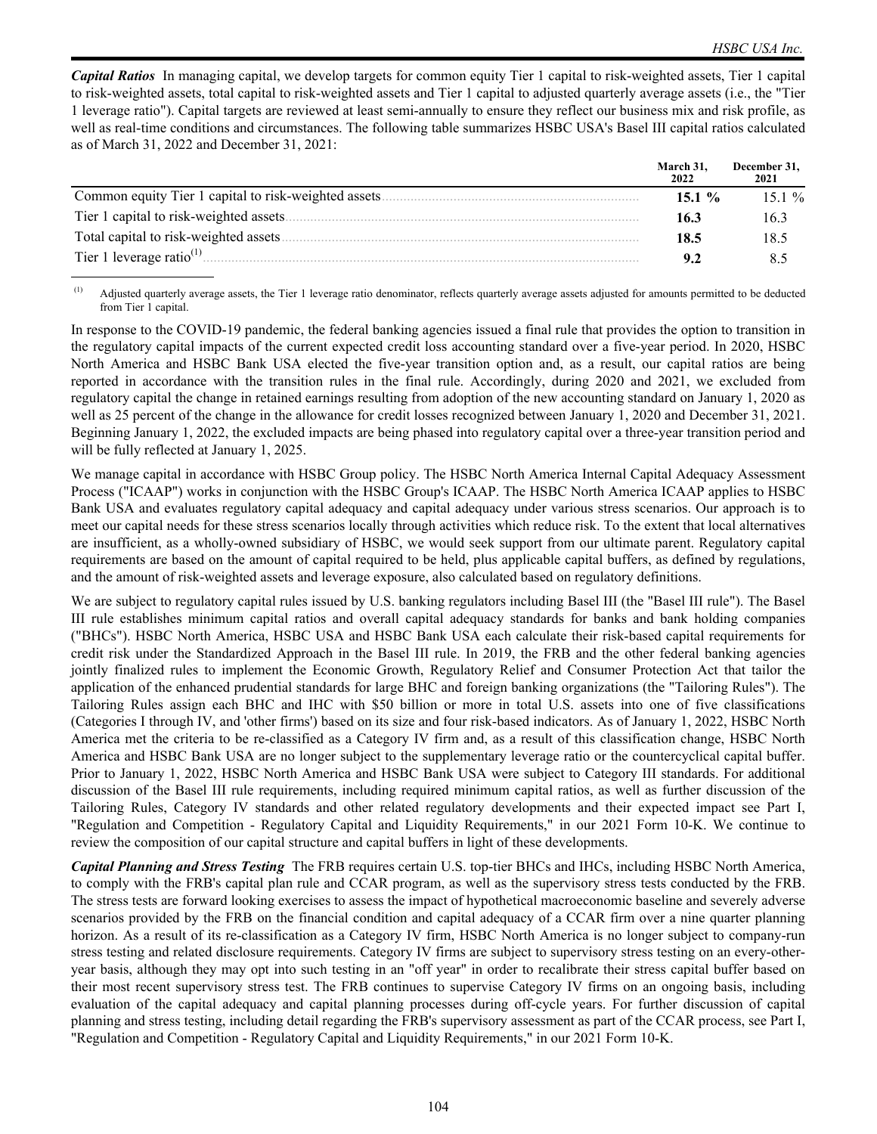*Capital Ratios* In managing capital, we develop targets for common equity Tier 1 capital to risk-weighted assets, Tier 1 capital to risk-weighted assets, total capital to risk-weighted assets and Tier 1 capital to adjusted quarterly average assets (i.e., the "Tier 1 leverage ratio"). Capital targets are reviewed at least semi-annually to ensure they reflect our business mix and risk profile, as well as real-time conditions and circumstances. The following table summarizes HSBC USA's Basel III capital ratios calculated as of March 31, 2022 and December 31, 2021:

|                                                      | March 31,<br>2022 | December 31,<br>2021 |
|------------------------------------------------------|-------------------|----------------------|
| Common equity Tier 1 capital to risk-weighted assets | 15.1 $\%$         | $15.1\%$             |
| Tier 1 capital to risk-weighted assets.              | 16.3              | 16.3                 |
| Total capital to risk-weighted assets                | 18.5              | 18.5                 |
| Tier 1 leverage ratio <sup>(1)</sup> .               |                   |                      |

(1) Adjusted quarterly average assets, the Tier 1 leverage ratio denominator, reflects quarterly average assets adjusted for amounts permitted to be deducted from Tier 1 capital.

In response to the COVID-19 pandemic, the federal banking agencies issued a final rule that provides the option to transition in the regulatory capital impacts of the current expected credit loss accounting standard over a five-year period. In 2020, HSBC North America and HSBC Bank USA elected the five-year transition option and, as a result, our capital ratios are being reported in accordance with the transition rules in the final rule. Accordingly, during 2020 and 2021, we excluded from regulatory capital the change in retained earnings resulting from adoption of the new accounting standard on January 1, 2020 as well as 25 percent of the change in the allowance for credit losses recognized between January 1, 2020 and December 31, 2021. Beginning January 1, 2022, the excluded impacts are being phased into regulatory capital over a three-year transition period and will be fully reflected at January 1, 2025.

We manage capital in accordance with HSBC Group policy. The HSBC North America Internal Capital Adequacy Assessment Process ("ICAAP") works in conjunction with the HSBC Group's ICAAP. The HSBC North America ICAAP applies to HSBC Bank USA and evaluates regulatory capital adequacy and capital adequacy under various stress scenarios. Our approach is to meet our capital needs for these stress scenarios locally through activities which reduce risk. To the extent that local alternatives are insufficient, as a wholly-owned subsidiary of HSBC, we would seek support from our ultimate parent. Regulatory capital requirements are based on the amount of capital required to be held, plus applicable capital buffers, as defined by regulations, and the amount of risk-weighted assets and leverage exposure, also calculated based on regulatory definitions.

We are subject to regulatory capital rules issued by U.S. banking regulators including Basel III (the "Basel III rule"). The Basel III rule establishes minimum capital ratios and overall capital adequacy standards for banks and bank holding companies ("BHCs"). HSBC North America, HSBC USA and HSBC Bank USA each calculate their risk-based capital requirements for credit risk under the Standardized Approach in the Basel III rule. In 2019, the FRB and the other federal banking agencies jointly finalized rules to implement the Economic Growth, Regulatory Relief and Consumer Protection Act that tailor the application of the enhanced prudential standards for large BHC and foreign banking organizations (the "Tailoring Rules"). The Tailoring Rules assign each BHC and IHC with \$50 billion or more in total U.S. assets into one of five classifications (Categories I through IV, and 'other firms') based on its size and four risk-based indicators. As of January 1, 2022, HSBC North America met the criteria to be re-classified as a Category IV firm and, as a result of this classification change, HSBC North America and HSBC Bank USA are no longer subject to the supplementary leverage ratio or the countercyclical capital buffer. Prior to January 1, 2022, HSBC North America and HSBC Bank USA were subject to Category III standards. For additional discussion of the Basel III rule requirements, including required minimum capital ratios, as well as further discussion of the Tailoring Rules, Category IV standards and other related regulatory developments and their expected impact see Part I, "Regulation and Competition - Regulatory Capital and Liquidity Requirements," in our 2021 Form 10-K. We continue to review the composition of our capital structure and capital buffers in light of these developments.

*Capital Planning and Stress Testing* The FRB requires certain U.S. top-tier BHCs and IHCs, including HSBC North America, to comply with the FRB's capital plan rule and CCAR program, as well as the supervisory stress tests conducted by the FRB. The stress tests are forward looking exercises to assess the impact of hypothetical macroeconomic baseline and severely adverse scenarios provided by the FRB on the financial condition and capital adequacy of a CCAR firm over a nine quarter planning horizon. As a result of its re-classification as a Category IV firm, HSBC North America is no longer subject to company-run stress testing and related disclosure requirements. Category IV firms are subject to supervisory stress testing on an every-otheryear basis, although they may opt into such testing in an "off year" in order to recalibrate their stress capital buffer based on their most recent supervisory stress test. The FRB continues to supervise Category IV firms on an ongoing basis, including evaluation of the capital adequacy and capital planning processes during off-cycle years. For further discussion of capital planning and stress testing, including detail regarding the FRB's supervisory assessment as part of the CCAR process, see Part I, "Regulation and Competition - Regulatory Capital and Liquidity Requirements," in our 2021 Form 10-K.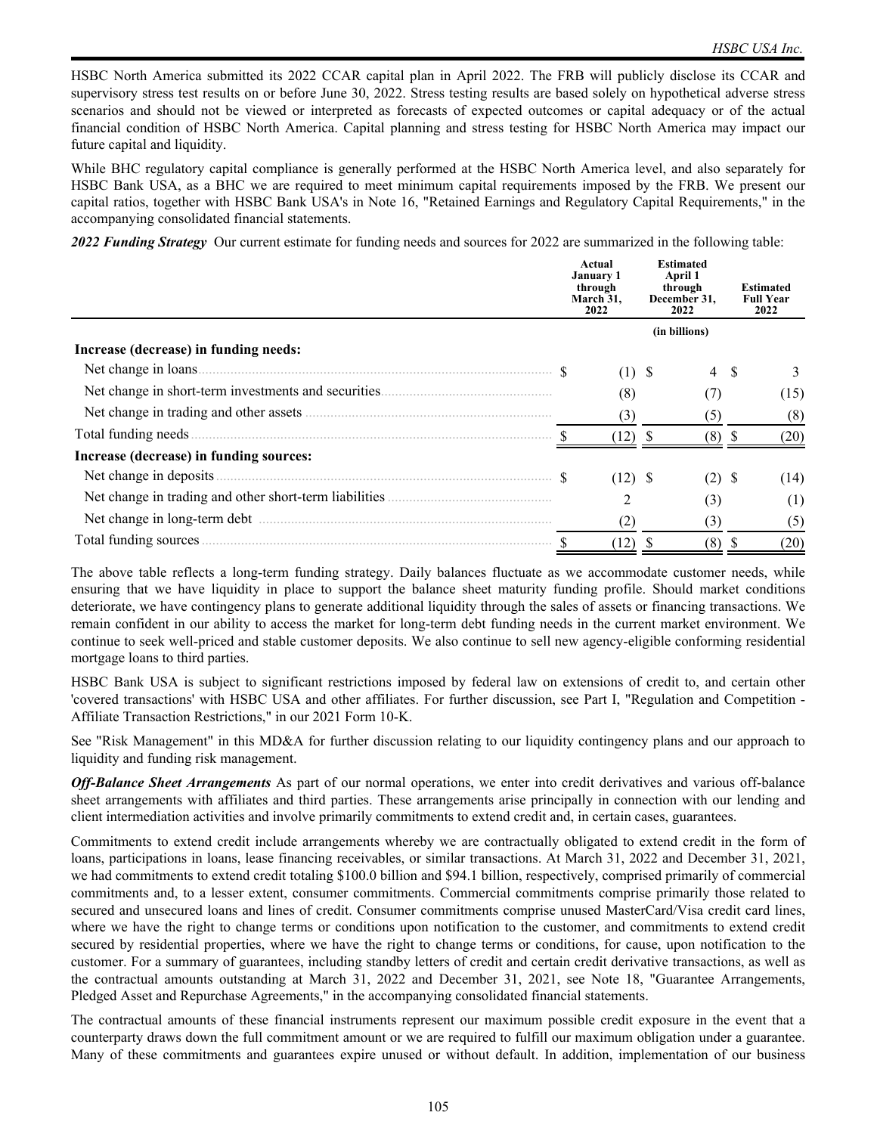HSBC North America submitted its 2022 CCAR capital plan in April 2022. The FRB will publicly disclose its CCAR and supervisory stress test results on or before June 30, 2022. Stress testing results are based solely on hypothetical adverse stress scenarios and should not be viewed or interpreted as forecasts of expected outcomes or capital adequacy or of the actual financial condition of HSBC North America. Capital planning and stress testing for HSBC North America may impact our future capital and liquidity.

While BHC regulatory capital compliance is generally performed at the HSBC North America level, and also separately for HSBC Bank USA, as a BHC we are required to meet minimum capital requirements imposed by the FRB. We present our capital ratios, together with HSBC Bank USA's in Note 16, "Retained Earnings and Regulatory Capital Requirements," in the accompanying consolidated financial statements.

*2022 Funding Strategy* Our current estimate for funding needs and sources for 2022 are summarized in the following table:

|                                         |  | Actual<br>January 1<br>through<br>March 31,<br>2022 | <b>Estimated</b><br>April 1<br>through<br>December 31,<br>2022 |               |   | <b>Estimated</b><br><b>Full Year</b><br>2022 |
|-----------------------------------------|--|-----------------------------------------------------|----------------------------------------------------------------|---------------|---|----------------------------------------------|
|                                         |  |                                                     |                                                                | (in billions) |   |                                              |
| Increase (decrease) in funding needs:   |  |                                                     |                                                                |               |   |                                              |
|                                         |  | $(1)$ \$                                            |                                                                | 4             | S |                                              |
|                                         |  | (8)                                                 |                                                                | (7)           |   | (15)                                         |
|                                         |  | (3)                                                 |                                                                | (5)           |   | (8)                                          |
|                                         |  | (12)                                                |                                                                | (8)           |   | (20)                                         |
| Increase (decrease) in funding sources: |  |                                                     |                                                                |               |   |                                              |
|                                         |  | $(12)$ \$                                           |                                                                | $(2)$ \$      |   | (14)                                         |
|                                         |  |                                                     |                                                                | (3)           |   | (1)                                          |
|                                         |  | (2)                                                 |                                                                | (3)           |   | (5)                                          |
|                                         |  | (12)                                                |                                                                | (8)           | S | (20)                                         |

The above table reflects a long-term funding strategy. Daily balances fluctuate as we accommodate customer needs, while ensuring that we have liquidity in place to support the balance sheet maturity funding profile. Should market conditions deteriorate, we have contingency plans to generate additional liquidity through the sales of assets or financing transactions. We remain confident in our ability to access the market for long-term debt funding needs in the current market environment. We continue to seek well-priced and stable customer deposits. We also continue to sell new agency-eligible conforming residential mortgage loans to third parties.

HSBC Bank USA is subject to significant restrictions imposed by federal law on extensions of credit to, and certain other 'covered transactions' with HSBC USA and other affiliates. For further discussion, see Part I, "Regulation and Competition - Affiliate Transaction Restrictions," in our 2021 Form 10-K.

See "Risk Management" in this MD&A for further discussion relating to our liquidity contingency plans and our approach to liquidity and funding risk management.

*Off-Balance Sheet Arrangements* As part of our normal operations, we enter into credit derivatives and various off-balance sheet arrangements with affiliates and third parties. These arrangements arise principally in connection with our lending and client intermediation activities and involve primarily commitments to extend credit and, in certain cases, guarantees.

Commitments to extend credit include arrangements whereby we are contractually obligated to extend credit in the form of loans, participations in loans, lease financing receivables, or similar transactions. At March 31, 2022 and December 31, 2021, we had commitments to extend credit totaling \$100.0 billion and \$94.1 billion, respectively, comprised primarily of commercial commitments and, to a lesser extent, consumer commitments. Commercial commitments comprise primarily those related to secured and unsecured loans and lines of credit. Consumer commitments comprise unused MasterCard/Visa credit card lines, where we have the right to change terms or conditions upon notification to the customer, and commitments to extend credit secured by residential properties, where we have the right to change terms or conditions, for cause, upon notification to the customer. For a summary of guarantees, including standby letters of credit and certain credit derivative transactions, as well as the contractual amounts outstanding at March 31, 2022 and December 31, 2021, see Note 18, "Guarantee Arrangements, Pledged Asset and Repurchase Agreements," in the accompanying consolidated financial statements.

The contractual amounts of these financial instruments represent our maximum possible credit exposure in the event that a counterparty draws down the full commitment amount or we are required to fulfill our maximum obligation under a guarantee. Many of these commitments and guarantees expire unused or without default. In addition, implementation of our business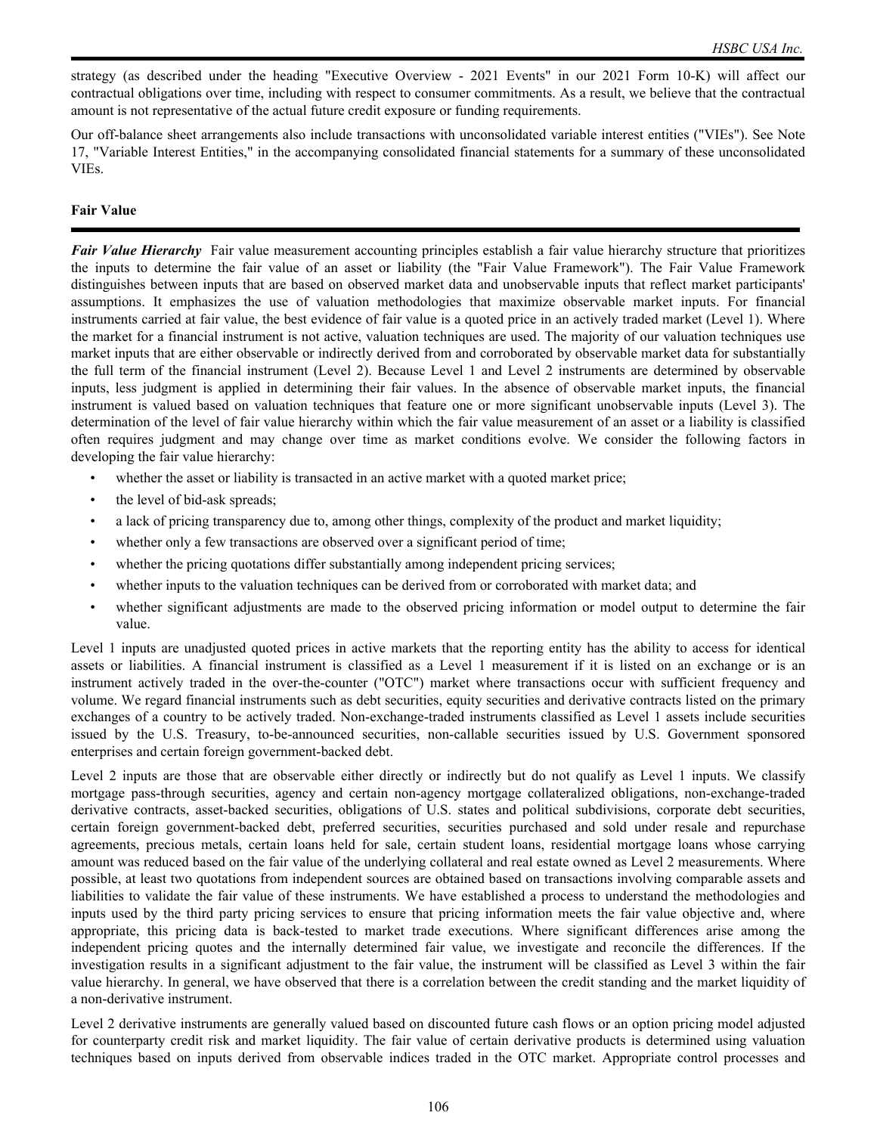strategy (as described under the heading "Executive Overview - 2021 Events" in our 2021 Form 10-K) will affect our contractual obligations over time, including with respect to consumer commitments. As a result, we believe that the contractual amount is not representative of the actual future credit exposure or funding requirements.

Our off-balance sheet arrangements also include transactions with unconsolidated variable interest entities ("VIEs"). See Note 17, "Variable Interest Entities," in the accompanying consolidated financial statements for a summary of these unconsolidated VIEs.

# **Fair Value**

*Fair Value Hierarchy* Fair value measurement accounting principles establish a fair value hierarchy structure that prioritizes the inputs to determine the fair value of an asset or liability (the "Fair Value Framework"). The Fair Value Framework distinguishes between inputs that are based on observed market data and unobservable inputs that reflect market participants' assumptions. It emphasizes the use of valuation methodologies that maximize observable market inputs. For financial instruments carried at fair value, the best evidence of fair value is a quoted price in an actively traded market (Level 1). Where the market for a financial instrument is not active, valuation techniques are used. The majority of our valuation techniques use market inputs that are either observable or indirectly derived from and corroborated by observable market data for substantially the full term of the financial instrument (Level 2). Because Level 1 and Level 2 instruments are determined by observable inputs, less judgment is applied in determining their fair values. In the absence of observable market inputs, the financial instrument is valued based on valuation techniques that feature one or more significant unobservable inputs (Level 3). The determination of the level of fair value hierarchy within which the fair value measurement of an asset or a liability is classified often requires judgment and may change over time as market conditions evolve. We consider the following factors in developing the fair value hierarchy:

- whether the asset or liability is transacted in an active market with a quoted market price;
- the level of bid-ask spreads;
- a lack of pricing transparency due to, among other things, complexity of the product and market liquidity;
- whether only a few transactions are observed over a significant period of time;
- whether the pricing quotations differ substantially among independent pricing services;
- whether inputs to the valuation techniques can be derived from or corroborated with market data; and
- whether significant adjustments are made to the observed pricing information or model output to determine the fair value.

Level 1 inputs are unadjusted quoted prices in active markets that the reporting entity has the ability to access for identical assets or liabilities. A financial instrument is classified as a Level 1 measurement if it is listed on an exchange or is an instrument actively traded in the over-the-counter ("OTC") market where transactions occur with sufficient frequency and volume. We regard financial instruments such as debt securities, equity securities and derivative contracts listed on the primary exchanges of a country to be actively traded. Non-exchange-traded instruments classified as Level 1 assets include securities issued by the U.S. Treasury, to-be-announced securities, non-callable securities issued by U.S. Government sponsored enterprises and certain foreign government-backed debt.

Level 2 inputs are those that are observable either directly or indirectly but do not qualify as Level 1 inputs. We classify mortgage pass-through securities, agency and certain non-agency mortgage collateralized obligations, non-exchange-traded derivative contracts, asset-backed securities, obligations of U.S. states and political subdivisions, corporate debt securities, certain foreign government-backed debt, preferred securities, securities purchased and sold under resale and repurchase agreements, precious metals, certain loans held for sale, certain student loans, residential mortgage loans whose carrying amount was reduced based on the fair value of the underlying collateral and real estate owned as Level 2 measurements. Where possible, at least two quotations from independent sources are obtained based on transactions involving comparable assets and liabilities to validate the fair value of these instruments. We have established a process to understand the methodologies and inputs used by the third party pricing services to ensure that pricing information meets the fair value objective and, where appropriate, this pricing data is back-tested to market trade executions. Where significant differences arise among the independent pricing quotes and the internally determined fair value, we investigate and reconcile the differences. If the investigation results in a significant adjustment to the fair value, the instrument will be classified as Level 3 within the fair value hierarchy. In general, we have observed that there is a correlation between the credit standing and the market liquidity of a non-derivative instrument.

Level 2 derivative instruments are generally valued based on discounted future cash flows or an option pricing model adjusted for counterparty credit risk and market liquidity. The fair value of certain derivative products is determined using valuation techniques based on inputs derived from observable indices traded in the OTC market. Appropriate control processes and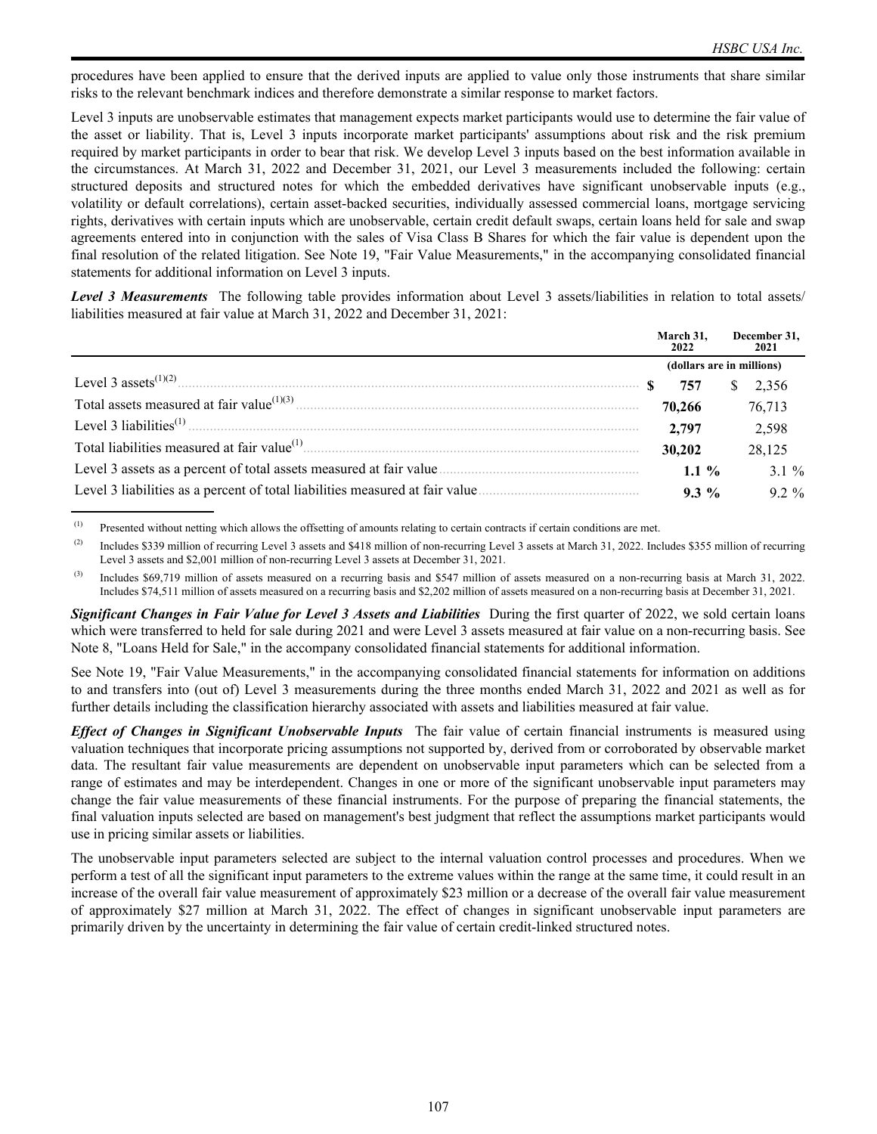procedures have been applied to ensure that the derived inputs are applied to value only those instruments that share similar risks to the relevant benchmark indices and therefore demonstrate a similar response to market factors.

Level 3 inputs are unobservable estimates that management expects market participants would use to determine the fair value of the asset or liability. That is, Level 3 inputs incorporate market participants' assumptions about risk and the risk premium required by market participants in order to bear that risk. We develop Level 3 inputs based on the best information available in the circumstances. At March 31, 2022 and December 31, 2021, our Level 3 measurements included the following: certain structured deposits and structured notes for which the embedded derivatives have significant unobservable inputs (e.g., volatility or default correlations), certain asset-backed securities, individually assessed commercial loans, mortgage servicing rights, derivatives with certain inputs which are unobservable, certain credit default swaps, certain loans held for sale and swap agreements entered into in conjunction with the sales of Visa Class B Shares for which the fair value is dependent upon the final resolution of the related litigation. See Note 19, "Fair Value Measurements," in the accompanying consolidated financial statements for additional information on Level 3 inputs.

*Level 3 Measurements* The following table provides information about Level 3 assets/liabilities in relation to total assets/ liabilities measured at fair value at March 31, 2022 and December 31, 2021:

|                                                   | March 31,<br>2022 |                           | December 31,<br>2021 |
|---------------------------------------------------|-------------------|---------------------------|----------------------|
|                                                   |                   | (dollars are in millions) |                      |
|                                                   |                   | 757<br>S                  | 2,356                |
|                                                   | 70,266            |                           | 76,713               |
| Level 3 liabilities <sup><math>(1)</math></sup> . | 2.797             |                           | 2,598                |
|                                                   | 30,202            |                           | 28,125               |
|                                                   |                   | $1.1\%$                   | $3.1\%$              |
|                                                   |                   | $9.3\%$                   | $92\%$               |

<sup>(1)</sup> Presented without netting which allows the offsetting of amounts relating to certain contracts if certain conditions are met.

<sup>(2)</sup> Includes \$339 million of recurring Level 3 assets and \$418 million of non-recurring Level 3 assets at March 31, 2022. Includes \$355 million of recurring Level 3 assets and \$2,001 million of non-recurring Level 3 assets at December 31, 2021.

 $^{(3)}$  Includes \$69,719 million of assets measured on a recurring basis and \$547 million of assets measured on a non-recurring basis at March 31, 2022. Includes \$74,511 million of assets measured on a recurring basis and \$2,202 million of assets measured on a non-recurring basis at December 31, 2021.

*Significant Changes in Fair Value for Level 3 Assets and Liabilities* During the first quarter of 2022, we sold certain loans which were transferred to held for sale during 2021 and were Level 3 assets measured at fair value on a non-recurring basis. See Note 8, "Loans Held for Sale," in the accompany consolidated financial statements for additional information.

See Note 19, "Fair Value Measurements," in the accompanying consolidated financial statements for information on additions to and transfers into (out of) Level 3 measurements during the three months ended March 31, 2022 and 2021 as well as for further details including the classification hierarchy associated with assets and liabilities measured at fair value.

*Effect of Changes in Significant Unobservable Inputs* The fair value of certain financial instruments is measured using valuation techniques that incorporate pricing assumptions not supported by, derived from or corroborated by observable market data. The resultant fair value measurements are dependent on unobservable input parameters which can be selected from a range of estimates and may be interdependent. Changes in one or more of the significant unobservable input parameters may change the fair value measurements of these financial instruments. For the purpose of preparing the financial statements, the final valuation inputs selected are based on management's best judgment that reflect the assumptions market participants would use in pricing similar assets or liabilities.

The unobservable input parameters selected are subject to the internal valuation control processes and procedures. When we perform a test of all the significant input parameters to the extreme values within the range at the same time, it could result in an increase of the overall fair value measurement of approximately \$23 million or a decrease of the overall fair value measurement of approximately \$27 million at March 31, 2022. The effect of changes in significant unobservable input parameters are primarily driven by the uncertainty in determining the fair value of certain credit-linked structured notes.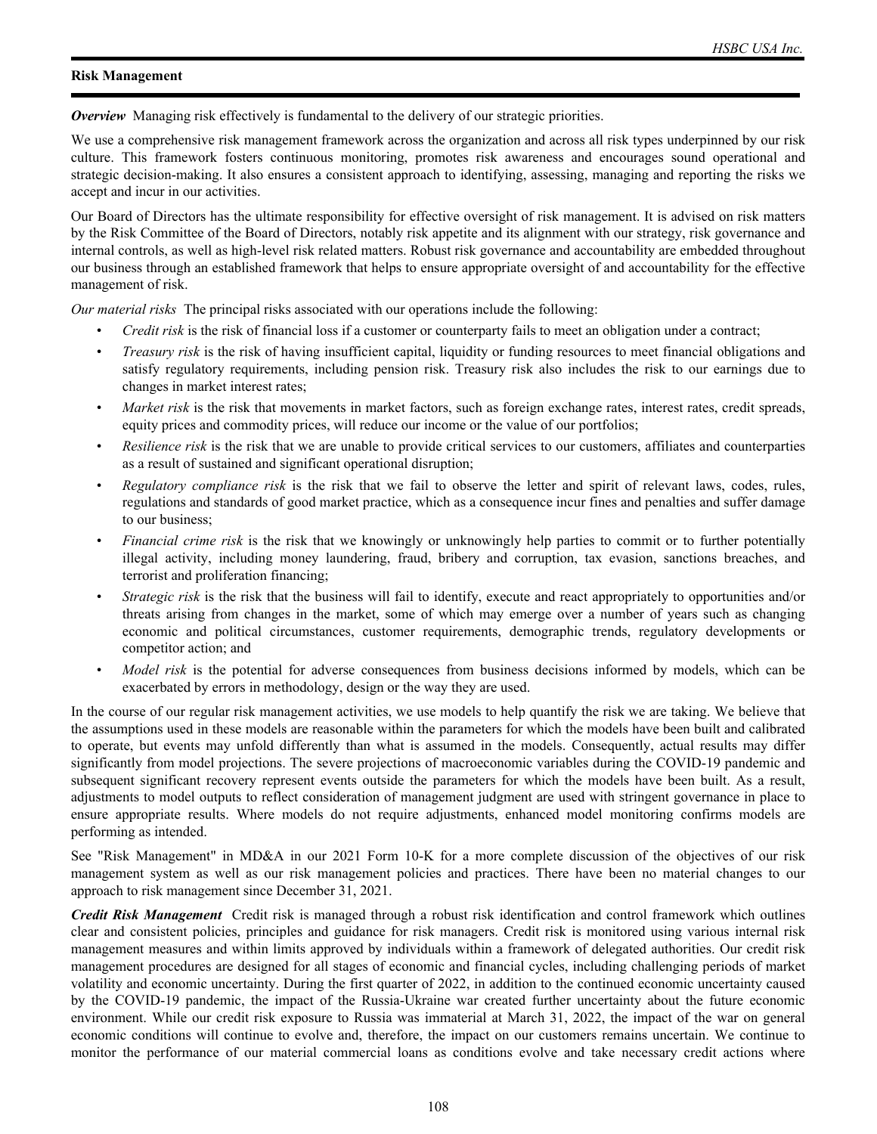#### **Risk Management**

*Overview* Managing risk effectively is fundamental to the delivery of our strategic priorities.

We use a comprehensive risk management framework across the organization and across all risk types underpinned by our risk culture. This framework fosters continuous monitoring, promotes risk awareness and encourages sound operational and strategic decision-making. It also ensures a consistent approach to identifying, assessing, managing and reporting the risks we accept and incur in our activities.

Our Board of Directors has the ultimate responsibility for effective oversight of risk management. It is advised on risk matters by the Risk Committee of the Board of Directors, notably risk appetite and its alignment with our strategy, risk governance and internal controls, as well as high-level risk related matters. Robust risk governance and accountability are embedded throughout our business through an established framework that helps to ensure appropriate oversight of and accountability for the effective management of risk.

*Our material risks* The principal risks associated with our operations include the following:

- *Credit risk* is the risk of financial loss if a customer or counterparty fails to meet an obligation under a contract;
- *Treasury risk* is the risk of having insufficient capital, liquidity or funding resources to meet financial obligations and satisfy regulatory requirements, including pension risk. Treasury risk also includes the risk to our earnings due to changes in market interest rates;
- *Market risk* is the risk that movements in market factors, such as foreign exchange rates, interest rates, credit spreads, equity prices and commodity prices, will reduce our income or the value of our portfolios;
- *Resilience risk* is the risk that we are unable to provide critical services to our customers, affiliates and counterparties as a result of sustained and significant operational disruption;
- *Regulatory compliance risk* is the risk that we fail to observe the letter and spirit of relevant laws, codes, rules, regulations and standards of good market practice, which as a consequence incur fines and penalties and suffer damage to our business;
- *Financial crime risk* is the risk that we knowingly or unknowingly help parties to commit or to further potentially illegal activity, including money laundering, fraud, bribery and corruption, tax evasion, sanctions breaches, and terrorist and proliferation financing;
- *Strategic risk* is the risk that the business will fail to identify, execute and react appropriately to opportunities and/or threats arising from changes in the market, some of which may emerge over a number of years such as changing economic and political circumstances, customer requirements, demographic trends, regulatory developments or competitor action; and
- *Model risk* is the potential for adverse consequences from business decisions informed by models, which can be exacerbated by errors in methodology, design or the way they are used.

In the course of our regular risk management activities, we use models to help quantify the risk we are taking. We believe that the assumptions used in these models are reasonable within the parameters for which the models have been built and calibrated to operate, but events may unfold differently than what is assumed in the models. Consequently, actual results may differ significantly from model projections. The severe projections of macroeconomic variables during the COVID-19 pandemic and subsequent significant recovery represent events outside the parameters for which the models have been built. As a result, adjustments to model outputs to reflect consideration of management judgment are used with stringent governance in place to ensure appropriate results. Where models do not require adjustments, enhanced model monitoring confirms models are performing as intended.

See "Risk Management" in MD&A in our 2021 Form 10-K for a more complete discussion of the objectives of our risk management system as well as our risk management policies and practices. There have been no material changes to our approach to risk management since December 31, 2021.

*Credit Risk Management* Credit risk is managed through a robust risk identification and control framework which outlines clear and consistent policies, principles and guidance for risk managers. Credit risk is monitored using various internal risk management measures and within limits approved by individuals within a framework of delegated authorities. Our credit risk management procedures are designed for all stages of economic and financial cycles, including challenging periods of market volatility and economic uncertainty. During the first quarter of 2022, in addition to the continued economic uncertainty caused by the COVID-19 pandemic, the impact of the Russia-Ukraine war created further uncertainty about the future economic environment. While our credit risk exposure to Russia was immaterial at March 31, 2022, the impact of the war on general economic conditions will continue to evolve and, therefore, the impact on our customers remains uncertain. We continue to monitor the performance of our material commercial loans as conditions evolve and take necessary credit actions where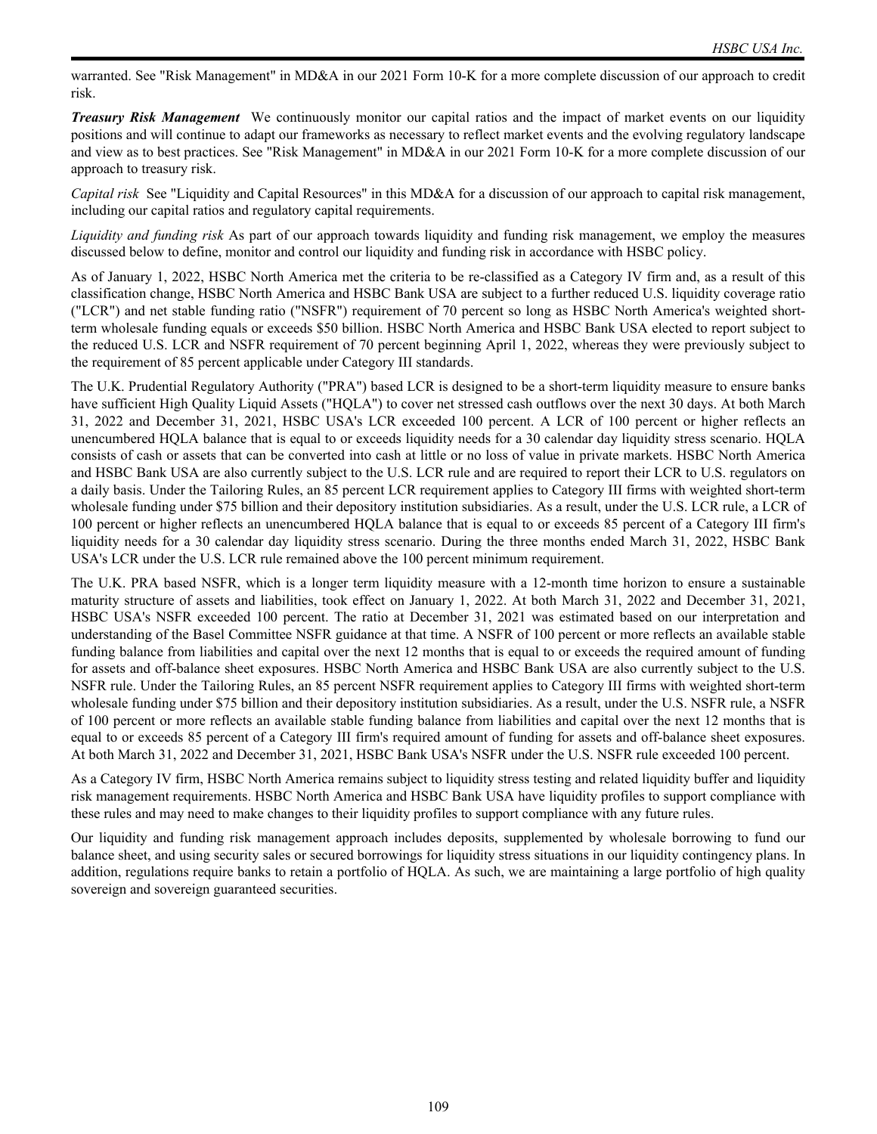warranted. See "Risk Management" in MD&A in our 2021 Form 10-K for a more complete discussion of our approach to credit risk.

*Treasury Risk Management* We continuously monitor our capital ratios and the impact of market events on our liquidity positions and will continue to adapt our frameworks as necessary to reflect market events and the evolving regulatory landscape and view as to best practices. See "Risk Management" in MD&A in our 2021 Form 10-K for a more complete discussion of our approach to treasury risk.

*Capital risk* See "Liquidity and Capital Resources" in this MD&A for a discussion of our approach to capital risk management, including our capital ratios and regulatory capital requirements.

*Liquidity and funding risk* As part of our approach towards liquidity and funding risk management, we employ the measures discussed below to define, monitor and control our liquidity and funding risk in accordance with HSBC policy.

As of January 1, 2022, HSBC North America met the criteria to be re-classified as a Category IV firm and, as a result of this classification change, HSBC North America and HSBC Bank USA are subject to a further reduced U.S. liquidity coverage ratio ("LCR") and net stable funding ratio ("NSFR") requirement of 70 percent so long as HSBC North America's weighted shortterm wholesale funding equals or exceeds \$50 billion. HSBC North America and HSBC Bank USA elected to report subject to the reduced U.S. LCR and NSFR requirement of 70 percent beginning April 1, 2022, whereas they were previously subject to the requirement of 85 percent applicable under Category III standards.

The U.K. Prudential Regulatory Authority ("PRA") based LCR is designed to be a short-term liquidity measure to ensure banks have sufficient High Quality Liquid Assets ("HQLA") to cover net stressed cash outflows over the next 30 days. At both March 31, 2022 and December 31, 2021, HSBC USA's LCR exceeded 100 percent. A LCR of 100 percent or higher reflects an unencumbered HQLA balance that is equal to or exceeds liquidity needs for a 30 calendar day liquidity stress scenario. HQLA consists of cash or assets that can be converted into cash at little or no loss of value in private markets. HSBC North America and HSBC Bank USA are also currently subject to the U.S. LCR rule and are required to report their LCR to U.S. regulators on a daily basis. Under the Tailoring Rules, an 85 percent LCR requirement applies to Category III firms with weighted short-term wholesale funding under \$75 billion and their depository institution subsidiaries. As a result, under the U.S. LCR rule, a LCR of 100 percent or higher reflects an unencumbered HQLA balance that is equal to or exceeds 85 percent of a Category III firm's liquidity needs for a 30 calendar day liquidity stress scenario. During the three months ended March 31, 2022, HSBC Bank USA's LCR under the U.S. LCR rule remained above the 100 percent minimum requirement.

The U.K. PRA based NSFR, which is a longer term liquidity measure with a 12-month time horizon to ensure a sustainable maturity structure of assets and liabilities, took effect on January 1, 2022. At both March 31, 2022 and December 31, 2021, HSBC USA's NSFR exceeded 100 percent. The ratio at December 31, 2021 was estimated based on our interpretation and understanding of the Basel Committee NSFR guidance at that time. A NSFR of 100 percent or more reflects an available stable funding balance from liabilities and capital over the next 12 months that is equal to or exceeds the required amount of funding for assets and off-balance sheet exposures. HSBC North America and HSBC Bank USA are also currently subject to the U.S. NSFR rule. Under the Tailoring Rules, an 85 percent NSFR requirement applies to Category III firms with weighted short-term wholesale funding under \$75 billion and their depository institution subsidiaries. As a result, under the U.S. NSFR rule, a NSFR of 100 percent or more reflects an available stable funding balance from liabilities and capital over the next 12 months that is equal to or exceeds 85 percent of a Category III firm's required amount of funding for assets and off-balance sheet exposures. At both March 31, 2022 and December 31, 2021, HSBC Bank USA's NSFR under the U.S. NSFR rule exceeded 100 percent.

As a Category IV firm, HSBC North America remains subject to liquidity stress testing and related liquidity buffer and liquidity risk management requirements. HSBC North America and HSBC Bank USA have liquidity profiles to support compliance with these rules and may need to make changes to their liquidity profiles to support compliance with any future rules.

Our liquidity and funding risk management approach includes deposits, supplemented by wholesale borrowing to fund our balance sheet, and using security sales or secured borrowings for liquidity stress situations in our liquidity contingency plans. In addition, regulations require banks to retain a portfolio of HQLA. As such, we are maintaining a large portfolio of high quality sovereign and sovereign guaranteed securities.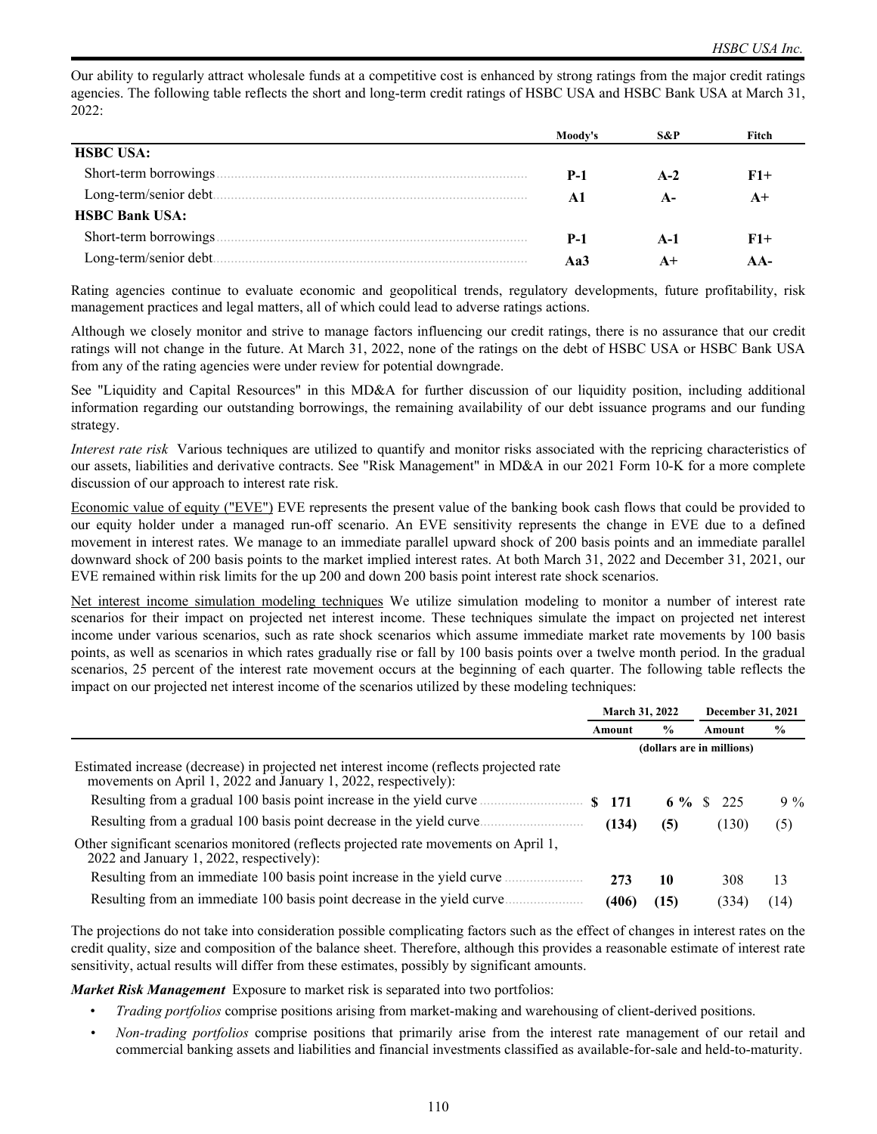Our ability to regularly attract wholesale funds at a competitive cost is enhanced by strong ratings from the major credit ratings agencies. The following table reflects the short and long-term credit ratings of HSBC USA and HSBC Bank USA at March 31, 2022:

|                        | Moody's    | $S\&P$ | Fitch |
|------------------------|------------|--------|-------|
| <b>HSBC USA:</b>       |            |        |       |
| Short-term borrowings. | <b>P-1</b> | $A-2$  | $F1+$ |
| Long-term/senior debt  |            | А-     | $A+$  |
| <b>HSBC Bank USA:</b>  |            |        |       |
| Short-term borrowings. | <b>P-1</b> | $A-1$  | $F1+$ |
| Long-term/senior debt. | Aa3        |        | $AA-$ |

Rating agencies continue to evaluate economic and geopolitical trends, regulatory developments, future profitability, risk management practices and legal matters, all of which could lead to adverse ratings actions.

Although we closely monitor and strive to manage factors influencing our credit ratings, there is no assurance that our credit ratings will not change in the future. At March 31, 2022, none of the ratings on the debt of HSBC USA or HSBC Bank USA from any of the rating agencies were under review for potential downgrade.

See "Liquidity and Capital Resources" in this MD&A for further discussion of our liquidity position, including additional information regarding our outstanding borrowings, the remaining availability of our debt issuance programs and our funding strategy.

*Interest rate risk* Various techniques are utilized to quantify and monitor risks associated with the repricing characteristics of our assets, liabilities and derivative contracts. See "Risk Management" in MD&A in our 2021 Form 10-K for a more complete discussion of our approach to interest rate risk.

Economic value of equity ("EVE") EVE represents the present value of the banking book cash flows that could be provided to our equity holder under a managed run-off scenario. An EVE sensitivity represents the change in EVE due to a defined movement in interest rates. We manage to an immediate parallel upward shock of 200 basis points and an immediate parallel downward shock of 200 basis points to the market implied interest rates. At both March 31, 2022 and December 31, 2021, our EVE remained within risk limits for the up 200 and down 200 basis point interest rate shock scenarios.

Net interest income simulation modeling techniques We utilize simulation modeling to monitor a number of interest rate scenarios for their impact on projected net interest income. These techniques simulate the impact on projected net interest income under various scenarios, such as rate shock scenarios which assume immediate market rate movements by 100 basis points, as well as scenarios in which rates gradually rise or fall by 100 basis points over a twelve month period. In the gradual scenarios, 25 percent of the interest rate movement occurs at the beginning of each quarter. The following table reflects the impact on our projected net interest income of the scenarios utilized by these modeling techniques:

|                                                                                                                                                           |        | <b>March 31, 2022</b> |                           | December 31, 2021 |
|-----------------------------------------------------------------------------------------------------------------------------------------------------------|--------|-----------------------|---------------------------|-------------------|
|                                                                                                                                                           | Amount | $\frac{6}{9}$         | Amount                    | $\%$              |
|                                                                                                                                                           |        |                       | (dollars are in millions) |                   |
| Estimated increase (decrease) in projected net interest income (reflects projected rate<br>movements on April 1, 2022 and January 1, 2022, respectively): |        |                       |                           |                   |
| Resulting from a gradual 100 basis point increase in the yield curve.                                                                                     | 171    | 6 %                   | 225                       | $9\%$             |
| Resulting from a gradual 100 basis point decrease in the yield curve.                                                                                     | (134)  | (5)                   | (130)                     | (5)               |
| Other significant scenarios monitored (reflects projected rate movements on April 1,<br>2022 and January 1, 2022, respectively):                          |        |                       |                           |                   |
| Resulting from an immediate 100 basis point increase in the yield curve                                                                                   | 273    | 10                    | 308                       | 13                |
| Resulting from an immediate 100 basis point decrease in the yield curve.                                                                                  | (406)  | (15)                  | (334)                     | (14)              |

The projections do not take into consideration possible complicating factors such as the effect of changes in interest rates on the credit quality, size and composition of the balance sheet. Therefore, although this provides a reasonable estimate of interest rate sensitivity, actual results will differ from these estimates, possibly by significant amounts.

*Market Risk Management* Exposure to market risk is separated into two portfolios:

- *Trading portfolios* comprise positions arising from market-making and warehousing of client-derived positions.
- *• Non-trading portfolios* comprise positions that primarily arise from the interest rate management of our retail and commercial banking assets and liabilities and financial investments classified as available-for-sale and held-to-maturity.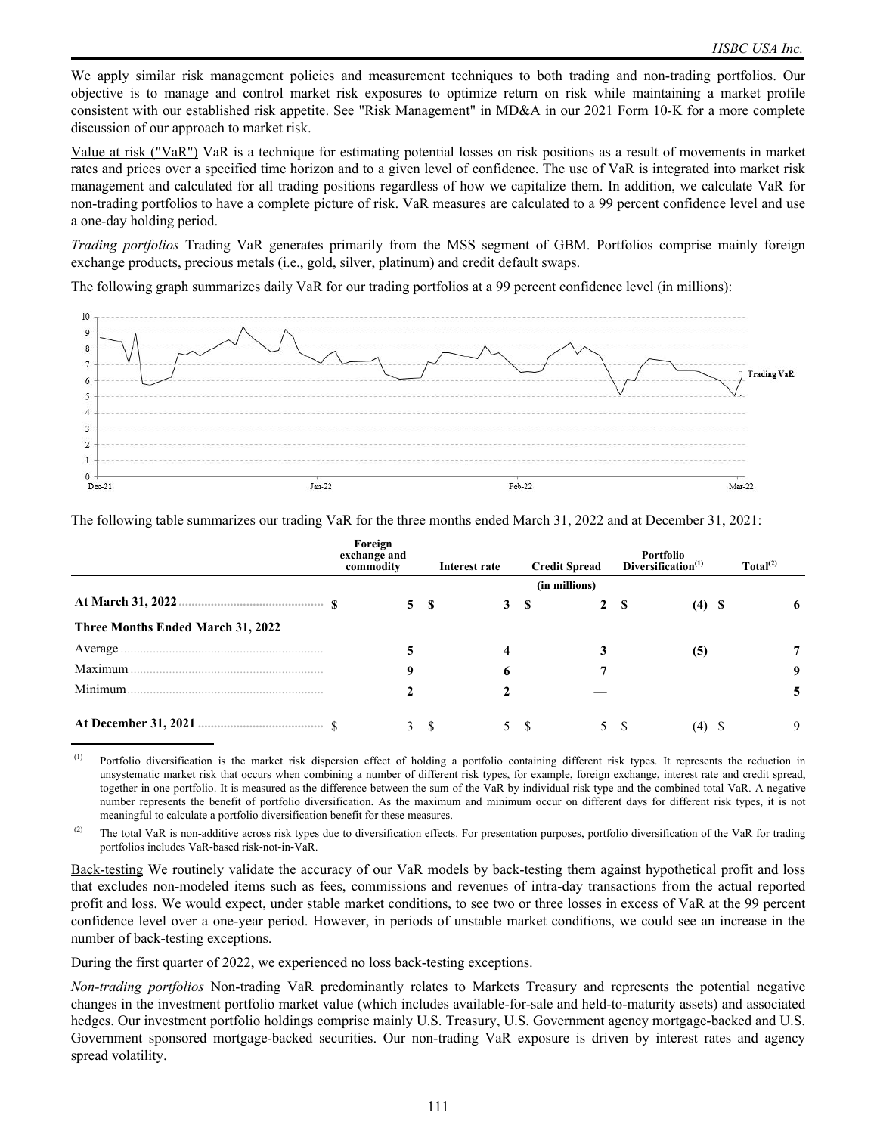We apply similar risk management policies and measurement techniques to both trading and non-trading portfolios. Our objective is to manage and control market risk exposures to optimize return on risk while maintaining a market profile consistent with our established risk appetite. See "Risk Management" in MD&A in our 2021 Form 10-K for a more complete discussion of our approach to market risk.

Value at risk ("VaR") VaR is a technique for estimating potential losses on risk positions as a result of movements in market rates and prices over a specified time horizon and to a given level of confidence. The use of VaR is integrated into market risk management and calculated for all trading positions regardless of how we capitalize them. In addition, we calculate VaR for non-trading portfolios to have a complete picture of risk. VaR measures are calculated to a 99 percent confidence level and use a one-day holding period.

*Trading portfolios* Trading VaR generates primarily from the MSS segment of GBM. Portfolios comprise mainly foreign exchange products, precious metals (i.e., gold, silver, platinum) and credit default swaps.

The following graph summarizes daily VaR for our trading portfolios at a 99 percent confidence level (in millions):



The following table summarizes our trading VaR for the three months ended March 31, 2022 and at December 31, 2021:

|                                   | Foreign<br>exchange and<br>commodity |   | Interest rate |    | <b>Credit Spread</b> | Portfolio<br>Diversification <sup>(1)</sup> |          | Total <sup>(2)</sup> |  |
|-----------------------------------|--------------------------------------|---|---------------|----|----------------------|---------------------------------------------|----------|----------------------|--|
|                                   |                                      |   |               |    | (in millions)        |                                             |          |                      |  |
|                                   | 5S                                   |   | 3             | -S | 2                    | - \$                                        | $(4)$ \$ | 6                    |  |
| Three Months Ended March 31, 2022 |                                      |   |               |    |                      |                                             |          |                      |  |
| Average                           |                                      |   |               |    |                      |                                             | (5)      |                      |  |
| Maximum                           | q                                    |   | 6             |    |                      |                                             |          | 9                    |  |
| Minimum                           |                                      |   |               |    |                      |                                             |          |                      |  |
|                                   |                                      | S |               |    |                      |                                             | (4)      | 9                    |  |

(1) Portfolio diversification is the market risk dispersion effect of holding a portfolio containing different risk types. It represents the reduction in unsystematic market risk that occurs when combining a number of different risk types, for example, foreign exchange, interest rate and credit spread, together in one portfolio. It is measured as the difference between the sum of the VaR by individual risk type and the combined total VaR. A negative number represents the benefit of portfolio diversification. As the maximum and minimum occur on different days for different risk types, it is not meaningful to calculate a portfolio diversification benefit for these measures.

<sup>(2)</sup> The total VaR is non-additive across risk types due to diversification effects. For presentation purposes, portfolio diversification of the VaR for trading portfolios includes VaR-based risk-not-in-VaR.

Back-testing We routinely validate the accuracy of our VaR models by back-testing them against hypothetical profit and loss that excludes non-modeled items such as fees, commissions and revenues of intra-day transactions from the actual reported profit and loss. We would expect, under stable market conditions, to see two or three losses in excess of VaR at the 99 percent confidence level over a one-year period. However, in periods of unstable market conditions, we could see an increase in the number of back-testing exceptions.

During the first quarter of 2022, we experienced no loss back-testing exceptions.

*Non-trading portfolios* Non-trading VaR predominantly relates to Markets Treasury and represents the potential negative changes in the investment portfolio market value (which includes available-for-sale and held-to-maturity assets) and associated hedges. Our investment portfolio holdings comprise mainly U.S. Treasury, U.S. Government agency mortgage-backed and U.S. Government sponsored mortgage-backed securities. Our non-trading VaR exposure is driven by interest rates and agency spread volatility.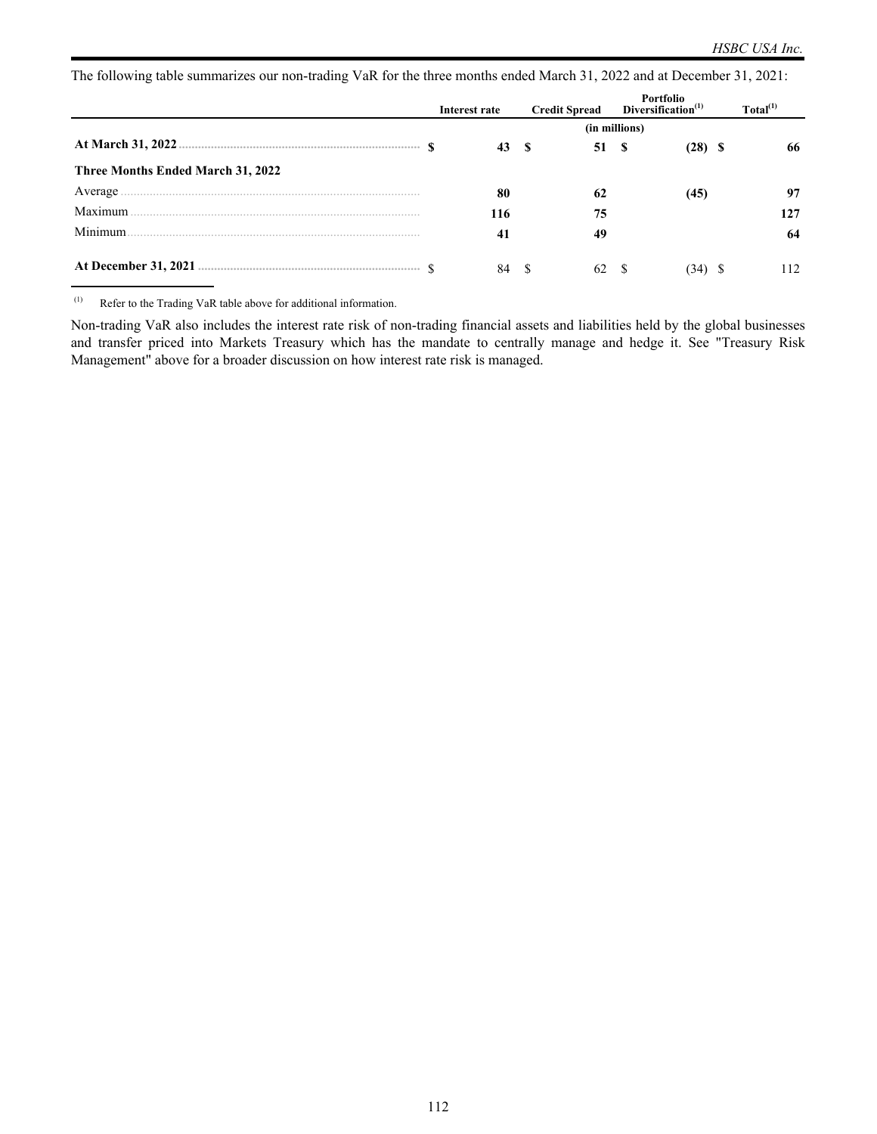The following table summarizes our non-trading VaR for the three months ended March 31, 2022 and at December 31, 2021:

|                                   | Interest rate | <b>Credit Spread</b> | Portfolio<br>Diversification <sup>(1)</sup> | Total <sup>(1)</sup> |
|-----------------------------------|---------------|----------------------|---------------------------------------------|----------------------|
|                                   |               |                      | (in millions)                               |                      |
|                                   | 43            | 51 S<br>-8           | $(28)$ \$                                   | 66                   |
| Three Months Ended March 31, 2022 |               |                      |                                             |                      |
| Average                           | 80            | 62                   | (45)                                        | 97                   |
| Maximum                           | 116           | 75                   |                                             | 127                  |
| Minimum                           | 41            | 49                   |                                             | 64                   |
|                                   | 84            | 62<br>-S             | S<br>(34)                                   | 12<br>D              |

(1) Refer to the Trading VaR table above for additional information.

Non-trading VaR also includes the interest rate risk of non-trading financial assets and liabilities held by the global businesses and transfer priced into Markets Treasury which has the mandate to centrally manage and hedge it. See "Treasury Risk Management" above for a broader discussion on how interest rate risk is managed.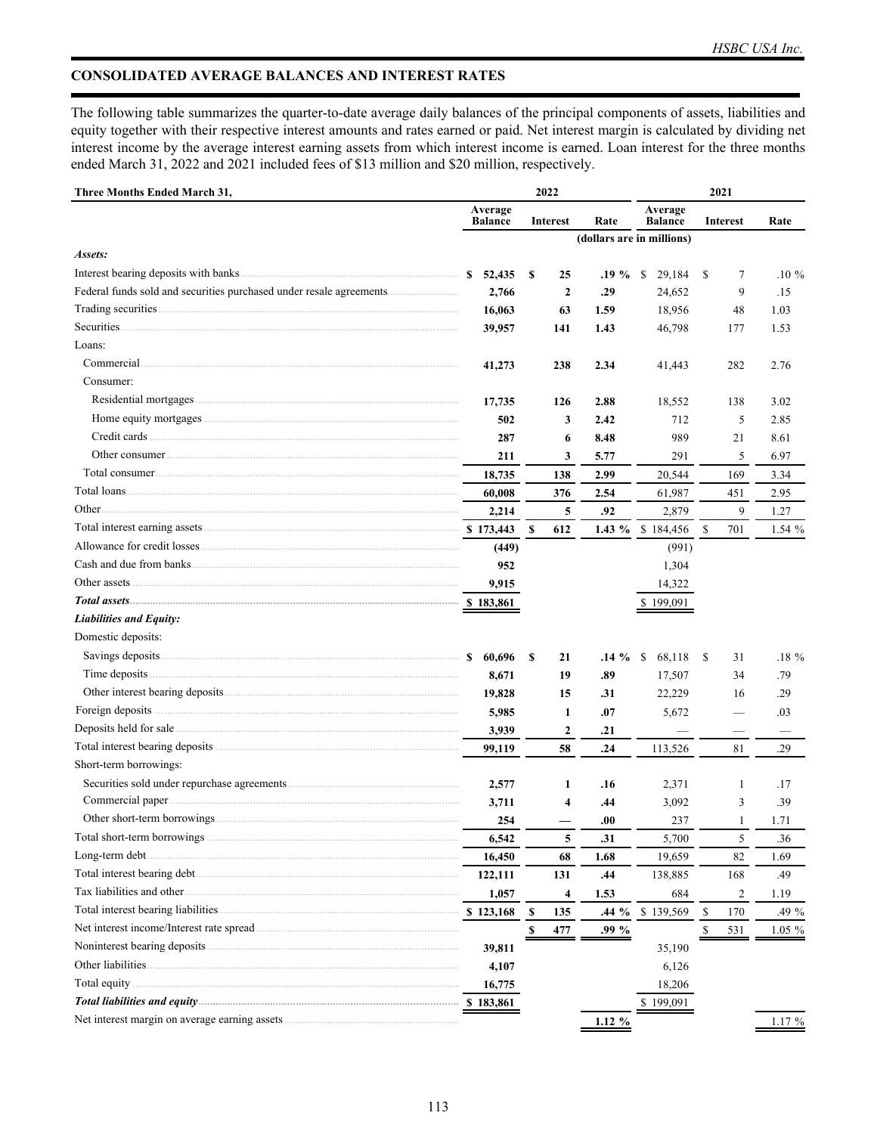# **CONSOLIDATED AVERAGE BALANCES AND INTEREST RATES**

The following table summarizes the quarter-to-date average daily balances of the principal components of assets, liabilities and equity together with their respective interest amounts and rates earned or paid. Net interest margin is calculated by dividing net interest income by the average interest earning assets from which interest income is earned. Loan interest for the three months ended March 31, 2022 and 2021 included fees of \$13 million and \$20 million, respectively.

| Three Months Ended March 31,<br>2022                                |     |                           |                 |              |             |                           |          |     |           |
|---------------------------------------------------------------------|-----|---------------------------|-----------------|--------------|-------------|---------------------------|----------|-----|-----------|
|                                                                     |     | Average<br><b>Balance</b> | <b>Interest</b> |              | Rate        | Average<br>Balance        | Interest |     | Rate      |
|                                                                     |     |                           |                 |              |             | (dollars are in millions) |          |     |           |
| Assets:                                                             |     |                           |                 |              |             |                           |          |     |           |
|                                                                     |     |                           | -S              | 25           | $.19 \%$ \$ | 29,184                    | \$       | 7   | $.10\%$   |
| Federal funds sold and securities purchased under resale agreements |     | 2,766                     |                 | $\mathbf{2}$ | .29         | 24,652                    |          | 9   | .15       |
|                                                                     |     | 16,063                    |                 | 63           | 1.59        | 18,956                    |          | 48  | 1.03      |
| Loans:                                                              |     | 39,957                    |                 | 141          | 1.43        | 46,798                    |          | 177 | 1.53      |
|                                                                     |     |                           |                 |              | 2.34        |                           |          | 282 |           |
| Consumer:                                                           |     | 41,273                    |                 | 238          |             | 41,443                    |          |     | 2.76      |
|                                                                     |     |                           |                 |              |             |                           |          |     |           |
|                                                                     |     | 17,735                    |                 | 126          | 2.88        | 18,552                    |          | 138 | 3.02      |
|                                                                     |     | 502                       |                 | 3            | 2.42        | 712                       |          | 5   | 2.85      |
|                                                                     |     | 287                       |                 | 6            | 8.48        | 989                       |          | 21  | 8.61      |
|                                                                     |     | 211                       |                 | 3            | 5.77        | 291                       |          | 5   | 6.97      |
|                                                                     |     | 18,735                    |                 | 138          | 2.99        | 20,544                    |          | 169 | 3.34      |
|                                                                     |     | 60.008                    |                 | 376          | 2.54        | 61,987                    |          | 451 | 2.95      |
|                                                                     |     | 2,214                     |                 | 5            | .92         | 2,879                     |          | 9   | 1.27      |
|                                                                     |     |                           | S               | 612          | $1.43\%$    | \$184,456                 | S        | 701 | 1.54 %    |
|                                                                     |     | (449)                     |                 |              |             | (991)                     |          |     |           |
|                                                                     |     | 952                       |                 |              |             | 1,304                     |          |     |           |
|                                                                     |     | 9,915                     |                 |              |             | 14,322                    |          |     |           |
| <b>Liabilities and Equity:</b>                                      |     |                           |                 |              |             | \$199,091                 |          |     |           |
| Domestic deposits:                                                  |     |                           |                 |              |             |                           |          |     |           |
|                                                                     | -SS | 60,696                    | - \$            | 21           | $.14\%$     | - \$<br>68,118            | \$       | 31  | $.18\%$   |
|                                                                     |     | 8,671                     |                 | 19           | .89         | 17,507                    |          | 34  | .79       |
|                                                                     |     | 19,828                    |                 | 15           | .31         | 22,229                    |          | 16  | .29       |
|                                                                     |     | 5,985                     |                 | 1            | .07         | 5,672                     |          |     | .03       |
|                                                                     |     | 3,939                     |                 | 2            | .21         |                           |          |     |           |
|                                                                     |     | 99,119                    |                 | 58           | .24         | 113,526                   |          | 81  | .29       |
| Short-term borrowings:                                              |     |                           |                 |              |             |                           |          |     |           |
|                                                                     |     | 2,577                     |                 | 1            | .16         | 2,371                     |          | 1   | .17       |
|                                                                     |     | 3,711                     |                 | 4            | .44         | 3,092                     |          | 3   | .39       |
|                                                                     |     | 254                       |                 |              | .00         | 237                       |          | 1   | 1.71      |
|                                                                     |     | 6,542                     |                 | 5            | .31         | 5,700                     |          | 5   | .36       |
| Long-term debt.                                                     |     | 16,450                    |                 | 68           | 1.68        | 19,659                    |          | 82  | 1.69      |
|                                                                     |     | 122,111                   |                 | 131          | .44         | 138,885                   |          | 168 | .49       |
|                                                                     |     | 1,057                     |                 | 4            | 1.53        | 684                       |          | 2   | 1.19      |
|                                                                     |     |                           | \$              | 135          | $.44\%$     | \$139,569                 | \$       | 170 | .49 %     |
|                                                                     |     |                           | S               | 477          | .99 %       |                           | \$       | 531 | $1.05~\%$ |
|                                                                     |     | 39,811                    |                 |              |             | 35,190                    |          |     |           |
|                                                                     |     | 4,107                     |                 |              |             | 6,126                     |          |     |           |
|                                                                     |     | 16,775                    |                 |              |             | 18,206                    |          |     |           |
|                                                                     |     |                           |                 |              |             | \$199,091                 |          |     |           |
|                                                                     |     |                           |                 |              | 1.12%       |                           |          |     | 1.17%     |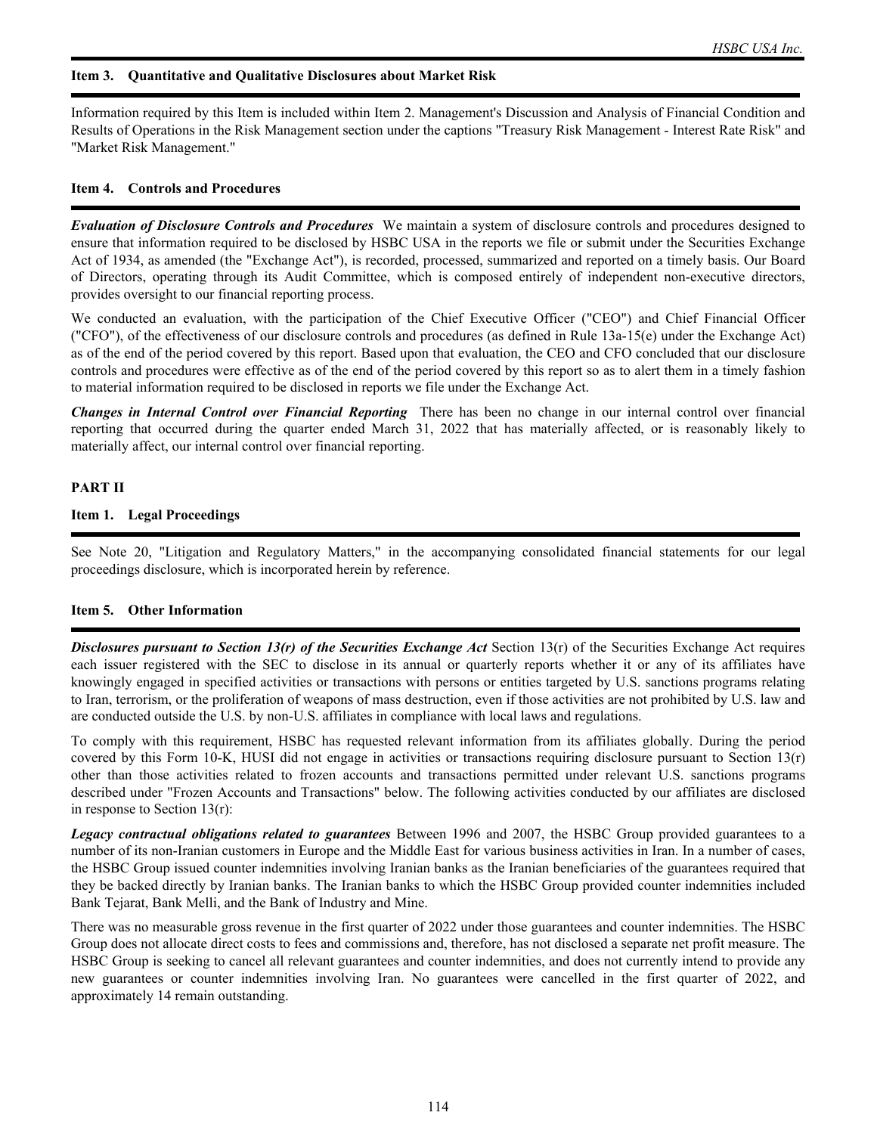#### **Item 3. Quantitative and Qualitative Disclosures about Market Risk**

Information required by this Item is included within Item 2. Management's Discussion and Analysis of Financial Condition and Results of Operations in the Risk Management section under the captions "Treasury Risk Management - Interest Rate Risk" and "Market Risk Management."

### **Item 4. Controls and Procedures**

*Evaluation of Disclosure Controls and Procedures* We maintain a system of disclosure controls and procedures designed to ensure that information required to be disclosed by HSBC USA in the reports we file or submit under the Securities Exchange Act of 1934, as amended (the "Exchange Act"), is recorded, processed, summarized and reported on a timely basis. Our Board of Directors, operating through its Audit Committee, which is composed entirely of independent non-executive directors, provides oversight to our financial reporting process.

We conducted an evaluation, with the participation of the Chief Executive Officer ("CEO") and Chief Financial Officer ("CFO"), of the effectiveness of our disclosure controls and procedures (as defined in Rule 13a-15(e) under the Exchange Act) as of the end of the period covered by this report. Based upon that evaluation, the CEO and CFO concluded that our disclosure controls and procedures were effective as of the end of the period covered by this report so as to alert them in a timely fashion to material information required to be disclosed in reports we file under the Exchange Act.

*Changes in Internal Control over Financial Reporting* There has been no change in our internal control over financial reporting that occurred during the quarter ended March 31, 2022 that has materially affected, or is reasonably likely to materially affect, our internal control over financial reporting.

### **PART II**

### **Item 1. Legal Proceedings**

See Note 20, "Litigation and Regulatory Matters," in the accompanying consolidated financial statements for our legal proceedings disclosure, which is incorporated herein by reference.

## **Item 5. Other Information**

*Disclosures pursuant to Section 13(r) of the Securities Exchange Act* Section 13(r) of the Securities Exchange Act requires each issuer registered with the SEC to disclose in its annual or quarterly reports whether it or any of its affiliates have knowingly engaged in specified activities or transactions with persons or entities targeted by U.S. sanctions programs relating to Iran, terrorism, or the proliferation of weapons of mass destruction, even if those activities are not prohibited by U.S. law and are conducted outside the U.S. by non-U.S. affiliates in compliance with local laws and regulations.

To comply with this requirement, HSBC has requested relevant information from its affiliates globally. During the period covered by this Form 10-K, HUSI did not engage in activities or transactions requiring disclosure pursuant to Section 13(r) other than those activities related to frozen accounts and transactions permitted under relevant U.S. sanctions programs described under "Frozen Accounts and Transactions" below. The following activities conducted by our affiliates are disclosed in response to Section 13(r):

*Legacy contractual obligations related to guarantees* Between 1996 and 2007, the HSBC Group provided guarantees to a number of its non-Iranian customers in Europe and the Middle East for various business activities in Iran. In a number of cases, the HSBC Group issued counter indemnities involving Iranian banks as the Iranian beneficiaries of the guarantees required that they be backed directly by Iranian banks. The Iranian banks to which the HSBC Group provided counter indemnities included Bank Tejarat, Bank Melli, and the Bank of Industry and Mine.

There was no measurable gross revenue in the first quarter of 2022 under those guarantees and counter indemnities. The HSBC Group does not allocate direct costs to fees and commissions and, therefore, has not disclosed a separate net profit measure. The HSBC Group is seeking to cancel all relevant guarantees and counter indemnities, and does not currently intend to provide any new guarantees or counter indemnities involving Iran. No guarantees were cancelled in the first quarter of 2022, and approximately 14 remain outstanding.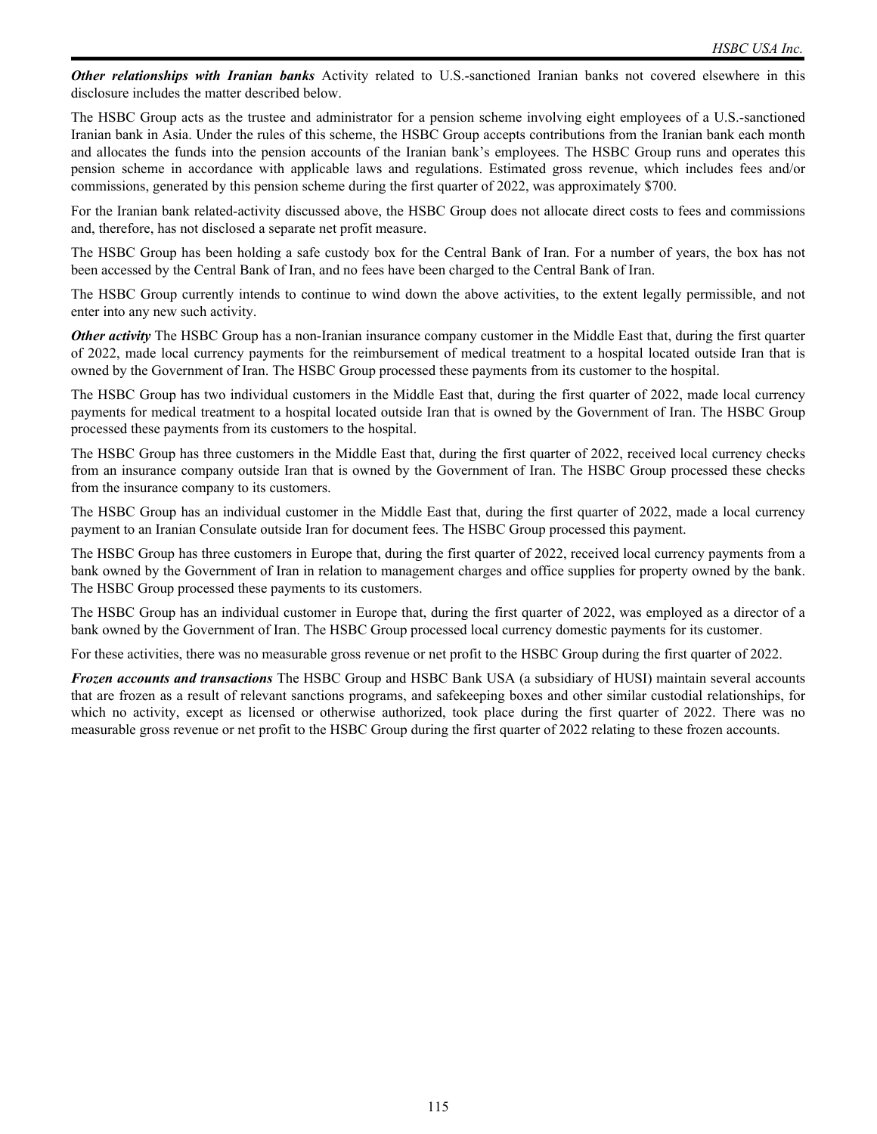*Other relationships with Iranian banks* Activity related to U.S.-sanctioned Iranian banks not covered elsewhere in this disclosure includes the matter described below.

The HSBC Group acts as the trustee and administrator for a pension scheme involving eight employees of a U.S.-sanctioned Iranian bank in Asia. Under the rules of this scheme, the HSBC Group accepts contributions from the Iranian bank each month and allocates the funds into the pension accounts of the Iranian bank's employees. The HSBC Group runs and operates this pension scheme in accordance with applicable laws and regulations. Estimated gross revenue, which includes fees and/or commissions, generated by this pension scheme during the first quarter of 2022, was approximately \$700.

For the Iranian bank related-activity discussed above, the HSBC Group does not allocate direct costs to fees and commissions and, therefore, has not disclosed a separate net profit measure.

The HSBC Group has been holding a safe custody box for the Central Bank of Iran. For a number of years, the box has not been accessed by the Central Bank of Iran, and no fees have been charged to the Central Bank of Iran.

The HSBC Group currently intends to continue to wind down the above activities, to the extent legally permissible, and not enter into any new such activity.

*Other activity* The HSBC Group has a non-Iranian insurance company customer in the Middle East that, during the first quarter of 2022, made local currency payments for the reimbursement of medical treatment to a hospital located outside Iran that is owned by the Government of Iran. The HSBC Group processed these payments from its customer to the hospital.

The HSBC Group has two individual customers in the Middle East that, during the first quarter of 2022, made local currency payments for medical treatment to a hospital located outside Iran that is owned by the Government of Iran. The HSBC Group processed these payments from its customers to the hospital.

The HSBC Group has three customers in the Middle East that, during the first quarter of 2022, received local currency checks from an insurance company outside Iran that is owned by the Government of Iran. The HSBC Group processed these checks from the insurance company to its customers.

The HSBC Group has an individual customer in the Middle East that, during the first quarter of 2022, made a local currency payment to an Iranian Consulate outside Iran for document fees. The HSBC Group processed this payment.

The HSBC Group has three customers in Europe that, during the first quarter of 2022, received local currency payments from a bank owned by the Government of Iran in relation to management charges and office supplies for property owned by the bank. The HSBC Group processed these payments to its customers.

The HSBC Group has an individual customer in Europe that, during the first quarter of 2022, was employed as a director of a bank owned by the Government of Iran. The HSBC Group processed local currency domestic payments for its customer.

For these activities, there was no measurable gross revenue or net profit to the HSBC Group during the first quarter of 2022.

*Frozen accounts and transactions* The HSBC Group and HSBC Bank USA (a subsidiary of HUSI) maintain several accounts that are frozen as a result of relevant sanctions programs, and safekeeping boxes and other similar custodial relationships, for which no activity, except as licensed or otherwise authorized, took place during the first quarter of 2022. There was no measurable gross revenue or net profit to the HSBC Group during the first quarter of 2022 relating to these frozen accounts.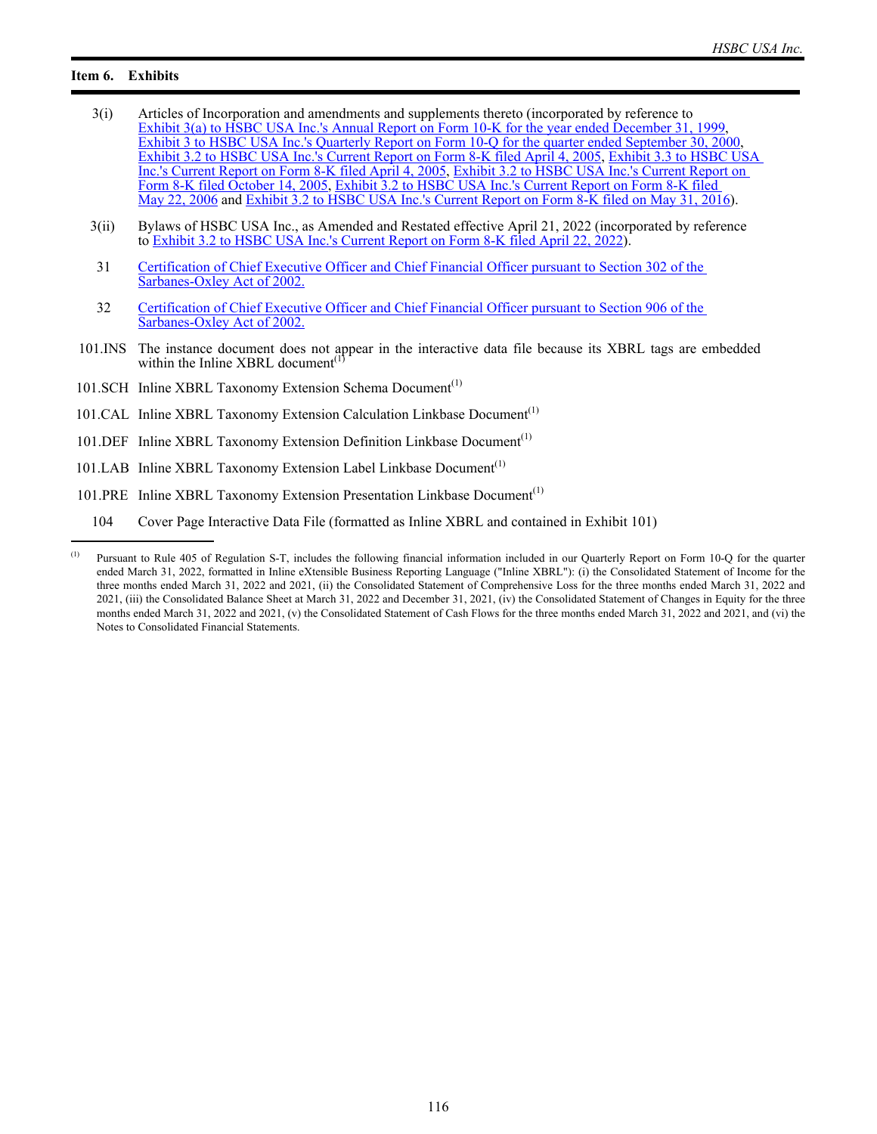#### **Item 6. Exhibits**

| 3(i) | Articles of Incorporation and amendments and supplements thereto (incorporated by reference to          |
|------|---------------------------------------------------------------------------------------------------------|
|      | Exhibit 3(a) to HSBC USA Inc.'s Annual Report on Form 10-K for the year ended December 31, 1999.        |
|      | Exhibit 3 to HSBC USA Inc.'s Quarterly Report on Form 10-Q for the quarter ended September 30, 2000,    |
|      | Exhibit 3.2 to HSBC USA Inc.'s Current Report on Form 8-K filed April 4, 2005, Exhibit 3.3 to HSBC USA  |
|      | Inc.'s Current Report on Form 8-K filed April 4, 2005, Exhibit 3.2 to HSBC USA Inc.'s Current Report on |
|      | Form 8-K filed October 14, 2005, Exhibit 3.2 to HSBC USA Inc.'s Current Report on Form 8-K filed        |
|      | May 22, 2006 and Exhibit 3.2 to HSBC USA Inc.'s Current Report on Form 8-K filed on May 31, 2016).      |
|      |                                                                                                         |

- 3(ii) Bylaws of HSBC USA Inc., as Amended and Restated effective April 21, 2022 (incorporated by reference to [Exhibit 3.2 to HSBC USA Inc.'s Current Report on Form 8-K filed April 22, 2022](https://www.sec.gov/Archives/edgar/data/83246/000008324622000007/exhibit32bylawsofhsbcusain.htm)).
- 31 Certification of Chief Executive Officer and Chief Financial Officer pursuant to Section 302 of the Sarbanes-Oxley Act of 2002.
- 32 [Certification of Chief Executive Officer and Chief Financial Officer pursuant to Section 906 of the](#page-119-0)  [Sarbanes-Oxley Act of 2002.](#page-119-0)
- 101.INS The instance document does not appear in the interactive data file because its XBRL tags are embedded within the Inline XBRL document $(1)$
- 101.SCH Inline XBRL Taxonomy Extension Schema Document<sup>(1)</sup>
- 101.CAL Inline XBRL Taxonomy Extension Calculation Linkbase Document<sup>(1)</sup>
- 101.DEF Inline XBRL Taxonomy Extension Definition Linkbase Document<sup>(1)</sup>
- 101.LAB Inline XBRL Taxonomy Extension Label Linkbase Document<sup>(1)</sup>
- 101.PRE Inline XBRL Taxonomy Extension Presentation Linkbase Document<sup>(1)</sup>

104 Cover Page Interactive Data File (formatted as Inline XBRL and contained in Exhibit 101)

<sup>&</sup>lt;sup>(1)</sup> Pursuant to Rule 405 of Regulation S-T, includes the following financial information included in our Quarterly Report on Form 10-Q for the quarter ended March 31, 2022, formatted in Inline eXtensible Business Reporting Language ("Inline XBRL"): (i) the Consolidated Statement of Income for the three months ended March 31, 2022 and 2021, (ii) the Consolidated Statement of Comprehensive Loss for the three months ended March 31, 2022 and 2021, (iii) the Consolidated Balance Sheet at March 31, 2022 and December 31, 2021, (iv) the Consolidated Statement of Changes in Equity for the three months ended March 31, 2022 and 2021, (v) the Consolidated Statement of Cash Flows for the three months ended March 31, 2022 and 2021, and (vi) the Notes to Consolidated Financial Statements.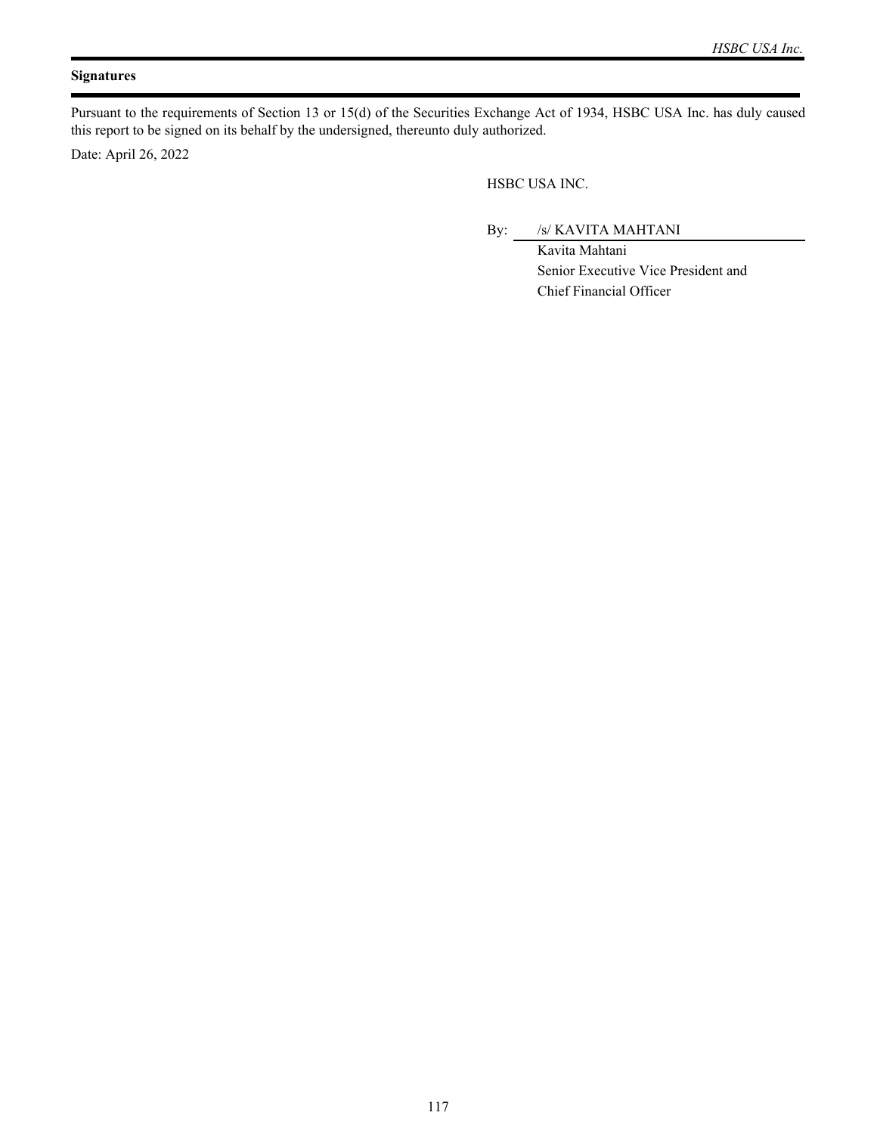## **Signatures**

Pursuant to the requirements of Section 13 or 15(d) of the Securities Exchange Act of 1934, HSBC USA Inc. has duly caused this report to be signed on its behalf by the undersigned, thereunto duly authorized.

Date: April 26, 2022

HSBC USA INC.

By: <u>/s/ KAVITA MAHTANI</u>

Kavita Mahtani Senior Executive Vice President and Chief Financial Officer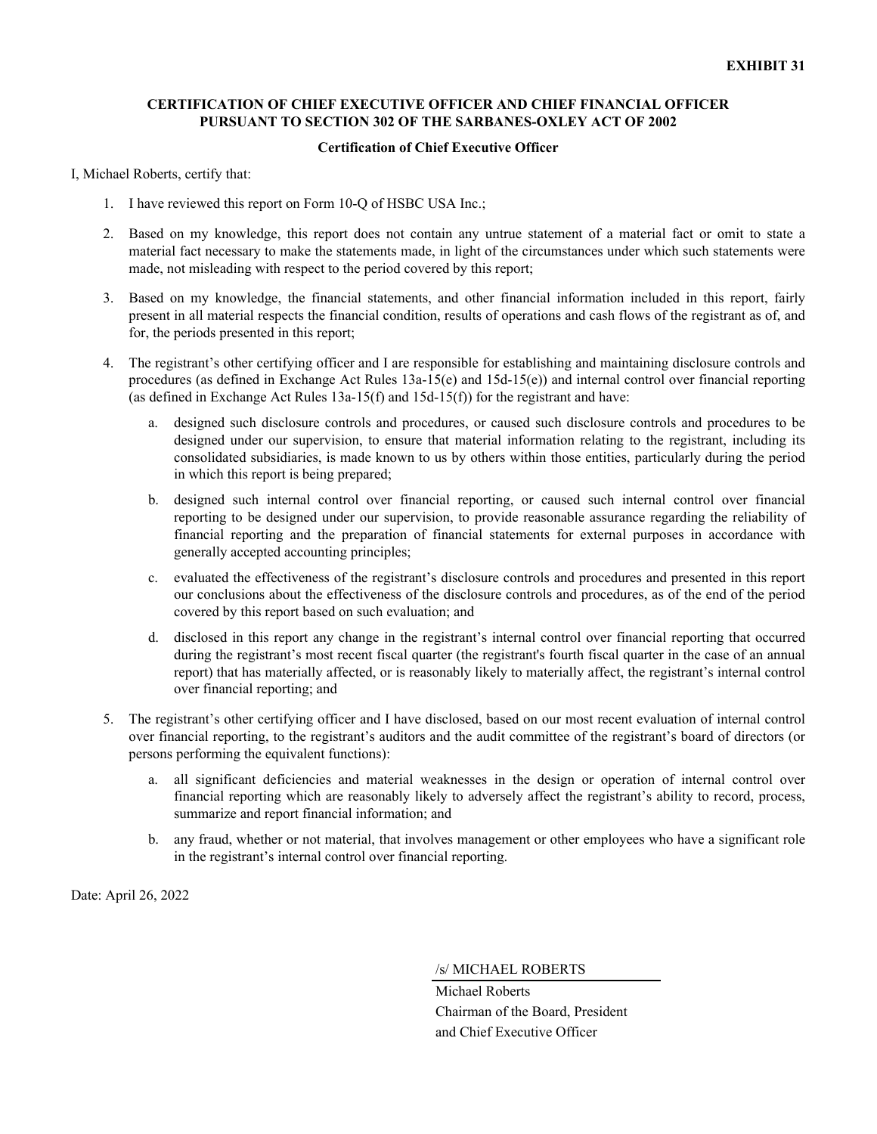### **CERTIFICATION OF CHIEF EXECUTIVE OFFICER AND CHIEF FINANCIAL OFFICER PURSUANT TO SECTION 302 OF THE SARBANES-OXLEY ACT OF 2002**

### **Certification of Chief Executive Officer**

I, Michael Roberts, certify that:

- 1. I have reviewed this report on Form 10-Q of HSBC USA Inc.;
- 2. Based on my knowledge, this report does not contain any untrue statement of a material fact or omit to state a material fact necessary to make the statements made, in light of the circumstances under which such statements were made, not misleading with respect to the period covered by this report;
- 3. Based on my knowledge, the financial statements, and other financial information included in this report, fairly present in all material respects the financial condition, results of operations and cash flows of the registrant as of, and for, the periods presented in this report;
- 4. The registrant's other certifying officer and I are responsible for establishing and maintaining disclosure controls and procedures (as defined in Exchange Act Rules 13a-15(e) and 15d-15(e)) and internal control over financial reporting (as defined in Exchange Act Rules  $13a-15(f)$  and  $15d-15(f)$ ) for the registrant and have:
	- a. designed such disclosure controls and procedures, or caused such disclosure controls and procedures to be designed under our supervision, to ensure that material information relating to the registrant, including its consolidated subsidiaries, is made known to us by others within those entities, particularly during the period in which this report is being prepared;
	- b. designed such internal control over financial reporting, or caused such internal control over financial reporting to be designed under our supervision, to provide reasonable assurance regarding the reliability of financial reporting and the preparation of financial statements for external purposes in accordance with generally accepted accounting principles;
	- c. evaluated the effectiveness of the registrant's disclosure controls and procedures and presented in this report our conclusions about the effectiveness of the disclosure controls and procedures, as of the end of the period covered by this report based on such evaluation; and
	- d. disclosed in this report any change in the registrant's internal control over financial reporting that occurred during the registrant's most recent fiscal quarter (the registrant's fourth fiscal quarter in the case of an annual report) that has materially affected, or is reasonably likely to materially affect, the registrant's internal control over financial reporting; and
- 5. The registrant's other certifying officer and I have disclosed, based on our most recent evaluation of internal control over financial reporting, to the registrant's auditors and the audit committee of the registrant's board of directors (or persons performing the equivalent functions):
	- a. all significant deficiencies and material weaknesses in the design or operation of internal control over financial reporting which are reasonably likely to adversely affect the registrant's ability to record, process, summarize and report financial information; and
	- b. any fraud, whether or not material, that involves management or other employees who have a significant role in the registrant's internal control over financial reporting.

Date: April 26, 2022

/s/ MICHAEL ROBERTS

Michael Roberts Chairman of the Board, President and Chief Executive Officer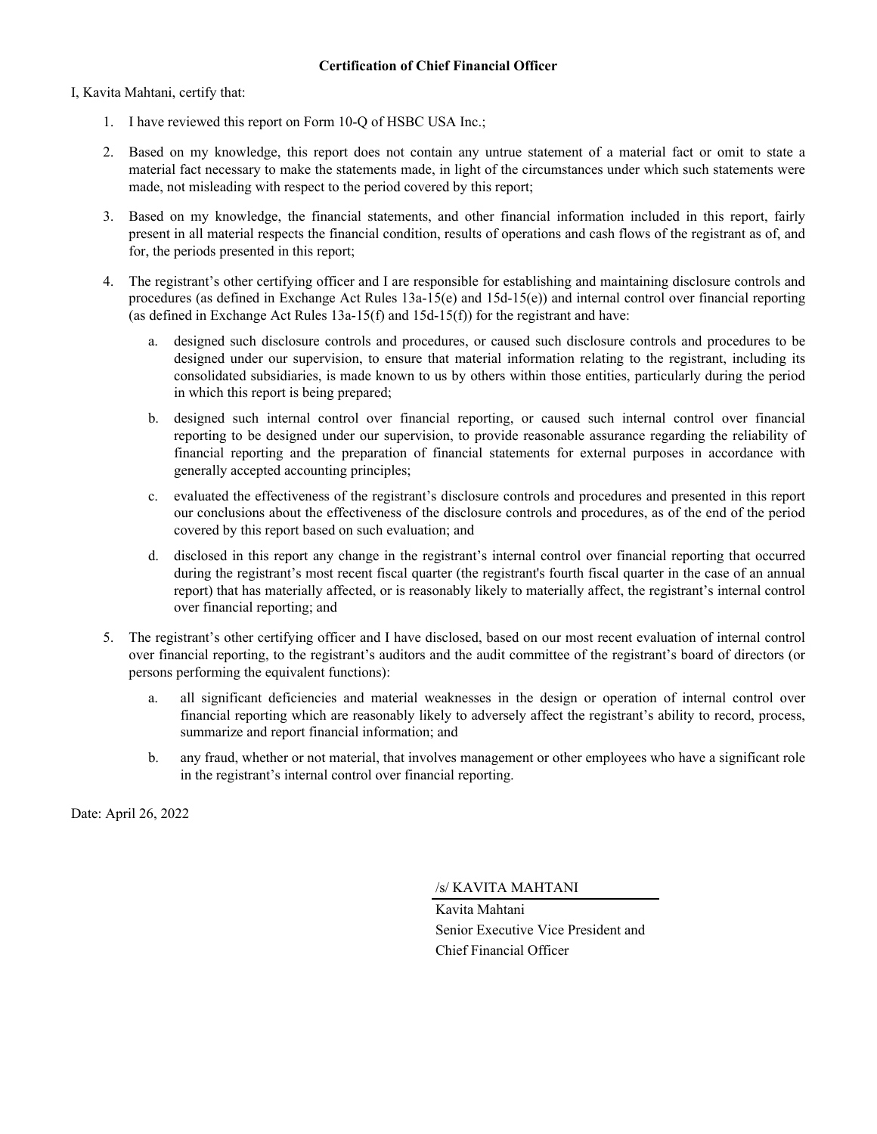I, Kavita Mahtani, certify that:

- 1. I have reviewed this report on Form 10-Q of HSBC USA Inc.;
- 2. Based on my knowledge, this report does not contain any untrue statement of a material fact or omit to state a material fact necessary to make the statements made, in light of the circumstances under which such statements were made, not misleading with respect to the period covered by this report;
- 3. Based on my knowledge, the financial statements, and other financial information included in this report, fairly present in all material respects the financial condition, results of operations and cash flows of the registrant as of, and for, the periods presented in this report;
- 4. The registrant's other certifying officer and I are responsible for establishing and maintaining disclosure controls and procedures (as defined in Exchange Act Rules 13a-15(e) and 15d-15(e)) and internal control over financial reporting (as defined in Exchange Act Rules 13a-15(f) and 15d-15(f)) for the registrant and have:
	- a. designed such disclosure controls and procedures, or caused such disclosure controls and procedures to be designed under our supervision, to ensure that material information relating to the registrant, including its consolidated subsidiaries, is made known to us by others within those entities, particularly during the period in which this report is being prepared;
	- b. designed such internal control over financial reporting, or caused such internal control over financial reporting to be designed under our supervision, to provide reasonable assurance regarding the reliability of financial reporting and the preparation of financial statements for external purposes in accordance with generally accepted accounting principles;
	- c. evaluated the effectiveness of the registrant's disclosure controls and procedures and presented in this report our conclusions about the effectiveness of the disclosure controls and procedures, as of the end of the period covered by this report based on such evaluation; and
	- d. disclosed in this report any change in the registrant's internal control over financial reporting that occurred during the registrant's most recent fiscal quarter (the registrant's fourth fiscal quarter in the case of an annual report) that has materially affected, or is reasonably likely to materially affect, the registrant's internal control over financial reporting; and
- 5. The registrant's other certifying officer and I have disclosed, based on our most recent evaluation of internal control over financial reporting, to the registrant's auditors and the audit committee of the registrant's board of directors (or persons performing the equivalent functions):
	- a. all significant deficiencies and material weaknesses in the design or operation of internal control over financial reporting which are reasonably likely to adversely affect the registrant's ability to record, process, summarize and report financial information; and
	- b. any fraud, whether or not material, that involves management or other employees who have a significant role in the registrant's internal control over financial reporting.

Date: April 26, 2022

/s/ KAVITA MAHTANI

Kavita Mahtani Senior Executive Vice President and Chief Financial Officer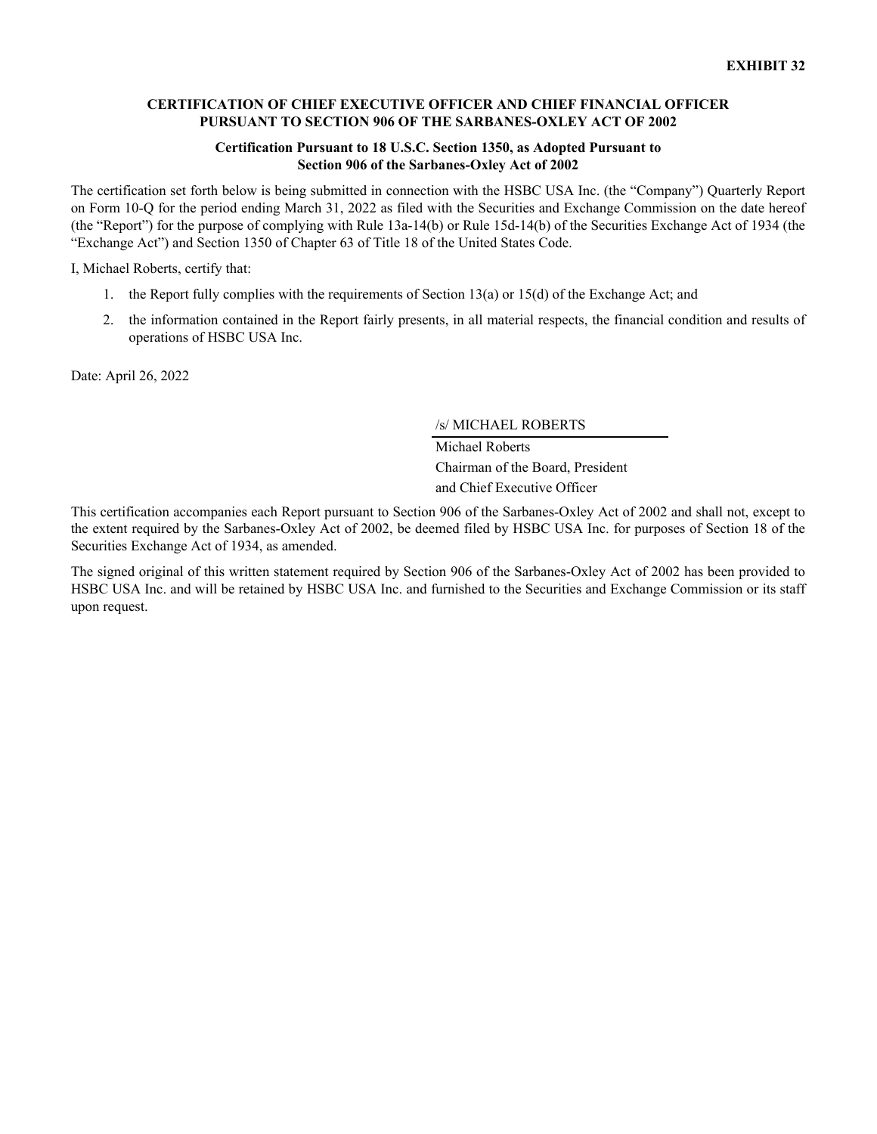### <span id="page-119-0"></span>**CERTIFICATION OF CHIEF EXECUTIVE OFFICER AND CHIEF FINANCIAL OFFICER PURSUANT TO SECTION 906 OF THE SARBANES-OXLEY ACT OF 2002**

#### **Certification Pursuant to 18 U.S.C. Section 1350, as Adopted Pursuant to Section 906 of the Sarbanes-Oxley Act of 2002**

The certification set forth below is being submitted in connection with the HSBC USA Inc. (the "Company") Quarterly Report on Form 10-Q for the period ending March 31, 2022 as filed with the Securities and Exchange Commission on the date hereof (the "Report") for the purpose of complying with Rule 13a-14(b) or Rule 15d-14(b) of the Securities Exchange Act of 1934 (the "Exchange Act") and Section 1350 of Chapter 63 of Title 18 of the United States Code.

I, Michael Roberts, certify that:

- 1. the Report fully complies with the requirements of Section 13(a) or 15(d) of the Exchange Act; and
- 2. the information contained in the Report fairly presents, in all material respects, the financial condition and results of operations of HSBC USA Inc.

Date: April 26, 2022

/s/ MICHAEL ROBERTS

Michael Roberts Chairman of the Board, President and Chief Executive Officer

This certification accompanies each Report pursuant to Section 906 of the Sarbanes-Oxley Act of 2002 and shall not, except to the extent required by the Sarbanes-Oxley Act of 2002, be deemed filed by HSBC USA Inc. for purposes of Section 18 of the Securities Exchange Act of 1934, as amended.

The signed original of this written statement required by Section 906 of the Sarbanes-Oxley Act of 2002 has been provided to HSBC USA Inc. and will be retained by HSBC USA Inc. and furnished to the Securities and Exchange Commission or its staff upon request.